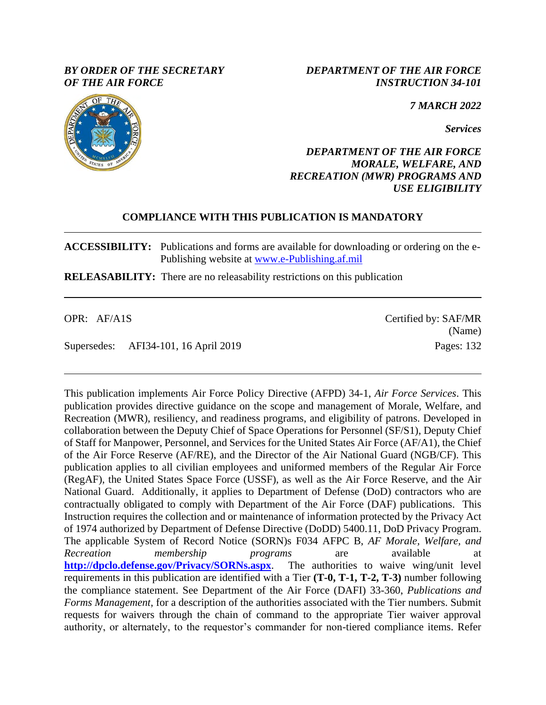### *BY ORDER OF THE SECRETARY OF THE AIR FORCE*

*DEPARTMENT OF THE AIR FORCE INSTRUCTION 34-101*

*7 MARCH 2022*

*Services*

### *DEPARTMENT OF THE AIR FORCE MORALE, WELFARE, AND RECREATION (MWR) PROGRAMS AND USE ELIGIBILITY*

### **COMPLIANCE WITH THIS PUBLICATION IS MANDATORY**

**ACCESSIBILITY:** Publications and forms are available for downloading or ordering on the e-Publishing website at [www.e-Publishing.af.mil](http://www.e-publishing.af.mil/)

**RELEASABILITY:** There are no releasability restrictions on this publication

Supersedes: AFI34-101, 16 April 2019 Pages: 132

This publication implements Air Force Policy Directive (AFPD) 34-1, *Air Force Services*. This publication provides directive guidance on the scope and management of Morale, Welfare, and Recreation (MWR), resiliency, and readiness programs, and eligibility of patrons. Developed in collaboration between the Deputy Chief of Space Operations for Personnel (SF/S1), Deputy Chief of Staff for Manpower, Personnel, and Services for the United States Air Force (AF/A1), the Chief of the Air Force Reserve (AF/RE), and the Director of the Air National Guard (NGB/CF). This publication applies to all civilian employees and uniformed members of the Regular Air Force (RegAF), the United States Space Force (USSF), as well as the Air Force Reserve, and the Air National Guard. Additionally, it applies to Department of Defense (DoD) contractors who are contractually obligated to comply with Department of the Air Force (DAF) publications. This Instruction requires the collection and or maintenance of information protected by the Privacy Act of 1974 authorized by Department of Defense Directive (DoDD) 5400.11, DoD Privacy Program. The applicable System of Record Notice (SORN)s F034 AFPC B, *AF Morale, Welfare, and Recreation membership programs* are available at **<http://dpclo.defense.gov/Privacy/SORNs.aspx>**. The authorities to waive wing/unit level requirements in this publication are identified with a Tier **(T-0, T-1, T-2, T-3)** number following the compliance statement. See Department of the Air Force (DAFI) 33-360, *Publications and Forms Management*, for a description of the authorities associated with the Tier numbers. Submit requests for waivers through the chain of command to the appropriate Tier waiver approval authority, or alternately, to the requestor's commander for non-tiered compliance items. Refer



OPR: AF/A1S Certified by: SAF/MR (Name)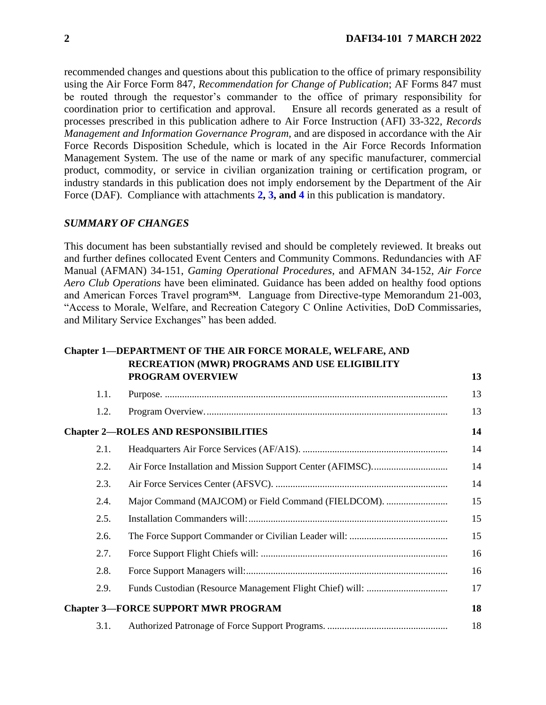recommended changes and questions about this publication to the office of primary responsibility using the Air Force Form 847, *Recommendation for Change of Publication*; AF Forms 847 must be routed through the requestor's commander to the office of primary responsibility for coordination prior to certification and approval. Ensure all records generated as a result of processes prescribed in this publication adhere to Air Force Instruction (AFI) 33-322, *Records Management and Information Governance Program*, and are disposed in accordance with the Air Force Records Disposition Schedule, which is located in the Air Force Records Information Management System. The use of the name or mark of any specific manufacturer, commercial product, commodity, or service in civilian organization training or certification program, or industry standards in this publication does not imply endorsement by the Department of the Air Force (DAF). Compliance with attachments **[2,](#page-115-0) [3,](#page-124-0) and [4](#page-126-0)** in this publication is mandatory.

#### *SUMMARY OF CHANGES*

This document has been substantially revised and should be completely reviewed. It breaks out and further defines collocated Event Centers and Community Commons. Redundancies with AF Manual (AFMAN) 34-151, *Gaming Operational Procedures*, and AFMAN 34-152, *Air Force Aero Club Operations* have been eliminated. Guidance has been added on healthy food options and American Forces Travel program<sup>SM</sup>. Language from Directive-type Memorandum 21-003, "Access to Morale, Welfare, and Recreation Category C Online Activities, DoD Commissaries, and Military Service Exchanges" has been added.

#### **Chapter 1—[DEPARTMENT OF THE AIR FORCE MORALE, WELFARE, AND](#page-12-0)  [RECREATION \(MWR\) PROGRAMS AND USE ELIGIBILITY](#page-12-0)  [PROGRAM OVERVIEW](#page-12-0) [13](#page-12-0)**

| 1.1. |                                                     | 13 |
|------|-----------------------------------------------------|----|
| 1.2. |                                                     | 13 |
|      | <b>Chapter 2-ROLES AND RESPONSIBILITIES</b>         | 14 |
| 2.1. |                                                     | 14 |
| 2.2. |                                                     | 14 |
| 2.3. |                                                     | 14 |
| 2.4. | Major Command (MAJCOM) or Field Command (FIELDCOM). | 15 |
| 2.5. |                                                     | 15 |
| 2.6. |                                                     | 15 |
| 2.7. |                                                     | 16 |
| 2.8. |                                                     | 16 |
| 2.9. |                                                     | 17 |
|      | <b>Chapter 3-FORCE SUPPORT MWR PROGRAM</b>          | 18 |
| 3.1. |                                                     | 18 |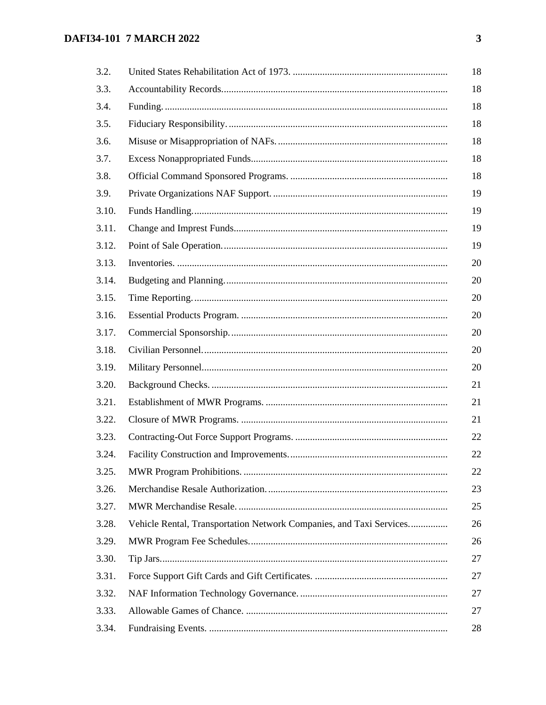| 3.2.  |                                                                     |
|-------|---------------------------------------------------------------------|
| 3.3.  |                                                                     |
| 3.4.  |                                                                     |
| 3.5.  |                                                                     |
| 3.6.  |                                                                     |
| 3.7.  |                                                                     |
| 3.8.  |                                                                     |
| 3.9.  |                                                                     |
| 3.10. |                                                                     |
| 3.11. |                                                                     |
| 3.12. |                                                                     |
| 3.13. |                                                                     |
| 3.14. |                                                                     |
| 3.15. |                                                                     |
| 3.16. |                                                                     |
| 3.17. |                                                                     |
| 3.18. |                                                                     |
| 3.19. |                                                                     |
| 3.20. |                                                                     |
| 3.21. |                                                                     |
| 3.22. |                                                                     |
| 3.23. |                                                                     |
| 3.24. |                                                                     |
| 3.25. |                                                                     |
| 3.26. |                                                                     |
| 3.27. |                                                                     |
| 3.28. | Vehicle Rental, Transportation Network Companies, and Taxi Services |
| 3.29. |                                                                     |
| 3.30. |                                                                     |
| 3.31. |                                                                     |
| 3.32. |                                                                     |
| 3.33. |                                                                     |
| 3.34. |                                                                     |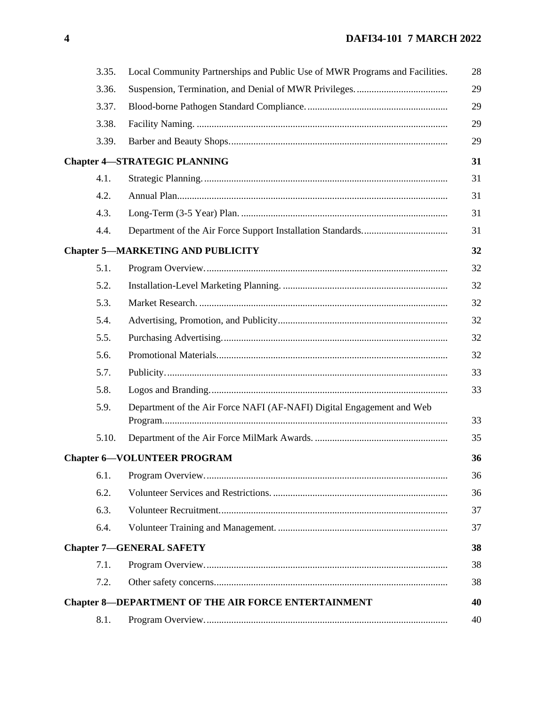| 3.35. | Local Community Partnerships and Public Use of MWR Programs and Facilities. | 28 |
|-------|-----------------------------------------------------------------------------|----|
| 3.36. |                                                                             | 29 |
| 3.37. |                                                                             | 29 |
| 3.38. |                                                                             | 29 |
| 3.39. |                                                                             | 29 |
|       | <b>Chapter 4-STRATEGIC PLANNING</b>                                         | 31 |
| 4.1.  |                                                                             | 31 |
| 4.2.  |                                                                             | 31 |
| 4.3.  |                                                                             | 31 |
| 4.4.  |                                                                             | 31 |
|       | <b>Chapter 5-MARKETING AND PUBLICITY</b>                                    | 32 |
| 5.1.  |                                                                             | 32 |
| 5.2.  |                                                                             | 32 |
| 5.3.  |                                                                             | 32 |
| 5.4.  |                                                                             | 32 |
| 5.5.  |                                                                             | 32 |
| 5.6.  |                                                                             | 32 |
| 5.7.  |                                                                             | 33 |
| 5.8.  |                                                                             | 33 |
| 5.9.  | Department of the Air Force NAFI (AF-NAFI) Digital Engagement and Web       | 33 |
| 5.10. |                                                                             | 35 |
|       | <b>Chapter 6-VOLUNTEER PROGRAM</b>                                          | 36 |
| 6.1.  |                                                                             | 36 |
| 6.2.  |                                                                             | 36 |
| 6.3.  |                                                                             | 37 |
| 6.4.  |                                                                             | 37 |
|       | <b>Chapter 7-GENERAL SAFETY</b>                                             | 38 |
| 7.1.  |                                                                             | 38 |
| 7.2.  |                                                                             | 38 |
|       | <b>Chapter 8-DEPARTMENT OF THE AIR FORCE ENTERTAINMENT</b>                  | 40 |
| 8.1.  |                                                                             | 40 |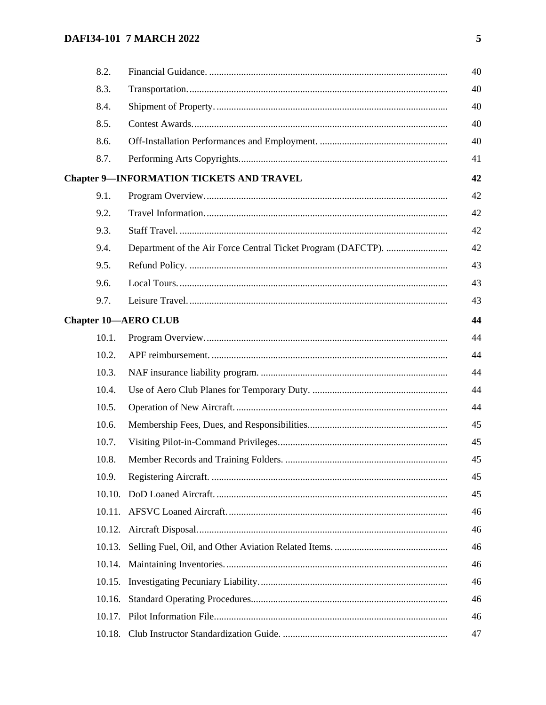| 8.2.   |                                                 | 40 |
|--------|-------------------------------------------------|----|
| 8.3.   |                                                 | 40 |
| 8.4.   |                                                 | 40 |
| 8.5.   |                                                 | 40 |
| 8.6.   |                                                 | 40 |
| 8.7.   |                                                 | 41 |
|        | <b>Chapter 9-INFORMATION TICKETS AND TRAVEL</b> | 42 |
| 9.1.   |                                                 | 42 |
| 9.2.   |                                                 | 42 |
| 9.3.   |                                                 | 42 |
| 9.4.   |                                                 | 42 |
| 9.5.   |                                                 | 43 |
| 9.6.   |                                                 | 43 |
| 9.7.   |                                                 | 43 |
|        | <b>Chapter 10-AERO CLUB</b>                     | 44 |
| 10.1.  |                                                 | 44 |
| 10.2.  |                                                 | 44 |
| 10.3.  |                                                 | 44 |
| 10.4.  |                                                 | 44 |
| 10.5.  |                                                 | 44 |
| 10.6.  |                                                 | 45 |
| 10.7.  |                                                 | 45 |
| 10.8.  |                                                 | 45 |
| 10.9.  |                                                 | 45 |
| 10.10. |                                                 | 45 |
|        |                                                 | 46 |
|        |                                                 | 46 |
| 10.13. |                                                 | 46 |
|        |                                                 | 46 |
| 10.15. |                                                 | 46 |
| 10.16. |                                                 | 46 |
|        |                                                 | 46 |
|        |                                                 | 47 |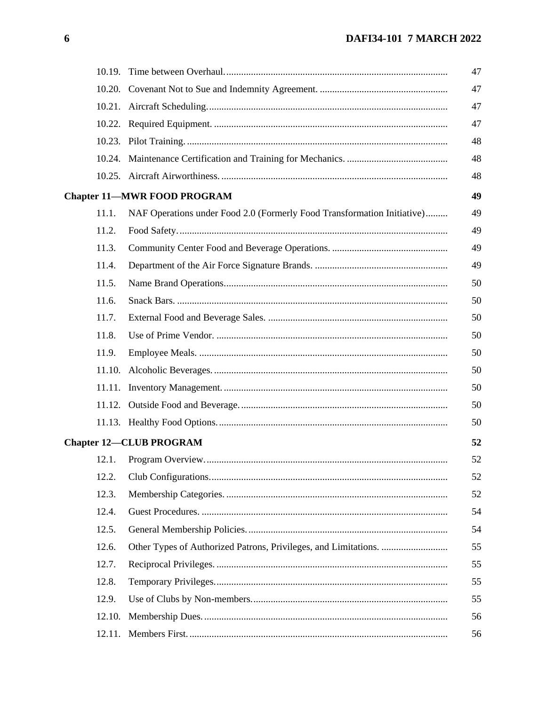|        |                                                                         | 47 |
|--------|-------------------------------------------------------------------------|----|
| 10.20. |                                                                         | 47 |
|        |                                                                         | 47 |
|        |                                                                         | 47 |
|        |                                                                         | 48 |
|        |                                                                         | 48 |
|        |                                                                         | 48 |
|        | <b>Chapter 11-MWR FOOD PROGRAM</b>                                      | 49 |
| 11.1.  | NAF Operations under Food 2.0 (Formerly Food Transformation Initiative) | 49 |
| 11.2.  |                                                                         | 49 |
| 11.3.  |                                                                         | 49 |
| 11.4.  |                                                                         | 49 |
| 11.5.  |                                                                         | 50 |
| 11.6.  |                                                                         | 50 |
| 11.7.  |                                                                         | 50 |
| 11.8.  |                                                                         | 50 |
| 11.9.  |                                                                         | 50 |
|        |                                                                         | 50 |
|        |                                                                         | 50 |
| 11.12. |                                                                         | 50 |
|        |                                                                         | 50 |
|        | <b>Chapter 12-CLUB PROGRAM</b>                                          | 52 |
| 12.1.  |                                                                         | 52 |
| 12.2.  |                                                                         | 52 |
| 12.3.  |                                                                         | 52 |
| 12.4.  |                                                                         | 54 |
| 12.5.  |                                                                         | 54 |
| 12.6.  |                                                                         | 55 |
| 12.7.  |                                                                         | 55 |
| 12.8.  |                                                                         | 55 |
| 12.9.  |                                                                         | 55 |
| 12.10. |                                                                         | 56 |
|        |                                                                         | 56 |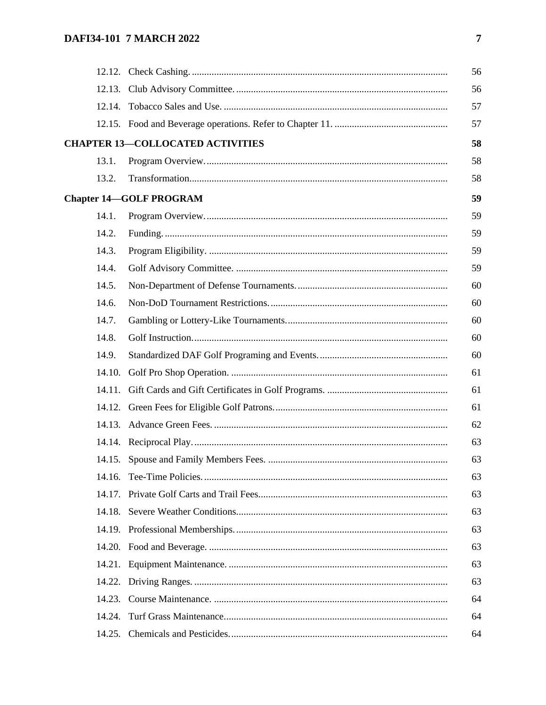|        |                                         | 56 |
|--------|-----------------------------------------|----|
|        |                                         | 56 |
|        |                                         | 57 |
|        |                                         | 57 |
|        | <b>CHAPTER 13-COLLOCATED ACTIVITIES</b> | 58 |
| 13.1.  |                                         | 58 |
| 13.2.  |                                         | 58 |
|        | <b>Chapter 14-GOLF PROGRAM</b>          | 59 |
| 14.1.  |                                         | 59 |
| 14.2.  |                                         | 59 |
| 14.3.  |                                         | 59 |
| 14.4.  |                                         | 59 |
| 14.5.  |                                         | 60 |
| 14.6.  |                                         | 60 |
| 14.7.  |                                         | 60 |
| 14.8.  |                                         | 60 |
| 14.9.  |                                         | 60 |
| 14.10. |                                         | 61 |
|        |                                         | 61 |
|        |                                         | 61 |
|        |                                         | 62 |
|        |                                         | 63 |
|        |                                         | 63 |
|        |                                         | 63 |
|        |                                         | 63 |
|        |                                         | 63 |
|        |                                         | 63 |
|        |                                         | 63 |
| 14.21. |                                         | 63 |
| 14.22. |                                         | 63 |
|        |                                         | 64 |
| 14.24. |                                         | 64 |
| 14.25. |                                         | 64 |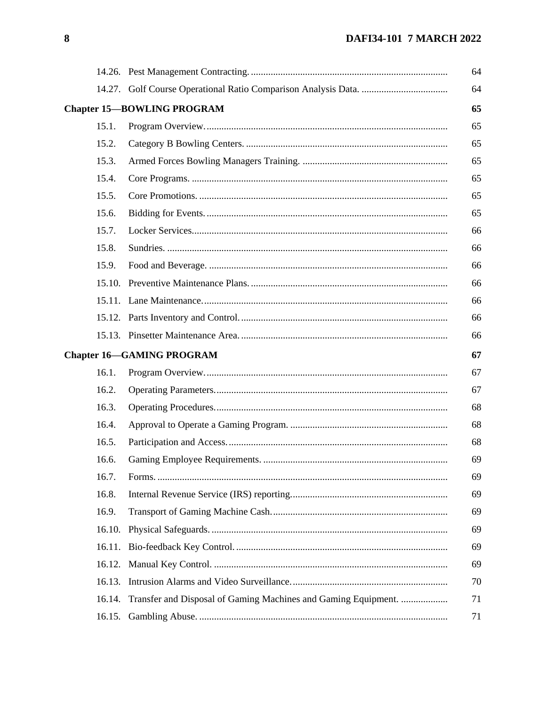|        |                                                                | 64 |
|--------|----------------------------------------------------------------|----|
|        |                                                                | 64 |
|        | <b>Chapter 15-BOWLING PROGRAM</b>                              | 65 |
| 15.1.  |                                                                | 65 |
| 15.2.  |                                                                | 65 |
| 15.3.  |                                                                | 65 |
| 15.4.  |                                                                | 65 |
| 15.5.  |                                                                | 65 |
| 15.6.  |                                                                | 65 |
| 15.7.  |                                                                | 66 |
| 15.8.  |                                                                | 66 |
| 15.9.  |                                                                | 66 |
|        |                                                                | 66 |
|        |                                                                | 66 |
|        |                                                                | 66 |
|        |                                                                | 66 |
|        | <b>Chapter 16-GAMING PROGRAM</b>                               | 67 |
| 16.1.  |                                                                | 67 |
| 16.2.  |                                                                | 67 |
| 16.3.  |                                                                | 68 |
| 16.4.  |                                                                | 68 |
| 16.5.  |                                                                | 68 |
| 16.6.  |                                                                | 69 |
| 16.7.  |                                                                | 69 |
| 16.8.  |                                                                | 69 |
| 16.9.  |                                                                | 69 |
| 16.10. |                                                                | 69 |
| 16.11. |                                                                | 69 |
| 16.12. |                                                                | 69 |
|        |                                                                | 70 |
| 16.14. | Transfer and Disposal of Gaming Machines and Gaming Equipment. | 71 |
| 16.15. |                                                                | 71 |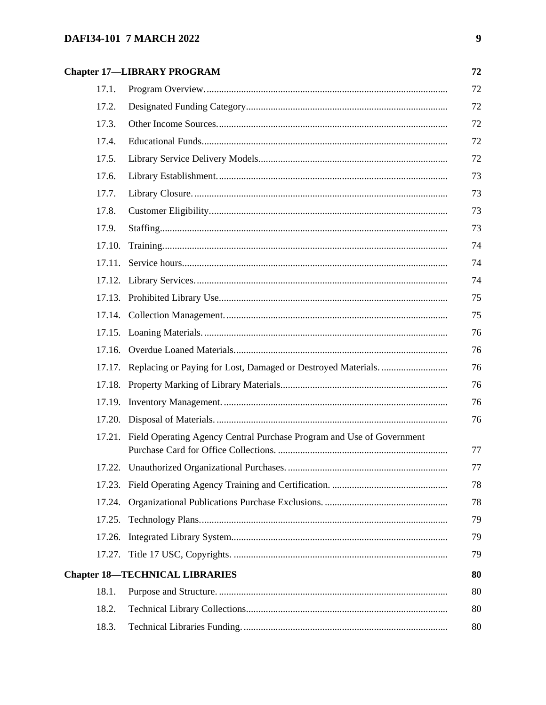# **Chapter 17-LIBRARY PROGRAM**

|        | <b>Chapter 17-LIBRARY PROGRAM</b>                                            | 72 |
|--------|------------------------------------------------------------------------------|----|
| 17.1.  |                                                                              | 72 |
| 17.2.  |                                                                              | 72 |
| 17.3.  |                                                                              | 72 |
| 17.4.  |                                                                              | 72 |
| 17.5.  |                                                                              | 72 |
| 17.6.  |                                                                              | 73 |
| 17.7.  |                                                                              | 73 |
| 17.8.  |                                                                              | 73 |
| 17.9.  |                                                                              | 73 |
| 17.10. |                                                                              | 74 |
| 17.11. |                                                                              | 74 |
|        |                                                                              | 74 |
|        |                                                                              | 75 |
|        |                                                                              | 75 |
|        |                                                                              | 76 |
|        |                                                                              | 76 |
|        | 17.17. Replacing or Paying for Lost, Damaged or Destroyed Materials          | 76 |
|        |                                                                              | 76 |
|        |                                                                              | 76 |
|        |                                                                              | 76 |
|        | 17.21. Field Operating Agency Central Purchase Program and Use of Government | 77 |
|        |                                                                              | 77 |
|        |                                                                              | 78 |
|        |                                                                              | 78 |
|        |                                                                              | 79 |
| 17.26. |                                                                              | 79 |
|        |                                                                              | 79 |
|        | <b>Chapter 18-TECHNICAL LIBRARIES</b>                                        | 80 |
| 18.1.  |                                                                              | 80 |
| 18.2.  |                                                                              | 80 |
| 18.3.  |                                                                              | 80 |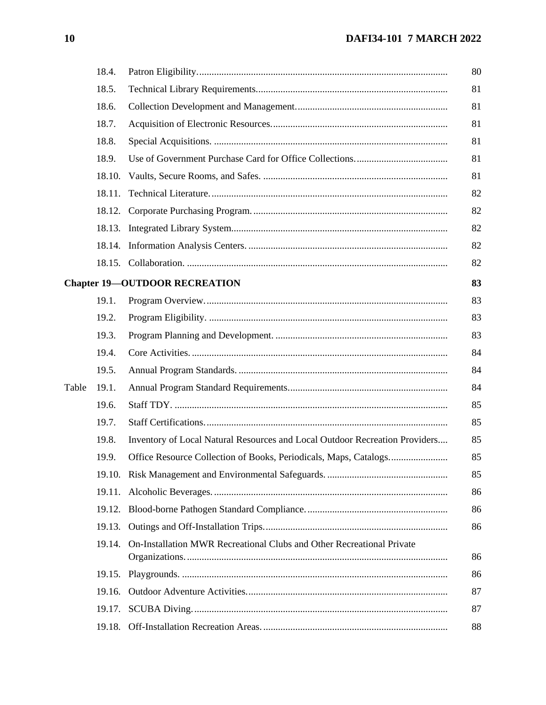|       | 18.4.  |                                                                             |
|-------|--------|-----------------------------------------------------------------------------|
|       | 18.5.  |                                                                             |
|       | 18.6.  |                                                                             |
|       | 18.7.  |                                                                             |
|       | 18.8.  |                                                                             |
|       | 18.9.  |                                                                             |
|       | 18.10. |                                                                             |
|       | 18.11. |                                                                             |
|       |        |                                                                             |
|       |        |                                                                             |
|       |        |                                                                             |
|       |        |                                                                             |
|       |        | <b>Chapter 19-OUTDOOR RECREATION</b>                                        |
|       | 19.1.  |                                                                             |
|       | 19.2.  |                                                                             |
|       | 19.3.  |                                                                             |
|       | 19.4.  |                                                                             |
|       | 19.5.  |                                                                             |
| Table | 19.1.  |                                                                             |
|       | 19.6.  |                                                                             |
|       | 19.7.  |                                                                             |
|       | 19.8.  | Inventory of Local Natural Resources and Local Outdoor Recreation Providers |
|       | 19.9.  |                                                                             |
|       |        |                                                                             |
|       | 19.11. |                                                                             |
|       | 19.12. |                                                                             |
|       | 19.13. |                                                                             |
|       | 19.14. | On-Installation MWR Recreational Clubs and Other Recreational Private       |
|       | 19.15. |                                                                             |
|       | 19.16. |                                                                             |
|       | 19.17. |                                                                             |
|       | 19.18. |                                                                             |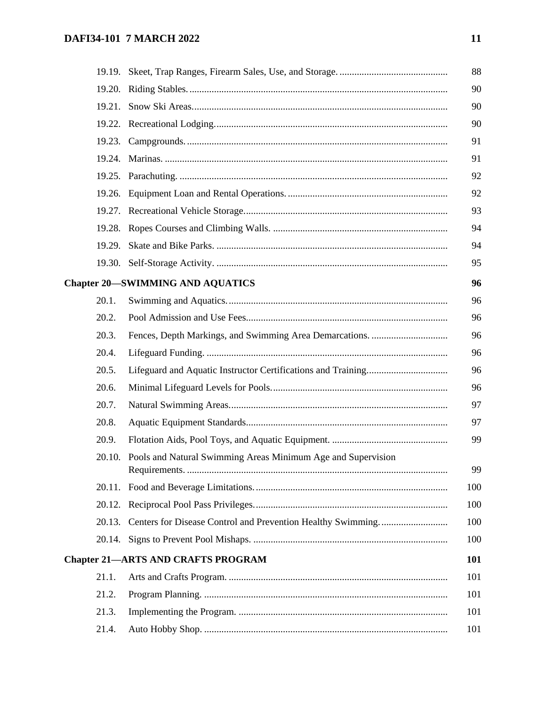| 19.21. |                                                                     |
|--------|---------------------------------------------------------------------|
|        |                                                                     |
|        |                                                                     |
|        |                                                                     |
|        |                                                                     |
|        |                                                                     |
|        |                                                                     |
|        |                                                                     |
| 19.29. |                                                                     |
|        |                                                                     |
|        | <b>Chapter 20-SWIMMING AND AQUATICS</b>                             |
| 20.1.  |                                                                     |
| 20.2.  |                                                                     |
| 20.3.  |                                                                     |
| 20.4.  |                                                                     |
| 20.5.  |                                                                     |
| 20.6.  |                                                                     |
| 20.7.  |                                                                     |
| 20.8.  |                                                                     |
| 20.9.  |                                                                     |
|        | 20.10. Pools and Natural Swimming Areas Minimum Age and Supervision |
|        |                                                                     |
|        |                                                                     |
| 20.13. |                                                                     |
|        |                                                                     |
|        | <b>Chapter 21-ARTS AND CRAFTS PROGRAM</b>                           |
| 21.1.  |                                                                     |
| 21.2.  |                                                                     |
| 21.3.  |                                                                     |
| 21.4.  |                                                                     |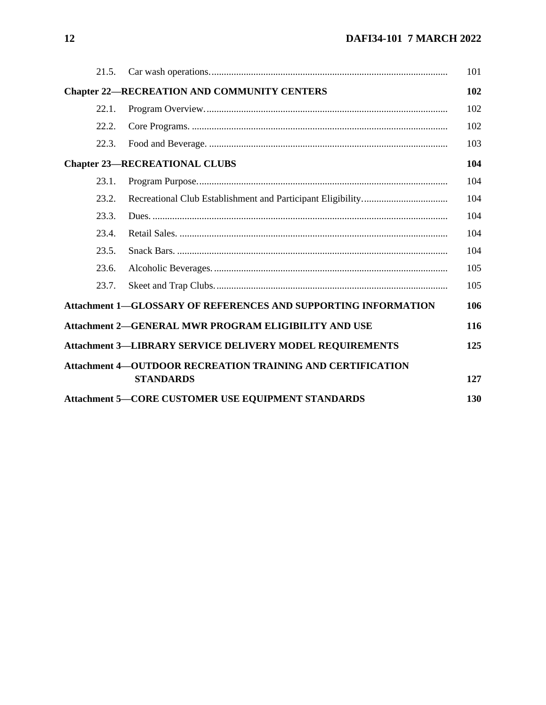| 21.5. |                                                                                       | 101 |
|-------|---------------------------------------------------------------------------------------|-----|
|       | <b>Chapter 22-RECREATION AND COMMUNITY CENTERS</b>                                    | 102 |
| 22.1. |                                                                                       | 102 |
| 22.2. |                                                                                       | 102 |
| 22.3. |                                                                                       | 103 |
|       | <b>Chapter 23-RECREATIONAL CLUBS</b>                                                  | 104 |
| 23.1. |                                                                                       | 104 |
| 23.2. |                                                                                       | 104 |
| 23.3. |                                                                                       | 104 |
| 23.4. |                                                                                       | 104 |
| 23.5. |                                                                                       | 104 |
| 23.6. |                                                                                       | 105 |
| 23.7. |                                                                                       | 105 |
|       | <b>Attachment 1-GLOSSARY OF REFERENCES AND SUPPORTING INFORMATION</b>                 | 106 |
|       | Attachment 2-GENERAL MWR PROGRAM ELIGIBILITY AND USE                                  | 116 |
|       | <b>Attachment 3-LIBRARY SERVICE DELIVERY MODEL REQUIREMENTS</b>                       | 125 |
|       | <b>Attachment 4-OUTDOOR RECREATION TRAINING AND CERTIFICATION</b><br><b>STANDARDS</b> | 127 |
|       | <b>Attachment 5-CORE CUSTOMER USE EQUIPMENT STANDARDS</b>                             | 130 |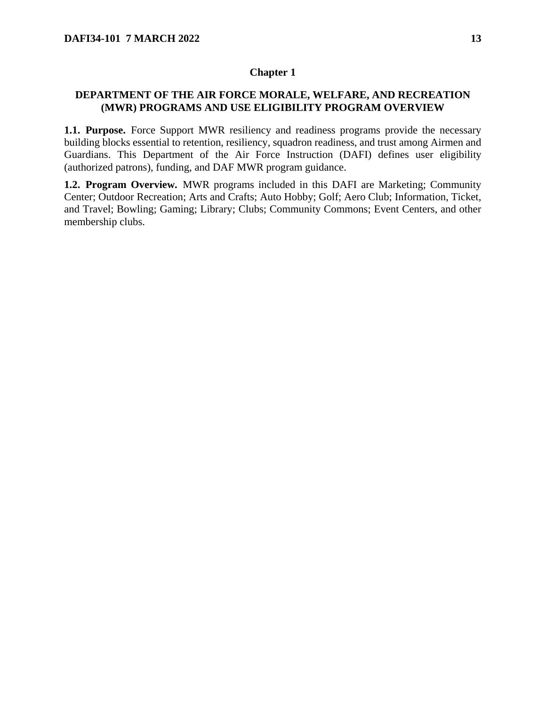### <span id="page-12-0"></span>**DEPARTMENT OF THE AIR FORCE MORALE, WELFARE, AND RECREATION (MWR) PROGRAMS AND USE ELIGIBILITY PROGRAM OVERVIEW**

<span id="page-12-1"></span>**1.1. Purpose.** Force Support MWR resiliency and readiness programs provide the necessary building blocks essential to retention, resiliency, squadron readiness, and trust among Airmen and Guardians. This Department of the Air Force Instruction (DAFI) defines user eligibility (authorized patrons), funding, and DAF MWR program guidance.

<span id="page-12-2"></span>**1.2. Program Overview.** MWR programs included in this DAFI are Marketing; Community Center; Outdoor Recreation; Arts and Crafts; Auto Hobby; Golf; Aero Club; Information, Ticket, and Travel; Bowling; Gaming; Library; Clubs; Community Commons; Event Centers, and other membership clubs.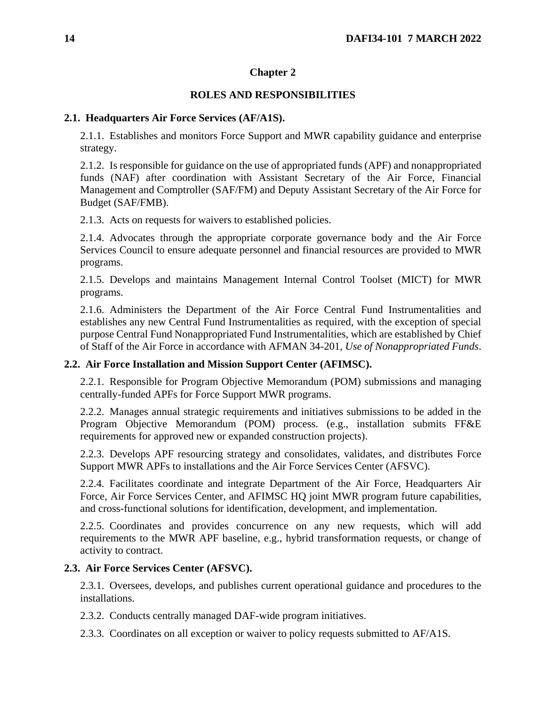## **ROLES AND RESPONSIBILITIES**

### <span id="page-13-1"></span><span id="page-13-0"></span>**2.1. Headquarters Air Force Services (AF/A1S).**

2.1.1. Establishes and monitors Force Support and MWR capability guidance and enterprise strategy.

2.1.2. Is responsible for guidance on the use of appropriated funds (APF) and nonappropriated funds (NAF) after coordination with Assistant Secretary of the Air Force, Financial Management and Comptroller (SAF/FM) and Deputy Assistant Secretary of the Air Force for Budget (SAF/FMB).

2.1.3. Acts on requests for waivers to established policies.

2.1.4. Advocates through the appropriate corporate governance body and the Air Force Services Council to ensure adequate personnel and financial resources are provided to MWR programs.

2.1.5. Develops and maintains Management Internal Control Toolset (MICT) for MWR programs.

2.1.6. Administers the Department of the Air Force Central Fund Instrumentalities and establishes any new Central Fund Instrumentalities as required, with the exception of special purpose Central Fund Nonappropriated Fund Instrumentalities, which are established by Chief of Staff of the Air Force in accordance with AFMAN 34-201, *Use of Nonappropriated Funds*.

## <span id="page-13-2"></span>**2.2. Air Force Installation and Mission Support Center (AFIMSC).**

2.2.1. Responsible for Program Objective Memorandum (POM) submissions and managing centrally-funded APFs for Force Support MWR programs.

2.2.2. Manages annual strategic requirements and initiatives submissions to be added in the Program Objective Memorandum (POM) process. (e.g., installation submits FF&E requirements for approved new or expanded construction projects).

2.2.3. Develops APF resourcing strategy and consolidates, validates, and distributes Force Support MWR APFs to installations and the Air Force Services Center (AFSVC).

2.2.4. Facilitates coordinate and integrate Department of the Air Force, Headquarters Air Force, Air Force Services Center, and AFIMSC HQ joint MWR program future capabilities, and cross-functional solutions for identification, development, and implementation.

2.2.5. Coordinates and provides concurrence on any new requests, which will add requirements to the MWR APF baseline, e.g., hybrid transformation requests, or change of activity to contract.

## <span id="page-13-3"></span>**2.3. Air Force Services Center (AFSVC).**

2.3.1. Oversees, develops, and publishes current operational guidance and procedures to the installations.

- 2.3.2. Conducts centrally managed DAF-wide program initiatives.
- 2.3.3. Coordinates on all exception or waiver to policy requests submitted to AF/A1S.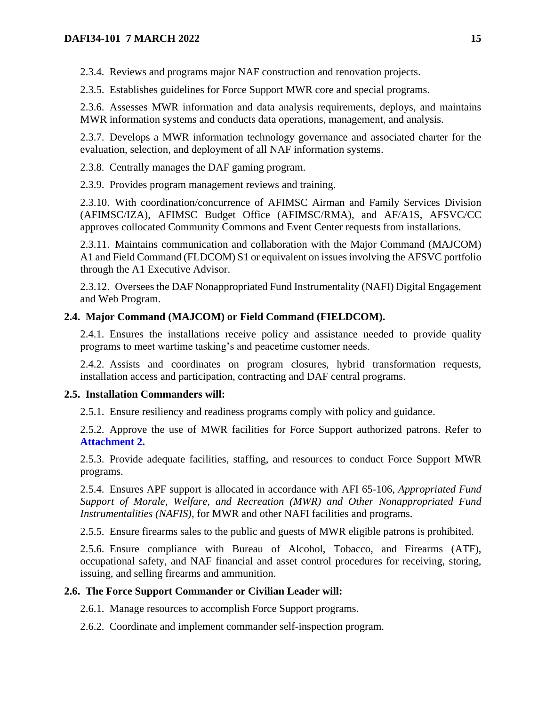2.3.4. Reviews and programs major NAF construction and renovation projects.

2.3.5. Establishes guidelines for Force Support MWR core and special programs.

2.3.6. Assesses MWR information and data analysis requirements, deploys, and maintains MWR information systems and conducts data operations, management, and analysis.

2.3.7. Develops a MWR information technology governance and associated charter for the evaluation, selection, and deployment of all NAF information systems.

2.3.8. Centrally manages the DAF gaming program.

2.3.9. Provides program management reviews and training.

2.3.10. With coordination/concurrence of AFIMSC Airman and Family Services Division (AFIMSC/IZA), AFIMSC Budget Office (AFIMSC/RMA), and AF/A1S, AFSVC/CC approves collocated Community Commons and Event Center requests from installations.

2.3.11. Maintains communication and collaboration with the Major Command (MAJCOM) A1 and Field Command (FLDCOM) S1 or equivalent on issues involving the AFSVC portfolio through the A1 Executive Advisor.

2.3.12. Oversees the DAF Nonappropriated Fund Instrumentality (NAFI) Digital Engagement and Web Program.

## <span id="page-14-0"></span>**2.4. Major Command (MAJCOM) or Field Command (FIELDCOM).**

2.4.1. Ensures the installations receive policy and assistance needed to provide quality programs to meet wartime tasking's and peacetime customer needs.

2.4.2. Assists and coordinates on program closures, hybrid transformation requests, installation access and participation, contracting and DAF central programs.

## <span id="page-14-1"></span>**2.5. Installation Commanders will:**

2.5.1. Ensure resiliency and readiness programs comply with policy and guidance.

2.5.2. Approve the use of MWR facilities for Force Support authorized patrons. Refer to **[Attachment 2.](#page-115-0)**

2.5.3. Provide adequate facilities, staffing, and resources to conduct Force Support MWR programs.

2.5.4. Ensures APF support is allocated in accordance with AFI 65-106, *Appropriated Fund Support of Morale*, *Welfare, and Recreation (MWR) and Other Nonappropriated Fund Instrumentalities (NAFIS)*, for MWR and other NAFI facilities and programs.

2.5.5. Ensure firearms sales to the public and guests of MWR eligible patrons is prohibited.

2.5.6. Ensure compliance with Bureau of Alcohol, Tobacco, and Firearms (ATF), occupational safety, and NAF financial and asset control procedures for receiving, storing, issuing, and selling firearms and ammunition.

## <span id="page-14-2"></span>**2.6. The Force Support Commander or Civilian Leader will:**

2.6.1. Manage resources to accomplish Force Support programs.

2.6.2. Coordinate and implement commander self-inspection program.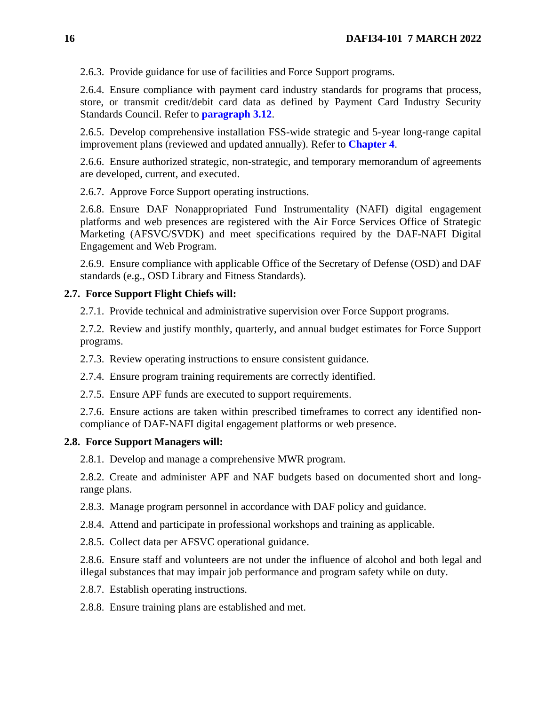2.6.3. Provide guidance for use of facilities and Force Support programs.

2.6.4. Ensure compliance with payment card industry standards for programs that process, store, or transmit credit/debit card data as defined by Payment Card Industry Security Standards Council. Refer to **[paragraph 3.12](#page-18-3)**.

2.6.5. Develop comprehensive installation FSS-wide strategic and 5-year long-range capital improvement plans (reviewed and updated annually). Refer to **[Chapter 4](#page-30-0)**.

2.6.6. Ensure authorized strategic, non-strategic, and temporary memorandum of agreements are developed, current, and executed.

2.6.7. Approve Force Support operating instructions.

2.6.8. Ensure DAF Nonappropriated Fund Instrumentality (NAFI) digital engagement platforms and web presences are registered with the Air Force Services Office of Strategic Marketing (AFSVC/SVDK) and meet specifications required by the DAF-NAFI Digital Engagement and Web Program.

2.6.9. Ensure compliance with applicable Office of the Secretary of Defense (OSD) and DAF standards (e.g., OSD Library and Fitness Standards).

#### <span id="page-15-0"></span>**2.7. Force Support Flight Chiefs will:**

2.7.1. Provide technical and administrative supervision over Force Support programs.

2.7.2. Review and justify monthly, quarterly, and annual budget estimates for Force Support programs.

2.7.3. Review operating instructions to ensure consistent guidance.

2.7.4. Ensure program training requirements are correctly identified.

2.7.5. Ensure APF funds are executed to support requirements.

2.7.6. Ensure actions are taken within prescribed timeframes to correct any identified noncompliance of DAF-NAFI digital engagement platforms or web presence.

#### <span id="page-15-1"></span>**2.8. Force Support Managers will:**

2.8.1. Develop and manage a comprehensive MWR program.

2.8.2. Create and administer APF and NAF budgets based on documented short and longrange plans.

2.8.3. Manage program personnel in accordance with DAF policy and guidance.

2.8.4. Attend and participate in professional workshops and training as applicable.

2.8.5. Collect data per AFSVC operational guidance.

2.8.6. Ensure staff and volunteers are not under the influence of alcohol and both legal and illegal substances that may impair job performance and program safety while on duty.

2.8.7. Establish operating instructions.

2.8.8. Ensure training plans are established and met.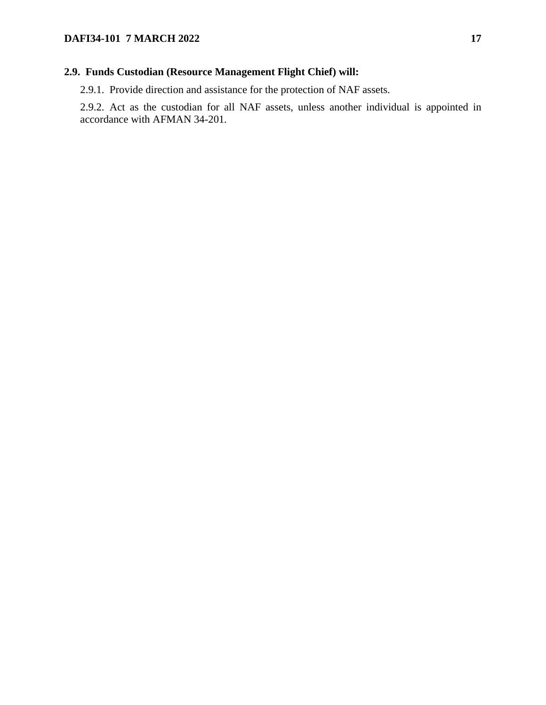## <span id="page-16-0"></span>**2.9. Funds Custodian (Resource Management Flight Chief) will:**

2.9.1. Provide direction and assistance for the protection of NAF assets.

2.9.2. Act as the custodian for all NAF assets, unless another individual is appointed in accordance with AFMAN 34-201*.*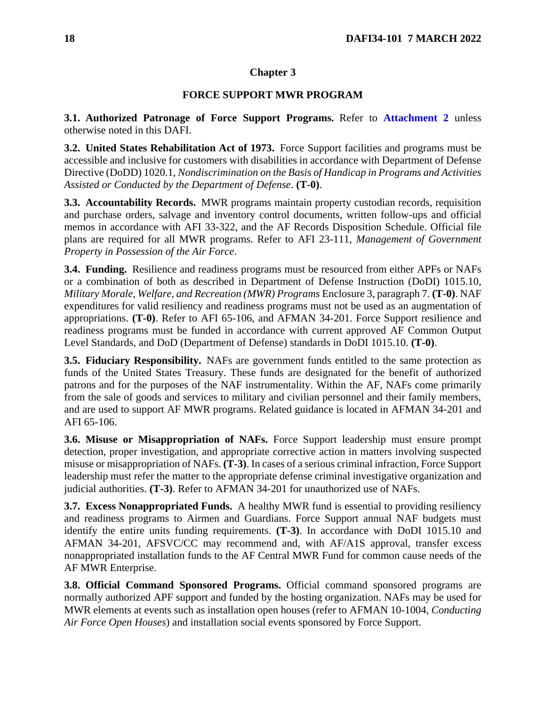## **FORCE SUPPORT MWR PROGRAM**

<span id="page-17-1"></span><span id="page-17-0"></span>**3.1. Authorized Patronage of Force Support Programs.** Refer to **[Attachment 2](#page-115-0)** unless otherwise noted in this DAFI.

<span id="page-17-2"></span>**3.2. United States Rehabilitation Act of 1973.** Force Support facilities and programs must be accessible and inclusive for customers with disabilities in accordance with Department of Defense Directive (DoDD) 1020.1, *Nondiscrimination on the Basis of Handicap in Programs and Activities Assisted or Conducted by the Department of Defense*. **(T-0)**.

<span id="page-17-3"></span>**3.3. Accountability Records.** MWR programs maintain property custodian records, requisition and purchase orders, salvage and inventory control documents, written follow-ups and official memos in accordance with AFI 33-322, and the AF Records Disposition Schedule. Official file plans are required for all MWR programs. Refer to AFI 23-111, *Management of Government Property in Possession of the Air Force*.

<span id="page-17-4"></span>**3.4. Funding.** Resilience and readiness programs must be resourced from either APFs or NAFs or a combination of both as described in Department of Defense Instruction (DoDI) 1015.10, *Military Morale, Welfare, and Recreation (MWR) Programs* Enclosure 3, paragraph 7. **(T-0)**. NAF expenditures for valid resiliency and readiness programs must not be used as an augmentation of appropriations. **(T-0)**. Refer to AFI 65-106, and AFMAN 34-201. Force Support resilience and readiness programs must be funded in accordance with current approved AF Common Output Level Standards, and DoD (Department of Defense) standards in DoDI 1015.10. **(T-0)**.

<span id="page-17-5"></span>**3.5. Fiduciary Responsibility.** NAFs are government funds entitled to the same protection as funds of the United States Treasury. These funds are designated for the benefit of authorized patrons and for the purposes of the NAF instrumentality. Within the AF, NAFs come primarily from the sale of goods and services to military and civilian personnel and their family members, and are used to support AF MWR programs. Related guidance is located in AFMAN 34-201 and AFI 65-106.

<span id="page-17-6"></span>**3.6. Misuse or Misappropriation of NAFs.** Force Support leadership must ensure prompt detection, proper investigation, and appropriate corrective action in matters involving suspected misuse or misappropriation of NAFs. **(T-3)**. In cases of a serious criminal infraction, Force Support leadership must refer the matter to the appropriate defense criminal investigative organization and judicial authorities. **(T-3)**. Refer to AFMAN 34-201 for unauthorized use of NAFs.

<span id="page-17-7"></span>**3.7. Excess Nonappropriated Funds.** A healthy MWR fund is essential to providing resiliency and readiness programs to Airmen and Guardians. Force Support annual NAF budgets must identify the entire units funding requirements. **(T-3)**. In accordance with DoDI 1015.10 and AFMAN 34-201, AFSVC/CC may recommend and, with AF/A1S approval, transfer excess nonappropriated installation funds to the AF Central MWR Fund for common cause needs of the AF MWR Enterprise.

<span id="page-17-8"></span>**3.8. Official Command Sponsored Programs.** Official command sponsored programs are normally authorized APF support and funded by the hosting organization. NAFs may be used for MWR elements at events such as installation open houses (refer to AFMAN 10-1004, *Conducting Air Force Open Houses*) and installation social events sponsored by Force Support.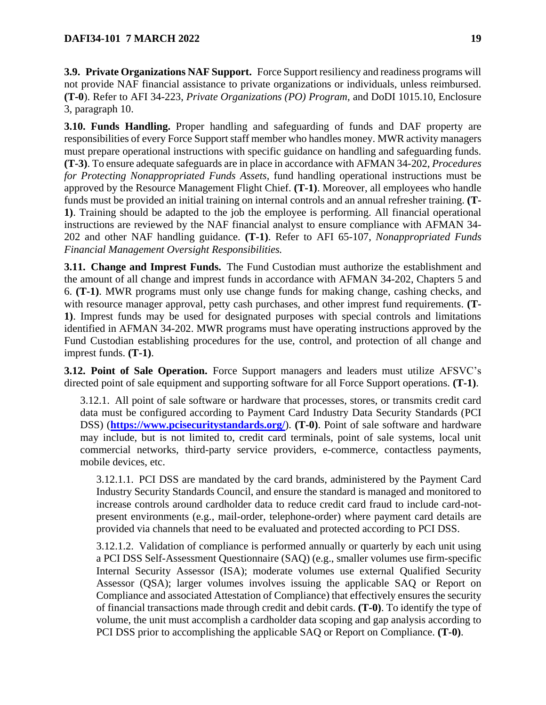<span id="page-18-0"></span>**3.9. Private Organizations NAF Support.** Force Support resiliency and readiness programs will not provide NAF financial assistance to private organizations or individuals, unless reimbursed. **(T-0**). Refer to AFI 34-223, *Private Organizations (PO) Program,* and DoDI 1015.10, Enclosure 3, paragraph 10.

<span id="page-18-1"></span>**3.10. Funds Handling.** Proper handling and safeguarding of funds and DAF property are responsibilities of every Force Support staff member who handles money. MWR activity managers must prepare operational instructions with specific guidance on handling and safeguarding funds. **(T-3)**. To ensure adequate safeguards are in place in accordance with AFMAN 34-202, *Procedures for Protecting Nonappropriated Funds Assets*, fund handling operational instructions must be approved by the Resource Management Flight Chief. **(T-1)**. Moreover, all employees who handle funds must be provided an initial training on internal controls and an annual refresher training. **(T-1)**. Training should be adapted to the job the employee is performing. All financial operational instructions are reviewed by the NAF financial analyst to ensure compliance with AFMAN 34- 202 and other NAF handling guidance. **(T-1)**. Refer to AFI 65-107, *Nonappropriated Funds Financial Management Oversight Responsibilities.* 

<span id="page-18-2"></span>**3.11. Change and Imprest Funds.** The Fund Custodian must authorize the establishment and the amount of all change and imprest funds in accordance with AFMAN 34-202, Chapters 5 and 6. **(T-1)**. MWR programs must only use change funds for making change, cashing checks, and with resource manager approval, petty cash purchases, and other imprest fund requirements. **(T-1)**. Imprest funds may be used for designated purposes with special controls and limitations identified in AFMAN 34-202. MWR programs must have operating instructions approved by the Fund Custodian establishing procedures for the use, control, and protection of all change and imprest funds. **(T-1)**.

<span id="page-18-3"></span>**3.12. Point of Sale Operation.** Force Support managers and leaders must utilize AFSVC's directed point of sale equipment and supporting software for all Force Support operations. **(T-1)**.

<span id="page-18-4"></span>3.12.1. All point of sale software or hardware that processes, stores, or transmits credit card data must be configured according to Payment Card Industry Data Security Standards (PCI DSS) (**<https://www.pcisecuritystandards.org/>**). **(T-0)**. Point of sale software and hardware may include, but is not limited to, credit card terminals, point of sale systems, local unit commercial networks, third-party service providers, e-commerce, contactless payments, mobile devices, etc.

3.12.1.1. PCI DSS are mandated by the card brands, administered by the Payment Card Industry Security Standards Council, and ensure the standard is managed and monitored to increase controls around cardholder data to reduce credit card fraud to include card-notpresent environments (e.g., mail-order, telephone-order) where payment card details are provided via channels that need to be evaluated and protected according to PCI DSS.

3.12.1.2. Validation of compliance is performed annually or quarterly by each unit using a PCI DSS Self-Assessment Questionnaire (SAQ) (e.g., smaller volumes use firm-specific Internal Security Assessor (ISA); moderate volumes use external Qualified Security Assessor (QSA); larger volumes involves issuing the applicable SAQ or Report on Compliance and associated Attestation of Compliance) that effectively ensures the security of financial transactions made through credit and debit cards. **(T-0)**. To identify the type of volume, the unit must accomplish a cardholder data scoping and gap analysis according to PCI DSS prior to accomplishing the applicable SAQ or Report on Compliance. **(T-0)**.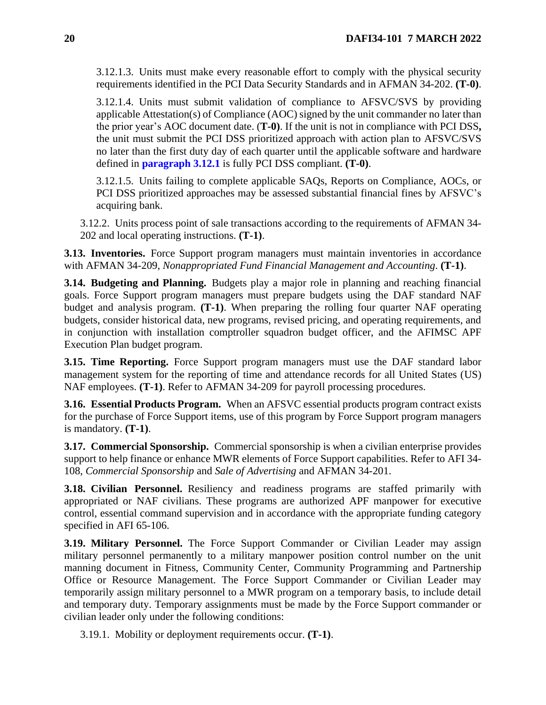3.12.1.3. Units must make every reasonable effort to comply with the physical security requirements identified in the PCI Data Security Standards and in AFMAN 34-202. **(T-0)**.

3.12.1.4. Units must submit validation of compliance to AFSVC/SVS by providing applicable Attestation(s) of Compliance (AOC) signed by the unit commander no later than the prior year's AOC document date. (**T-0)**. If the unit is not in compliance with PCI DSS**,**  the unit must submit the PCI DSS prioritized approach with action plan to AFSVC/SVS no later than the first duty day of each quarter until the applicable software and hardware defined in **[paragraph 3.12.1](#page-18-4)** is fully PCI DSS compliant. **(T-0)**.

3.12.1.5. Units failing to complete applicable SAQs, Reports on Compliance, AOCs, or PCI DSS prioritized approaches may be assessed substantial financial fines by AFSVC's acquiring bank.

3.12.2. Units process point of sale transactions according to the requirements of AFMAN 34- 202 and local operating instructions. **(T-1)**.

<span id="page-19-0"></span>**3.13. Inventories.** Force Support program managers must maintain inventories in accordance with AFMAN 34-209, *Nonappropriated Fund Financial Management and Accounting*. **(T-1)**.

<span id="page-19-1"></span>**3.14. Budgeting and Planning.** Budgets play a major role in planning and reaching financial goals. Force Support program managers must prepare budgets using the DAF standard NAF budget and analysis program. **(T-1)**. When preparing the rolling four quarter NAF operating budgets, consider historical data, new programs, revised pricing, and operating requirements, and in conjunction with installation comptroller squadron budget officer, and the AFIMSC APF Execution Plan budget program.

<span id="page-19-2"></span>**3.15. Time Reporting.** Force Support program managers must use the DAF standard labor management system for the reporting of time and attendance records for all United States (US) NAF employees. **(T-1)**. Refer to AFMAN 34-209 for payroll processing procedures.

<span id="page-19-3"></span>**3.16. Essential Products Program.** When an AFSVC essential products program contract exists for the purchase of Force Support items, use of this program by Force Support program managers is mandatory. **(T-1)**.

<span id="page-19-4"></span>**3.17. Commercial Sponsorship.** Commercial sponsorship is when a civilian enterprise provides support to help finance or enhance MWR elements of Force Support capabilities. Refer to AFI 34- 108, *Commercial Sponsorship* and *Sale of Advertising* and AFMAN 34-201.

<span id="page-19-5"></span>**3.18. Civilian Personnel.** Resiliency and readiness programs are staffed primarily with appropriated or NAF civilians. These programs are authorized APF manpower for executive control, essential command supervision and in accordance with the appropriate funding category specified in AFI 65-106.

<span id="page-19-6"></span>**3.19. Military Personnel.** The Force Support Commander or Civilian Leader may assign military personnel permanently to a military manpower position control number on the unit manning document in Fitness, Community Center, Community Programming and Partnership Office or Resource Management. The Force Support Commander or Civilian Leader may temporarily assign military personnel to a MWR program on a temporary basis, to include detail and temporary duty. Temporary assignments must be made by the Force Support commander or civilian leader only under the following conditions:

3.19.1. Mobility or deployment requirements occur. **(T-1)**.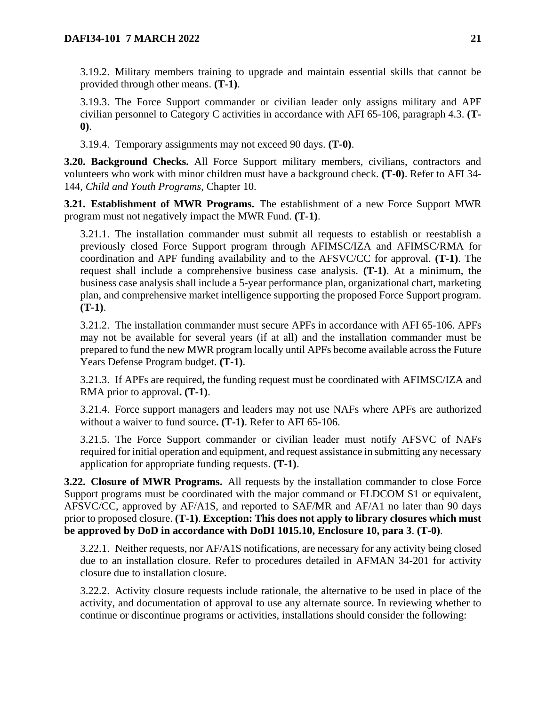3.19.2. Military members training to upgrade and maintain essential skills that cannot be provided through other means. **(T-1)**.

3.19.3. The Force Support commander or civilian leader only assigns military and APF civilian personnel to Category C activities in accordance with AFI 65-106, paragraph 4.3. **(T-0)**.

3.19.4. Temporary assignments may not exceed 90 days. **(T-0)**.

<span id="page-20-0"></span>**3.20. Background Checks.** All Force Support military members, civilians, contractors and volunteers who work with minor children must have a background check. **(T-0)**. Refer to AFI 34- 144, *Child and Youth Programs*, Chapter 10.

<span id="page-20-1"></span>**3.21. Establishment of MWR Programs.** The establishment of a new Force Support MWR program must not negatively impact the MWR Fund. **(T-1)**.

3.21.1. The installation commander must submit all requests to establish or reestablish a previously closed Force Support program through AFIMSC/IZA and AFIMSC/RMA for coordination and APF funding availability and to the AFSVC/CC for approval. **(T-1)**. The request shall include a comprehensive business case analysis. **(T-1)**. At a minimum, the business case analysis shall include a 5-year performance plan, organizational chart, marketing plan, and comprehensive market intelligence supporting the proposed Force Support program. **(T-1)**.

3.21.2. The installation commander must secure APFs in accordance with AFI 65-106. APFs may not be available for several years (if at all) and the installation commander must be prepared to fund the new MWR program locally until APFs become available across the Future Years Defense Program budget. **(T-1)**.

3.21.3. If APFs are required**,** the funding request must be coordinated with AFIMSC/IZA and RMA prior to approval**. (T-1)**.

3.21.4. Force support managers and leaders may not use NAFs where APFs are authorized without a waiver to fund source**. (T-1)**. Refer to AFI 65-106.

3.21.5. The Force Support commander or civilian leader must notify AFSVC of NAFs required for initial operation and equipment, and request assistance in submitting any necessary application for appropriate funding requests. **(T-1)**.

<span id="page-20-2"></span>**3.22. Closure of MWR Programs.** All requests by the installation commander to close Force Support programs must be coordinated with the major command or FLDCOM S1 or equivalent, AFSVC/CC, approved by AF/A1S, and reported to SAF/MR and AF/A1 no later than 90 days prior to proposed closure. **(T-1)**. **Exception: This does not apply to library closures which must be approved by DoD in accordance with DoDI 1015.10, Enclosure 10, para 3**. **(T-0)**.

3.22.1. Neither requests, nor AF/A1S notifications, are necessary for any activity being closed due to an installation closure. Refer to procedures detailed in AFMAN 34-201 for activity closure due to installation closure.

3.22.2. Activity closure requests include rationale, the alternative to be used in place of the activity, and documentation of approval to use any alternate source. In reviewing whether to continue or discontinue programs or activities, installations should consider the following: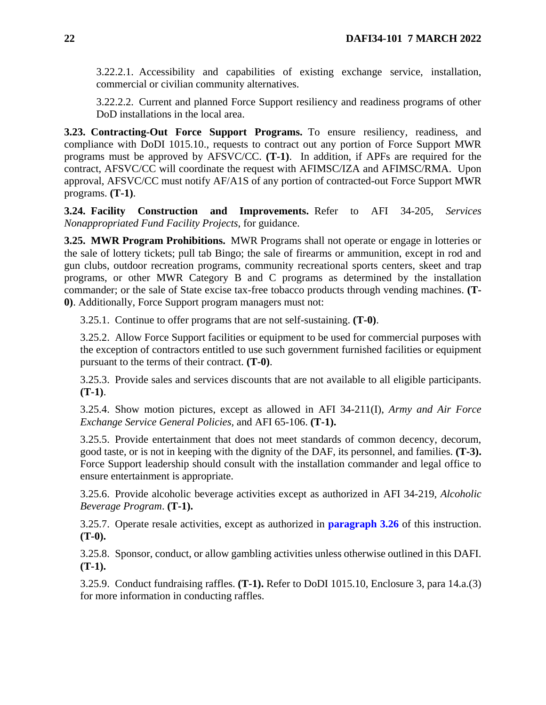3.22.2.1. Accessibility and capabilities of existing exchange service, installation, commercial or civilian community alternatives.

3.22.2.2. Current and planned Force Support resiliency and readiness programs of other DoD installations in the local area.

<span id="page-21-0"></span>**3.23. Contracting-Out Force Support Programs.** To ensure resiliency, readiness, and compliance with DoDI 1015.10., requests to contract out any portion of Force Support MWR programs must be approved by AFSVC/CC. **(T-1)**. In addition, if APFs are required for the contract, AFSVC/CC will coordinate the request with AFIMSC/IZA and AFIMSC/RMA. Upon approval, AFSVC/CC must notify AF/A1S of any portion of contracted-out Force Support MWR programs. **(T-1)**.

<span id="page-21-1"></span>**3.24. Facility Construction and Improvements.** Refer to AFI 34-205, *Services Nonappropriated Fund Facility Projects*, for guidance.

<span id="page-21-2"></span>**3.25. MWR Program Prohibitions.** MWR Programs shall not operate or engage in lotteries or the sale of lottery tickets; pull tab Bingo; the sale of firearms or ammunition, except in rod and gun clubs, outdoor recreation programs, community recreational sports centers, skeet and trap programs, or other MWR Category B and C programs as determined by the installation commander; or the sale of State excise tax-free tobacco products through vending machines. **(T-0)**. Additionally, Force Support program managers must not:

3.25.1. Continue to offer programs that are not self-sustaining. **(T-0)**.

3.25.2. Allow Force Support facilities or equipment to be used for commercial purposes with the exception of contractors entitled to use such government furnished facilities or equipment pursuant to the terms of their contract. **(T-0)**.

3.25.3. Provide sales and services discounts that are not available to all eligible participants. **(T-1)**.

3.25.4. Show motion pictures, except as allowed in AFI 34-211(I), *Army and Air Force Exchange Service General Policies,* and AFI 65-106. **(T-1).**

3.25.5. Provide entertainment that does not meet standards of common decency, decorum, good taste, or is not in keeping with the dignity of the DAF, its personnel, and families. **(T-3).**  Force Support leadership should consult with the installation commander and legal office to ensure entertainment is appropriate.

3.25.6. Provide alcoholic beverage activities except as authorized in AFI 34-219, *Alcoholic Beverage Program*. **(T-1).**

3.25.7. Operate resale activities, except as authorized in **[paragraph 3.26](#page-22-0)** of this instruction. **(T-0).**

3.25.8. Sponsor, conduct, or allow gambling activities unless otherwise outlined in this DAFI. **(T-1).**

3.25.9. Conduct fundraising raffles. **(T-1).** Refer to DoDI 1015.10, Enclosure 3, para 14.a.(3) for more information in conducting raffles.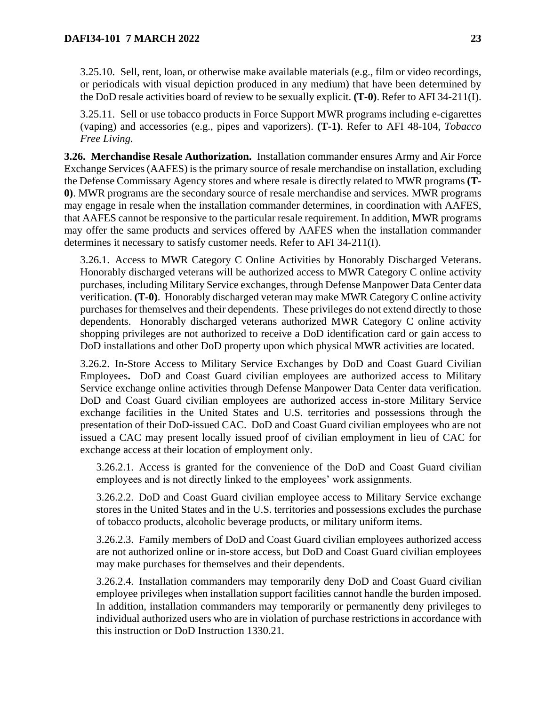3.25.10. Sell, rent, loan, or otherwise make available materials (e.g., film or video recordings, or periodicals with visual depiction produced in any medium) that have been determined by the DoD resale activities board of review to be sexually explicit. **(T-0)**. Refer to AFI 34-211(I).

3.25.11. Sell or use tobacco products in Force Support MWR programs including e-cigarettes (vaping) and accessories (e.g., pipes and vaporizers). **(T-1)**. Refer to AFI 48-104, *Tobacco Free Living.*

<span id="page-22-0"></span>**3.26. Merchandise Resale Authorization.** Installation commander ensures Army and Air Force Exchange Services (AAFES) is the primary source of resale merchandise on installation, excluding the Defense Commissary Agency stores and where resale is directly related to MWR programs **(T-0)**. MWR programs are the secondary source of resale merchandise and services. MWR programs may engage in resale when the installation commander determines, in coordination with AAFES, that AAFES cannot be responsive to the particular resale requirement. In addition, MWR programs may offer the same products and services offered by AAFES when the installation commander determines it necessary to satisfy customer needs. Refer to AFI 34-211(I).

3.26.1. Access to MWR Category C Online Activities by Honorably Discharged Veterans. Honorably discharged veterans will be authorized access to MWR Category C online activity purchases, including Military Service exchanges, through Defense Manpower Data Center data verification. **(T-0)**. Honorably discharged veteran may make MWR Category C online activity purchases for themselves and their dependents. These privileges do not extend directly to those dependents. Honorably discharged veterans authorized MWR Category C online activity shopping privileges are not authorized to receive a DoD identification card or gain access to DoD installations and other DoD property upon which physical MWR activities are located.

3.26.2. In-Store Access to Military Service Exchanges by DoD and Coast Guard Civilian Employees**.** DoD and Coast Guard civilian employees are authorized access to Military Service exchange online activities through Defense Manpower Data Center data verification. DoD and Coast Guard civilian employees are authorized access in-store Military Service exchange facilities in the United States and U.S. territories and possessions through the presentation of their DoD-issued CAC. DoD and Coast Guard civilian employees who are not issued a CAC may present locally issued proof of civilian employment in lieu of CAC for exchange access at their location of employment only.

3.26.2.1. Access is granted for the convenience of the DoD and Coast Guard civilian employees and is not directly linked to the employees' work assignments.

3.26.2.2. DoD and Coast Guard civilian employee access to Military Service exchange stores in the United States and in the U.S. territories and possessions excludes the purchase of tobacco products, alcoholic beverage products, or military uniform items.

3.26.2.3. Family members of DoD and Coast Guard civilian employees authorized access are not authorized online or in-store access, but DoD and Coast Guard civilian employees may make purchases for themselves and their dependents.

3.26.2.4. Installation commanders may temporarily deny DoD and Coast Guard civilian employee privileges when installation support facilities cannot handle the burden imposed. In addition, installation commanders may temporarily or permanently deny privileges to individual authorized users who are in violation of purchase restrictions in accordance with this instruction or DoD Instruction 1330.21.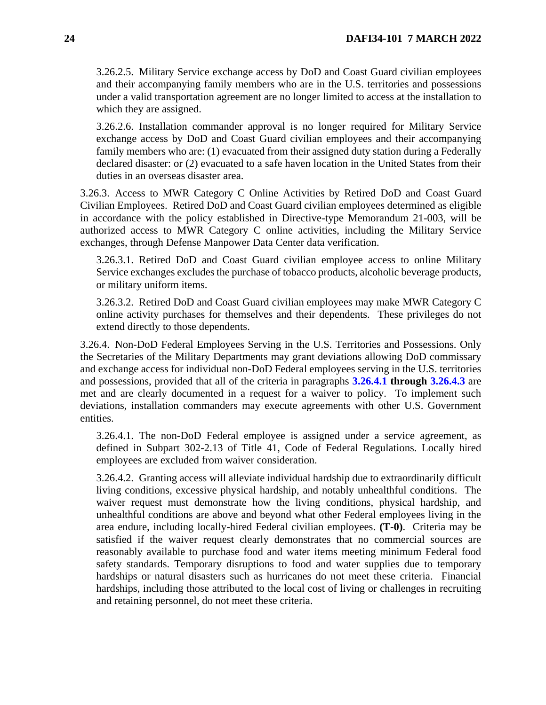3.26.2.5. Military Service exchange access by DoD and Coast Guard civilian employees and their accompanying family members who are in the U.S. territories and possessions under a valid transportation agreement are no longer limited to access at the installation to which they are assigned.

3.26.2.6. Installation commander approval is no longer required for Military Service exchange access by DoD and Coast Guard civilian employees and their accompanying family members who are: (1) evacuated from their assigned duty station during a Federally declared disaster: or (2) evacuated to a safe haven location in the United States from their duties in an overseas disaster area.

3.26.3. Access to MWR Category C Online Activities by Retired DoD and Coast Guard Civilian Employees. Retired DoD and Coast Guard civilian employees determined as eligible in accordance with the policy established in Directive-type Memorandum 21-003, will be authorized access to MWR Category C online activities, including the Military Service exchanges, through Defense Manpower Data Center data verification.

3.26.3.1. Retired DoD and Coast Guard civilian employee access to online Military Service exchanges excludes the purchase of tobacco products, alcoholic beverage products, or military uniform items.

3.26.3.2. Retired DoD and Coast Guard civilian employees may make MWR Category C online activity purchases for themselves and their dependents. These privileges do not extend directly to those dependents.

3.26.4. Non-DoD Federal Employees Serving in the U.S. Territories and Possessions. Only the Secretaries of the Military Departments may grant deviations allowing DoD commissary and exchange access for individual non-DoD Federal employees serving in the U.S. territories and possessions, provided that all of the criteria in paragraphs **[3.26.4.1](#page-23-0) through [3.26.4.3](#page-23-1)** are met and are clearly documented in a request for a waiver to policy. To implement such deviations, installation commanders may execute agreements with other U.S. Government entities.

<span id="page-23-0"></span>3.26.4.1. The non-DoD Federal employee is assigned under a service agreement, as defined in Subpart 302-2.13 of Title 41, Code of Federal Regulations. Locally hired employees are excluded from waiver consideration.

<span id="page-23-1"></span>3.26.4.2. Granting access will alleviate individual hardship due to extraordinarily difficult living conditions, excessive physical hardship, and notably unhealthful conditions. The waiver request must demonstrate how the living conditions, physical hardship, and unhealthful conditions are above and beyond what other Federal employees living in the area endure, including locally-hired Federal civilian employees. **(T-0)**. Criteria may be satisfied if the waiver request clearly demonstrates that no commercial sources are reasonably available to purchase food and water items meeting minimum Federal food safety standards. Temporary disruptions to food and water supplies due to temporary hardships or natural disasters such as hurricanes do not meet these criteria. Financial hardships, including those attributed to the local cost of living or challenges in recruiting and retaining personnel, do not meet these criteria.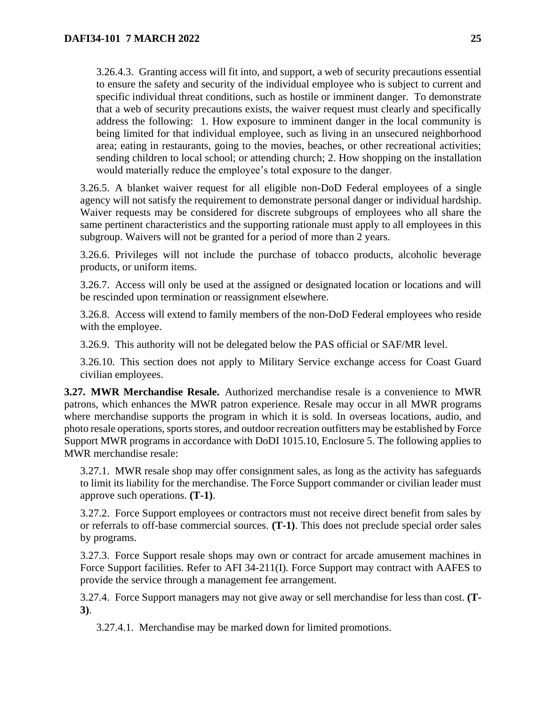3.26.4.3. Granting access will fit into, and support, a web of security precautions essential to ensure the safety and security of the individual employee who is subject to current and specific individual threat conditions, such as hostile or imminent danger. To demonstrate that a web of security precautions exists, the waiver request must clearly and specifically address the following: 1. How exposure to imminent danger in the local community is being limited for that individual employee, such as living in an unsecured neighborhood area; eating in restaurants, going to the movies, beaches, or other recreational activities; sending children to local school; or attending church; 2. How shopping on the installation would materially reduce the employee's total exposure to the danger.

3.26.5. A blanket waiver request for all eligible non-DoD Federal employees of a single agency will not satisfy the requirement to demonstrate personal danger or individual hardship. Waiver requests may be considered for discrete subgroups of employees who all share the same pertinent characteristics and the supporting rationale must apply to all employees in this subgroup. Waivers will not be granted for a period of more than 2 years.

3.26.6. Privileges will not include the purchase of tobacco products, alcoholic beverage products, or uniform items.

3.26.7. Access will only be used at the assigned or designated location or locations and will be rescinded upon termination or reassignment elsewhere.

3.26.8. Access will extend to family members of the non-DoD Federal employees who reside with the employee.

3.26.9. This authority will not be delegated below the PAS official or SAF/MR level.

3.26.10. This section does not apply to Military Service exchange access for Coast Guard civilian employees.

<span id="page-24-0"></span>**3.27. MWR Merchandise Resale.** Authorized merchandise resale is a convenience to MWR patrons, which enhances the MWR patron experience. Resale may occur in all MWR programs where merchandise supports the program in which it is sold. In overseas locations, audio, and photo resale operations, sports stores, and outdoor recreation outfitters may be established by Force Support MWR programs in accordance with DoDI 1015.10, Enclosure 5. The following applies to MWR merchandise resale:

3.27.1. MWR resale shop may offer consignment sales, as long as the activity has safeguards to limit its liability for the merchandise. The Force Support commander or civilian leader must approve such operations. **(T-1)**.

3.27.2. Force Support employees or contractors must not receive direct benefit from sales by or referrals to off-base commercial sources. **(T-1)**. This does not preclude special order sales by programs.

3.27.3. Force Support resale shops may own or contract for arcade amusement machines in Force Support facilities. Refer to AFI 34-211(I)*.* Force Support may contract with AAFES to provide the service through a management fee arrangement.

3.27.4. Force Support managers may not give away or sell merchandise for less than cost. **(T-3)**.

3.27.4.1. Merchandise may be marked down for limited promotions.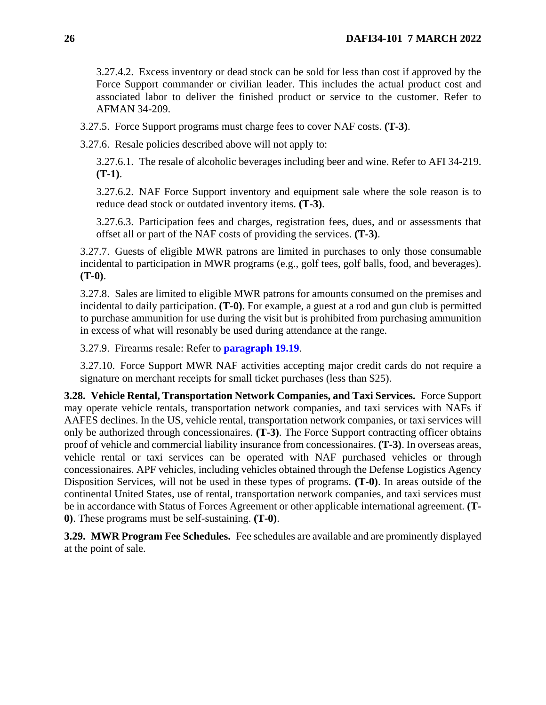3.27.4.2. Excess inventory or dead stock can be sold for less than cost if approved by the Force Support commander or civilian leader. This includes the actual product cost and associated labor to deliver the finished product or service to the customer. Refer to AFMAN 34-209.

3.27.5. Force Support programs must charge fees to cover NAF costs. **(T-3)**.

3.27.6. Resale policies described above will not apply to:

3.27.6.1. The resale of alcoholic beverages including beer and wine. Refer to AFI 34-219. **(T-1)**.

3.27.6.2. NAF Force Support inventory and equipment sale where the sole reason is to reduce dead stock or outdated inventory items. **(T-3)**.

3.27.6.3. Participation fees and charges, registration fees, dues, and or assessments that offset all or part of the NAF costs of providing the services. **(T-3)**.

3.27.7. Guests of eligible MWR patrons are limited in purchases to only those consumable incidental to participation in MWR programs (e.g., golf tees, golf balls, food, and beverages). **(T-0)**.

3.27.8. Sales are limited to eligible MWR patrons for amounts consumed on the premises and incidental to daily participation. **(T-0)**. For example, a guest at a rod and gun club is permitted to purchase ammunition for use during the visit but is prohibited from purchasing ammunition in excess of what will resonably be used during attendance at the range.

3.27.9. Firearms resale: Refer to **[paragraph 19.19](#page-87-1)**.

3.27.10. Force Support MWR NAF activities accepting major credit cards do not require a signature on merchant receipts for small ticket purchases (less than \$25).

<span id="page-25-0"></span>**3.28. Vehicle Rental, Transportation Network Companies, and Taxi Services.** Force Support may operate vehicle rentals, transportation network companies, and taxi services with NAFs if AAFES declines. In the US, vehicle rental, transportation network companies, or taxi services will only be authorized through concessionaires. **(T-3)**. The Force Support contracting officer obtains proof of vehicle and commercial liability insurance from concessionaires. **(T-3)**. In overseas areas, vehicle rental or taxi services can be operated with NAF purchased vehicles or through concessionaires. APF vehicles, including vehicles obtained through the Defense Logistics Agency Disposition Services, will not be used in these types of programs. **(T-0)**. In areas outside of the continental United States, use of rental, transportation network companies, and taxi services must be in accordance with Status of Forces Agreement or other applicable international agreement. **(T-0)**. These programs must be self-sustaining. **(T-0)**.

<span id="page-25-2"></span><span id="page-25-1"></span>**3.29. MWR Program Fee Schedules.** Fee schedules are available and are prominently displayed at the point of sale.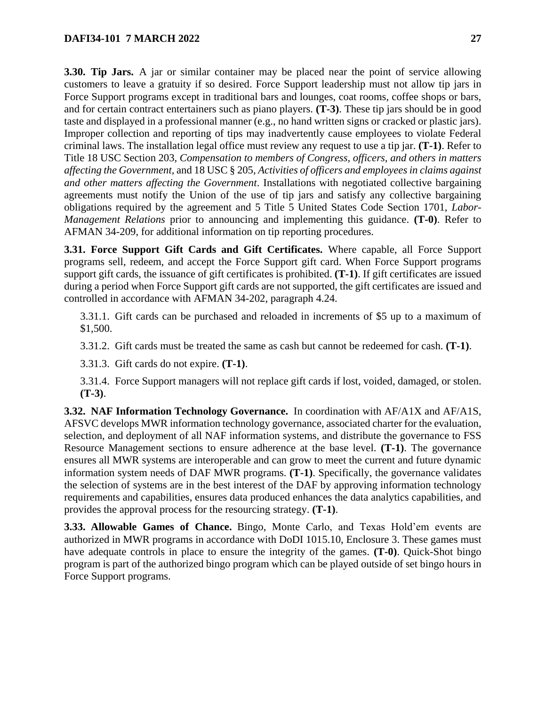**3.30. Tip Jars.** A jar or similar container may be placed near the point of service allowing customers to leave a gratuity if so desired. Force Support leadership must not allow tip jars in Force Support programs except in traditional bars and lounges, coat rooms, coffee shops or bars, and for certain contract entertainers such as piano players. **(T-3)**. These tip jars should be in good taste and displayed in a professional manner (e.g., no hand written signs or cracked or plastic jars). Improper collection and reporting of tips may inadvertently cause employees to violate Federal criminal laws. The installation legal office must review any request to use a tip jar. **(T-1)**. Refer to Title 18 USC Section 203, *Compensation to members of Congress, officers, and others in matters affecting the Government,* and 18 USC § 205, *Activities of officers and employees in claims against and other matters affecting the Government*. Installations with negotiated collective bargaining agreements must notify the Union of the use of tip jars and satisfy any collective bargaining obligations required by the agreement and 5 Title 5 United States Code Section 1701, *Labor-Management Relations* prior to announcing and implementing this guidance. **(T-0)**. Refer to AFMAN 34-209, for additional information on tip reporting procedures.

<span id="page-26-0"></span>**3.31. Force Support Gift Cards and Gift Certificates.** Where capable, all Force Support programs sell, redeem, and accept the Force Support gift card. When Force Support programs support gift cards, the issuance of gift certificates is prohibited. **(T-1)**. If gift certificates are issued during a period when Force Support gift cards are not supported, the gift certificates are issued and controlled in accordance with AFMAN 34-202, paragraph 4.24.

3.31.1. Gift cards can be purchased and reloaded in increments of \$5 up to a maximum of \$1,500.

3.31.2. Gift cards must be treated the same as cash but cannot be redeemed for cash. **(T-1)**.

3.31.3. Gift cards do not expire. **(T-1)**.

3.31.4. Force Support managers will not replace gift cards if lost, voided, damaged, or stolen. **(T-3)**.

<span id="page-26-1"></span>**3.32. NAF Information Technology Governance.** In coordination with AF/A1X and AF/A1S, AFSVC develops MWR information technology governance, associated charter for the evaluation, selection, and deployment of all NAF information systems, and distribute the governance to FSS Resource Management sections to ensure adherence at the base level. **(T-1)**. The governance ensures all MWR systems are interoperable and can grow to meet the current and future dynamic information system needs of DAF MWR programs. **(T-1)**. Specifically, the governance validates the selection of systems are in the best interest of the DAF by approving information technology requirements and capabilities, ensures data produced enhances the data analytics capabilities, and provides the approval process for the resourcing strategy. **(T-1)**.

<span id="page-26-2"></span>**3.33. Allowable Games of Chance.** Bingo, Monte Carlo, and Texas Hold'em events are authorized in MWR programs in accordance with DoDI 1015.10, Enclosure 3. These games must have adequate controls in place to ensure the integrity of the games. **(T-0)**. Quick-Shot bingo program is part of the authorized bingo program which can be played outside of set bingo hours in Force Support programs.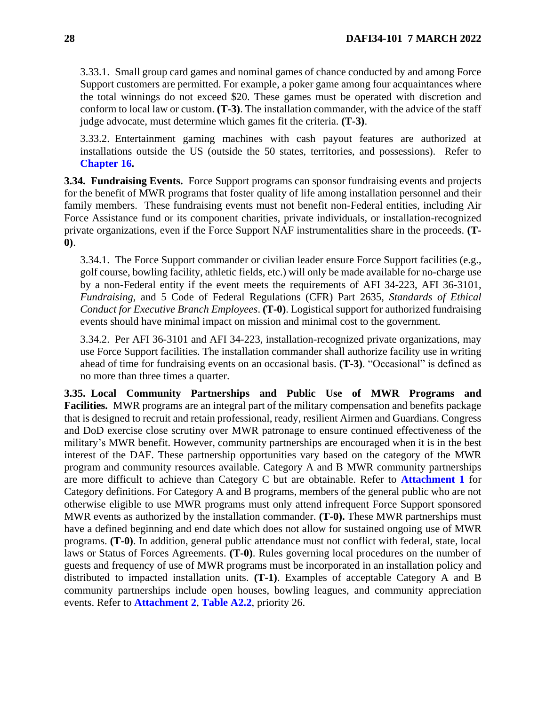3.33.1. Small group card games and nominal games of chance conducted by and among Force Support customers are permitted. For example, a poker game among four acquaintances where the total winnings do not exceed \$20. These games must be operated with discretion and conform to local law or custom. **(T-3)**. The installation commander, with the advice of the staff judge advocate, must determine which games fit the criteria. **(T-3)**.

3.33.2. Entertainment gaming machines with cash payout features are authorized at installations outside the US (outside the 50 states, territories, and possessions). Refer to **[Chapter 16.](#page-66-0)** 

<span id="page-27-0"></span>**3.34. Fundraising Events.** Force Support programs can sponsor fundraising events and projects for the benefit of MWR programs that foster quality of life among installation personnel and their family members. These fundraising events must not benefit non-Federal entities, including Air Force Assistance fund or its component charities, private individuals, or installation-recognized private organizations, even if the Force Support NAF instrumentalities share in the proceeds. **(T-0)**.

3.34.1. The Force Support commander or civilian leader ensure Force Support facilities (e.g., golf course, bowling facility, athletic fields, etc.) will only be made available for no-charge use by a non-Federal entity if the event meets the requirements of AFI 34-223, AFI 36-3101, *Fundraising*, and 5 Code of Federal Regulations (CFR) Part 2635, *Standards of Ethical Conduct for Executive Branch Employees*. **(T-0)**. Logistical support for authorized fundraising events should have minimal impact on mission and minimal cost to the government.

3.34.2. Per AFI 36-3101 and AFI 34-223, installation-recognized private organizations, may use Force Support facilities. The installation commander shall authorize facility use in writing ahead of time for fundraising events on an occasional basis. **(T-3)**. "Occasional" is defined as no more than three times a quarter.

<span id="page-27-2"></span><span id="page-27-1"></span>**3.35. Local Community Partnerships and Public Use of MWR Programs and Facilities.** MWR programs are an integral part of the military compensation and benefits package that is designed to recruit and retain professional, ready, resilient Airmen and Guardians. Congress and DoD exercise close scrutiny over MWR patronage to ensure continued effectiveness of the military's MWR benefit. However, community partnerships are encouraged when it is in the best interest of the DAF. These partnership opportunities vary based on the category of the MWR program and community resources available. Category A and B MWR community partnerships are more difficult to achieve than Category C but are obtainable. Refer to **[Attachment 1](#page-105-0)** for Category definitions. For Category A and B programs, members of the general public who are not otherwise eligible to use MWR programs must only attend infrequent Force Support sponsored MWR events as authorized by the installation commander. **(T-0).** These MWR partnerships must have a defined beginning and end date which does not allow for sustained ongoing use of MWR programs. **(T-0)**. In addition, general public attendance must not conflict with federal, state, local laws or Status of Forces Agreements. **(T-0)**. Rules governing local procedures on the number of guests and frequency of use of MWR programs must be incorporated in an installation policy and distributed to impacted installation units. **(T-1)**. Examples of acceptable Category A and B community partnerships include open houses, bowling leagues, and community appreciation events. Refer to **[Attachment 2](#page-115-0)**, **[Table A2.2](#page-119-0)**, priority 26.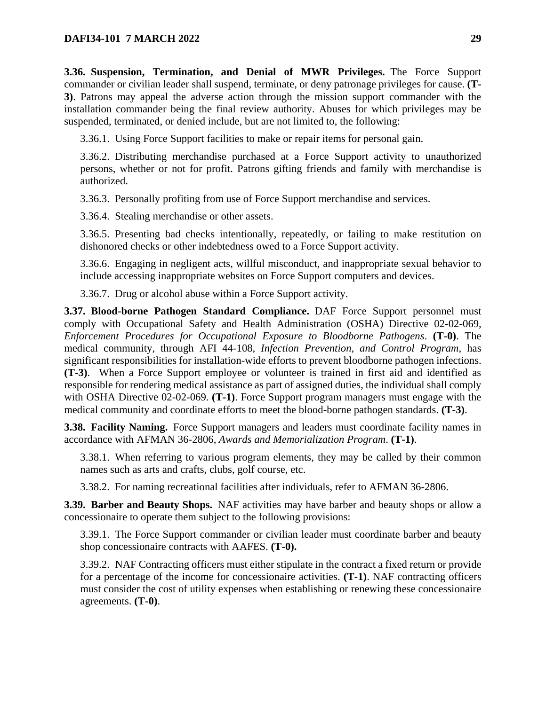**3.36. Suspension, Termination, and Denial of MWR Privileges.** The Force Support commander or civilian leader shall suspend, terminate, or deny patronage privileges for cause. **(T-3)**. Patrons may appeal the adverse action through the mission support commander with the installation commander being the final review authority. Abuses for which privileges may be suspended, terminated, or denied include, but are not limited to, the following:

3.36.1. Using Force Support facilities to make or repair items for personal gain.

3.36.2. Distributing merchandise purchased at a Force Support activity to unauthorized persons, whether or not for profit. Patrons gifting friends and family with merchandise is authorized.

3.36.3. Personally profiting from use of Force Support merchandise and services.

3.36.4. Stealing merchandise or other assets.

3.36.5. Presenting bad checks intentionally, repeatedly, or failing to make restitution on dishonored checks or other indebtedness owed to a Force Support activity.

3.36.6. Engaging in negligent acts, willful misconduct, and inappropriate sexual behavior to include accessing inappropriate websites on Force Support computers and devices.

3.36.7. Drug or alcohol abuse within a Force Support activity.

<span id="page-28-0"></span>**3.37. Blood-borne Pathogen Standard Compliance.** DAF Force Support personnel must comply with Occupational Safety and Health Administration (OSHA) Directive 02-02-069, *Enforcement Procedures for Occupational Exposure to Bloodborne Pathogens*. **(T-0)**. The medical community, through AFI 44-108, *Infection Prevention, and Control Program*, has significant responsibilities for installation-wide efforts to prevent bloodborne pathogen infections. **(T-3)**. When a Force Support employee or volunteer is trained in first aid and identified as responsible for rendering medical assistance as part of assigned duties, the individual shall comply with OSHA Directive 02-02-069. **(T-1)**. Force Support program managers must engage with the medical community and coordinate efforts to meet the blood-borne pathogen standards. **(T-3)**.

<span id="page-28-1"></span>**3.38. Facility Naming.** Force Support managers and leaders must coordinate facility names in accordance with AFMAN 36-2806, *Awards and Memorialization Program*. **(T-1)**.

3.38.1. When referring to various program elements, they may be called by their common names such as arts and crafts, clubs, golf course, etc.

3.38.2. For naming recreational facilities after individuals, refer to AFMAN 36-2806.

<span id="page-28-2"></span>**3.39. Barber and Beauty Shops.** NAF activities may have barber and beauty shops or allow a concessionaire to operate them subject to the following provisions:

3.39.1. The Force Support commander or civilian leader must coordinate barber and beauty shop concessionaire contracts with AAFES. **(T-0).**

3.39.2. NAF Contracting officers must either stipulate in the contract a fixed return or provide for a percentage of the income for concessionaire activities. **(T-1)**. NAF contracting officers must consider the cost of utility expenses when establishing or renewing these concessionaire agreements. **(T-0)**.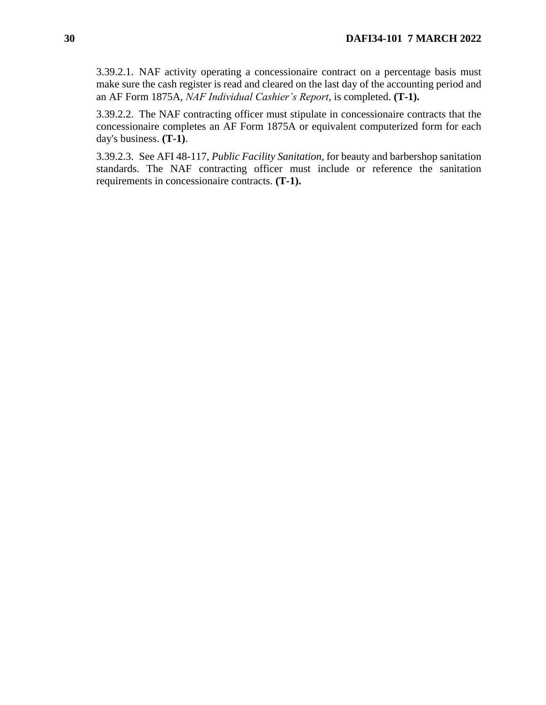3.39.2.1. NAF activity operating a concessionaire contract on a percentage basis must make sure the cash register is read and cleared on the last day of the accounting period and an AF Form 1875A, *NAF Individual Cashier's Report*, is completed. **(T-1).**

3.39.2.2. The NAF contracting officer must stipulate in concessionaire contracts that the concessionaire completes an AF Form 1875A or equivalent computerized form for each day's business. **(T-1)**.

3.39.2.3. See AFI 48-117, *Public Facility Sanitation*, for beauty and barbershop sanitation standards. The NAF contracting officer must include or reference the sanitation requirements in concessionaire contracts. **(T-1).**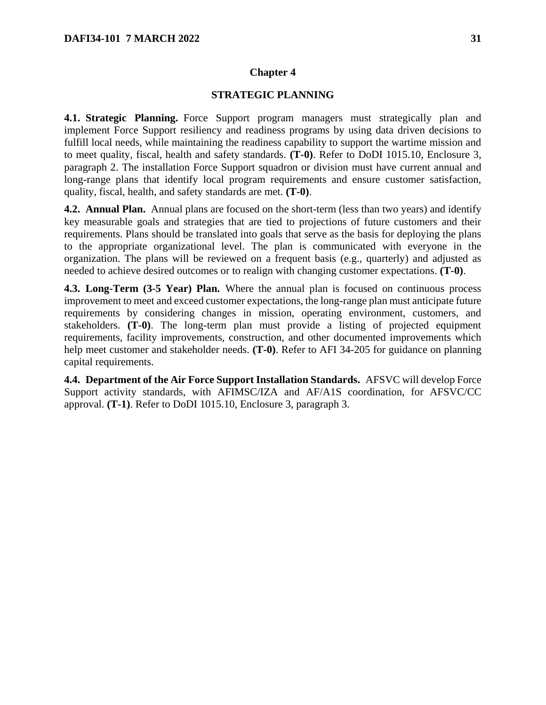#### **STRATEGIC PLANNING**

<span id="page-30-1"></span><span id="page-30-0"></span>**4.1. Strategic Planning.** Force Support program managers must strategically plan and implement Force Support resiliency and readiness programs by using data driven decisions to fulfill local needs, while maintaining the readiness capability to support the wartime mission and to meet quality, fiscal, health and safety standards. **(T-0)**. Refer to DoDI 1015.10, Enclosure 3, paragraph 2. The installation Force Support squadron or division must have current annual and long-range plans that identify local program requirements and ensure customer satisfaction, quality, fiscal, health, and safety standards are met. **(T-0)**.

<span id="page-30-2"></span>**4.2. Annual Plan.** Annual plans are focused on the short-term (less than two years) and identify key measurable goals and strategies that are tied to projections of future customers and their requirements. Plans should be translated into goals that serve as the basis for deploying the plans to the appropriate organizational level. The plan is communicated with everyone in the organization. The plans will be reviewed on a frequent basis (e.g., quarterly) and adjusted as needed to achieve desired outcomes or to realign with changing customer expectations. **(T-0)**.

<span id="page-30-3"></span>**4.3. Long-Term (3-5 Year) Plan.** Where the annual plan is focused on continuous process improvement to meet and exceed customer expectations, the long-range plan must anticipate future requirements by considering changes in mission, operating environment, customers, and stakeholders. **(T-0)**. The long-term plan must provide a listing of projected equipment requirements, facility improvements, construction, and other documented improvements which help meet customer and stakeholder needs. **(T-0)**. Refer to AFI 34-205 for guidance on planning capital requirements.

<span id="page-30-4"></span>**4.4. Department of the Air Force Support Installation Standards.** AFSVC will develop Force Support activity standards, with AFIMSC/IZA and AF/A1S coordination, for AFSVC/CC approval. **(T-1)**. Refer to DoDI 1015.10, Enclosure 3, paragraph 3.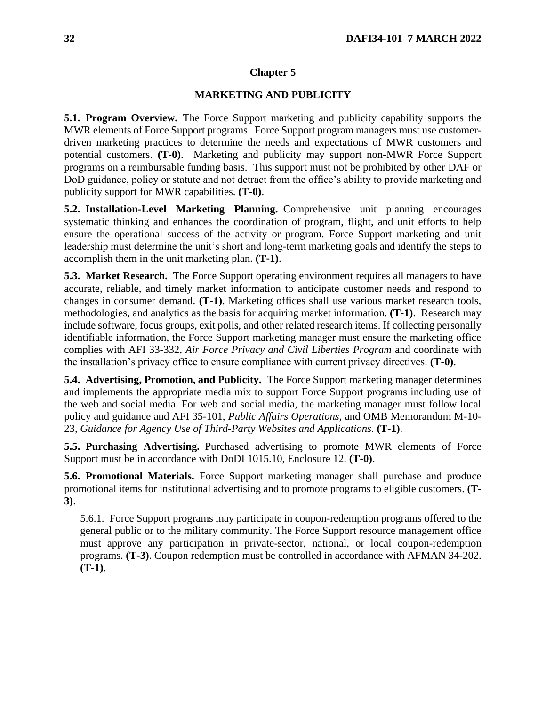#### **MARKETING AND PUBLICITY**

<span id="page-31-1"></span><span id="page-31-0"></span>**5.1. Program Overview.** The Force Support marketing and publicity capability supports the MWR elements of Force Support programs. Force Support program managers must use customerdriven marketing practices to determine the needs and expectations of MWR customers and potential customers. **(T-0)**. Marketing and publicity may support non-MWR Force Support programs on a reimbursable funding basis. This support must not be prohibited by other DAF or DoD guidance, policy or statute and not detract from the office's ability to provide marketing and publicity support for MWR capabilities. **(T-0)**.

<span id="page-31-2"></span>**5.2. Installation-Level Marketing Planning.** Comprehensive unit planning encourages systematic thinking and enhances the coordination of program, flight, and unit efforts to help ensure the operational success of the activity or program. Force Support marketing and unit leadership must determine the unit's short and long-term marketing goals and identify the steps to accomplish them in the unit marketing plan. **(T-1)**.

<span id="page-31-3"></span>**5.3. Market Research.** The Force Support operating environment requires all managers to have accurate, reliable, and timely market information to anticipate customer needs and respond to changes in consumer demand. **(T-1)**. Marketing offices shall use various market research tools, methodologies, and analytics as the basis for acquiring market information. **(T-1)**. Research may include software, focus groups, exit polls, and other related research items. If collecting personally identifiable information, the Force Support marketing manager must ensure the marketing office complies with AFI 33-332, *Air Force Privacy and Civil Liberties Program* and coordinate with the installation's privacy office to ensure compliance with current privacy directives. **(T-0)**.

<span id="page-31-4"></span>**5.4. Advertising, Promotion, and Publicity.** The Force Support marketing manager determines and implements the appropriate media mix to support Force Support programs including use of the web and social media. For web and social media, the marketing manager must follow local policy and guidance and AFI 35-101, *Public Affairs Operations,* and OMB Memorandum M-10- 23, *Guidance for Agency Use of Third-Party Websites and Applications.* **(T-1)**.

<span id="page-31-5"></span>**5.5. Purchasing Advertising.** Purchased advertising to promote MWR elements of Force Support must be in accordance with DoDI 1015.10, Enclosure 12. **(T-0)**.

<span id="page-31-6"></span>**5.6. Promotional Materials.** Force Support marketing manager shall purchase and produce promotional items for institutional advertising and to promote programs to eligible customers. **(T-3)**.

5.6.1. Force Support programs may participate in coupon-redemption programs offered to the general public or to the military community. The Force Support resource management office must approve any participation in private-sector, national, or local coupon-redemption programs. **(T-3)**. Coupon redemption must be controlled in accordance with AFMAN 34-202. **(T-1)**.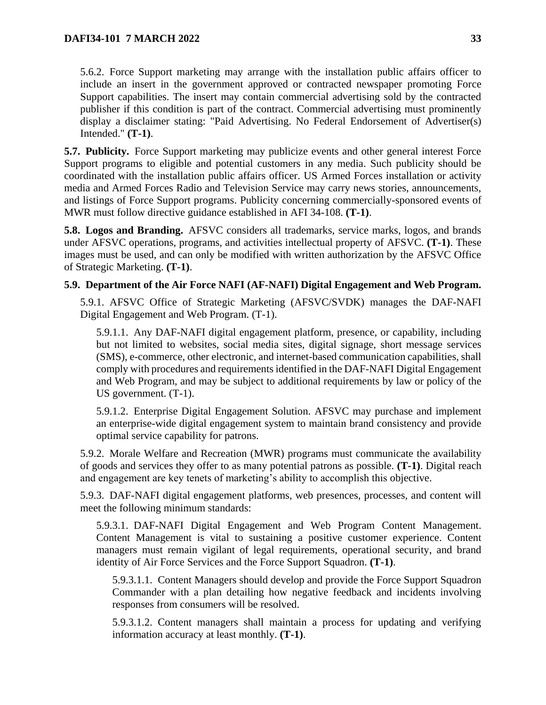5.6.2. Force Support marketing may arrange with the installation public affairs officer to include an insert in the government approved or contracted newspaper promoting Force Support capabilities. The insert may contain commercial advertising sold by the contracted publisher if this condition is part of the contract. Commercial advertising must prominently display a disclaimer stating: "Paid Advertising. No Federal Endorsement of Advertiser(s) Intended." **(T-1)**.

<span id="page-32-0"></span>**5.7. Publicity.** Force Support marketing may publicize events and other general interest Force Support programs to eligible and potential customers in any media. Such publicity should be coordinated with the installation public affairs officer. US Armed Forces installation or activity media and Armed Forces Radio and Television Service may carry news stories, announcements, and listings of Force Support programs. Publicity concerning commercially-sponsored events of MWR must follow directive guidance established in AFI 34-108. **(T-1)**.

<span id="page-32-1"></span>**5.8. Logos and Branding.** AFSVC considers all trademarks, service marks, logos, and brands under AFSVC operations, programs, and activities intellectual property of AFSVC. **(T-1)**. These images must be used, and can only be modified with written authorization by the AFSVC Office of Strategic Marketing. **(T-1)**.

#### <span id="page-32-2"></span>**5.9. Department of the Air Force NAFI (AF-NAFI) Digital Engagement and Web Program.**

5.9.1. AFSVC Office of Strategic Marketing (AFSVC/SVDK) manages the DAF-NAFI Digital Engagement and Web Program. (T-1).

5.9.1.1. Any DAF-NAFI digital engagement platform, presence, or capability, including but not limited to websites, social media sites, digital signage, short message services (SMS), e-commerce, other electronic, and internet-based communication capabilities, shall comply with procedures and requirements identified in the DAF-NAFI Digital Engagement and Web Program, and may be subject to additional requirements by law or policy of the US government. (T-1).

5.9.1.2. Enterprise Digital Engagement Solution. AFSVC may purchase and implement an enterprise-wide digital engagement system to maintain brand consistency and provide optimal service capability for patrons.

5.9.2. Morale Welfare and Recreation (MWR) programs must communicate the availability of goods and services they offer to as many potential patrons as possible. **(T-1)**. Digital reach and engagement are key tenets of marketing's ability to accomplish this objective.

5.9.3. DAF-NAFI digital engagement platforms, web presences, processes, and content will meet the following minimum standards:

5.9.3.1. DAF-NAFI Digital Engagement and Web Program Content Management. Content Management is vital to sustaining a positive customer experience. Content managers must remain vigilant of legal requirements, operational security, and brand identity of Air Force Services and the Force Support Squadron. **(T-1)**.

5.9.3.1.1. Content Managers should develop and provide the Force Support Squadron Commander with a plan detailing how negative feedback and incidents involving responses from consumers will be resolved.

5.9.3.1.2. Content managers shall maintain a process for updating and verifying information accuracy at least monthly. **(T-1)**.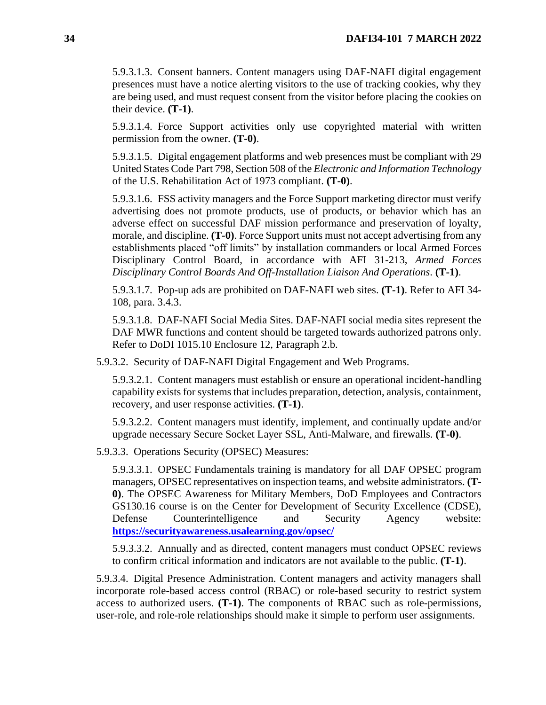5.9.3.1.3. Consent banners. Content managers using DAF-NAFI digital engagement presences must have a notice alerting visitors to the use of tracking cookies, why they are being used, and must request consent from the visitor before placing the cookies on their device. **(T-1)**.

5.9.3.1.4. Force Support activities only use copyrighted material with written permission from the owner. **(T-0)**.

5.9.3.1.5. Digital engagement platforms and web presences must be compliant with 29 United States Code Part 798, Section 508 of the *Electronic and Information Technology* of the U.S. Rehabilitation Act of 1973 compliant. **(T-0)**.

5.9.3.1.6. FSS activity managers and the Force Support marketing director must verify advertising does not promote products, use of products, or behavior which has an adverse effect on successful DAF mission performance and preservation of loyalty, morale, and discipline. **(T-0)**. Force Support units must not accept advertising from any establishments placed "off limits" by installation commanders or local Armed Forces Disciplinary Control Board, in accordance with AFI 31-213, *Armed Forces Disciplinary Control Boards And Off-Installation Liaison And Operations*. **(T-1)**.

5.9.3.1.7. Pop-up ads are prohibited on DAF-NAFI web sites. **(T-1)**. Refer to AFI 34- 108, para. 3.4.3.

5.9.3.1.8. DAF-NAFI Social Media Sites. DAF-NAFI social media sites represent the DAF MWR functions and content should be targeted towards authorized patrons only. Refer to DoDI 1015.10 Enclosure 12, Paragraph 2.b.

5.9.3.2. Security of DAF-NAFI Digital Engagement and Web Programs.

5.9.3.2.1. Content managers must establish or ensure an operational incident-handling capability exists for systems that includes preparation, detection, analysis, containment, recovery, and user response activities. **(T-1)**.

5.9.3.2.2. Content managers must identify, implement, and continually update and/or upgrade necessary Secure Socket Layer SSL, Anti-Malware, and firewalls. **(T-0)**.

5.9.3.3. Operations Security (OPSEC) Measures:

5.9.3.3.1. OPSEC Fundamentals training is mandatory for all DAF OPSEC program managers, OPSEC representatives on inspection teams, and website administrators. **(T-0)**. The OPSEC Awareness for Military Members, DoD Employees and Contractors GS130.16 course is on the Center for Development of Security Excellence (CDSE), Defense Counterintelligence and Security Agency website: **<https://securityawareness.usalearning.gov/opsec/>**

5.9.3.3.2. Annually and as directed, content managers must conduct OPSEC reviews to confirm critical information and indicators are not available to the public. **(T-1)**.

5.9.3.4. Digital Presence Administration. Content managers and activity managers shall incorporate role-based access control (RBAC) or role-based security to restrict system access to authorized users. **(T-1)**. The components of RBAC such as role-permissions, user-role, and role-role relationships should make it simple to perform user assignments.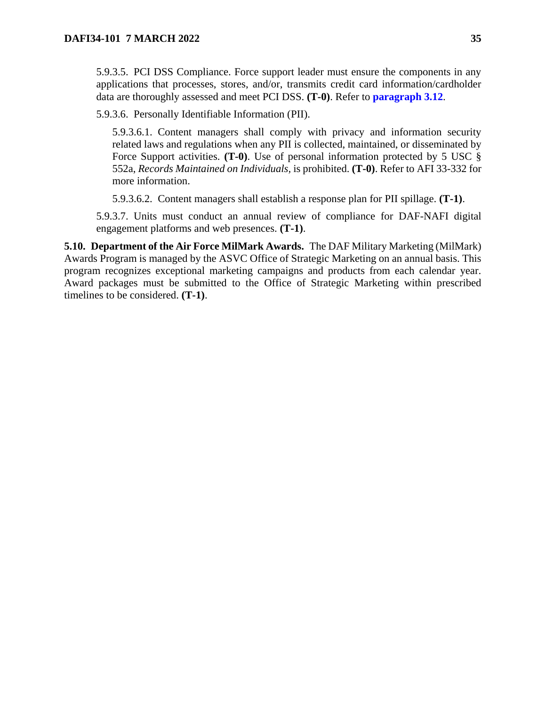5.9.3.5. PCI DSS Compliance. Force support leader must ensure the components in any applications that processes, stores, and/or, transmits credit card information/cardholder data are thoroughly assessed and meet PCI DSS. **(T-0)**. Refer to **[paragraph 3.12](#page-18-3)**.

5.9.3.6. Personally Identifiable Information (PII).

5.9.3.6.1. Content managers shall comply with privacy and information security related laws and regulations when any PII is collected, maintained, or disseminated by Force Support activities. **(T-0)**. Use of personal information protected by 5 USC § 552a, *Records Maintained on Individuals,* is prohibited. **(T-0)**. Refer to AFI 33-332 for more information.

5.9.3.6.2. Content managers shall establish a response plan for PII spillage. **(T-1)**.

5.9.3.7. Units must conduct an annual review of compliance for DAF-NAFI digital engagement platforms and web presences. **(T-1)**.

<span id="page-34-0"></span>**5.10. Department of the Air Force MilMark Awards.** The DAF Military Marketing (MilMark) Awards Program is managed by the ASVC Office of Strategic Marketing on an annual basis. This program recognizes exceptional marketing campaigns and products from each calendar year. Award packages must be submitted to the Office of Strategic Marketing within prescribed timelines to be considered. **(T-1)**.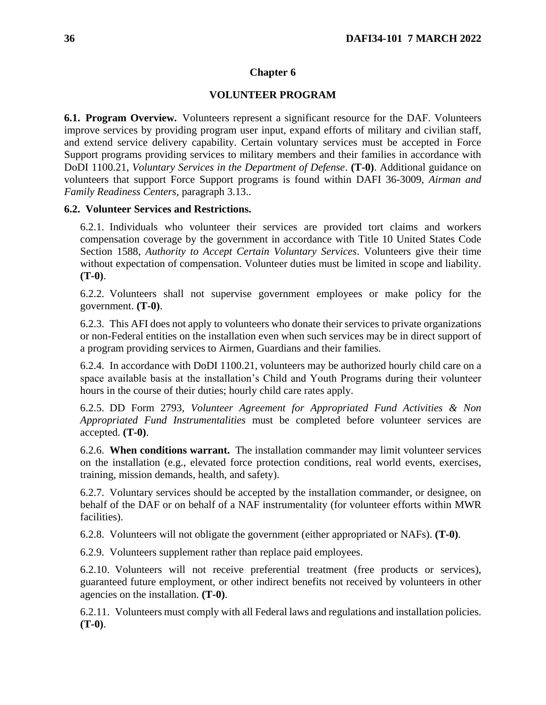#### **VOLUNTEER PROGRAM**

<span id="page-35-1"></span><span id="page-35-0"></span>**6.1. Program Overview.** Volunteers represent a significant resource for the DAF. Volunteers improve services by providing program user input, expand efforts of military and civilian staff, and extend service delivery capability. Certain voluntary services must be accepted in Force Support programs providing services to military members and their families in accordance with DoDI 1100.21, *Voluntary Services in the Department of Defense*. **(T-0)**. Additional guidance on volunteers that support Force Support programs is found within DAFI 36-3009, *Airman and Family Readiness Centers*, paragraph 3.13..

#### <span id="page-35-2"></span>**6.2. Volunteer Services and Restrictions.**

6.2.1. Individuals who volunteer their services are provided tort claims and workers compensation coverage by the government in accordance with Title 10 United States Code Section 1588, *Authority to Accept Certain Voluntary Services*. Volunteers give their time without expectation of compensation. Volunteer duties must be limited in scope and liability. **(T-0)**.

6.2.2. Volunteers shall not supervise government employees or make policy for the government. **(T-0)**.

6.2.3. This AFI does not apply to volunteers who donate their services to private organizations or non-Federal entities on the installation even when such services may be in direct support of a program providing services to Airmen, Guardians and their families.

6.2.4. In accordance with DoDI 1100.21, volunteers may be authorized hourly child care on a space available basis at the installation's Child and Youth Programs during their volunteer hours in the course of their duties; hourly child care rates apply.

6.2.5. DD Form 2793, *Volunteer Agreement for Appropriated Fund Activities & Non Appropriated Fund Instrumentalities* must be completed before volunteer services are accepted. **(T-0)**.

6.2.6. **When conditions warrant.** The installation commander may limit volunteer services on the installation (e.g., elevated force protection conditions, real world events, exercises, training, mission demands, health, and safety).

6.2.7. Voluntary services should be accepted by the installation commander, or designee, on behalf of the DAF or on behalf of a NAF instrumentality (for volunteer efforts within MWR facilities).

6.2.8. Volunteers will not obligate the government (either appropriated or NAFs). **(T-0)**.

6.2.9. Volunteers supplement rather than replace paid employees.

6.2.10. Volunteers will not receive preferential treatment (free products or services), guaranteed future employment, or other indirect benefits not received by volunteers in other agencies on the installation. **(T-0)**.

6.2.11. Volunteers must comply with all Federal laws and regulations and installation policies. **(T-0)**.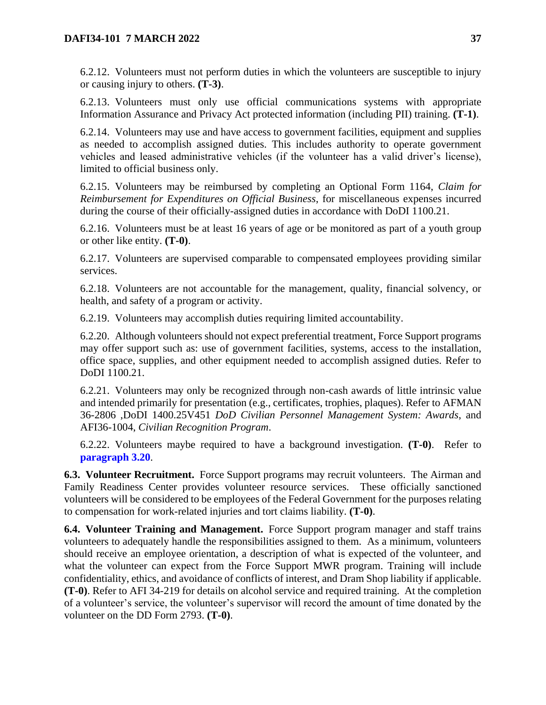6.2.12. Volunteers must not perform duties in which the volunteers are susceptible to injury or causing injury to others. **(T-3)**.

6.2.13. Volunteers must only use official communications systems with appropriate Information Assurance and Privacy Act protected information (including PII) training. **(T-1)**.

6.2.14. Volunteers may use and have access to government facilities, equipment and supplies as needed to accomplish assigned duties. This includes authority to operate government vehicles and leased administrative vehicles (if the volunteer has a valid driver's license), limited to official business only.

6.2.15. Volunteers may be reimbursed by completing an Optional Form 1164, *Claim for Reimbursement for Expenditures on Official Business*, for miscellaneous expenses incurred during the course of their officially-assigned duties in accordance with DoDI 1100.21.

6.2.16. Volunteers must be at least 16 years of age or be monitored as part of a youth group or other like entity. **(T-0)**.

6.2.17. Volunteers are supervised comparable to compensated employees providing similar services.

6.2.18. Volunteers are not accountable for the management, quality, financial solvency, or health, and safety of a program or activity.

6.2.19. Volunteers may accomplish duties requiring limited accountability.

6.2.20. Although volunteers should not expect preferential treatment, Force Support programs may offer support such as: use of government facilities, systems, access to the installation, office space, supplies, and other equipment needed to accomplish assigned duties. Refer to DoDI 1100.21.

6.2.21. Volunteers may only be recognized through non-cash awards of little intrinsic value and intended primarily for presentation (e.g., certificates, trophies, plaques). Refer to AFMAN 36-2806 ,DoDI 1400.25V451 *DoD Civilian Personnel Management System: Awards*, and AFI36-1004, *Civilian Recognition Program*.

6.2.22. Volunteers maybe required to have a background investigation. **(T-0)**.Refer to **[paragraph 3.20](#page-20-0)**.

**6.3. Volunteer Recruitment.** Force Support programs may recruit volunteers. The Airman and Family Readiness Center provides volunteer resource services*.* These officially sanctioned volunteers will be considered to be employees of the Federal Government for the purposes relating to compensation for work-related injuries and tort claims liability. **(T-0)**.

**6.4. Volunteer Training and Management.** Force Support program manager and staff trains volunteers to adequately handle the responsibilities assigned to them. As a minimum, volunteers should receive an employee orientation, a description of what is expected of the volunteer, and what the volunteer can expect from the Force Support MWR program. Training will include confidentiality, ethics, and avoidance of conflicts of interest, and Dram Shop liability if applicable. **(T-0)**. Refer to AFI 34-219 for details on alcohol service and required training. At the completion of a volunteer's service, the volunteer's supervisor will record the amount of time donated by the volunteer on the DD Form 2793. **(T-0)**.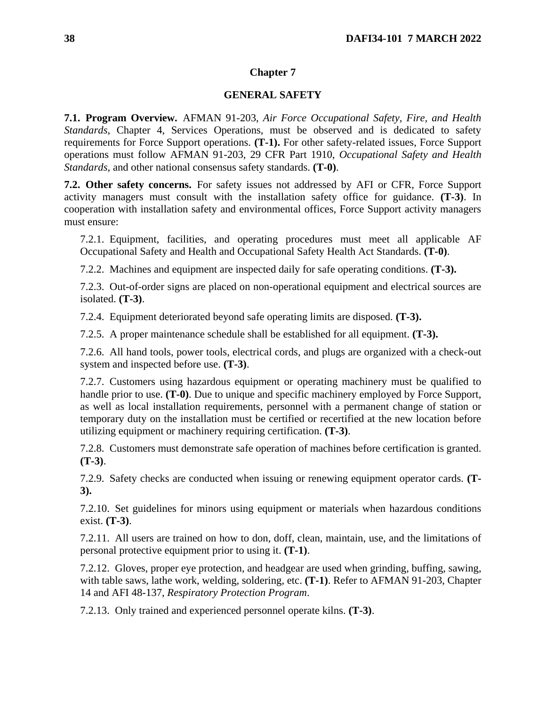## **GENERAL SAFETY**

**7.1. Program Overview.** AFMAN 91-203, *Air Force Occupational Safety, Fire, and Health Standards*, Chapter 4, Services Operations, must be observed and is dedicated to safety requirements for Force Support operations. **(T-1).** For other safety-related issues, Force Support operations must follow AFMAN 91-203, 29 CFR Part 1910, *Occupational Safety and Health Standards*, and other national consensus safety standards. **(T-0)**.

**7.2. Other safety concerns.** For safety issues not addressed by AFI or CFR, Force Support activity managers must consult with the installation safety office for guidance. **(T-3)**. In cooperation with installation safety and environmental offices, Force Support activity managers must ensure:

7.2.1. Equipment, facilities, and operating procedures must meet all applicable AF Occupational Safety and Health and Occupational Safety Health Act Standards. **(T-0)**.

7.2.2. Machines and equipment are inspected daily for safe operating conditions. **(T-3).**

7.2.3. Out-of-order signs are placed on non-operational equipment and electrical sources are isolated. **(T-3)**.

7.2.4. Equipment deteriorated beyond safe operating limits are disposed. **(T-3).**

7.2.5. A proper maintenance schedule shall be established for all equipment. **(T-3).**

7.2.6. All hand tools, power tools, electrical cords, and plugs are organized with a check-out system and inspected before use. **(T-3)**.

7.2.7. Customers using hazardous equipment or operating machinery must be qualified to handle prior to use. **(T-0)**. Due to unique and specific machinery employed by Force Support, as well as local installation requirements, personnel with a permanent change of station or temporary duty on the installation must be certified or recertified at the new location before utilizing equipment or machinery requiring certification. **(T-3)**.

7.2.8. Customers must demonstrate safe operation of machines before certification is granted. **(T-3)**.

7.2.9. Safety checks are conducted when issuing or renewing equipment operator cards. **(T-3).**

7.2.10. Set guidelines for minors using equipment or materials when hazardous conditions exist. **(T-3)**.

7.2.11. All users are trained on how to don, doff, clean, maintain, use, and the limitations of personal protective equipment prior to using it. **(T-1)**.

7.2.12. Gloves, proper eye protection, and headgear are used when grinding, buffing, sawing, with table saws, lathe work, welding, soldering, etc. **(T-1)**. Refer to AFMAN 91-203, Chapter 14 and AFI 48-137, *Respiratory Protection Program*.

7.2.13. Only trained and experienced personnel operate kilns. **(T-3)**.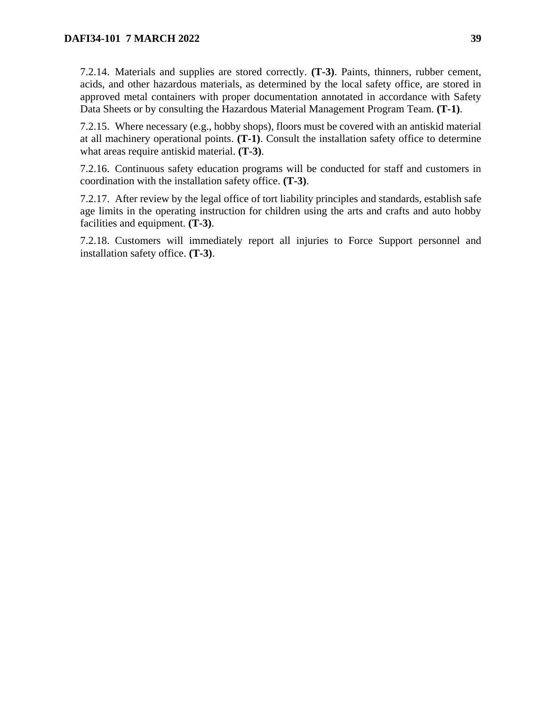7.2.14. Materials and supplies are stored correctly. **(T-3)**. Paints, thinners, rubber cement, acids, and other hazardous materials, as determined by the local safety office, are stored in approved metal containers with proper documentation annotated in accordance with Safety Data Sheets or by consulting the Hazardous Material Management Program Team. **(T-1)**.

7.2.15. Where necessary (e.g., hobby shops), floors must be covered with an antiskid material at all machinery operational points. **(T-1)**. Consult the installation safety office to determine what areas require antiskid material. **(T-3)**.

7.2.16. Continuous safety education programs will be conducted for staff and customers in coordination with the installation safety office. **(T-3)**.

7.2.17. After review by the legal office of tort liability principles and standards, establish safe age limits in the operating instruction for children using the arts and crafts and auto hobby facilities and equipment. **(T-3)**.

7.2.18. Customers will immediately report all injuries to Force Support personnel and installation safety office. **(T-3)**.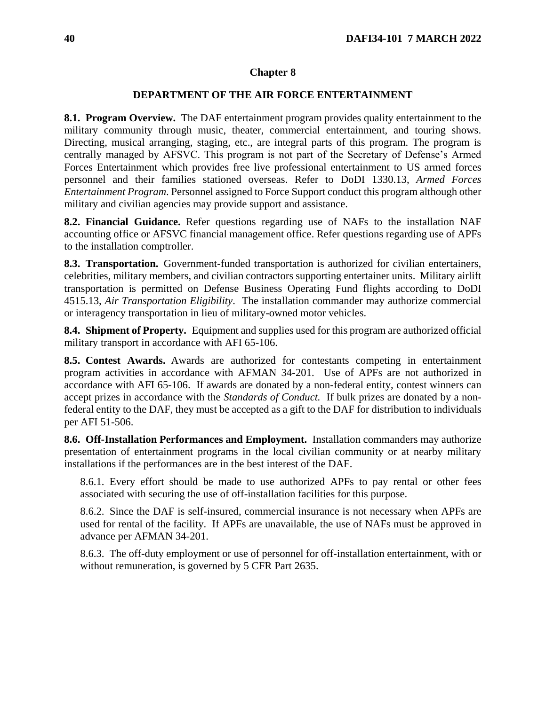# **DEPARTMENT OF THE AIR FORCE ENTERTAINMENT**

**8.1. Program Overview.** The DAF entertainment program provides quality entertainment to the military community through music, theater, commercial entertainment, and touring shows. Directing, musical arranging, staging, etc., are integral parts of this program. The program is centrally managed by AFSVC. This program is not part of the Secretary of Defense's Armed Forces Entertainment which provides free live professional entertainment to US armed forces personnel and their families stationed overseas. Refer to DoDI 1330.13, *Armed Forces Entertainment Program*. Personnel assigned to Force Support conduct this program although other military and civilian agencies may provide support and assistance.

**8.2. Financial Guidance.** Refer questions regarding use of NAFs to the installation NAF accounting office or AFSVC financial management office. Refer questions regarding use of APFs to the installation comptroller.

**8.3. Transportation.** Government-funded transportation is authorized for civilian entertainers, celebrities, military members, and civilian contractors supporting entertainer units. Military airlift transportation is permitted on Defense Business Operating Fund flights according to DoDI 4515.13, *Air Transportation Eligibility*. The installation commander may authorize commercial or interagency transportation in lieu of military-owned motor vehicles.

**8.4. Shipment of Property.** Equipment and supplies used for this program are authorized official military transport in accordance with AFI 65-106.

**8.5. Contest Awards.** Awards are authorized for contestants competing in entertainment program activities in accordance with AFMAN 34-201. Use of APFs are not authorized in accordance with AFI 65-106. If awards are donated by a non-federal entity, contest winners can accept prizes in accordance with the *Standards of Conduct.* If bulk prizes are donated by a nonfederal entity to the DAF, they must be accepted as a gift to the DAF for distribution to individuals per AFI 51-506.

**8.6. Off-Installation Performances and Employment.** Installation commanders may authorize presentation of entertainment programs in the local civilian community or at nearby military installations if the performances are in the best interest of the DAF.

8.6.1. Every effort should be made to use authorized APFs to pay rental or other fees associated with securing the use of off-installation facilities for this purpose.

8.6.2. Since the DAF is self-insured, commercial insurance is not necessary when APFs are used for rental of the facility. If APFs are unavailable, the use of NAFs must be approved in advance per AFMAN 34-201.

8.6.3. The off-duty employment or use of personnel for off-installation entertainment, with or without remuneration, is governed by 5 CFR Part 2635.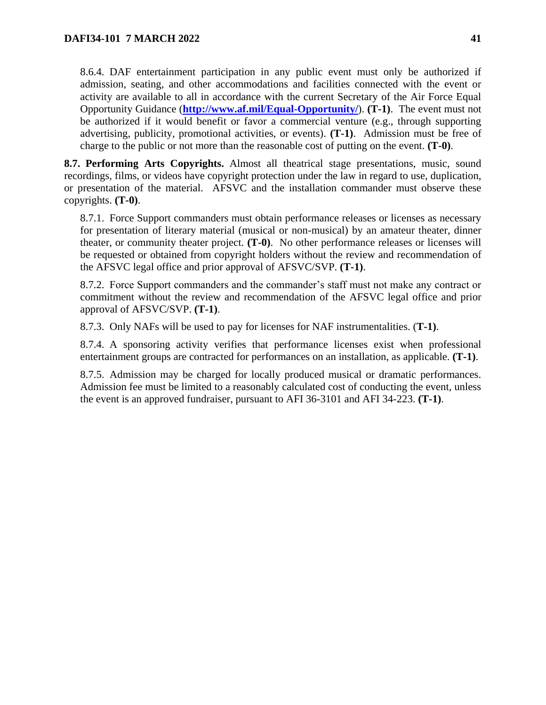8.6.4. DAF entertainment participation in any public event must only be authorized if admission, seating, and other accommodations and facilities connected with the event or activity are available to all in accordance with the current Secretary of the Air Force Equal Opportunity Guidance (**<http://www.af.mil/Equal-Opportunity/>**). **(T-1)**.The event must not be authorized if it would benefit or favor a commercial venture (e.g., through supporting advertising, publicity, promotional activities, or events). **(T-1)**. Admission must be free of charge to the public or not more than the reasonable cost of putting on the event. **(T-0)**.

**8.7. Performing Arts Copyrights.** Almost all theatrical stage presentations, music, sound recordings, films, or videos have copyright protection under the law in regard to use, duplication, or presentation of the material.AFSVC and the installation commander must observe these copyrights. **(T-0)**.

8.7.1. Force Support commanders must obtain performance releases or licenses as necessary for presentation of literary material (musical or non-musical) by an amateur theater, dinner theater, or community theater project. **(T-0)**. No other performance releases or licenses will be requested or obtained from copyright holders without the review and recommendation of the AFSVC legal office and prior approval of AFSVC/SVP. **(T-1)**.

8.7.2. Force Support commanders and the commander's staff must not make any contract or commitment without the review and recommendation of the AFSVC legal office and prior approval of AFSVC/SVP. **(T-1)**.

8.7.3. Only NAFs will be used to pay for licenses for NAF instrumentalities. (**T-1)**.

8.7.4. A sponsoring activity verifies that performance licenses exist when professional entertainment groups are contracted for performances on an installation, as applicable. **(T-1)**.

8.7.5. Admission may be charged for locally produced musical or dramatic performances. Admission fee must be limited to a reasonably calculated cost of conducting the event, unless the event is an approved fundraiser, pursuant to AFI 36-3101 and AFI 34-223. **(T-1)**.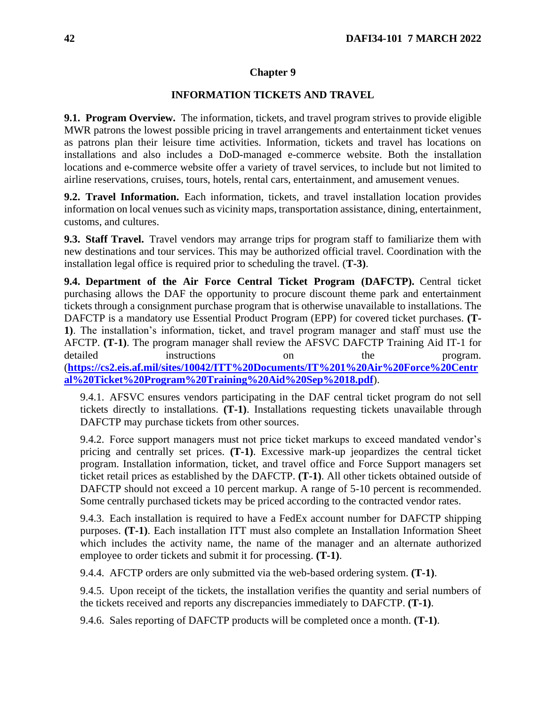### **INFORMATION TICKETS AND TRAVEL**

**9.1. Program Overview.** The information, tickets, and travel program strives to provide eligible MWR patrons the lowest possible pricing in travel arrangements and entertainment ticket venues as patrons plan their leisure time activities. Information, tickets and travel has locations on installations and also includes a DoD-managed e-commerce website. Both the installation locations and e-commerce website offer a variety of travel services, to include but not limited to airline reservations, cruises, tours, hotels, rental cars, entertainment, and amusement venues.

**9.2. Travel Information.** Each information, tickets, and travel installation location provides information on local venues such as vicinity maps, transportation assistance, dining, entertainment, customs, and cultures.

**9.3. Staff Travel.** Travel vendors may arrange trips for program staff to familiarize them with new destinations and tour services. This may be authorized official travel. Coordination with the installation legal office is required prior to scheduling the travel. (**T-3)**.

**9.4. Department of the Air Force Central Ticket Program (DAFCTP).** Central ticket purchasing allows the DAF the opportunity to procure discount theme park and entertainment tickets through a consignment purchase program that is otherwise unavailable to installations. The DAFCTP is a mandatory use Essential Product Program (EPP) for covered ticket purchases. **(T-1)**. The installation's information, ticket, and travel program manager and staff must use the AFCTP. **(T-1)**. The program manager shall review the AFSVC DAFCTP Training Aid IT-1 for detailed instructions on the program. (**[https://cs2.eis.af.mil/sites/10042/ITT%20Documents/IT%201%20Air%20Force%20Centr](https://cs2.eis.af.mil/sites/10042/ITT%20Documents/IT%201%20Air%20Force%20Central%20Ticket%20Program%20Training%20Aid%20Sep%2018.pdf) [al%20Ticket%20Program%20Training%20Aid%20Sep%2018.pdf](https://cs2.eis.af.mil/sites/10042/ITT%20Documents/IT%201%20Air%20Force%20Central%20Ticket%20Program%20Training%20Aid%20Sep%2018.pdf)**).

9.4.1. AFSVC ensures vendors participating in the DAF central ticket program do not sell tickets directly to installations. **(T-1)**. Installations requesting tickets unavailable through DAFCTP may purchase tickets from other sources.

9.4.2. Force support managers must not price ticket markups to exceed mandated vendor's pricing and centrally set prices. **(T-1)**. Excessive mark-up jeopardizes the central ticket program. Installation information, ticket, and travel office and Force Support managers set ticket retail prices as established by the DAFCTP. **(T-1)**. All other tickets obtained outside of DAFCTP should not exceed a 10 percent markup. A range of 5-10 percent is recommended. Some centrally purchased tickets may be priced according to the contracted vendor rates.

9.4.3. Each installation is required to have a FedEx account number for DAFCTP shipping purposes. **(T-1)**. Each installation ITT must also complete an Installation Information Sheet which includes the activity name, the name of the manager and an alternate authorized employee to order tickets and submit it for processing. **(T-1)**.

9.4.4. AFCTP orders are only submitted via the web-based ordering system. **(T-1)**.

9.4.5. Upon receipt of the tickets, the installation verifies the quantity and serial numbers of the tickets received and reports any discrepancies immediately to DAFCTP. **(T-1)**.

9.4.6. Sales reporting of DAFCTP products will be completed once a month. **(T-1)**.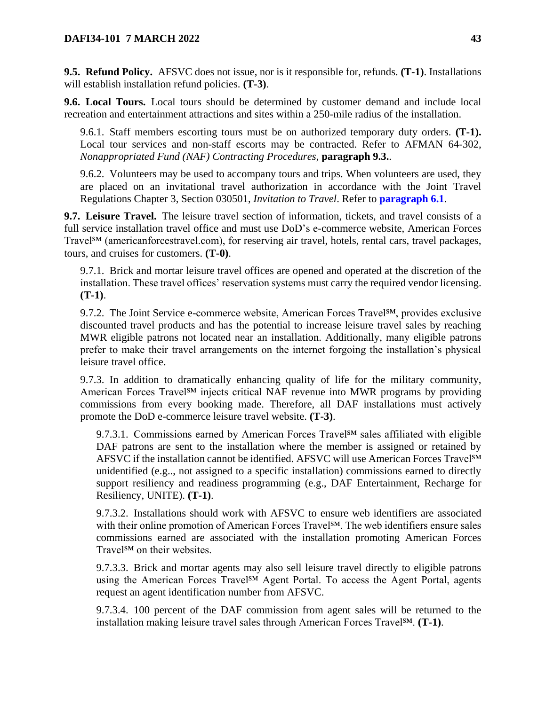**9.5. Refund Policy.** AFSVC does not issue, nor is it responsible for, refunds. **(T-1)**. Installations will establish installation refund policies. **(T-3)**.

**9.6. Local Tours.** Local tours should be determined by customer demand and include local recreation and entertainment attractions and sites within a 250-mile radius of the installation.

9.6.1. Staff members escorting tours must be on authorized temporary duty orders. **(T-1).**  Local tour services and non-staff escorts may be contracted. Refer to AFMAN 64-302, *Nonappropriated Fund (NAF) Contracting Procedures*, **paragraph 9.3.**.

9.6.2. Volunteers may be used to accompany tours and trips. When volunteers are used, they are placed on an invitational travel authorization in accordance with the Joint Travel Regulations Chapter 3, Section 030501, *Invitation to Travel*. Refer to **[paragraph 6.1](#page-35-0)**.

**9.7. Leisure Travel.** The leisure travel section of information, tickets, and travel consists of a full service installation travel office and must use DoD's e-commerce website, American Forces Travel<sup>SM</sup> (americanforcestravel.com), for reserving air travel, hotels, rental cars, travel packages, tours, and cruises for customers. **(T-0)**.

9.7.1. Brick and mortar leisure travel offices are opened and operated at the discretion of the installation. These travel offices' reservation systems must carry the required vendor licensing. **(T-1)**.

9.7.2. The Joint Service e-commerce website, American Forces Travel<sup>SM</sup>, provides exclusive discounted travel products and has the potential to increase leisure travel sales by reaching MWR eligible patrons not located near an installation. Additionally, many eligible patrons prefer to make their travel arrangements on the internet forgoing the installation's physical leisure travel office.

9.7.3. In addition to dramatically enhancing quality of life for the military community, American Forces Travel<sup>SM</sup> injects critical NAF revenue into MWR programs by providing commissions from every booking made. Therefore, all DAF installations must actively promote the DoD e-commerce leisure travel website. **(T-3)**.

9.7.3.1. Commissions earned by American Forces Travel  $\mathbb{S}^M$  sales affiliated with eligible DAF patrons are sent to the installation where the member is assigned or retained by AFSVC if the installation cannot be identified. AFSVC will use American Forces Travel<sup>SM</sup> unidentified (e.g.., not assigned to a specific installation) commissions earned to directly support resiliency and readiness programming (e.g., DAF Entertainment, Recharge for Resiliency, UNITE). **(T-1)**.

9.7.3.2. Installations should work with AFSVC to ensure web identifiers are associated with their online promotion of American Forces Travel<sup>SM</sup>. The web identifiers ensure sales commissions earned are associated with the installation promoting American Forces Travel<sup>SM</sup> on their websites.

9.7.3.3. Brick and mortar agents may also sell leisure travel directly to eligible patrons using the American Forces Travel<sup>SM</sup> Agent Portal. To access the Agent Portal, agents request an agent identification number from AFSVC.

9.7.3.4. 100 percent of the DAF commission from agent sales will be returned to the installation making leisure travel sales through American Forces Travel℠. **(T-1)**.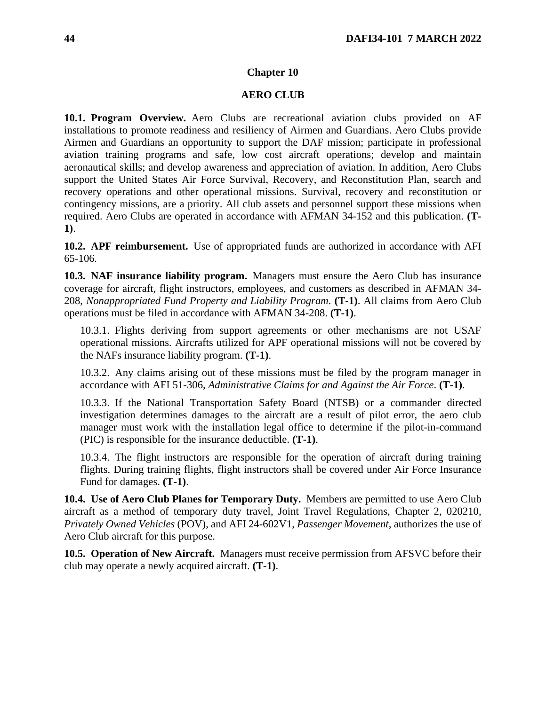## **AERO CLUB**

**10.1. Program Overview.** Aero Clubs are recreational aviation clubs provided on AF installations to promote readiness and resiliency of Airmen and Guardians. Aero Clubs provide Airmen and Guardians an opportunity to support the DAF mission; participate in professional aviation training programs and safe, low cost aircraft operations; develop and maintain aeronautical skills; and develop awareness and appreciation of aviation. In addition, Aero Clubs support the United States Air Force Survival, Recovery, and Reconstitution Plan, search and recovery operations and other operational missions. Survival, recovery and reconstitution or contingency missions, are a priority. All club assets and personnel support these missions when required. Aero Clubs are operated in accordance with AFMAN 34-152 and this publication. **(T-1)**.

**10.2. APF reimbursement.** Use of appropriated funds are authorized in accordance with AFI 65-106*.* 

**10.3. NAF insurance liability program.** Managers must ensure the Aero Club has insurance coverage for aircraft, flight instructors, employees, and customers as described in AFMAN 34- 208, *Nonappropriated Fund Property and Liability Program*. **(T-1)**. All claims from Aero Club operations must be filed in accordance with AFMAN 34-208. **(T-1)**.

10.3.1. Flights deriving from support agreements or other mechanisms are not USAF operational missions. Aircrafts utilized for APF operational missions will not be covered by the NAFs insurance liability program. **(T-1)**.

10.3.2. Any claims arising out of these missions must be filed by the program manager in accordance with AFI 51-306, *Administrative Claims for and Against the Air Force*. **(T-1)**.

10.3.3. If the National Transportation Safety Board (NTSB) or a commander directed investigation determines damages to the aircraft are a result of pilot error, the aero club manager must work with the installation legal office to determine if the pilot-in-command (PIC) is responsible for the insurance deductible. **(T-1)**.

10.3.4. The flight instructors are responsible for the operation of aircraft during training flights. During training flights, flight instructors shall be covered under Air Force Insurance Fund for damages. **(T-1)**.

**10.4. Use of Aero Club Planes for Temporary Duty.** Members are permitted to use Aero Club aircraft as a method of temporary duty travel, Joint Travel Regulations, Chapter 2, 020210, *Privately Owned Vehicles* (POV), and AFI 24-602V1, *Passenger Movement*, authorizes the use of Aero Club aircraft for this purpose.

**10.5. Operation of New Aircraft.** Managers must receive permission from AFSVC before their club may operate a newly acquired aircraft. **(T-1)**.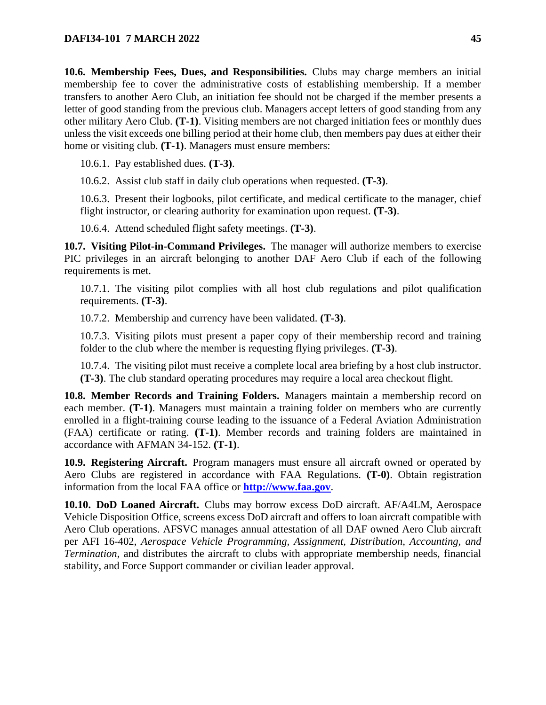**10.6. Membership Fees, Dues, and Responsibilities.** Clubs may charge members an initial membership fee to cover the administrative costs of establishing membership. If a member transfers to another Aero Club, an initiation fee should not be charged if the member presents a letter of good standing from the previous club. Managers accept letters of good standing from any other military Aero Club. **(T-1)**. Visiting members are not charged initiation fees or monthly dues unless the visit exceeds one billing period at their home club, then members pay dues at either their home or visiting club. **(T-1)**. Managers must ensure members:

10.6.1. Pay established dues. **(T-3)**.

10.6.2. Assist club staff in daily club operations when requested. **(T-3)**.

10.6.3. Present their logbooks, pilot certificate, and medical certificate to the manager, chief flight instructor, or clearing authority for examination upon request. **(T-3)**.

10.6.4. Attend scheduled flight safety meetings. **(T-3)**.

**10.7. Visiting Pilot-in-Command Privileges.** The manager will authorize members to exercise PIC privileges in an aircraft belonging to another DAF Aero Club if each of the following requirements is met.

10.7.1. The visiting pilot complies with all host club regulations and pilot qualification requirements. **(T-3)**.

10.7.2. Membership and currency have been validated. **(T-3)**.

10.7.3. Visiting pilots must present a paper copy of their membership record and training folder to the club where the member is requesting flying privileges. **(T-3)**.

10.7.4. The visiting pilot must receive a complete local area briefing by a host club instructor. **(T-3)**. The club standard operating procedures may require a local area checkout flight.

**10.8. Member Records and Training Folders.** Managers maintain a membership record on each member. **(T-1)**. Managers must maintain a training folder on members who are currently enrolled in a flight-training course leading to the issuance of a Federal Aviation Administration (FAA) certificate or rating. **(T-1)**. Member records and training folders are maintained in accordance with AFMAN 34-152. **(T-1)**.

**10.9. Registering Aircraft.** Program managers must ensure all aircraft owned or operated by Aero Clubs are registered in accordance with FAA Regulations. **(T-0)**. Obtain registration information from the local FAA office or **[http://www.faa.gov](http://www.faa.gov/)**.

**10.10. DoD Loaned Aircraft.** Clubs may borrow excess DoD aircraft. AF/A4LM, Aerospace Vehicle Disposition Office, screens excess DoD aircraft and offers to loan aircraft compatible with Aero Club operations. AFSVC manages annual attestation of all DAF owned Aero Club aircraft per AFI 16-402, *Aerospace Vehicle Programming, Assignment, Distribution, Accounting, and Termination*, and distributes the aircraft to clubs with appropriate membership needs, financial stability, and Force Support commander or civilian leader approval.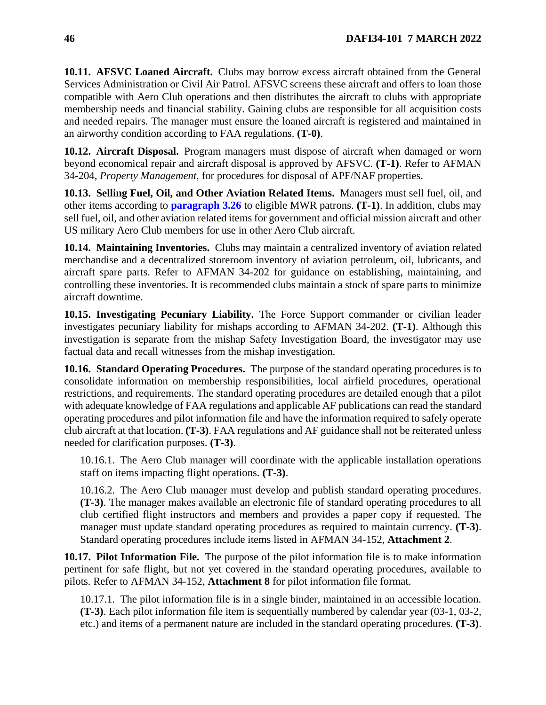**10.11. AFSVC Loaned Aircraft.** Clubs may borrow excess aircraft obtained from the General Services Administration or Civil Air Patrol. AFSVC screens these aircraft and offers to loan those compatible with Aero Club operations and then distributes the aircraft to clubs with appropriate membership needs and financial stability. Gaining clubs are responsible for all acquisition costs and needed repairs. The manager must ensure the loaned aircraft is registered and maintained in an airworthy condition according to FAA regulations. **(T-0)**.

**10.12. Aircraft Disposal.** Program managers must dispose of aircraft when damaged or worn beyond economical repair and aircraft disposal is approved by AFSVC. **(T-1)**. Refer to AFMAN 34-204, *Property Management,* for procedures for disposal of APF/NAF properties.

**10.13. Selling Fuel, Oil, and Other Aviation Related Items.** Managers must sell fuel, oil, and other items according to **[paragraph 3.26](#page-22-0)** to eligible MWR patrons. **(T-1)**. In addition, clubs may sell fuel, oil, and other aviation related items for government and official mission aircraft and other US military Aero Club members for use in other Aero Club aircraft.

**10.14. Maintaining Inventories.** Clubs may maintain a centralized inventory of aviation related merchandise and a decentralized storeroom inventory of aviation petroleum, oil, lubricants, and aircraft spare parts. Refer to AFMAN 34-202 for guidance on establishing, maintaining, and controlling these inventories. It is recommended clubs maintain a stock of spare parts to minimize aircraft downtime.

**10.15. Investigating Pecuniary Liability.** The Force Support commander or civilian leader investigates pecuniary liability for mishaps according to AFMAN 34-202. **(T-1)**. Although this investigation is separate from the mishap Safety Investigation Board, the investigator may use factual data and recall witnesses from the mishap investigation.

**10.16. Standard Operating Procedures.** The purpose of the standard operating procedures is to consolidate information on membership responsibilities, local airfield procedures, operational restrictions, and requirements. The standard operating procedures are detailed enough that a pilot with adequate knowledge of FAA regulations and applicable AF publications can read the standard operating procedures and pilot information file and have the information required to safely operate club aircraft at that location. **(T-3)**. FAA regulations and AF guidance shall not be reiterated unless needed for clarification purposes. **(T-3)**.

10.16.1. The Aero Club manager will coordinate with the applicable installation operations staff on items impacting flight operations. **(T-3)**.

10.16.2. The Aero Club manager must develop and publish standard operating procedures. **(T-3)**. The manager makes available an electronic file of standard operating procedures to all club certified flight instructors and members and provides a paper copy if requested. The manager must update standard operating procedures as required to maintain currency. **(T-3)**. Standard operating procedures include items listed in AFMAN 34-152, **Attachment 2**.

**10.17. Pilot Information File.** The purpose of the pilot information file is to make information pertinent for safe flight, but not yet covered in the standard operating procedures, available to pilots. Refer to AFMAN 34-152, **Attachment 8** for pilot information file format.

10.17.1. The pilot information file is in a single binder, maintained in an accessible location. **(T-3)**. Each pilot information file item is sequentially numbered by calendar year (03-1, 03-2, etc.) and items of a permanent nature are included in the standard operating procedures. **(T-3)**.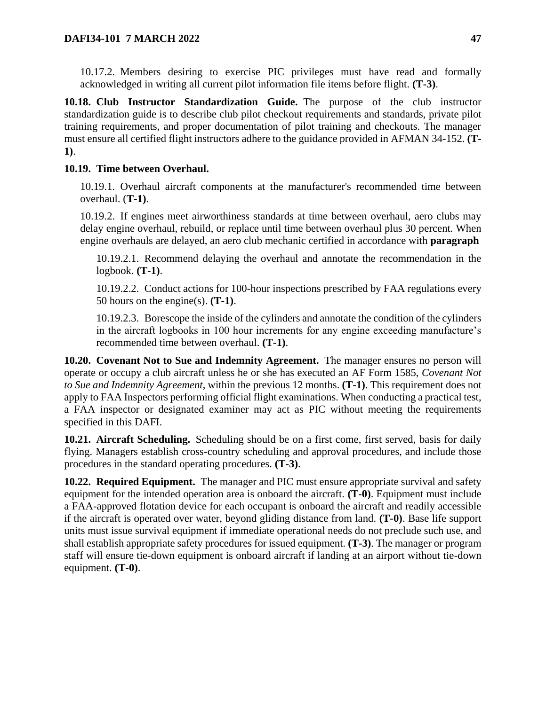10.17.2. Members desiring to exercise PIC privileges must have read and formally acknowledged in writing all current pilot information file items before flight. **(T-3)**.

**10.18. Club Instructor Standardization Guide.** The purpose of the club instructor standardization guide is to describe club pilot checkout requirements and standards, private pilot training requirements, and proper documentation of pilot training and checkouts. The manager must ensure all certified flight instructors adhere to the guidance provided in AFMAN 34-152. **(T-1)**.

# **10.19. Time between Overhaul.**

10.19.1. Overhaul aircraft components at the manufacturer's recommended time between overhaul. (**T-1)**.

10.19.2. If engines meet airworthiness standards at time between overhaul, aero clubs may delay engine overhaul, rebuild, or replace until time between overhaul plus 30 percent. When engine overhauls are delayed, an aero club mechanic certified in accordance with **paragraph**

10.19.2.1. Recommend delaying the overhaul and annotate the recommendation in the logbook. **(T-1)**.

10.19.2.2. Conduct actions for 100-hour inspections prescribed by FAA regulations every 50 hours on the engine(s). **(T-1)**.

10.19.2.3. Borescope the inside of the cylinders and annotate the condition of the cylinders in the aircraft logbooks in 100 hour increments for any engine exceeding manufacture's recommended time between overhaul. **(T-1)**.

**10.20. Covenant Not to Sue and Indemnity Agreement.** The manager ensures no person will operate or occupy a club aircraft unless he or she has executed an AF Form 1585, *Covenant Not to Sue and Indemnity Agreement*, within the previous 12 months. **(T-1)**. This requirement does not apply to FAA Inspectors performing official flight examinations. When conducting a practical test, a FAA inspector or designated examiner may act as PIC without meeting the requirements specified in this DAFI.

**10.21. Aircraft Scheduling.** Scheduling should be on a first come, first served, basis for daily flying. Managers establish cross-country scheduling and approval procedures, and include those procedures in the standard operating procedures. **(T-3)**.

**10.22. Required Equipment.** The manager and PIC must ensure appropriate survival and safety equipment for the intended operation area is onboard the aircraft. **(T-0)**. Equipment must include a FAA-approved flotation device for each occupant is onboard the aircraft and readily accessible if the aircraft is operated over water, beyond gliding distance from land. **(T-0)**. Base life support units must issue survival equipment if immediate operational needs do not preclude such use, and shall establish appropriate safety procedures for issued equipment. **(T-3)**. The manager or program staff will ensure tie-down equipment is onboard aircraft if landing at an airport without tie-down equipment. **(T-0)**.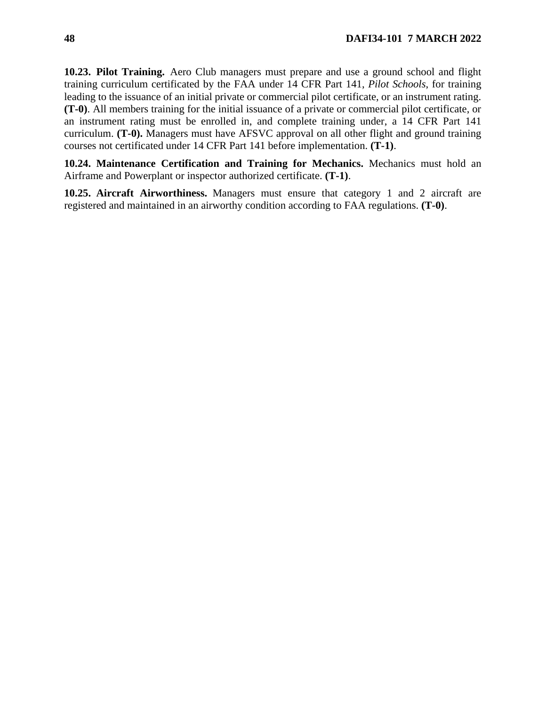**10.23. Pilot Training.** Aero Club managers must prepare and use a ground school and flight training curriculum certificated by the FAA under 14 CFR Part 141, *Pilot Schools*, for training leading to the issuance of an initial private or commercial pilot certificate, or an instrument rating. **(T-0)**. All members training for the initial issuance of a private or commercial pilot certificate, or an instrument rating must be enrolled in, and complete training under, a 14 CFR Part 141 curriculum. **(T-0).** Managers must have AFSVC approval on all other flight and ground training courses not certificated under 14 CFR Part 141 before implementation. **(T-1)**.

**10.24. Maintenance Certification and Training for Mechanics.** Mechanics must hold an Airframe and Powerplant or inspector authorized certificate. **(T-1)**.

**10.25. Aircraft Airworthiness.** Managers must ensure that category 1 and 2 aircraft are registered and maintained in an airworthy condition according to FAA regulations. **(T-0)**.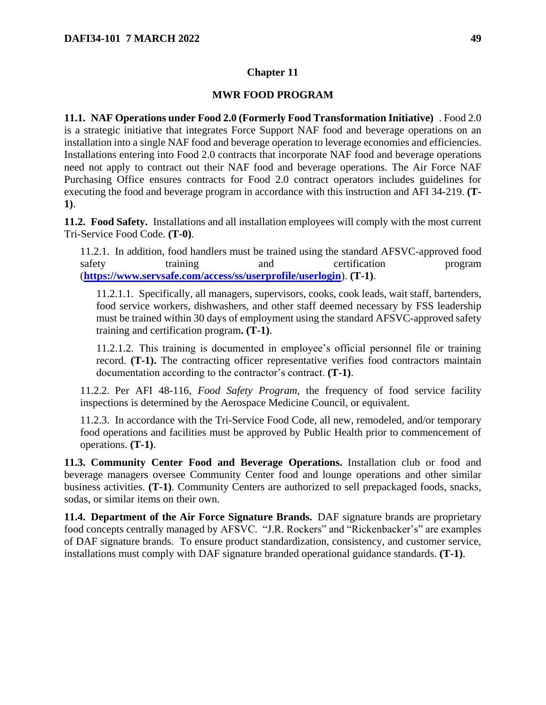# **MWR FOOD PROGRAM**

<span id="page-48-1"></span>**11.1. NAF Operations under Food 2.0 (Formerly Food Transformation Initiative)** . Food 2.0 is a strategic initiative that integrates Force Support NAF food and beverage operations on an installation into a single NAF food and beverage operation to leverage economies and efficiencies. Installations entering into Food 2.0 contracts that incorporate NAF food and beverage operations need not apply to contract out their NAF food and beverage operations. The Air Force NAF Purchasing Office ensures contracts for Food 2.0 contract operators includes guidelines for executing the food and beverage program in accordance with this instruction and AFI 34-219. **(T-1)**.

**11.2. Food Safety.** Installations and all installation employees will comply with the most current Tri-Service Food Code. **(T-0)**.

11.2.1. In addition, food handlers must be trained using the standard AFSVC-approved food safety training and certification program (**<https://www.servsafe.com/access/ss/userprofile/userlogin>**). **(T-1)**.

11.2.1.1. Specifically, all managers, supervisors, cooks, cook leads, wait staff, bartenders, food service workers, dishwashers, and other staff deemed necessary by FSS leadership must be trained within 30 days of employment using the standard AFSVC-approved safety training and certification program**. (T-1)**.

11.2.1.2. This training is documented in employee's official personnel file or training record. **(T-1).** The contracting officer representative verifies food contractors maintain documentation according to the contractor's contract. **(T-1)**.

11.2.2. Per AFI 48-116, *Food Safety Program,* the frequency of food service facility inspections is determined by the Aerospace Medicine Council, or equivalent.

11.2.3. In accordance with the Tri-Service Food Code, all new, remodeled, and/or temporary food operations and facilities must be approved by Public Health prior to commencement of operations. **(T-1)**.

<span id="page-48-0"></span>**11.3. Community Center Food and Beverage Operations.** Installation club or food and beverage managers oversee Community Center food and lounge operations and other similar business activities. **(T-1)**. Community Centers are authorized to sell prepackaged foods, snacks, sodas, or similar items on their own.

**11.4. Department of the Air Force Signature Brands.** DAF signature brands are proprietary food concepts centrally managed by AFSVC. "J.R. Rockers" and "Rickenbacker's" are examples of DAF signature brands. To ensure product standardization, consistency, and customer service, installations must comply with DAF signature branded operational guidance standards. **(T-1)**.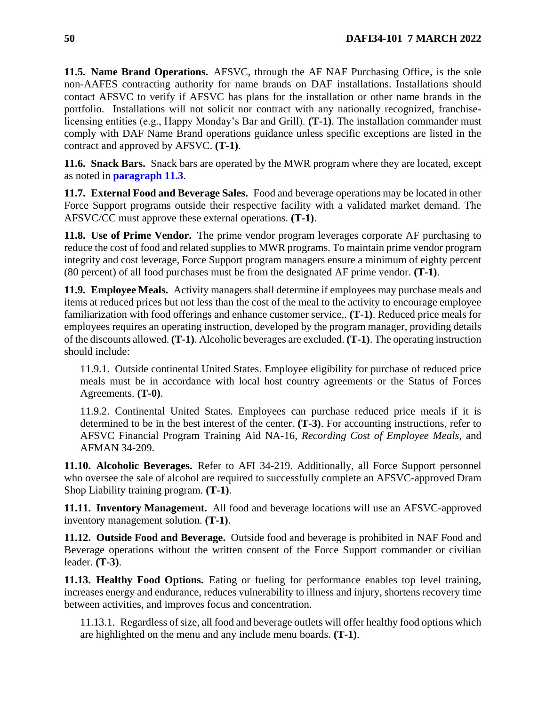**11.5. Name Brand Operations.** AFSVC, through the AF NAF Purchasing Office, is the sole non-AAFES contracting authority for name brands on DAF installations. Installations should contact AFSVC to verify if AFSVC has plans for the installation or other name brands in the portfolio. Installations will not solicit nor contract with any nationally recognized, franchiselicensing entities (e.g., Happy Monday's Bar and Grill). **(T-1)**. The installation commander must comply with DAF Name Brand operations guidance unless specific exceptions are listed in the contract and approved by AFSVC. **(T-1)**.

**11.6. Snack Bars.** Snack bars are operated by the MWR program where they are located, except as noted in **[paragraph 11.3](#page-48-0)**.

**11.7. External Food and Beverage Sales.** Food and beverage operations may be located in other Force Support programs outside their respective facility with a validated market demand. The AFSVC/CC must approve these external operations. **(T-1)**.

**11.8. Use of Prime Vendor.** The prime vendor program leverages corporate AF purchasing to reduce the cost of food and related supplies to MWR programs. To maintain prime vendor program integrity and cost leverage, Force Support program managers ensure a minimum of eighty percent (80 percent) of all food purchases must be from the designated AF prime vendor. **(T-1)**.

**11.9. Employee Meals.** Activity managers shall determine if employees may purchase meals and items at reduced prices but not less than the cost of the meal to the activity to encourage employee familiarization with food offerings and enhance customer service,. **(T-1)**. Reduced price meals for employees requires an operating instruction, developed by the program manager, providing details of the discounts allowed. **(T-1)**. Alcoholic beverages are excluded. **(T-1)**. The operating instruction should include:

11.9.1. Outside continental United States. Employee eligibility for purchase of reduced price meals must be in accordance with local host country agreements or the Status of Forces Agreements. **(T-0)**.

11.9.2. Continental United States. Employees can purchase reduced price meals if it is determined to be in the best interest of the center. **(T-3)**. For accounting instructions, refer to AFSVC Financial Program Training Aid NA-16, *Recording Cost of Employee Meals*, and AFMAN 34-209.

**11.10. Alcoholic Beverages.** Refer to AFI 34-219. Additionally, all Force Support personnel who oversee the sale of alcohol are required to successfully complete an AFSVC-approved Dram Shop Liability training program. **(T-1)**.

**11.11. Inventory Management.** All food and beverage locations will use an AFSVC-approved inventory management solution. **(T-1)**.

**11.12. Outside Food and Beverage.** Outside food and beverage is prohibited in NAF Food and Beverage operations without the written consent of the Force Support commander or civilian leader. **(T-3)**.

**11.13. Healthy Food Options.** Eating or fueling for performance enables top level training, increases energy and endurance, reduces vulnerability to illness and injury, shortens recovery time between activities, and improves focus and concentration.

11.13.1. Regardless of size, all food and beverage outlets will offer healthy food options which are highlighted on the menu and any include menu boards. **(T-1)**.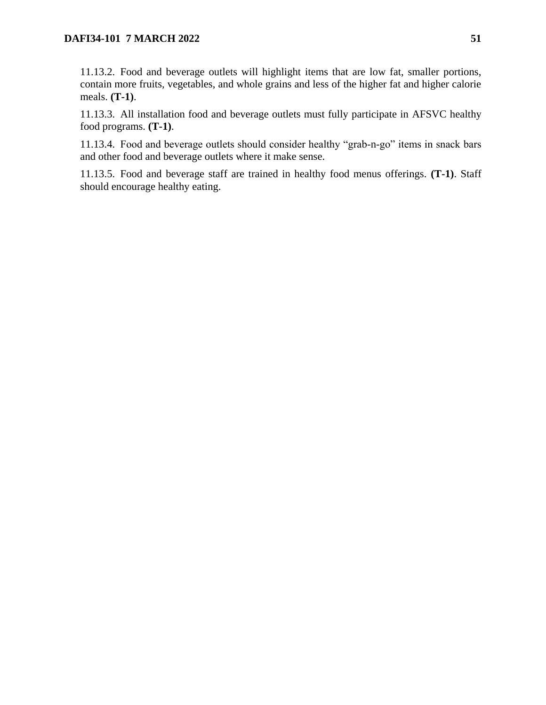11.13.2. Food and beverage outlets will highlight items that are low fat, smaller portions, contain more fruits, vegetables, and whole grains and less of the higher fat and higher calorie meals. **(T-1)**.

11.13.3. All installation food and beverage outlets must fully participate in AFSVC healthy food programs. **(T-1)**.

11.13.4. Food and beverage outlets should consider healthy "grab-n-go" items in snack bars and other food and beverage outlets where it make sense.

11.13.5. Food and beverage staff are trained in healthy food menus offerings. **(T-1)**. Staff should encourage healthy eating.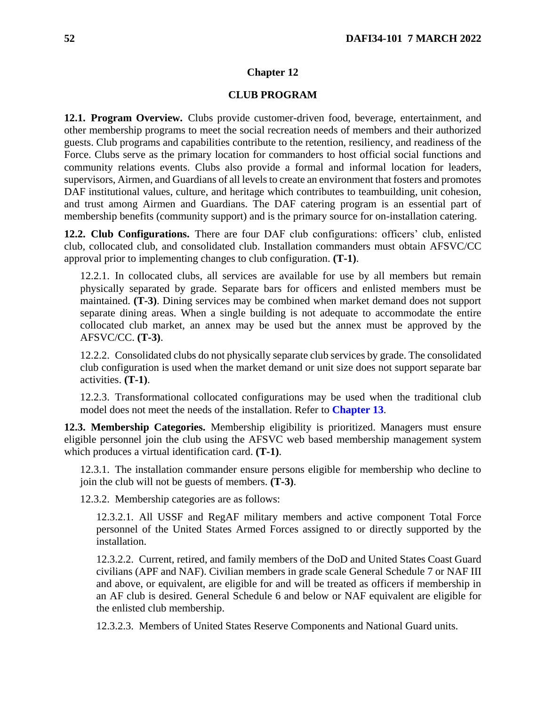## **CLUB PROGRAM**

**12.1. Program Overview.** Clubs provide customer-driven food, beverage, entertainment, and other membership programs to meet the social recreation needs of members and their authorized guests. Club programs and capabilities contribute to the retention, resiliency, and readiness of the Force. Clubs serve as the primary location for commanders to host official social functions and community relations events. Clubs also provide a formal and informal location for leaders, supervisors, Airmen, and Guardians of all levels to create an environment that fosters and promotes DAF institutional values, culture, and heritage which contributes to teambuilding, unit cohesion, and trust among Airmen and Guardians. The DAF catering program is an essential part of membership benefits (community support) and is the primary source for on-installation catering.

**12.2. Club Configurations.** There are four DAF club configurations: officers' club, enlisted club, collocated club, and consolidated club. Installation commanders must obtain AFSVC/CC approval prior to implementing changes to club configuration. **(T-1)**.

12.2.1. In collocated clubs, all services are available for use by all members but remain physically separated by grade. Separate bars for officers and enlisted members must be maintained. **(T-3)**. Dining services may be combined when market demand does not support separate dining areas. When a single building is not adequate to accommodate the entire collocated club market, an annex may be used but the annex must be approved by the AFSVC/CC. **(T-3)**.

12.2.2. Consolidated clubs do not physically separate club services by grade. The consolidated club configuration is used when the market demand or unit size does not support separate bar activities. **(T-1)**.

12.2.3. Transformational collocated configurations may be used when the traditional club model does not meet the needs of the installation. Refer to **[Chapter 13](#page-57-0)**.

<span id="page-51-0"></span>**12.3. Membership Categories.** Membership eligibility is prioritized. Managers must ensure eligible personnel join the club using the AFSVC web based membership management system which produces a virtual identification card. **(T-1)**.

12.3.1. The installation commander ensure persons eligible for membership who decline to join the club will not be guests of members. **(T-3)**.

12.3.2. Membership categories are as follows:

12.3.2.1. All USSF and RegAF military members and active component Total Force personnel of the United States Armed Forces assigned to or directly supported by the installation.

12.3.2.2. Current, retired, and family members of the DoD and United States Coast Guard civilians (APF and NAF). Civilian members in grade scale General Schedule 7 or NAF III and above, or equivalent, are eligible for and will be treated as officers if membership in an AF club is desired. General Schedule 6 and below or NAF equivalent are eligible for the enlisted club membership.

12.3.2.3. Members of United States Reserve Components and National Guard units.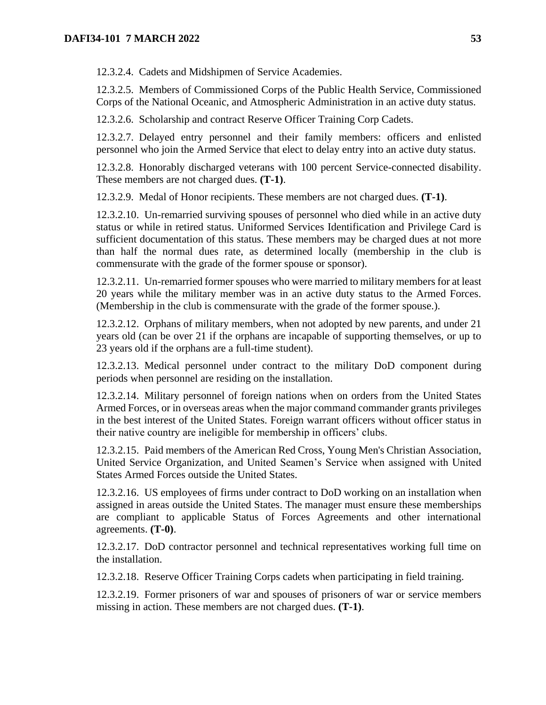12.3.2.4. Cadets and Midshipmen of Service Academies.

12.3.2.5. Members of Commissioned Corps of the Public Health Service, Commissioned Corps of the National Oceanic, and Atmospheric Administration in an active duty status.

12.3.2.6. Scholarship and contract Reserve Officer Training Corp Cadets.

12.3.2.7. Delayed entry personnel and their family members: officers and enlisted personnel who join the Armed Service that elect to delay entry into an active duty status.

12.3.2.8. Honorably discharged veterans with 100 percent Service-connected disability. These members are not charged dues. **(T-1)**.

12.3.2.9. Medal of Honor recipients. These members are not charged dues. **(T-1)**.

12.3.2.10. Un-remarried surviving spouses of personnel who died while in an active duty status or while in retired status. Uniformed Services Identification and Privilege Card is sufficient documentation of this status. These members may be charged dues at not more than half the normal dues rate, as determined locally (membership in the club is commensurate with the grade of the former spouse or sponsor).

12.3.2.11. Un-remarried former spouses who were married to military members for at least 20 years while the military member was in an active duty status to the Armed Forces. (Membership in the club is commensurate with the grade of the former spouse.).

12.3.2.12. Orphans of military members, when not adopted by new parents, and under 21 years old (can be over 21 if the orphans are incapable of supporting themselves, or up to 23 years old if the orphans are a full-time student).

12.3.2.13. Medical personnel under contract to the military DoD component during periods when personnel are residing on the installation.

12.3.2.14. Military personnel of foreign nations when on orders from the United States Armed Forces, or in overseas areas when the major command commander grants privileges in the best interest of the United States. Foreign warrant officers without officer status in their native country are ineligible for membership in officers' clubs.

12.3.2.15. Paid members of the American Red Cross, Young Men's Christian Association, United Service Organization, and United Seamen's Service when assigned with United States Armed Forces outside the United States.

12.3.2.16. US employees of firms under contract to DoD working on an installation when assigned in areas outside the United States. The manager must ensure these memberships are compliant to applicable Status of Forces Agreements and other international agreements. **(T-0)**.

12.3.2.17. DoD contractor personnel and technical representatives working full time on the installation.

12.3.2.18. Reserve Officer Training Corps cadets when participating in field training.

12.3.2.19. Former prisoners of war and spouses of prisoners of war or service members missing in action. These members are not charged dues. **(T-1)**.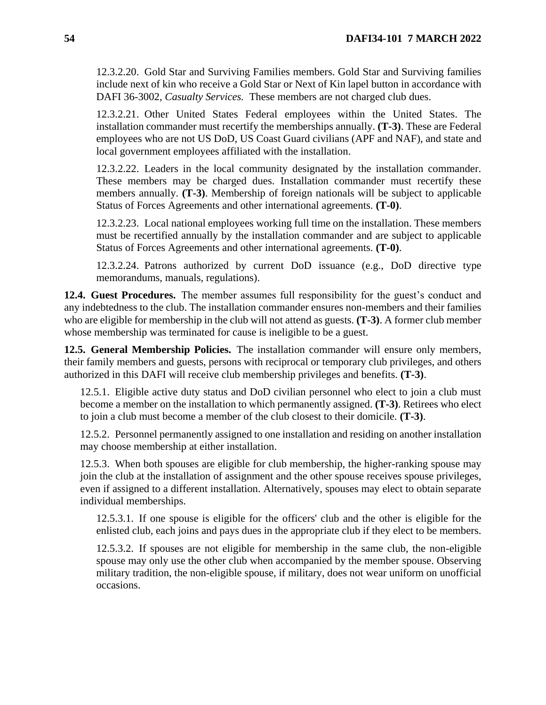12.3.2.20. Gold Star and Surviving Families members. Gold Star and Surviving families include next of kin who receive a Gold Star or Next of Kin lapel button in accordance with DAFI 36-3002, *Casualty Services.* These members are not charged club dues.

12.3.2.21. Other United States Federal employees within the United States. The installation commander must recertify the memberships annually. **(T-3)**. These are Federal employees who are not US DoD, US Coast Guard civilians (APF and NAF), and state and local government employees affiliated with the installation.

12.3.2.22. Leaders in the local community designated by the installation commander. These members may be charged dues. Installation commander must recertify these members annually. **(T-3)**. Membership of foreign nationals will be subject to applicable Status of Forces Agreements and other international agreements. **(T-0)**.

12.3.2.23. Local national employees working full time on the installation. These members must be recertified annually by the installation commander and are subject to applicable Status of Forces Agreements and other international agreements. **(T-0)**.

12.3.2.24. Patrons authorized by current DoD issuance (e.g., DoD directive type memorandums, manuals, regulations).

**12.4. Guest Procedures.** The member assumes full responsibility for the guest's conduct and any indebtedness to the club. The installation commander ensures non-members and their families who are eligible for membership in the club will not attend as guests. **(T-3)**. A former club member whose membership was terminated for cause is ineligible to be a guest.

**12.5. General Membership Policies.** The installation commander will ensure only members, their family members and guests, persons with reciprocal or temporary club privileges, and others authorized in this DAFI will receive club membership privileges and benefits. **(T-3)**.

12.5.1. Eligible active duty status and DoD civilian personnel who elect to join a club must become a member on the installation to which permanently assigned. **(T-3)**. Retirees who elect to join a club must become a member of the club closest to their domicile. **(T-3)**.

12.5.2. Personnel permanently assigned to one installation and residing on another installation may choose membership at either installation.

12.5.3. When both spouses are eligible for club membership, the higher-ranking spouse may join the club at the installation of assignment and the other spouse receives spouse privileges, even if assigned to a different installation. Alternatively, spouses may elect to obtain separate individual memberships.

12.5.3.1. If one spouse is eligible for the officers' club and the other is eligible for the enlisted club, each joins and pays dues in the appropriate club if they elect to be members.

12.5.3.2. If spouses are not eligible for membership in the same club, the non-eligible spouse may only use the other club when accompanied by the member spouse. Observing military tradition, the non-eligible spouse, if military, does not wear uniform on unofficial occasions.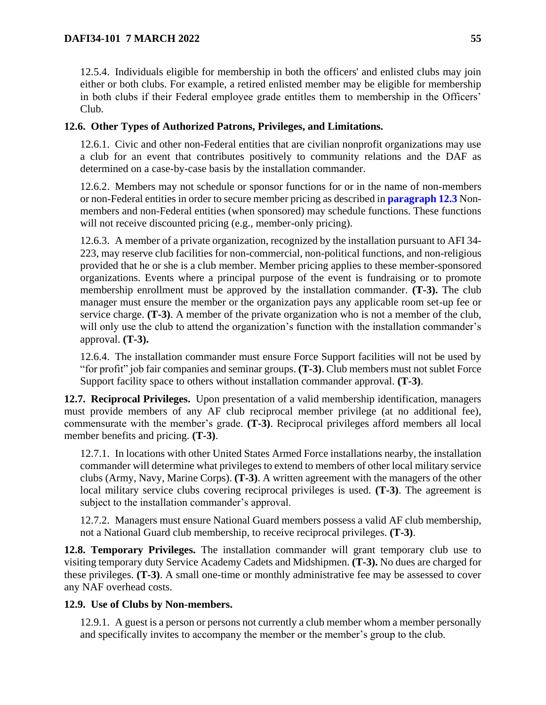12.5.4. Individuals eligible for membership in both the officers' and enlisted clubs may join either or both clubs. For example, a retired enlisted member may be eligible for membership in both clubs if their Federal employee grade entitles them to membership in the Officers' Club.

# **12.6. Other Types of Authorized Patrons, Privileges, and Limitations.**

12.6.1. Civic and other non-Federal entities that are civilian nonprofit organizations may use a club for an event that contributes positively to community relations and the DAF as determined on a case-by-case basis by the installation commander.

12.6.2. Members may not schedule or sponsor functions for or in the name of non-members or non-Federal entities in order to secure member pricing as described in **[paragraph 12.3](#page-51-0)** Nonmembers and non-Federal entities (when sponsored) may schedule functions. These functions will not receive discounted pricing (e.g., member-only pricing).

12.6.3. A member of a private organization, recognized by the installation pursuant to AFI 34- 223, may reserve club facilities for non-commercial, non-political functions, and non-religious provided that he or she is a club member. Member pricing applies to these member-sponsored organizations. Events where a principal purpose of the event is fundraising or to promote membership enrollment must be approved by the installation commander. **(T-3).** The club manager must ensure the member or the organization pays any applicable room set-up fee or service charge. **(T-3)**. A member of the private organization who is not a member of the club, will only use the club to attend the organization's function with the installation commander's approval. **(T-3).**

12.6.4. The installation commander must ensure Force Support facilities will not be used by "for profit" job fair companies and seminar groups. **(T-3)**. Club members must not sublet Force Support facility space to others without installation commander approval. **(T-3)**.

**12.7. Reciprocal Privileges.** Upon presentation of a valid membership identification, managers must provide members of any AF club reciprocal member privilege (at no additional fee), commensurate with the member's grade. **(T-3)**. Reciprocal privileges afford members all local member benefits and pricing. **(T-3)**.

12.7.1. In locations with other United States Armed Force installations nearby, the installation commander will determine what privileges to extend to members of other local military service clubs (Army, Navy, Marine Corps). **(T-3)**. A written agreement with the managers of the other local military service clubs covering reciprocal privileges is used. **(T-3)**. The agreement is subject to the installation commander's approval.

12.7.2. Managers must ensure National Guard members possess a valid AF club membership, not a National Guard club membership, to receive reciprocal privileges. **(T-3)**.

**12.8. Temporary Privileges.** The installation commander will grant temporary club use to visiting temporary duty Service Academy Cadets and Midshipmen. **(T-3).** No dues are charged for these privileges. **(T-3)**. A small one-time or monthly administrative fee may be assessed to cover any NAF overhead costs.

# **12.9. Use of Clubs by Non-members.**

12.9.1. A guest is a person or persons not currently a club member whom a member personally and specifically invites to accompany the member or the member's group to the club.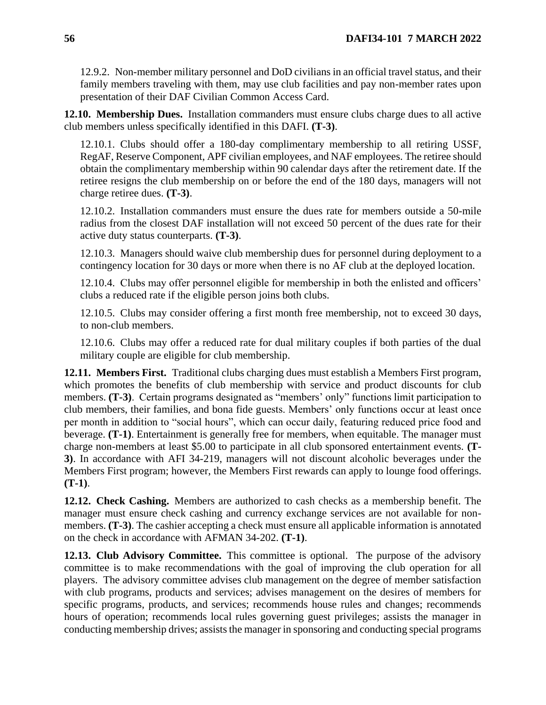12.9.2. Non-member military personnel and DoD civilians in an official travel status, and their family members traveling with them, may use club facilities and pay non-member rates upon presentation of their DAF Civilian Common Access Card.

**12.10. Membership Dues.** Installation commanders must ensure clubs charge dues to all active club members unless specifically identified in this DAFI. **(T-3)**.

12.10.1. Clubs should offer a 180-day complimentary membership to all retiring USSF, RegAF, Reserve Component, APF civilian employees, and NAF employees. The retiree should obtain the complimentary membership within 90 calendar days after the retirement date. If the retiree resigns the club membership on or before the end of the 180 days, managers will not charge retiree dues. **(T-3)**.

12.10.2. Installation commanders must ensure the dues rate for members outside a 50-mile radius from the closest DAF installation will not exceed 50 percent of the dues rate for their active duty status counterparts. **(T-3)**.

12.10.3. Managers should waive club membership dues for personnel during deployment to a contingency location for 30 days or more when there is no AF club at the deployed location.

12.10.4. Clubs may offer personnel eligible for membership in both the enlisted and officers' clubs a reduced rate if the eligible person joins both clubs.

12.10.5. Clubs may consider offering a first month free membership, not to exceed 30 days, to non-club members.

12.10.6. Clubs may offer a reduced rate for dual military couples if both parties of the dual military couple are eligible for club membership.

**12.11. Members First.** Traditional clubs charging dues must establish a Members First program, which promotes the benefits of club membership with service and product discounts for club members. **(T-3)**. Certain programs designated as "members' only" functions limit participation to club members, their families, and bona fide guests. Members' only functions occur at least once per month in addition to "social hours", which can occur daily, featuring reduced price food and beverage. **(T-1)**. Entertainment is generally free for members, when equitable. The manager must charge non-members at least \$5.00 to participate in all club sponsored entertainment events. **(T-3)**. In accordance with AFI 34-219, managers will not discount alcoholic beverages under the Members First program; however, the Members First rewards can apply to lounge food offerings. **(T-1)**.

**12.12. Check Cashing.** Members are authorized to cash checks as a membership benefit. The manager must ensure check cashing and currency exchange services are not available for nonmembers. **(T-3)**. The cashier accepting a check must ensure all applicable information is annotated on the check in accordance with AFMAN 34-202. **(T-1)**.

**12.13. Club Advisory Committee.** This committee is optional. The purpose of the advisory committee is to make recommendations with the goal of improving the club operation for all players. The advisory committee advises club management on the degree of member satisfaction with club programs, products and services; advises management on the desires of members for specific programs, products, and services; recommends house rules and changes; recommends hours of operation; recommends local rules governing guest privileges; assists the manager in conducting membership drives; assists the manager in sponsoring and conducting special programs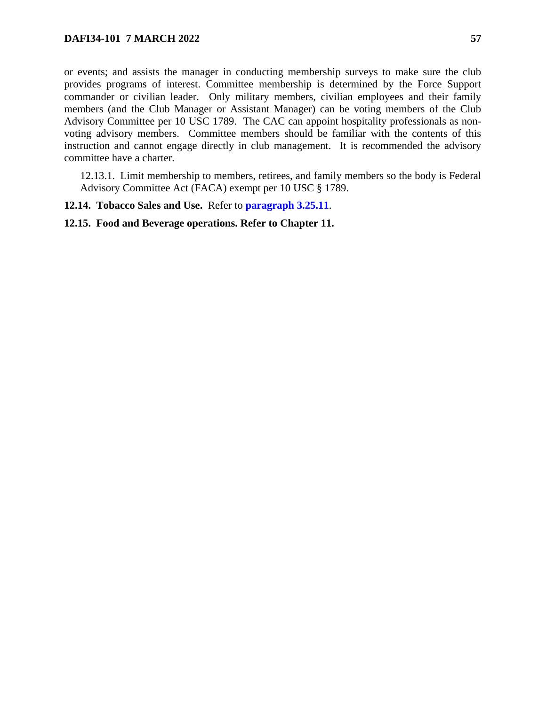or events; and assists the manager in conducting membership surveys to make sure the club provides programs of interest. Committee membership is determined by the Force Support commander or civilian leader. Only military members, civilian employees and their family members (and the Club Manager or Assistant Manager) can be voting members of the Club Advisory Committee per 10 USC 1789. The CAC can appoint hospitality professionals as nonvoting advisory members. Committee members should be familiar with the contents of this instruction and cannot engage directly in club management. It is recommended the advisory committee have a charter.

12.13.1. Limit membership to members, retirees, and family members so the body is Federal Advisory Committee Act (FACA) exempt per 10 USC § 1789.

# **12.14. Tobacco Sales and Use.** Refer to **[paragraph 3.25.11](#page-22-1)**.

### **12.15. Food and Beverage operations. Refer to Chapter 11.**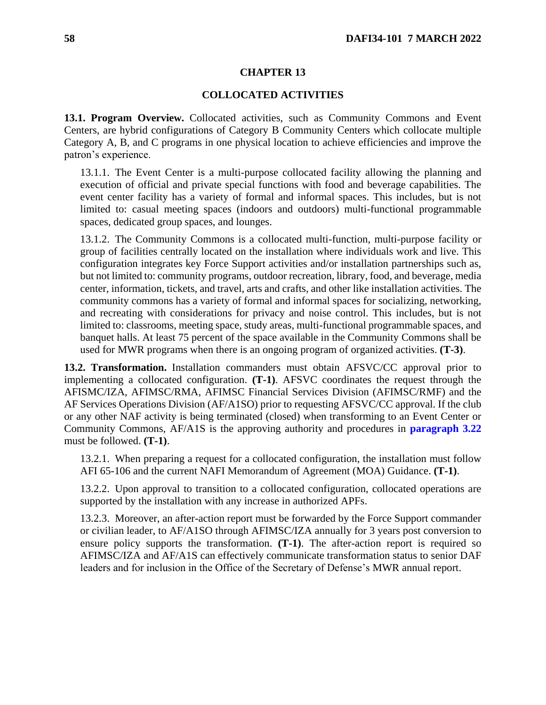#### **CHAPTER 13**

#### **COLLOCATED ACTIVITIES**

<span id="page-57-0"></span>**13.1. Program Overview.** Collocated activities, such as Community Commons and Event Centers, are hybrid configurations of Category B Community Centers which collocate multiple Category A, B, and C programs in one physical location to achieve efficiencies and improve the patron's experience.

13.1.1. The Event Center is a multi-purpose collocated facility allowing the planning and execution of official and private special functions with food and beverage capabilities. The event center facility has a variety of formal and informal spaces. This includes, but is not limited to: casual meeting spaces (indoors and outdoors) multi-functional programmable spaces, dedicated group spaces, and lounges.

13.1.2. The Community Commons is a collocated multi-function, multi-purpose facility or group of facilities centrally located on the installation where individuals work and live. This configuration integrates key Force Support activities and/or installation partnerships such as, but not limited to: community programs, outdoor recreation, library, food, and beverage, media center, information, tickets, and travel, arts and crafts, and other like installation activities. The community commons has a variety of formal and informal spaces for socializing, networking, and recreating with considerations for privacy and noise control. This includes, but is not limited to: classrooms, meeting space, study areas, multi-functional programmable spaces, and banquet halls. At least 75 percent of the space available in the Community Commons shall be used for MWR programs when there is an ongoing program of organized activities. **(T-3)**.

**13.2. Transformation.** Installation commanders must obtain AFSVC/CC approval prior to implementing a collocated configuration. **(T-1)**. AFSVC coordinates the request through the AFISMC/IZA, AFIMSC/RMA, AFIMSC Financial Services Division (AFIMSC/RMF) and the AF Services Operations Division (AF/A1SO) prior to requesting AFSVC/CC approval. If the club or any other NAF activity is being terminated (closed) when transforming to an Event Center or Community Commons, AF/A1S is the approving authority and procedures in **[paragraph 3.22](#page-20-1)** must be followed. **(T-1)**.

13.2.1. When preparing a request for a collocated configuration, the installation must follow AFI 65-106 and the current NAFI Memorandum of Agreement (MOA) Guidance. **(T-1)**.

13.2.2. Upon approval to transition to a collocated configuration, collocated operations are supported by the installation with any increase in authorized APFs.

13.2.3. Moreover, an after-action report must be forwarded by the Force Support commander or civilian leader, to AF/A1SO through AFIMSC/IZA annually for 3 years post conversion to ensure policy supports the transformation. **(T-1)**. The after-action report is required so AFIMSC/IZA and AF/A1S can effectively communicate transformation status to senior DAF leaders and for inclusion in the Office of the Secretary of Defense's MWR annual report.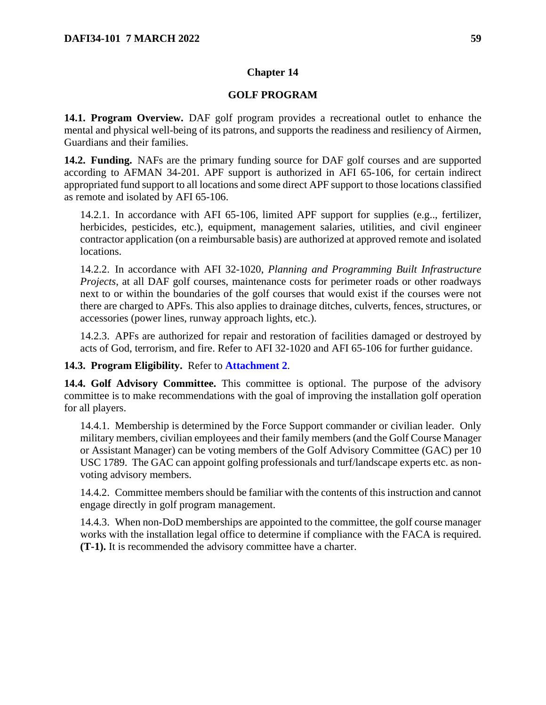# **GOLF PROGRAM**

**14.1. Program Overview.** DAF golf program provides a recreational outlet to enhance the mental and physical well-being of its patrons, and supports the readiness and resiliency of Airmen, Guardians and their families.

**14.2. Funding.** NAFs are the primary funding source for DAF golf courses and are supported according to AFMAN 34-201*.* APF support is authorized in AFI 65-106, for certain indirect appropriated fund support to all locations and some direct APF support to those locations classified as remote and isolated by AFI 65-106.

14.2.1. In accordance with AFI 65-106, limited APF support for supplies (e.g.., fertilizer, herbicides, pesticides, etc.), equipment, management salaries, utilities, and civil engineer contractor application (on a reimbursable basis) are authorized at approved remote and isolated locations.

14.2.2. In accordance with AFI 32-1020, *Planning and Programming Built Infrastructure Projects*, at all DAF golf courses, maintenance costs for perimeter roads or other roadways next to or within the boundaries of the golf courses that would exist if the courses were not there are charged to APFs. This also applies to drainage ditches, culverts, fences, structures, or accessories (power lines, runway approach lights, etc.).

14.2.3. APFs are authorized for repair and restoration of facilities damaged or destroyed by acts of God, terrorism, and fire. Refer to AFI 32-1020 and AFI 65-106 for further guidance.

# **14.3. Program Eligibility.** Refer to **[Attachment 2](#page-115-0)**.

**14.4. Golf Advisory Committee.** This committee is optional. The purpose of the advisory committee is to make recommendations with the goal of improving the installation golf operation for all players.

14.4.1. Membership is determined by the Force Support commander or civilian leader. Only military members, civilian employees and their family members (and the Golf Course Manager or Assistant Manager) can be voting members of the Golf Advisory Committee (GAC) per 10 USC 1789. The GAC can appoint golfing professionals and turf/landscape experts etc. as nonvoting advisory members.

14.4.2. Committee members should be familiar with the contents of this instruction and cannot engage directly in golf program management.

14.4.3. When non-DoD memberships are appointed to the committee, the golf course manager works with the installation legal office to determine if compliance with the FACA is required. **(T-1).** It is recommended the advisory committee have a charter.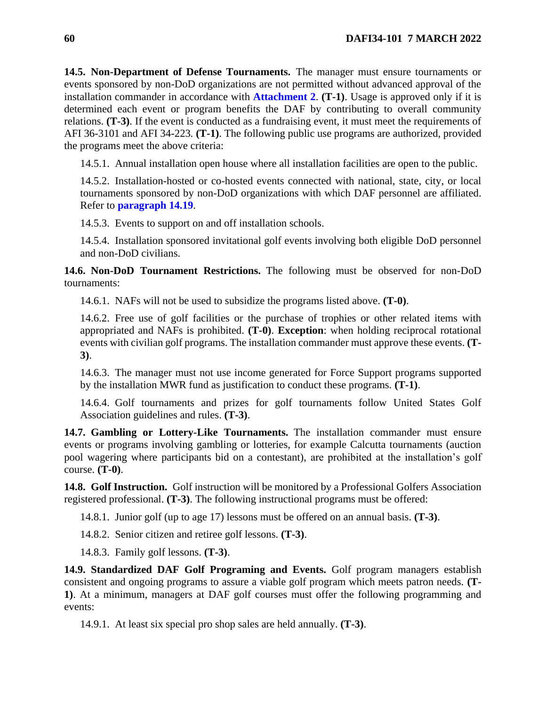**14.5. Non-Department of Defense Tournaments.** The manager must ensure tournaments or events sponsored by non-DoD organizations are not permitted without advanced approval of the installation commander in accordance with **[Attachment 2](#page-115-0)**. **(T-1)**. Usage is approved only if it is determined each event or program benefits the DAF by contributing to overall community relations. **(T-3)**. If the event is conducted as a fundraising event, it must meet the requirements of AFI 36-3101 and AFI 34-223*.* **(T-1)**. The following public use programs are authorized, provided the programs meet the above criteria:

14.5.1. Annual installation open house where all installation facilities are open to the public.

14.5.2. Installation-hosted or co-hosted events connected with national, state, city, or local tournaments sponsored by non-DoD organizations with which DAF personnel are affiliated. Refer to **[paragraph 14.19](#page-62-0)**.

14.5.3. Events to support on and off installation schools.

14.5.4. Installation sponsored invitational golf events involving both eligible DoD personnel and non-DoD civilians.

**14.6. Non-DoD Tournament Restrictions.** The following must be observed for non-DoD tournaments:

14.6.1. NAFs will not be used to subsidize the programs listed above. **(T-0)**.

14.6.2. Free use of golf facilities or the purchase of trophies or other related items with appropriated and NAFs is prohibited. **(T-0)**. **Exception**: when holding reciprocal rotational events with civilian golf programs. The installation commander must approve these events. **(T-3)**.

14.6.3. The manager must not use income generated for Force Support programs supported by the installation MWR fund as justification to conduct these programs. **(T-1)**.

14.6.4. Golf tournaments and prizes for golf tournaments follow United States Golf Association guidelines and rules. **(T-3)**.

**14.7. Gambling or Lottery-Like Tournaments.** The installation commander must ensure events or programs involving gambling or lotteries, for example Calcutta tournaments (auction pool wagering where participants bid on a contestant), are prohibited at the installation's golf course. **(T-0)**.

**14.8. Golf Instruction.** Golf instruction will be monitored by a Professional Golfers Association registered professional. **(T-3)**. The following instructional programs must be offered:

14.8.1. Junior golf (up to age 17) lessons must be offered on an annual basis. **(T-3)**.

14.8.2. Senior citizen and retiree golf lessons. **(T-3)**.

14.8.3. Family golf lessons. **(T-3)**.

**14.9. Standardized DAF Golf Programing and Events.** Golf program managers establish consistent and ongoing programs to assure a viable golf program which meets patron needs. **(T-1)**. At a minimum, managers at DAF golf courses must offer the following programming and events:

14.9.1. At least six special pro shop sales are held annually. **(T-3)**.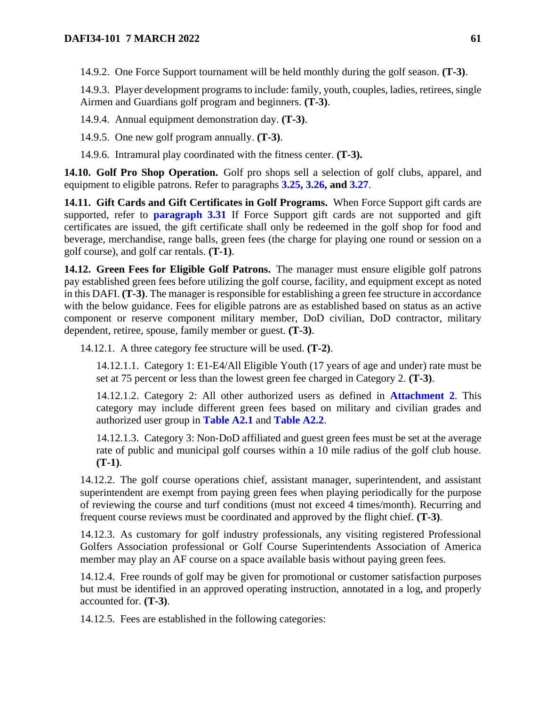14.9.2. One Force Support tournament will be held monthly during the golf season. **(T-3)**.

14.9.3. Player development programs to include: family, youth, couples, ladies, retirees, single Airmen and Guardians golf program and beginners. **(T-3)**.

14.9.4. Annual equipment demonstration day. **(T-3)**.

14.9.5. One new golf program annually. **(T-3)**.

14.9.6. Intramural play coordinated with the fitness center. **(T-3).**

**14.10. Golf Pro Shop Operation.** Golf pro shops sell a selection of golf clubs, apparel, and equipment to eligible patrons. Refer to paragraphs **[3.25,](#page-21-0) [3.26,](#page-22-0) and [3.27](#page-24-0)**.

**14.11. Gift Cards and Gift Certificates in Golf Programs.** When Force Support gift cards are supported, refer to **[paragraph 3.31](#page-26-0)** If Force Support gift cards are not supported and gift certificates are issued, the gift certificate shall only be redeemed in the golf shop for food and beverage, merchandise, range balls, green fees (the charge for playing one round or session on a golf course), and golf car rentals. **(T-1)**.

**14.12. Green Fees for Eligible Golf Patrons.** The manager must ensure eligible golf patrons pay established green fees before utilizing the golf course, facility, and equipment except as noted in this DAFI. **(T-3)**. The manager is responsible for establishing a green fee structure in accordance with the below guidance. Fees for eligible patrons are as established based on status as an active component or reserve component military member, DoD civilian, DoD contractor, military dependent, retiree, spouse, family member or guest. **(T-3)**.

<span id="page-60-0"></span>14.12.1. A three category fee structure will be used. **(T-2)**.

14.12.1.1. Category 1: E1-E4/All Eligible Youth (17 years of age and under) rate must be set at 75 percent or less than the lowest green fee charged in Category 2. **(T-3)**.

14.12.1.2. Category 2: All other authorized users as defined in **[Attachment 2](#page-115-0)**. This category may include different green fees based on military and civilian grades and authorized user group in **[Table A2.1](#page-115-1)** and **[Table A2.2](#page-119-0)**.

14.12.1.3. Category 3: Non-DoD affiliated and guest green fees must be set at the average rate of public and municipal golf courses within a 10 mile radius of the golf club house. **(T-1)**.

14.12.2. The golf course operations chief, assistant manager, superintendent, and assistant superintendent are exempt from paying green fees when playing periodically for the purpose of reviewing the course and turf conditions (must not exceed 4 times/month). Recurring and frequent course reviews must be coordinated and approved by the flight chief. **(T-3)**.

14.12.3. As customary for golf industry professionals, any visiting registered Professional Golfers Association professional or Golf Course Superintendents Association of America member may play an AF course on a space available basis without paying green fees.

14.12.4. Free rounds of golf may be given for promotional or customer satisfaction purposes but must be identified in an approved operating instruction, annotated in a log, and properly accounted for. **(T-3)**.

14.12.5. Fees are established in the following categories: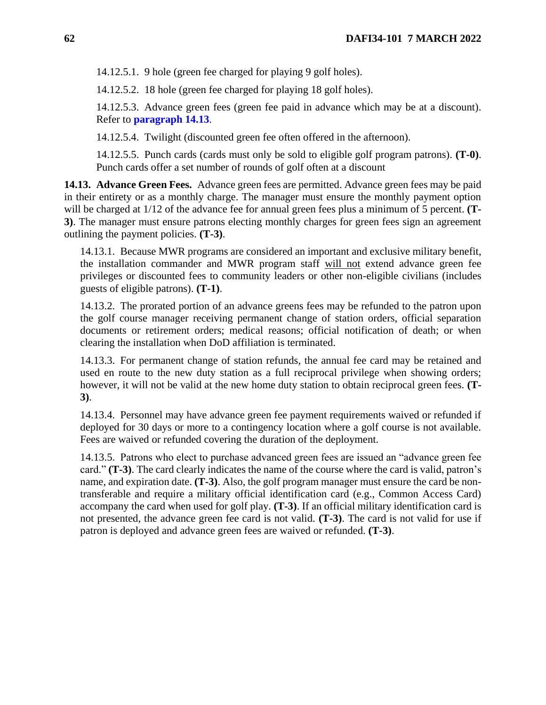14.12.5.1. 9 hole (green fee charged for playing 9 golf holes).

14.12.5.2. 18 hole (green fee charged for playing 18 golf holes).

14.12.5.3. Advance green fees (green fee paid in advance which may be at a discount). Refer to **[paragraph 14.13](#page-61-0)**.

14.12.5.4. Twilight (discounted green fee often offered in the afternoon).

14.12.5.5. Punch cards (cards must only be sold to eligible golf program patrons). **(T-0)**. Punch cards offer a set number of rounds of golf often at a discount

<span id="page-61-0"></span>**14.13. Advance Green Fees.** Advance green fees are permitted. Advance green fees may be paid in their entirety or as a monthly charge. The manager must ensure the monthly payment option will be charged at 1/12 of the advance fee for annual green fees plus a minimum of 5 percent. **(T-3)**. The manager must ensure patrons electing monthly charges for green fees sign an agreement outlining the payment policies. **(T-3)**.

14.13.1. Because MWR programs are considered an important and exclusive military benefit, the installation commander and MWR program staff will not extend advance green fee privileges or discounted fees to community leaders or other non-eligible civilians (includes guests of eligible patrons). **(T-1)**.

14.13.2. The prorated portion of an advance greens fees may be refunded to the patron upon the golf course manager receiving permanent change of station orders, official separation documents or retirement orders; medical reasons; official notification of death; or when clearing the installation when DoD affiliation is terminated.

14.13.3. For permanent change of station refunds, the annual fee card may be retained and used en route to the new duty station as a full reciprocal privilege when showing orders; however, it will not be valid at the new home duty station to obtain reciprocal green fees. **(T-3)**.

14.13.4. Personnel may have advance green fee payment requirements waived or refunded if deployed for 30 days or more to a contingency location where a golf course is not available. Fees are waived or refunded covering the duration of the deployment.

14.13.5. Patrons who elect to purchase advanced green fees are issued an "advance green fee card." **(T-3)**. The card clearly indicates the name of the course where the card is valid, patron's name, and expiration date. **(T-3)**. Also, the golf program manager must ensure the card be nontransferable and require a military official identification card (e.g., Common Access Card) accompany the card when used for golf play. **(T-3)**. If an official military identification card is not presented, the advance green fee card is not valid. **(T-3)**. The card is not valid for use if patron is deployed and advance green fees are waived or refunded. **(T-3)**.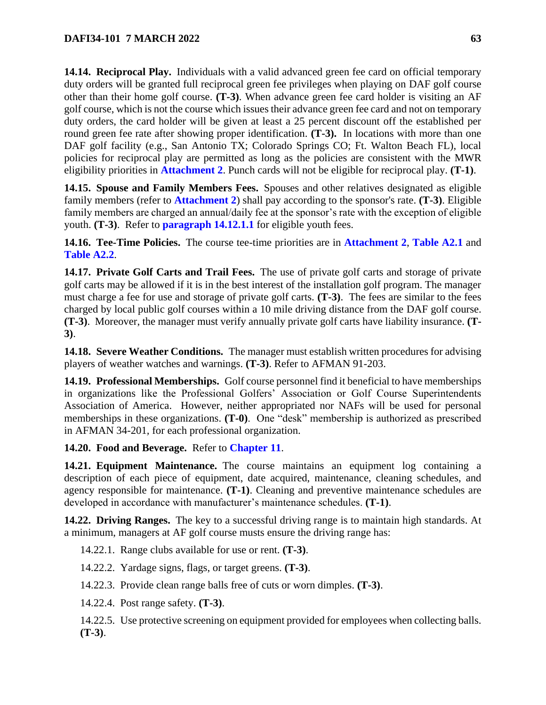**14.14. Reciprocal Play.** Individuals with a valid advanced green fee card on official temporary duty orders will be granted full reciprocal green fee privileges when playing on DAF golf course other than their home golf course. **(T-3)**. When advance green fee card holder is visiting an AF golf course, which is not the course which issues their advance green fee card and not on temporary duty orders, the card holder will be given at least a 25 percent discount off the established per round green fee rate after showing proper identification. **(T-3).** In locations with more than one DAF golf facility (e.g., San Antonio TX; Colorado Springs CO; Ft. Walton Beach FL), local policies for reciprocal play are permitted as long as the policies are consistent with the MWR eligibility priorities in **[Attachment 2](#page-115-0)**. Punch cards will not be eligible for reciprocal play. **(T-1)**.

**14.15. Spouse and Family Members Fees.** Spouses and other relatives designated as eligible family members (refer to **[Attachment 2](#page-115-0)**) shall pay according to the sponsor's rate. **(T-3)**. Eligible family members are charged an annual/daily fee at the sponsor's rate with the exception of eligible youth. **(T-3)**. Refer to **[paragraph 14.12.1.1](#page-60-0)** for eligible youth fees.

**14.16. Tee-Time Policies.** The course tee-time priorities are in **[Attachment 2](#page-115-0)**, **[Table A2.1](#page-115-1)** and **[Table A2.2](#page-119-0)**.

**14.17. Private Golf Carts and Trail Fees.** The use of private golf carts and storage of private golf carts may be allowed if it is in the best interest of the installation golf program. The manager must charge a fee for use and storage of private golf carts. **(T-3)**. The fees are similar to the fees charged by local public golf courses within a 10 mile driving distance from the DAF golf course. **(T-3)**.Moreover, the manager must verify annually private golf carts have liability insurance. **(T-3)**.

**14.18. Severe Weather Conditions.** The manager must establish written procedures for advising players of weather watches and warnings. **(T-3)**. Refer to AFMAN 91-203.

<span id="page-62-0"></span>**14.19. Professional Memberships.** Golf course personnel find it beneficial to have memberships in organizations like the Professional Golfers' Association or Golf Course Superintendents Association of America. However, neither appropriated nor NAFs will be used for personal memberships in these organizations. **(T-0)**. One "desk" membership is authorized as prescribed in AFMAN 34-201*,* for each professional organization.

**14.20. Food and Beverage.** Refer to **[Chapter 11](#page-48-1)**.

**14.21. Equipment Maintenance.** The course maintains an equipment log containing a description of each piece of equipment, date acquired, maintenance, cleaning schedules, and agency responsible for maintenance. **(T-1)**. Cleaning and preventive maintenance schedules are developed in accordance with manufacturer's maintenance schedules. **(T-1)**.

**14.22. Driving Ranges.** The key to a successful driving range is to maintain high standards. At a minimum, managers at AF golf course musts ensure the driving range has:

14.22.1. Range clubs available for use or rent. **(T-3)**.

14.22.2. Yardage signs, flags, or target greens. **(T-3)**.

14.22.3. Provide clean range balls free of cuts or worn dimples. **(T-3)**.

14.22.4. Post range safety. **(T-3)**.

14.22.5. Use protective screening on equipment provided for employees when collecting balls. **(T-3)**.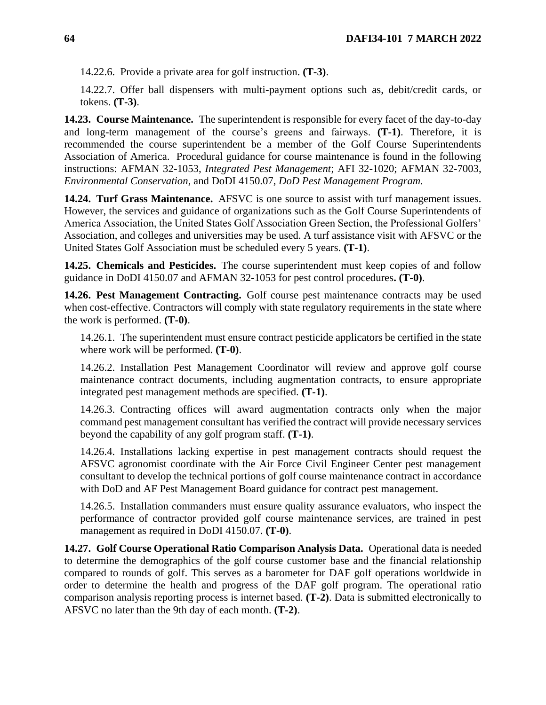14.22.6. Provide a private area for golf instruction. **(T-3)**.

14.22.7. Offer ball dispensers with multi-payment options such as, debit/credit cards, or tokens. **(T-3)**.

**14.23. Course Maintenance.** The superintendent is responsible for every facet of the day-to-day and long-term management of the course's greens and fairways. **(T-1)**. Therefore, it is recommended the course superintendent be a member of the Golf Course Superintendents Association of America. Procedural guidance for course maintenance is found in the following instructions: AFMAN 32-1053, *Integrated Pest Management*; AFI 32-1020; AFMAN 32-7003, *Environmental Conservation*, and DoDI 4150.07, *DoD Pest Management Program.*

**14.24. Turf Grass Maintenance.** AFSVC is one source to assist with turf management issues. However, the services and guidance of organizations such as the Golf Course Superintendents of America Association, the United States Golf Association Green Section, the Professional Golfers' Association, and colleges and universities may be used. A turf assistance visit with AFSVC or the United States Golf Association must be scheduled every 5 years. **(T-1)**.

**14.25. Chemicals and Pesticides.** The course superintendent must keep copies of and follow guidance in DoDI 4150.07 and AFMAN 32-1053 for pest control procedures**. (T-0)**.

**14.26. Pest Management Contracting.** Golf course pest maintenance contracts may be used when cost-effective. Contractors will comply with state regulatory requirements in the state where the work is performed. **(T-0)**.

14.26.1. The superintendent must ensure contract pesticide applicators be certified in the state where work will be performed. **(T-0)**.

14.26.2. Installation Pest Management Coordinator will review and approve golf course maintenance contract documents, including augmentation contracts, to ensure appropriate integrated pest management methods are specified. **(T-1)**.

14.26.3. Contracting offices will award augmentation contracts only when the major command pest management consultant has verified the contract will provide necessary services beyond the capability of any golf program staff. **(T-1)**.

14.26.4. Installations lacking expertise in pest management contracts should request the AFSVC agronomist coordinate with the Air Force Civil Engineer Center pest management consultant to develop the technical portions of golf course maintenance contract in accordance with DoD and AF Pest Management Board guidance for contract pest management.

14.26.5. Installation commanders must ensure quality assurance evaluators, who inspect the performance of contractor provided golf course maintenance services, are trained in pest management as required in DoDI 4150.07. **(T-0)**.

**14.27. Golf Course Operational Ratio Comparison Analysis Data.** Operational data is needed to determine the demographics of the golf course customer base and the financial relationship compared to rounds of golf. This serves as a barometer for DAF golf operations worldwide in order to determine the health and progress of the DAF golf program. The operational ratio comparison analysis reporting process is internet based. **(T-2)**. Data is submitted electronically to AFSVC no later than the 9th day of each month. **(T-2)**.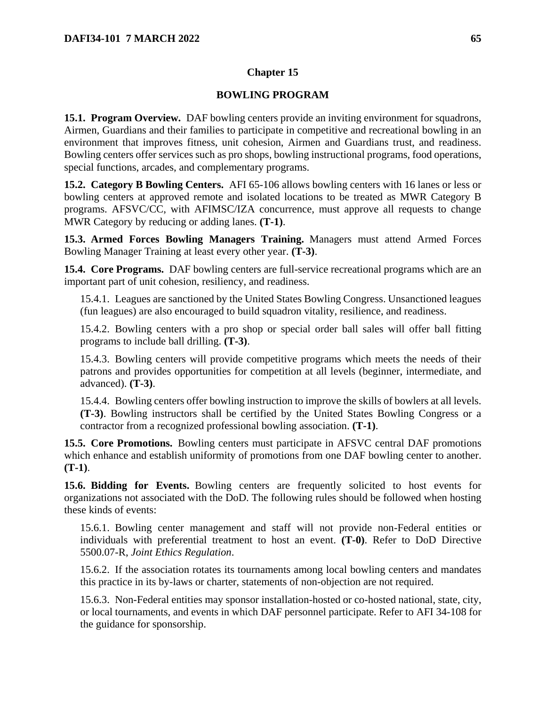# **BOWLING PROGRAM**

**15.1. Program Overview.** DAF bowling centers provide an inviting environment for squadrons, Airmen, Guardians and their families to participate in competitive and recreational bowling in an environment that improves fitness, unit cohesion, Airmen and Guardians trust, and readiness. Bowling centers offer services such as pro shops, bowling instructional programs, food operations, special functions, arcades, and complementary programs.

**15.2. Category B Bowling Centers.** AFI 65-106 allows bowling centers with 16 lanes or less or bowling centers at approved remote and isolated locations to be treated as MWR Category B programs. AFSVC/CC, with AFIMSC/IZA concurrence, must approve all requests to change MWR Category by reducing or adding lanes. **(T-1)**.

**15.3. Armed Forces Bowling Managers Training.** Managers must attend Armed Forces Bowling Manager Training at least every other year. **(T-3)**.

**15.4. Core Programs.** DAF bowling centers are full-service recreational programs which are an important part of unit cohesion, resiliency, and readiness.

15.4.1. Leagues are sanctioned by the United States Bowling Congress. Unsanctioned leagues (fun leagues) are also encouraged to build squadron vitality, resilience, and readiness.

15.4.2. Bowling centers with a pro shop or special order ball sales will offer ball fitting programs to include ball drilling. **(T-3)**.

15.4.3. Bowling centers will provide competitive programs which meets the needs of their patrons and provides opportunities for competition at all levels (beginner, intermediate, and advanced). **(T-3)**.

15.4.4. Bowling centers offer bowling instruction to improve the skills of bowlers at all levels. **(T-3)**. Bowling instructors shall be certified by the United States Bowling Congress or a contractor from a recognized professional bowling association. **(T-1)**.

**15.5. Core Promotions.** Bowling centers must participate in AFSVC central DAF promotions which enhance and establish uniformity of promotions from one DAF bowling center to another. **(T-1)**.

**15.6. Bidding for Events.** Bowling centers are frequently solicited to host events for organizations not associated with the DoD. The following rules should be followed when hosting these kinds of events:

15.6.1. Bowling center management and staff will not provide non-Federal entities or individuals with preferential treatment to host an event. **(T-0)**. Refer to DoD Directive 5500.07-R, *Joint Ethics Regulation*.

15.6.2. If the association rotates its tournaments among local bowling centers and mandates this practice in its by-laws or charter, statements of non-objection are not required.

15.6.3. Non-Federal entities may sponsor installation-hosted or co-hosted national, state, city, or local tournaments, and events in which DAF personnel participate. Refer to AFI 34-108 for the guidance for sponsorship.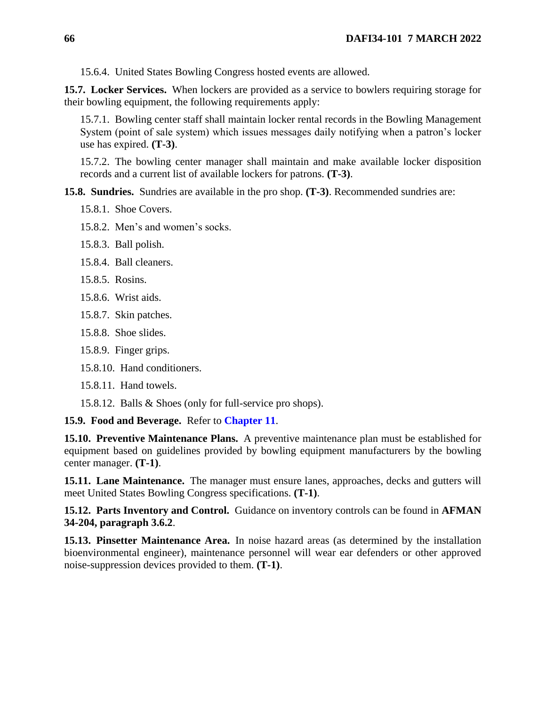15.6.4. United States Bowling Congress hosted events are allowed.

**15.7. Locker Services.** When lockers are provided as a service to bowlers requiring storage for their bowling equipment, the following requirements apply:

15.7.1. Bowling center staff shall maintain locker rental records in the Bowling Management System (point of sale system) which issues messages daily notifying when a patron's locker use has expired. **(T-3)**.

15.7.2. The bowling center manager shall maintain and make available locker disposition records and a current list of available lockers for patrons. **(T-3)**.

**15.8. Sundries.** Sundries are available in the pro shop. **(T-3)**. Recommended sundries are:

- 15.8.1. Shoe Covers.
- 15.8.2. Men's and women's socks.
- 15.8.3. Ball polish.
- 15.8.4. Ball cleaners.
- 15.8.5. Rosins.
- 15.8.6. Wrist aids.
- 15.8.7. Skin patches.
- 15.8.8. Shoe slides.
- 15.8.9. Finger grips.
- 15.8.10. Hand conditioners.
- 15.8.11. Hand towels.
- 15.8.12. Balls & Shoes (only for full-service pro shops).

**15.9. Food and Beverage.** Refer to **[Chapter 11](#page-48-1)**.

**15.10. Preventive Maintenance Plans.** A preventive maintenance plan must be established for equipment based on guidelines provided by bowling equipment manufacturers by the bowling center manager. **(T-1)**.

**15.11. Lane Maintenance.** The manager must ensure lanes, approaches, decks and gutters will meet United States Bowling Congress specifications. **(T-1)**.

**15.12. Parts Inventory and Control.** Guidance on inventory controls can be found in **AFMAN 34-204, paragraph 3.6.2**.

**15.13. Pinsetter Maintenance Area.** In noise hazard areas (as determined by the installation bioenvironmental engineer), maintenance personnel will wear ear defenders or other approved noise-suppression devices provided to them. **(T-1)**.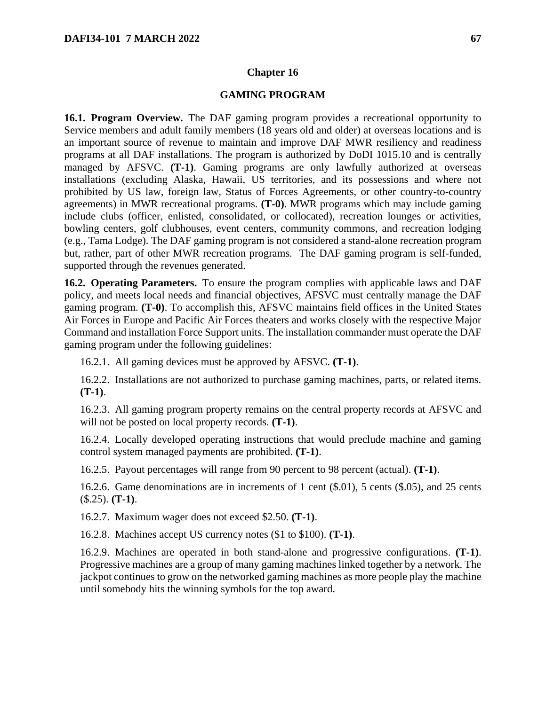#### **GAMING PROGRAM**

**16.1. Program Overview.** The DAF gaming program provides a recreational opportunity to Service members and adult family members (18 years old and older) at overseas locations and is an important source of revenue to maintain and improve DAF MWR resiliency and readiness programs at all DAF installations. The program is authorized by DoDI 1015.10 and is centrally managed by AFSVC. **(T-1)**. Gaming programs are only lawfully authorized at overseas installations (excluding Alaska, Hawaii, US territories, and its possessions and where not prohibited by US law, foreign law, Status of Forces Agreements, or other country-to-country agreements) in MWR recreational programs. **(T-0)**. MWR programs which may include gaming include clubs (officer, enlisted, consolidated, or collocated), recreation lounges or activities, bowling centers, golf clubhouses, event centers, community commons, and recreation lodging (e.g., Tama Lodge). The DAF gaming program is not considered a stand-alone recreation program but, rather, part of other MWR recreation programs. The DAF gaming program is self-funded, supported through the revenues generated.

**16.2. Operating Parameters.** To ensure the program complies with applicable laws and DAF policy, and meets local needs and financial objectives, AFSVC must centrally manage the DAF gaming program. **(T-0)**. To accomplish this, AFSVC maintains field offices in the United States Air Forces in Europe and Pacific Air Forces theaters and works closely with the respective Major Command and installation Force Support units. The installation commander must operate the DAF gaming program under the following guidelines:

16.2.1. All gaming devices must be approved by AFSVC. **(T-1)**.

16.2.2. Installations are not authorized to purchase gaming machines, parts, or related items. **(T-1)**.

16.2.3. All gaming program property remains on the central property records at AFSVC and will not be posted on local property records. **(T-1)**.

16.2.4. Locally developed operating instructions that would preclude machine and gaming control system managed payments are prohibited. **(T-1)**.

16.2.5. Payout percentages will range from 90 percent to 98 percent (actual). **(T-1)**.

16.2.6. Game denominations are in increments of 1 cent (\$.01), 5 cents (\$.05), and 25 cents (\$.25). **(T-1)**.

16.2.7. Maximum wager does not exceed \$2.50. **(T-1)**.

16.2.8. Machines accept US currency notes (\$1 to \$100). **(T-1)**.

16.2.9. Machines are operated in both stand-alone and progressive configurations. **(T-1)**. Progressive machines are a group of many gaming machines linked together by a network. The jackpot continues to grow on the networked gaming machines as more people play the machine until somebody hits the winning symbols for the top award.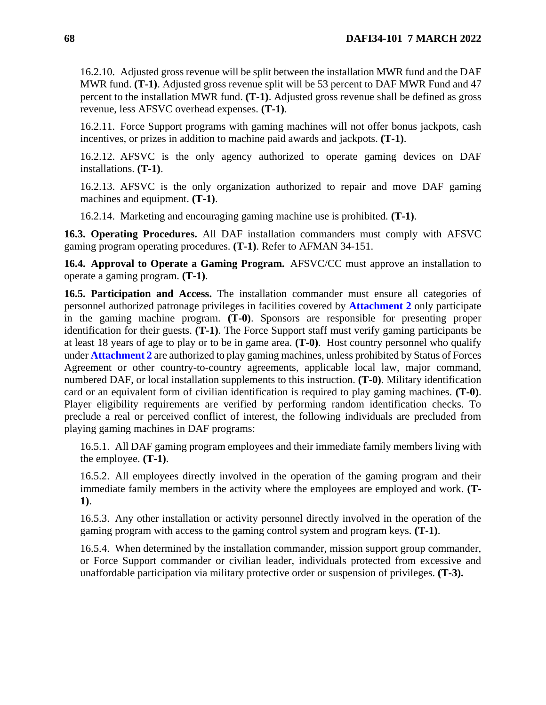16.2.10. Adjusted gross revenue will be split between the installation MWR fund and the DAF MWR fund. **(T-1)**. Adjusted gross revenue split will be 53 percent to DAF MWR Fund and 47 percent to the installation MWR fund. **(T-1)**. Adjusted gross revenue shall be defined as gross revenue, less AFSVC overhead expenses. **(T-1)**.

16.2.11. Force Support programs with gaming machines will not offer bonus jackpots, cash incentives, or prizes in addition to machine paid awards and jackpots. **(T-1)**.

16.2.12. AFSVC is the only agency authorized to operate gaming devices on DAF installations. **(T-1)**.

16.2.13. AFSVC is the only organization authorized to repair and move DAF gaming machines and equipment. **(T-1)**.

16.2.14. Marketing and encouraging gaming machine use is prohibited. **(T-1)**.

**16.3. Operating Procedures.** All DAF installation commanders must comply with AFSVC gaming program operating procedures. **(T-1)**. Refer to AFMAN 34-151.

**16.4. Approval to Operate a Gaming Program.** AFSVC/CC must approve an installation to operate a gaming program. **(T-1)**.

**16.5. Participation and Access.** The installation commander must ensure all categories of personnel authorized patronage privileges in facilities covered by **[Attachment 2](#page-115-0)** only participate in the gaming machine program. **(T-0)**. Sponsors are responsible for presenting proper identification for their guests. **(T-1)**. The Force Support staff must verify gaming participants be at least 18 years of age to play or to be in game area. **(T-0)**. Host country personnel who qualify under **[Attachment 2](#page-115-0)** are authorized to play gaming machines, unless prohibited by Status of Forces Agreement or other country-to-country agreements, applicable local law, major command, numbered DAF, or local installation supplements to this instruction. **(T-0)**. Military identification card or an equivalent form of civilian identification is required to play gaming machines. **(T-0)**. Player eligibility requirements are verified by performing random identification checks. To preclude a real or perceived conflict of interest, the following individuals are precluded from playing gaming machines in DAF programs:

16.5.1. All DAF gaming program employees and their immediate family members living with the employee. **(T-1)**.

16.5.2. All employees directly involved in the operation of the gaming program and their immediate family members in the activity where the employees are employed and work. **(T**-**1)**.

16.5.3. Any other installation or activity personnel directly involved in the operation of the gaming program with access to the gaming control system and program keys. **(T-1)**.

16.5.4. When determined by the installation commander, mission support group commander, or Force Support commander or civilian leader, individuals protected from excessive and unaffordable participation via military protective order or suspension of privileges. **(T-3).**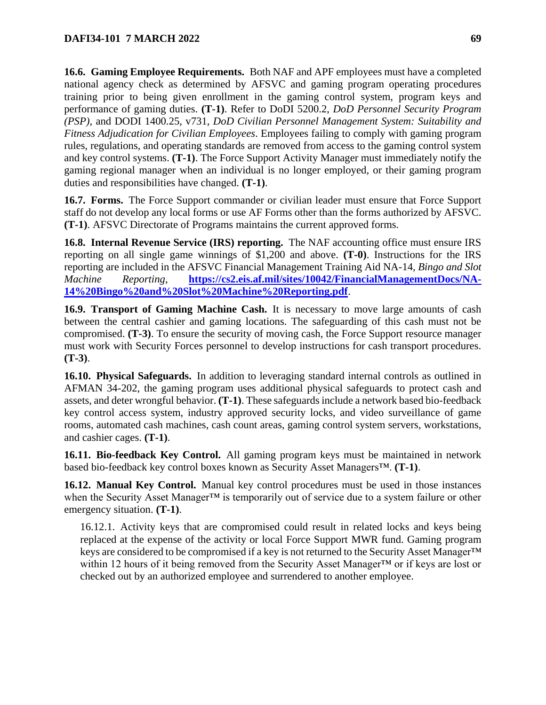**16.6. Gaming Employee Requirements.** Both NAF and APF employees must have a completed national agency check as determined by AFSVC and gaming program operating procedures training prior to being given enrollment in the gaming control system, program keys and performance of gaming duties. **(T-1)**. Refer to DoDI 5200.2, *DoD Personnel Security Program (PSP)*, and DODI 1400.25, v731, *DoD Civilian Personnel Management System: Suitability and Fitness Adjudication for Civilian Employees*. Employees failing to comply with gaming program rules, regulations, and operating standards are removed from access to the gaming control system and key control systems. **(T-1)**. The Force Support Activity Manager must immediately notify the gaming regional manager when an individual is no longer employed, or their gaming program duties and responsibilities have changed. **(T-1)**.

**16.7. Forms.** The Force Support commander or civilian leader must ensure that Force Support staff do not develop any local forms or use AF Forms other than the forms authorized by AFSVC. **(T-1)**. AFSVC Directorate of Programs maintains the current approved forms.

**16.8. Internal Revenue Service (IRS) reporting.** The NAF accounting office must ensure IRS reporting on all single game winnings of \$1,200 and above. **(T-0)**. Instructions for the IRS reporting are included in the AFSVC Financial Management Training Aid NA-14, *Bingo and Slot Machine Reporting*, **[https://cs2.eis.af.mil/sites/10042/FinancialManagementDocs/NA-](https://cs2.eis.af.mil/sites/10042/FinancialManagementDocs/NA-14%20Bingo%20and%20Slot%20Machine%20Reporting.pdf)[14%20Bingo%20and%20Slot%20Machine%20Reporting.pdf](https://cs2.eis.af.mil/sites/10042/FinancialManagementDocs/NA-14%20Bingo%20and%20Slot%20Machine%20Reporting.pdf)**.

**16.9. Transport of Gaming Machine Cash.** It is necessary to move large amounts of cash between the central cashier and gaming locations. The safeguarding of this cash must not be compromised. **(T-3)**. To ensure the security of moving cash, the Force Support resource manager must work with Security Forces personnel to develop instructions for cash transport procedures. **(T-3)**.

**16.10. Physical Safeguards.** In addition to leveraging standard internal controls as outlined in AFMAN 34-202, the gaming program uses additional physical safeguards to protect cash and assets, and deter wrongful behavior. **(T-1)**. These safeguards include a network based bio-feedback key control access system, industry approved security locks, and video surveillance of game rooms, automated cash machines, cash count areas, gaming control system servers, workstations, and cashier cages. **(T-1)**.

**16.11. Bio-feedback Key Control.** All gaming program keys must be maintained in network based bio-feedback key control boxes known as Security Asset Managers™. **(T-1)**.

**16.12. Manual Key Control.** Manual key control procedures must be used in those instances when the Security Asset Manager<sup>™</sup> is temporarily out of service due to a system failure or other emergency situation. **(T-1)**.

16.12.1. Activity keys that are compromised could result in related locks and keys being replaced at the expense of the activity or local Force Support MWR fund. Gaming program keys are considered to be compromised if a key is not returned to the Security Asset Manager<sup>™</sup> within 12 hours of it being removed from the Security Asset Manager™ or if keys are lost or checked out by an authorized employee and surrendered to another employee.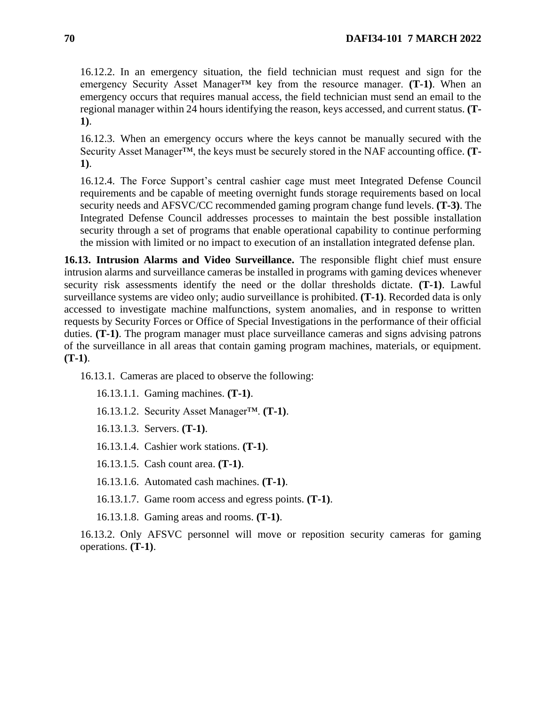16.12.2. In an emergency situation, the field technician must request and sign for the emergency Security Asset Manager™ key from the resource manager. **(T-1)**. When an emergency occurs that requires manual access, the field technician must send an email to the regional manager within 24 hours identifying the reason, keys accessed, and current status. **(T-1)**.

16.12.3. When an emergency occurs where the keys cannot be manually secured with the Security Asset Manager™, the keys must be securely stored in the NAF accounting office. **(T-1)**.

16.12.4. The Force Support's central cashier cage must meet Integrated Defense Council requirements and be capable of meeting overnight funds storage requirements based on local security needs and AFSVC/CC recommended gaming program change fund levels. **(T-3)**. The Integrated Defense Council addresses processes to maintain the best possible installation security through a set of programs that enable operational capability to continue performing the mission with limited or no impact to execution of an installation integrated defense plan.

**16.13. Intrusion Alarms and Video Surveillance.** The responsible flight chief must ensure intrusion alarms and surveillance cameras be installed in programs with gaming devices whenever security risk assessments identify the need or the dollar thresholds dictate. **(T-1)**. Lawful surveillance systems are video only; audio surveillance is prohibited. **(T-1)**. Recorded data is only accessed to investigate machine malfunctions, system anomalies, and in response to written requests by Security Forces or Office of Special Investigations in the performance of their official duties. **(T-1)**. The program manager must place surveillance cameras and signs advising patrons of the surveillance in all areas that contain gaming program machines, materials, or equipment. **(T-1)**.

16.13.1. Cameras are placed to observe the following:

16.13.1.1. Gaming machines. **(T-1)**.

16.13.1.2. Security Asset Manager™. **(T-1)**.

16.13.1.3. Servers. **(T-1)**.

16.13.1.4. Cashier work stations. **(T-1)**.

16.13.1.5. Cash count area. **(T-1)**.

16.13.1.6. Automated cash machines. **(T-1)**.

16.13.1.7. Game room access and egress points. **(T-1)**.

16.13.1.8. Gaming areas and rooms. **(T-1)**.

16.13.2. Only AFSVC personnel will move or reposition security cameras for gaming operations. **(T-1)**.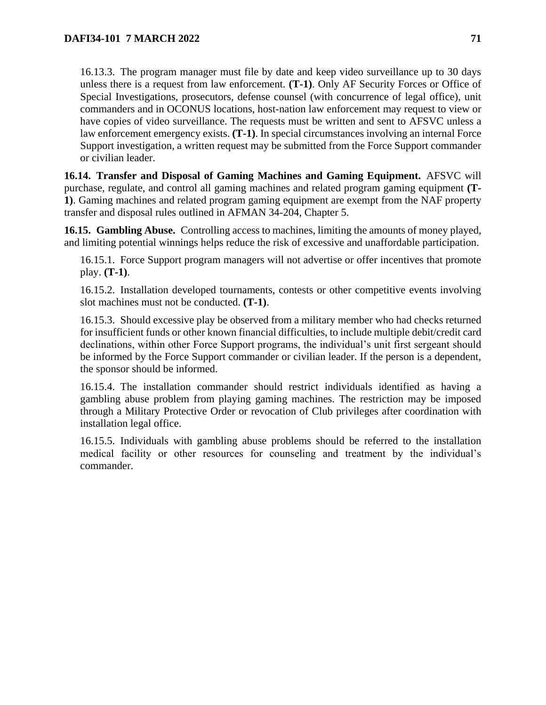16.13.3. The program manager must file by date and keep video surveillance up to 30 days unless there is a request from law enforcement. **(T-1)**. Only AF Security Forces or Office of Special Investigations, prosecutors, defense counsel (with concurrence of legal office), unit commanders and in OCONUS locations, host-nation law enforcement may request to view or have copies of video surveillance. The requests must be written and sent to AFSVC unless a law enforcement emergency exists. **(T-1)**. In special circumstances involving an internal Force Support investigation, a written request may be submitted from the Force Support commander or civilian leader.

**16.14. Transfer and Disposal of Gaming Machines and Gaming Equipment.** AFSVC will purchase, regulate, and control all gaming machines and related program gaming equipment **(T-1)**. Gaming machines and related program gaming equipment are exempt from the NAF property transfer and disposal rules outlined in AFMAN 34-204, Chapter 5.

**16.15. Gambling Abuse.** Controlling access to machines, limiting the amounts of money played, and limiting potential winnings helps reduce the risk of excessive and unaffordable participation.

16.15.1. Force Support program managers will not advertise or offer incentives that promote play. **(T-1)**.

16.15.2. Installation developed tournaments, contests or other competitive events involving slot machines must not be conducted. **(T-1)**.

16.15.3. Should excessive play be observed from a military member who had checks returned for insufficient funds or other known financial difficulties, to include multiple debit/credit card declinations, within other Force Support programs, the individual's unit first sergeant should be informed by the Force Support commander or civilian leader. If the person is a dependent, the sponsor should be informed.

16.15.4. The installation commander should restrict individuals identified as having a gambling abuse problem from playing gaming machines. The restriction may be imposed through a Military Protective Order or revocation of Club privileges after coordination with installation legal office.

16.15.5. Individuals with gambling abuse problems should be referred to the installation medical facility or other resources for counseling and treatment by the individual's commander.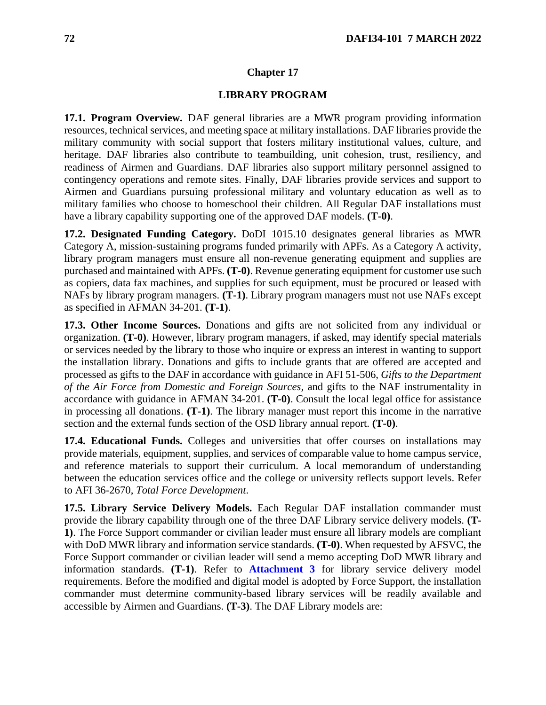### **LIBRARY PROGRAM**

**17.1. Program Overview.** DAF general libraries are a MWR program providing information resources, technical services, and meeting space at military installations. DAF libraries provide the military community with social support that fosters military institutional values, culture, and heritage. DAF libraries also contribute to teambuilding, unit cohesion, trust, resiliency, and readiness of Airmen and Guardians. DAF libraries also support military personnel assigned to contingency operations and remote sites. Finally, DAF libraries provide services and support to Airmen and Guardians pursuing professional military and voluntary education as well as to military families who choose to homeschool their children. All Regular DAF installations must have a library capability supporting one of the approved DAF models. **(T-0)**.

**17.2. Designated Funding Category.** DoDI 1015.10 designates general libraries as MWR Category A, mission-sustaining programs funded primarily with APFs. As a Category A activity, library program managers must ensure all non-revenue generating equipment and supplies are purchased and maintained with APFs. **(T-0)**. Revenue generating equipment for customer use such as copiers, data fax machines, and supplies for such equipment, must be procured or leased with NAFs by library program managers. **(T-1)**. Library program managers must not use NAFs except as specified in AFMAN 34-201. **(T-1)**.

**17.3. Other Income Sources.** Donations and gifts are not solicited from any individual or organization. **(T-0)**. However, library program managers, if asked, may identify special materials or services needed by the library to those who inquire or express an interest in wanting to support the installation library. Donations and gifts to include grants that are offered are accepted and processed as gifts to the DAF in accordance with guidance in AFI 51-506, *Gifts to the Department of the Air Force from Domestic and Foreign Sources,* and gifts to the NAF instrumentality in accordance with guidance in AFMAN 34-201. **(T-0)**. Consult the local legal office for assistance in processing all donations. **(T-1)**. The library manager must report this income in the narrative section and the external funds section of the OSD library annual report. **(T-0)**.

**17.4. Educational Funds.** Colleges and universities that offer courses on installations may provide materials, equipment, supplies, and services of comparable value to home campus service, and reference materials to support their curriculum. A local memorandum of understanding between the education services office and the college or university reflects support levels. Refer to AFI 36-2670, *Total Force Development*.

**17.5. Library Service Delivery Models.** Each Regular DAF installation commander must provide the library capability through one of the three DAF Library service delivery models. **(T-1)**. The Force Support commander or civilian leader must ensure all library models are compliant with DoD MWR library and information service standards. **(T-0)**. When requested by AFSVC, the Force Support commander or civilian leader will send a memo accepting DoD MWR library and information standards. **(T-1)**. Refer to **[Attachment 3](#page-124-0)** for library service delivery model requirements. Before the modified and digital model is adopted by Force Support, the installation commander must determine community-based library services will be readily available and accessible by Airmen and Guardians. **(T-3)**. The DAF Library models are: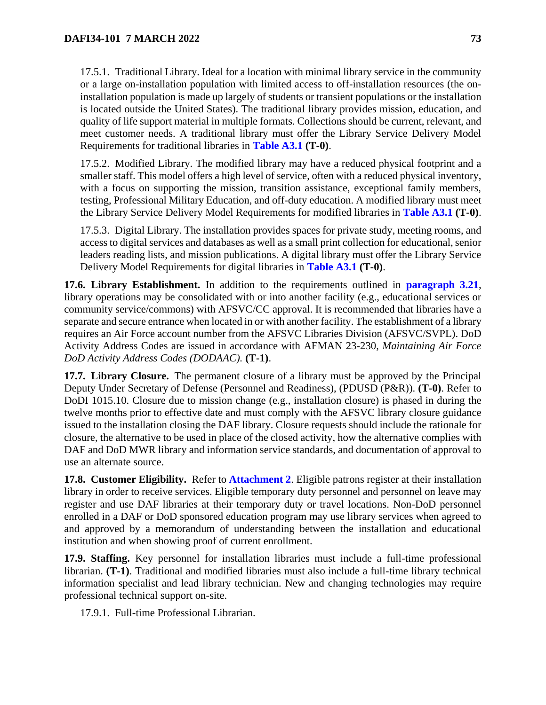17.5.1. Traditional Library. Ideal for a location with minimal library service in the community or a large on-installation population with limited access to off-installation resources (the oninstallation population is made up largely of students or transient populations or the installation is located outside the United States). The traditional library provides mission, education, and quality of life support material in multiple formats. Collections should be current, relevant, and meet customer needs. A traditional library must offer the Library Service Delivery Model Requirements for traditional libraries in **[Table A3.1](#page-124-0) (T-0)**.

17.5.2. Modified Library. The modified library may have a reduced physical footprint and a smaller staff. This model offers a high level of service, often with a reduced physical inventory, with a focus on supporting the mission, transition assistance, exceptional family members, testing, Professional Military Education, and off-duty education. A modified library must meet the Library Service Delivery Model Requirements for modified libraries in **[Table A3.1](#page-124-0) (T-0)**.

17.5.3. Digital Library. The installation provides spaces for private study, meeting rooms, and access to digital services and databases as well as a small print collection for educational, senior leaders reading lists, and mission publications. A digital library must offer the Library Service Delivery Model Requirements for digital libraries in **[Table A3.1](#page-124-0) (T-0)**.

**17.6. Library Establishment.** In addition to the requirements outlined in **[paragraph 3.21](#page-20-0)**, library operations may be consolidated with or into another facility (e.g., educational services or community service/commons) with AFSVC/CC approval. It is recommended that libraries have a separate and secure entrance when located in or with another facility. The establishment of a library requires an Air Force account number from the AFSVC Libraries Division (AFSVC/SVPL). DoD Activity Address Codes are issued in accordance with AFMAN 23-230, *Maintaining Air Force DoD Activity Address Codes (DODAAC).* **(T-1)**.

**17.7. Library Closure.** The permanent closure of a library must be approved by the Principal Deputy Under Secretary of Defense (Personnel and Readiness), (PDUSD (P&R)). **(T-0)**. Refer to DoDI 1015.10. Closure due to mission change (e.g., installation closure) is phased in during the twelve months prior to effective date and must comply with the AFSVC library closure guidance issued to the installation closing the DAF library. Closure requests should include the rationale for closure, the alternative to be used in place of the closed activity, how the alternative complies with DAF and DoD MWR library and information service standards, and documentation of approval to use an alternate source.

**17.8. Customer Eligibility.** Refer to **[Attachment 2](#page-115-0)**. Eligible patrons register at their installation library in order to receive services. Eligible temporary duty personnel and personnel on leave may register and use DAF libraries at their temporary duty or travel locations. Non-DoD personnel enrolled in a DAF or DoD sponsored education program may use library services when agreed to and approved by a memorandum of understanding between the installation and educational institution and when showing proof of current enrollment.

**17.9. Staffing.** Key personnel for installation libraries must include a full-time professional librarian. **(T-1)**. Traditional and modified libraries must also include a full-time library technical information specialist and lead library technician. New and changing technologies may require professional technical support on-site.

17.9.1. Full-time Professional Librarian.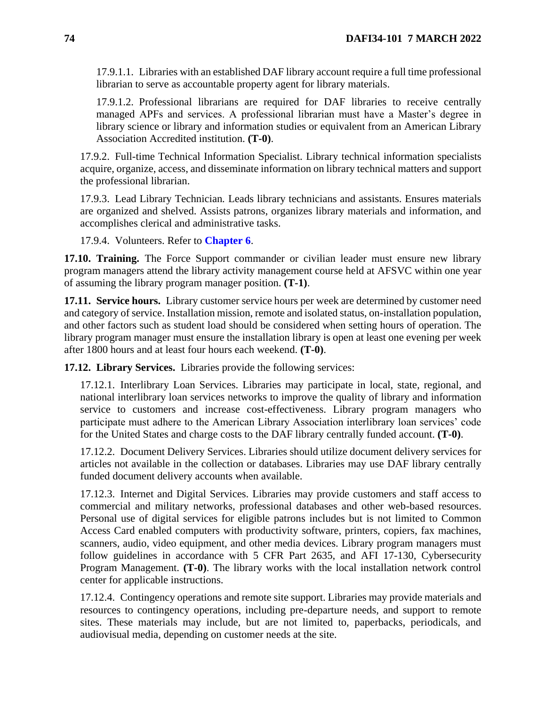17.9.1.1. Libraries with an established DAF library account require a full time professional librarian to serve as accountable property agent for library materials.

17.9.1.2. Professional librarians are required for DAF libraries to receive centrally managed APFs and services. A professional librarian must have a Master's degree in library science or library and information studies or equivalent from an American Library Association Accredited institution. **(T-0)**.

17.9.2. Full-time Technical Information Specialist. Library technical information specialists acquire, organize, access, and disseminate information on library technical matters and support the professional librarian.

17.9.3. Lead Library Technician*.* Leads library technicians and assistants. Ensures materials are organized and shelved. Assists patrons, organizes library materials and information, and accomplishes clerical and administrative tasks.

17.9.4. Volunteers. Refer to **[Chapter 6](#page-35-0)**.

**17.10. Training.** The Force Support commander or civilian leader must ensure new library program managers attend the library activity management course held at AFSVC within one year of assuming the library program manager position. **(T-1)**.

**17.11. Service hours.** Library customer service hours per week are determined by customer need and category of service. Installation mission, remote and isolated status, on-installation population, and other factors such as student load should be considered when setting hours of operation. The library program manager must ensure the installation library is open at least one evening per week after 1800 hours and at least four hours each weekend. **(T-0)**.

**17.12. Library Services.** Libraries provide the following services:

17.12.1. Interlibrary Loan Services. Libraries may participate in local, state, regional, and national interlibrary loan services networks to improve the quality of library and information service to customers and increase cost-effectiveness. Library program managers who participate must adhere to the American Library Association interlibrary loan services' code for the United States and charge costs to the DAF library centrally funded account. **(T-0)**.

17.12.2. Document Delivery Services. Libraries should utilize document delivery services for articles not available in the collection or databases. Libraries may use DAF library centrally funded document delivery accounts when available.

17.12.3. Internet and Digital Services. Libraries may provide customers and staff access to commercial and military networks, professional databases and other web-based resources. Personal use of digital services for eligible patrons includes but is not limited to Common Access Card enabled computers with productivity software, printers, copiers, fax machines, scanners, audio, video equipment, and other media devices. Library program managers must follow guidelines in accordance with 5 CFR Part 2635, and AFI 17-130, Cybersecurity Program Management. **(T-0)**. The library works with the local installation network control center for applicable instructions.

17.12.4. Contingency operations and remote site support. Libraries may provide materials and resources to contingency operations, including pre-departure needs, and support to remote sites. These materials may include, but are not limited to, paperbacks, periodicals, and audiovisual media, depending on customer needs at the site.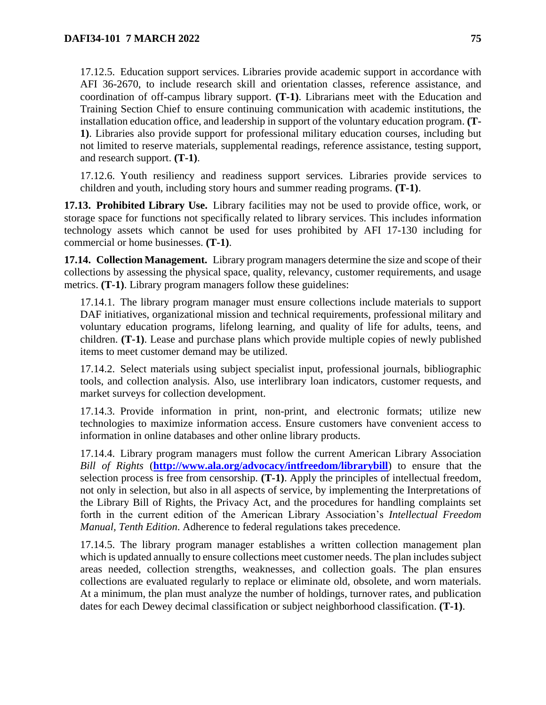17.12.5. Education support services. Libraries provide academic support in accordance with AFI 36-2670, to include research skill and orientation classes, reference assistance, and coordination of off-campus library support. **(T-1)**. Librarians meet with the Education and Training Section Chief to ensure continuing communication with academic institutions, the installation education office, and leadership in support of the voluntary education program. **(T-1)**. Libraries also provide support for professional military education courses, including but not limited to reserve materials, supplemental readings, reference assistance, testing support, and research support. **(T-1)**.

17.12.6. Youth resiliency and readiness support services*.* Libraries provide services to children and youth, including story hours and summer reading programs. **(T-1)**.

**17.13. Prohibited Library Use.** Library facilities may not be used to provide office, work, or storage space for functions not specifically related to library services. This includes information technology assets which cannot be used for uses prohibited by AFI 17-130 including for commercial or home businesses. **(T-1)**.

**17.14. Collection Management.** Library program managers determine the size and scope of their collections by assessing the physical space, quality, relevancy, customer requirements, and usage metrics. **(T-1)**. Library program managers follow these guidelines:

17.14.1. The library program manager must ensure collections include materials to support DAF initiatives, organizational mission and technical requirements, professional military and voluntary education programs, lifelong learning, and quality of life for adults, teens, and children. **(T-1)**. Lease and purchase plans which provide multiple copies of newly published items to meet customer demand may be utilized.

17.14.2. Select materials using subject specialist input, professional journals, bibliographic tools, and collection analysis. Also, use interlibrary loan indicators, customer requests, and market surveys for collection development.

17.14.3. Provide information in print, non-print, and electronic formats; utilize new technologies to maximize information access. Ensure customers have convenient access to information in online databases and other online library products.

17.14.4. Library program managers must follow the current American Library Association *Bill of Rights* (**<http://www.ala.org/advocacy/intfreedom/librarybill>**) to ensure that the selection process is free from censorship. **(T-1)**. Apply the principles of intellectual freedom, not only in selection, but also in all aspects of service, by implementing the Interpretations of the Library Bill of Rights, the Privacy Act, and the procedures for handling complaints set forth in the current edition of the American Library Association's *Intellectual Freedom Manual, Tenth Edition*. Adherence to federal regulations takes precedence.

17.14.5. The library program manager establishes a written collection management plan which is updated annually to ensure collections meet customer needs. The plan includes subject areas needed, collection strengths, weaknesses, and collection goals. The plan ensures collections are evaluated regularly to replace or eliminate old, obsolete, and worn materials. At a minimum, the plan must analyze the number of holdings, turnover rates, and publication dates for each Dewey decimal classification or subject neighborhood classification. **(T-1)**.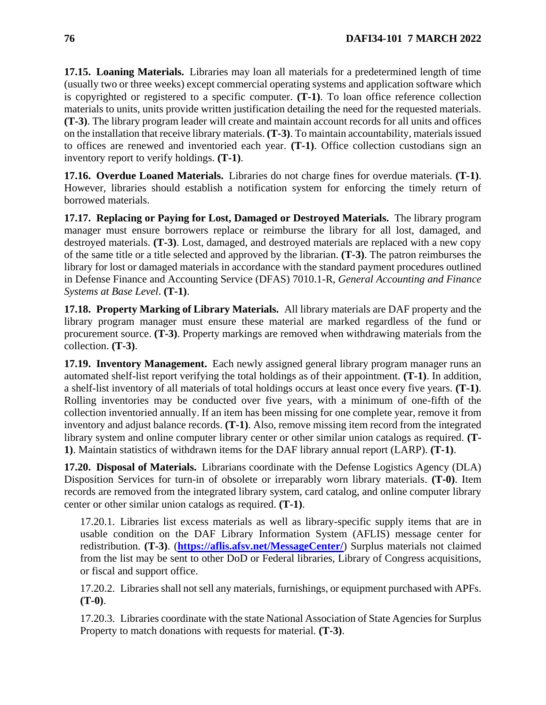**17.15. Loaning Materials.** Libraries may loan all materials for a predetermined length of time (usually two or three weeks) except commercial operating systems and application software which is copyrighted or registered to a specific computer. **(T-1)**. To loan office reference collection materials to units, units provide written justification detailing the need for the requested materials. **(T-3)**. The library program leader will create and maintain account records for all units and offices on the installation that receive library materials. **(T-3)**. To maintain accountability, materials issued to offices are renewed and inventoried each year. **(T-1)**. Office collection custodians sign an inventory report to verify holdings. **(T-1)**.

**17.16. Overdue Loaned Materials.** Libraries do not charge fines for overdue materials. **(T-1)**. However, libraries should establish a notification system for enforcing the timely return of borrowed materials.

**17.17. Replacing or Paying for Lost, Damaged or Destroyed Materials.** The library program manager must ensure borrowers replace or reimburse the library for all lost, damaged, and destroyed materials. **(T-3)**. Lost, damaged, and destroyed materials are replaced with a new copy of the same title or a title selected and approved by the librarian. **(T-3)**. The patron reimburses the library for lost or damaged materials in accordance with the standard payment procedures outlined in Defense Finance and Accounting Service (DFAS) 7010.1-R, *General Accounting and Finance Systems at Base Level*. **(T-1)**.

**17.18. Property Marking of Library Materials.** All library materials are DAF property and the library program manager must ensure these material are marked regardless of the fund or procurement source. **(T-3)**. Property markings are removed when withdrawing materials from the collection. **(T-3)**.

**17.19. Inventory Management.** Each newly assigned general library program manager runs an automated shelf-list report verifying the total holdings as of their appointment. **(T-1)**. In addition, a shelf-list inventory of all materials of total holdings occurs at least once every five years. **(T-1)**. Rolling inventories may be conducted over five years, with a minimum of one-fifth of the collection inventoried annually. If an item has been missing for one complete year, remove it from inventory and adjust balance records. **(T-1)**. Also, remove missing item record from the integrated library system and online computer library center or other similar union catalogs as required. **(T-1)**. Maintain statistics of withdrawn items for the DAF library annual report (LARP). **(T-1)**.

**17.20. Disposal of Materials.** Librarians coordinate with the Defense Logistics Agency (DLA) Disposition Services for turn-in of obsolete or irreparably worn library materials. **(T-0)**. Item records are removed from the integrated library system, card catalog, and online computer library center or other similar union catalogs as required. **(T-1)**.

17.20.1. Libraries list excess materials as well as library-specific supply items that are in usable condition on the DAF Library Information System (AFLIS) message center for redistribution. **(T-3)**. (**<https://aflis.afsv.net/MessageCenter/>**) Surplus materials not claimed from the list may be sent to other DoD or Federal libraries, Library of Congress acquisitions, or fiscal and support office.

17.20.2. Libraries shall not sell any materials, furnishings, or equipment purchased with APFs. **(T-0)**.

17.20.3. Libraries coordinate with the state National Association of State Agencies for Surplus Property to match donations with requests for material. **(T-3)**.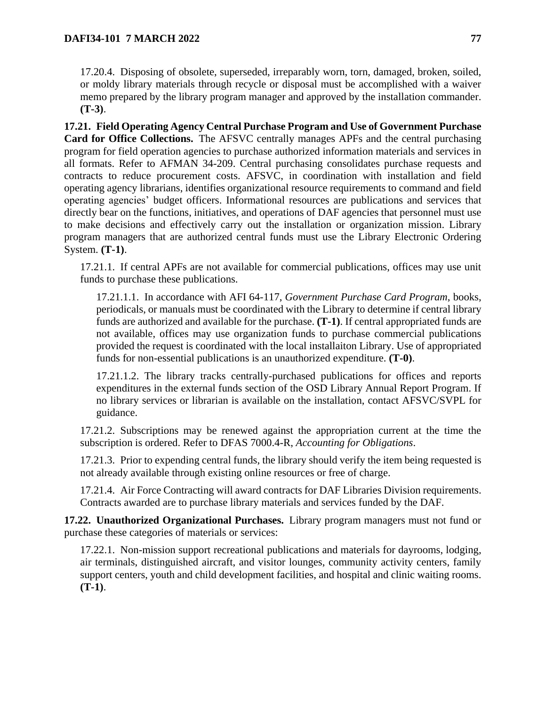17.20.4. Disposing of obsolete, superseded, irreparably worn, torn, damaged, broken, soiled, or moldy library materials through recycle or disposal must be accomplished with a waiver memo prepared by the library program manager and approved by the installation commander. **(T-3)**.

<span id="page-76-0"></span>**17.21. Field Operating Agency Central Purchase Program and Use of Government Purchase Card for Office Collections.** The AFSVC centrally manages APFs and the central purchasing program for field operation agencies to purchase authorized information materials and services in all formats. Refer to AFMAN 34-209. Central purchasing consolidates purchase requests and contracts to reduce procurement costs. AFSVC, in coordination with installation and field operating agency librarians, identifies organizational resource requirements to command and field operating agencies' budget officers. Informational resources are publications and services that directly bear on the functions, initiatives, and operations of DAF agencies that personnel must use to make decisions and effectively carry out the installation or organization mission. Library program managers that are authorized central funds must use the Library Electronic Ordering System. **(T-1)**.

17.21.1. If central APFs are not available for commercial publications, offices may use unit funds to purchase these publications.

17.21.1.1. In accordance with AFI 64-117, *Government Purchase Card Program*, books, periodicals, or manuals must be coordinated with the Library to determine if central library funds are authorized and available for the purchase. **(T-1)**. If central appropriated funds are not available, offices may use organization funds to purchase commercial publications provided the request is coordinated with the local installaiton Library. Use of appropriated funds for non-essential publications is an unauthorized expenditure. **(T-0)**.

17.21.1.2. The library tracks centrally-purchased publications for offices and reports expenditures in the external funds section of the OSD Library Annual Report Program. If no library services or librarian is available on the installation, contact AFSVC/SVPL for guidance.

17.21.2. Subscriptions may be renewed against the appropriation current at the time the subscription is ordered. Refer to DFAS 7000.4-R, *Accounting for Obligations*.

17.21.3. Prior to expending central funds, the library should verify the item being requested is not already available through existing online resources or free of charge.

17.21.4. Air Force Contracting will award contracts for DAF Libraries Division requirements. Contracts awarded are to purchase library materials and services funded by the DAF.

**17.22. Unauthorized Organizational Purchases.** Library program managers must not fund or purchase these categories of materials or services:

17.22.1. Non-mission support recreational publications and materials for dayrooms, lodging, air terminals, distinguished aircraft, and visitor lounges, community activity centers, family support centers, youth and child development facilities, and hospital and clinic waiting rooms. **(T-1)**.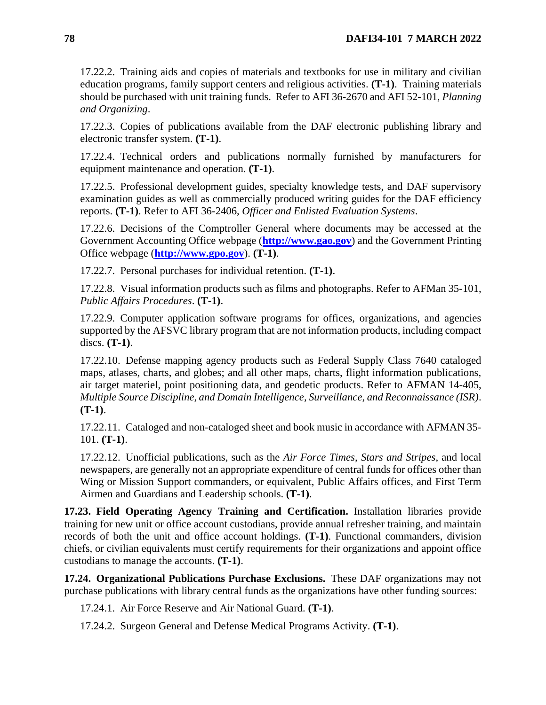17.22.2. Training aids and copies of materials and textbooks for use in military and civilian education programs, family support centers and religious activities. **(T-1)**.Training materials should be purchased with unit training funds. Refer to AFI 36-2670 and AFI 52-101, *Planning and Organizing*.

17.22.3. Copies of publications available from the DAF electronic publishing library and electronic transfer system. **(T-1)**.

17.22.4. Technical orders and publications normally furnished by manufacturers for equipment maintenance and operation. **(T-1)**.

17.22.5. Professional development guides, specialty knowledge tests, and DAF supervisory examination guides as well as commercially produced writing guides for the DAF efficiency reports. **(T-1)**. Refer to AFI 36-2406, *Officer and Enlisted Evaluation Systems*.

17.22.6. Decisions of the Comptroller General where documents may be accessed at the Government Accounting Office webpage (**[http://www.gao.gov](http://www.gao.gov/)**) and the Government Printing Office webpage (**[http://www.gpo.gov](http://www.gpo.gov/)**). **(T-1)**.

17.22.7. Personal purchases for individual retention. **(T-1)**.

17.22.8. Visual information products such as films and photographs. Refer to AFMan 35-101, *Public Affairs Procedures*. **(T-1)**.

17.22.9. Computer application software programs for offices, organizations, and agencies supported by the AFSVC library program that are not information products, including compact discs. **(T-1)**.

17.22.10. Defense mapping agency products such as Federal Supply Class 7640 cataloged maps, atlases, charts, and globes; and all other maps, charts, flight information publications, air target materiel, point positioning data, and geodetic products. Refer to AFMAN 14-405, *Multiple Source Discipline, and Domain Intelligence, Surveillance, and Reconnaissance (ISR)*. **(T-1)**.

17.22.11. Cataloged and non-cataloged sheet and book music in accordance with AFMAN 35- 101. **(T-1)**.

17.22.12. Unofficial publications, such as the *Air Force Times*, *Stars and Stripes*, and local newspapers, are generally not an appropriate expenditure of central funds for offices other than Wing or Mission Support commanders, or equivalent, Public Affairs offices, and First Term Airmen and Guardians and Leadership schools. **(T-1)**.

**17.23. Field Operating Agency Training and Certification.** Installation libraries provide training for new unit or office account custodians, provide annual refresher training, and maintain records of both the unit and office account holdings. **(T-1)**. Functional commanders, division chiefs, or civilian equivalents must certify requirements for their organizations and appoint office custodians to manage the accounts. **(T-1)**.

**17.24. Organizational Publications Purchase Exclusions.** These DAF organizations may not purchase publications with library central funds as the organizations have other funding sources:

17.24.1. Air Force Reserve and Air National Guard. **(T-1)**.

17.24.2. Surgeon General and Defense Medical Programs Activity. **(T-1)**.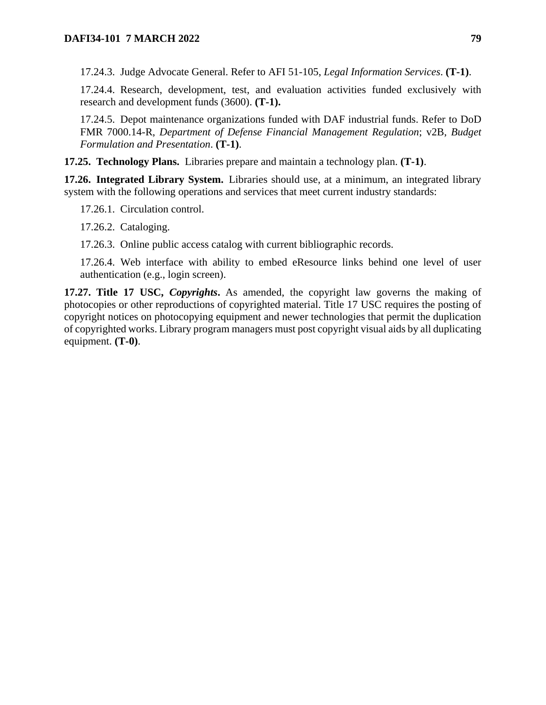17.24.3. Judge Advocate General. Refer to AFI 51-105, *Legal Information Services*. **(T-1)**.

17.24.4. Research, development, test, and evaluation activities funded exclusively with research and development funds (3600). **(T-1).**

17.24.5. Depot maintenance organizations funded with DAF industrial funds. Refer to DoD FMR 7000.14-R, *Department of Defense Financial Management Regulation*; v2B, *Budget Formulation and Presentation*. **(T-1)**.

**17.25. Technology Plans.** Libraries prepare and maintain a technology plan. **(T-1)**.

**17.26. Integrated Library System.** Libraries should use, at a minimum, an integrated library system with the following operations and services that meet current industry standards:

17.26.1. Circulation control.

17.26.2. Cataloging.

17.26.3. Online public access catalog with current bibliographic records.

17.26.4. Web interface with ability to embed eResource links behind one level of user authentication (e.g., login screen).

**17.27. Title 17 USC,** *Copyrights***.** As amended, the copyright law governs the making of photocopies or other reproductions of copyrighted material. Title 17 USC requires the posting of copyright notices on photocopying equipment and newer technologies that permit the duplication of copyrighted works. Library program managers must post copyright visual aids by all duplicating equipment. **(T-0)**.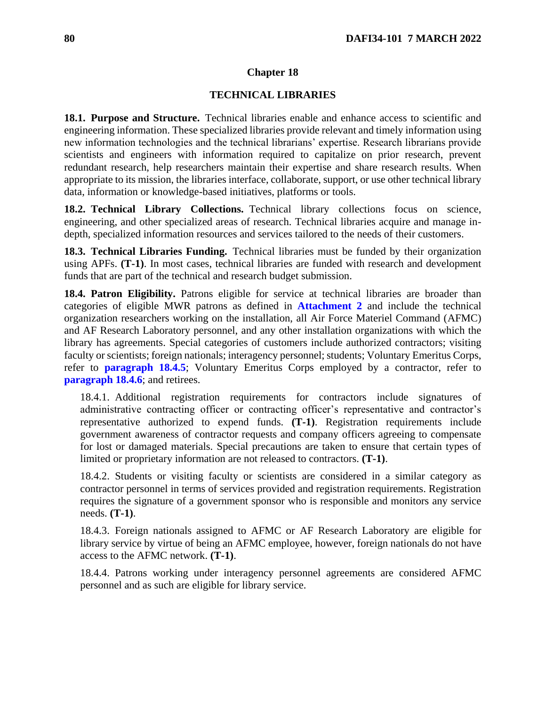#### **Chapter 18**

### **TECHNICAL LIBRARIES**

**18.1. Purpose and Structure.** Technical libraries enable and enhance access to scientific and engineering information. These specialized libraries provide relevant and timely information using new information technologies and the technical librarians' expertise. Research librarians provide scientists and engineers with information required to capitalize on prior research, prevent redundant research, help researchers maintain their expertise and share research results. When appropriate to its mission, the libraries interface, collaborate, support, or use other technical library data, information or knowledge-based initiatives, platforms or tools.

**18.2. Technical Library Collections.** Technical library collections focus on science, engineering, and other specialized areas of research. Technical libraries acquire and manage indepth, specialized information resources and services tailored to the needs of their customers.

**18.3. Technical Libraries Funding.** Technical libraries must be funded by their organization using APFs. **(T-1)**. In most cases, technical libraries are funded with research and development funds that are part of the technical and research budget submission.

**18.4. Patron Eligibility.** Patrons eligible for service at technical libraries are broader than categories of eligible MWR patrons as defined in **[Attachment 2](#page-115-0)** and include the technical organization researchers working on the installation, all Air Force Materiel Command (AFMC) and AF Research Laboratory personnel, and any other installation organizations with which the library has agreements. Special categories of customers include authorized contractors; visiting faculty or scientists; foreign nationals; interagency personnel; students; Voluntary Emeritus Corps, refer to **[paragraph 18.4.5](#page-79-0)**; Voluntary Emeritus Corps employed by a contractor, refer to **[paragraph 18.4.6](#page-80-0)**; and retirees.

18.4.1. Additional registration requirements for contractors include signatures of administrative contracting officer or contracting officer's representative and contractor's representative authorized to expend funds. **(T-1)**. Registration requirements include government awareness of contractor requests and company officers agreeing to compensate for lost or damaged materials. Special precautions are taken to ensure that certain types of limited or proprietary information are not released to contractors. **(T-1)**.

18.4.2. Students or visiting faculty or scientists are considered in a similar category as contractor personnel in terms of services provided and registration requirements. Registration requires the signature of a government sponsor who is responsible and monitors any service needs. **(T-1)**.

18.4.3. Foreign nationals assigned to AFMC or AF Research Laboratory are eligible for library service by virtue of being an AFMC employee, however, foreign nationals do not have access to the AFMC network. **(T-1)**.

<span id="page-79-0"></span>18.4.4. Patrons working under interagency personnel agreements are considered AFMC personnel and as such are eligible for library service.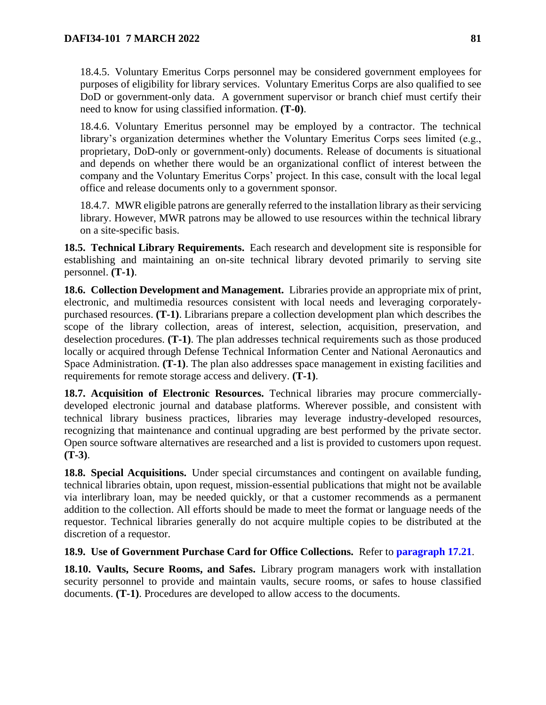18.4.5. Voluntary Emeritus Corps personnel may be considered government employees for purposes of eligibility for library services. Voluntary Emeritus Corps are also qualified to see DoD or government-only data. A government supervisor or branch chief must certify their need to know for using classified information. **(T-0)**.

<span id="page-80-0"></span>18.4.6. Voluntary Emeritus personnel may be employed by a contractor. The technical library's organization determines whether the Voluntary Emeritus Corps sees limited (e.g., proprietary, DoD-only or government-only) documents. Release of documents is situational and depends on whether there would be an organizational conflict of interest between the company and the Voluntary Emeritus Corps' project. In this case, consult with the local legal office and release documents only to a government sponsor.

18.4.7. MWR eligible patrons are generally referred to the installation library as their servicing library. However, MWR patrons may be allowed to use resources within the technical library on a site-specific basis.

**18.5. Technical Library Requirements.** Each research and development site is responsible for establishing and maintaining an on-site technical library devoted primarily to serving site personnel. **(T-1)**.

**18.6. Collection Development and Management.** Libraries provide an appropriate mix of print, electronic, and multimedia resources consistent with local needs and leveraging corporatelypurchased resources. **(T-1)**. Librarians prepare a collection development plan which describes the scope of the library collection, areas of interest, selection, acquisition, preservation, and deselection procedures. **(T-1)**. The plan addresses technical requirements such as those produced locally or acquired through Defense Technical Information Center and National Aeronautics and Space Administration. **(T-1)**. The plan also addresses space management in existing facilities and requirements for remote storage access and delivery. **(T-1)**.

**18.7. Acquisition of Electronic Resources.** Technical libraries may procure commerciallydeveloped electronic journal and database platforms. Wherever possible, and consistent with technical library business practices, libraries may leverage industry-developed resources, recognizing that maintenance and continual upgrading are best performed by the private sector. Open source software alternatives are researched and a list is provided to customers upon request. **(T-3)**.

**18.8. Special Acquisitions.** Under special circumstances and contingent on available funding, technical libraries obtain, upon request, mission-essential publications that might not be available via interlibrary loan, may be needed quickly, or that a customer recommends as a permanent addition to the collection. All efforts should be made to meet the format or language needs of the requestor. Technical libraries generally do not acquire multiple copies to be distributed at the discretion of a requestor.

# **18.9. Use of Government Purchase Card for Office Collections.** Refer to **[paragraph 17.21](#page-76-0)**.

**18.10. Vaults, Secure Rooms, and Safes.** Library program managers work with installation security personnel to provide and maintain vaults, secure rooms, or safes to house classified documents. **(T-1)**. Procedures are developed to allow access to the documents.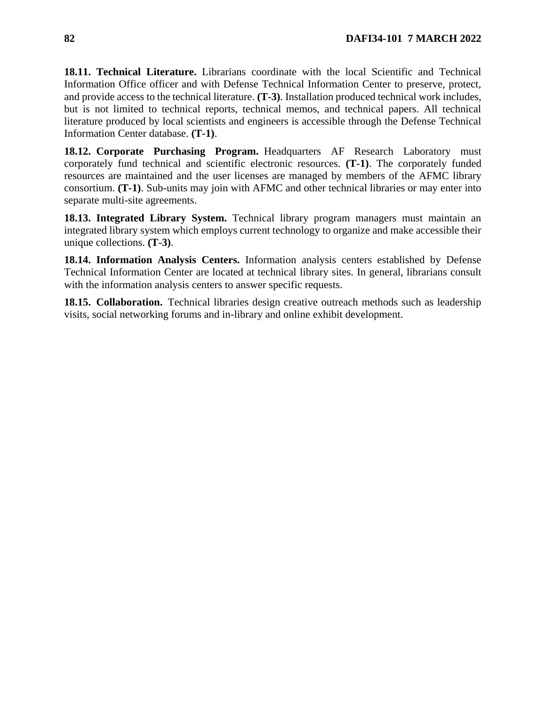**18.11. Technical Literature.** Librarians coordinate with the local Scientific and Technical Information Office officer and with Defense Technical Information Center to preserve, protect, and provide access to the technical literature. **(T-3)**. Installation produced technical work includes, but is not limited to technical reports, technical memos, and technical papers. All technical literature produced by local scientists and engineers is accessible through the Defense Technical Information Center database. **(T-1)**.

**18.12. Corporate Purchasing Program.** Headquarters AF Research Laboratory must corporately fund technical and scientific electronic resources. **(T-1)**. The corporately funded resources are maintained and the user licenses are managed by members of the AFMC library consortium. **(T-1)**. Sub-units may join with AFMC and other technical libraries or may enter into separate multi-site agreements.

**18.13. Integrated Library System.** Technical library program managers must maintain an integrated library system which employs current technology to organize and make accessible their unique collections. **(T-3)**.

**18.14. Information Analysis Centers.** Information analysis centers established by Defense Technical Information Center are located at technical library sites. In general, librarians consult with the information analysis centers to answer specific requests.

**18.15. Collaboration.** Technical libraries design creative outreach methods such as leadership visits, social networking forums and in-library and online exhibit development.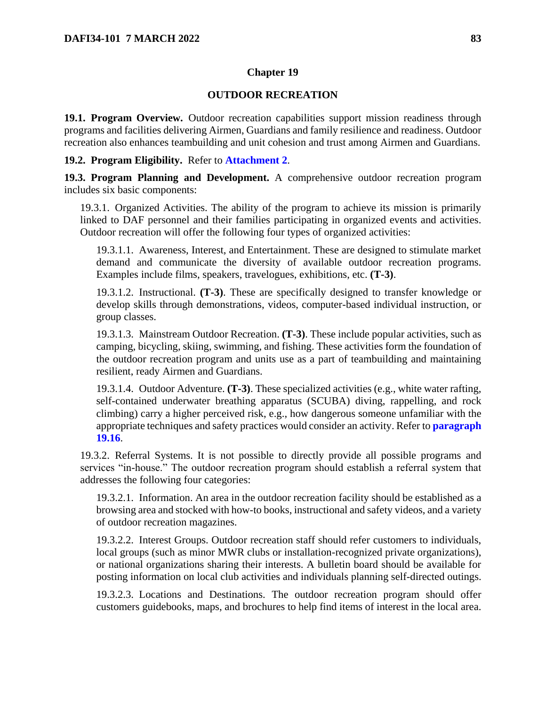## **Chapter 19**

### **OUTDOOR RECREATION**

**19.1. Program Overview.** Outdoor recreation capabilities support mission readiness through programs and facilities delivering Airmen, Guardians and family resilience and readiness. Outdoor recreation also enhances teambuilding and unit cohesion and trust among Airmen and Guardians.

### **19.2. Program Eligibility.** Refer to **[Attachment 2](#page-115-0)**.

**19.3. Program Planning and Development.** A comprehensive outdoor recreation program includes six basic components:

19.3.1. Organized Activities. The ability of the program to achieve its mission is primarily linked to DAF personnel and their families participating in organized events and activities. Outdoor recreation will offer the following four types of organized activities:

19.3.1.1. Awareness, Interest, and Entertainment. These are designed to stimulate market demand and communicate the diversity of available outdoor recreation programs. Examples include films, speakers, travelogues, exhibitions, etc. **(T-3)**.

19.3.1.2. Instructional. **(T-3)**. These are specifically designed to transfer knowledge or develop skills through demonstrations, videos, computer-based individual instruction, or group classes.

19.3.1.3. Mainstream Outdoor Recreation. **(T-3)**. These include popular activities, such as camping, bicycling, skiing, swimming, and fishing. These activities form the foundation of the outdoor recreation program and units use as a part of teambuilding and maintaining resilient, ready Airmen and Guardians.

19.3.1.4. Outdoor Adventure. **(T-3)**. These specialized activities (e.g., white water rafting, self-contained underwater breathing apparatus (SCUBA) diving, rappelling, and rock climbing) carry a higher perceived risk, e.g., how dangerous someone unfamiliar with the appropriate techniques and safety practices would consider an activity. Refer to **[paragraph](#page-85-0)  [19.16](#page-85-0)**.

19.3.2. Referral Systems. It is not possible to directly provide all possible programs and services "in-house." The outdoor recreation program should establish a referral system that addresses the following four categories:

19.3.2.1. Information. An area in the outdoor recreation facility should be established as a browsing area and stocked with how-to books, instructional and safety videos, and a variety of outdoor recreation magazines.

19.3.2.2. Interest Groups. Outdoor recreation staff should refer customers to individuals, local groups (such as minor MWR clubs or installation-recognized private organizations), or national organizations sharing their interests. A bulletin board should be available for posting information on local club activities and individuals planning self-directed outings.

19.3.2.3. Locations and Destinations. The outdoor recreation program should offer customers guidebooks, maps, and brochures to help find items of interest in the local area.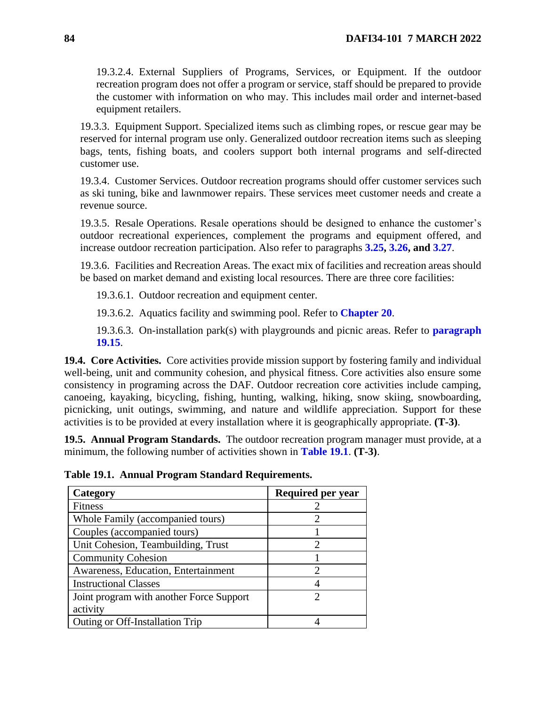19.3.2.4. External Suppliers of Programs, Services, or Equipment. If the outdoor recreation program does not offer a program or service, staff should be prepared to provide the customer with information on who may. This includes mail order and internet-based equipment retailers.

19.3.3. Equipment Support. Specialized items such as climbing ropes, or rescue gear may be reserved for internal program use only. Generalized outdoor recreation items such as sleeping bags, tents, fishing boats, and coolers support both internal programs and self-directed customer use.

19.3.4. Customer Services. Outdoor recreation programs should offer customer services such as ski tuning, bike and lawnmower repairs. These services meet customer needs and create a revenue source.

19.3.5. Resale Operations. Resale operations should be designed to enhance the customer's outdoor recreational experiences, complement the programs and equipment offered, and increase outdoor recreation participation. Also refer to paragraphs **[3.25,](#page-21-0) [3.26,](#page-22-0) and [3.27](#page-24-0)**.

19.3.6. Facilities and Recreation Areas. The exact mix of facilities and recreation areas should be based on market demand and existing local resources. There are three core facilities:

19.3.6.1. Outdoor recreation and equipment center.

19.3.6.2. Aquatics facility and swimming pool. Refer to **[Chapter 20](#page-95-0)**.

19.3.6.3. On-installation park(s) with playgrounds and picnic areas. Refer to **[paragraph](#page-85-1)  [19.15](#page-85-1)**.

**19.4. Core Activities.** Core activities provide mission support by fostering family and individual well-being, unit and community cohesion, and physical fitness. Core activities also ensure some consistency in programing across the DAF. Outdoor recreation core activities include camping, canoeing, kayaking, bicycling, fishing, hunting, walking, hiking, snow skiing, snowboarding, picnicking, unit outings, swimming, and nature and wildlife appreciation. Support for these activities is to be provided at every installation where it is geographically appropriate. **(T-3)**.

**19.5. Annual Program Standards.** The outdoor recreation program manager must provide, at a minimum, the following number of activities shown in **[Table 19.1](#page-83-0)**. **(T-3)**.

<span id="page-83-0"></span>**Table 19.1. Annual Program Standard Requirements.**

| Category                                 | <b>Required per year</b> |
|------------------------------------------|--------------------------|
| <b>Fitness</b>                           |                          |
| Whole Family (accompanied tours)         | 2                        |
| Couples (accompanied tours)              |                          |
| Unit Cohesion, Teambuilding, Trust       | 2                        |
| <b>Community Cohesion</b>                |                          |
| Awareness, Education, Entertainment      | 2                        |
| <b>Instructional Classes</b>             |                          |
| Joint program with another Force Support | 2                        |
| activity                                 |                          |
| Outing or Off-Installation Trip          |                          |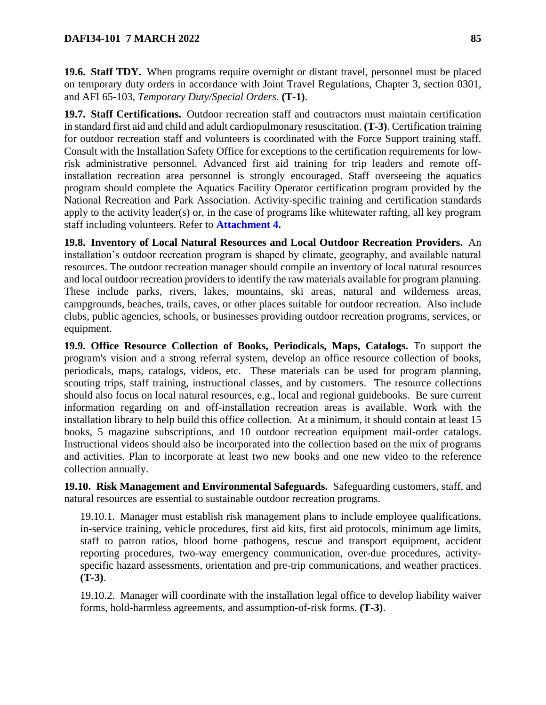## **DAFI34-101 7 MARCH 2022 85**

**19.6. Staff TDY.** When programs require overnight or distant travel, personnel must be placed on temporary duty orders in accordance with Joint Travel Regulations, Chapter 3, section 0301, and AFI 65-103, *Temporary Duty/Special Orders*. **(T-1)**.

**19.7. Staff Certifications.** Outdoor recreation staff and contractors must maintain certification in standard first aid and child and adult cardiopulmonary resuscitation. **(T-3)**. Certification training for outdoor recreation staff and volunteers is coordinated with the Force Support training staff. Consult with the Installation Safety Office for exceptions to the certification requirements for lowrisk administrative personnel. Advanced first aid training for trip leaders and remote offinstallation recreation area personnel is strongly encouraged. Staff overseeing the aquatics program should complete the Aquatics Facility Operator certification program provided by the National Recreation and Park Association. Activity-specific training and certification standards apply to the activity leader(s) or, in the case of programs like whitewater rafting, all key program staff including volunteers. Refer to **[Attachment 4.](#page-126-0)**

**19.8. Inventory of Local Natural Resources and Local Outdoor Recreation Providers.** An installation's outdoor recreation program is shaped by climate, geography, and available natural resources. The outdoor recreation manager should compile an inventory of local natural resources and local outdoor recreation providers to identify the raw materials available for program planning. These include parks, rivers, lakes, mountains, ski areas, natural and wilderness areas, campgrounds, beaches, trails, caves, or other places suitable for outdoor recreation. Also include clubs, public agencies, schools, or businesses providing outdoor recreation programs, services, or equipment.

**19.9. Office Resource Collection of Books, Periodicals, Maps, Catalogs.** To support the program's vision and a strong referral system, develop an office resource collection of books, periodicals, maps, catalogs, videos, etc. These materials can be used for program planning, scouting trips, staff training, instructional classes, and by customers. The resource collections should also focus on local natural resources, e.g., local and regional guidebooks. Be sure current information regarding on and off-installation recreation areas is available. Work with the installation library to help build this office collection. At a minimum, it should contain at least 15 books, 5 magazine subscriptions, and 10 outdoor recreation equipment mail-order catalogs. Instructional videos should also be incorporated into the collection based on the mix of programs and activities. Plan to incorporate at least two new books and one new video to the reference collection annually.

**19.10. Risk Management and Environmental Safeguards.** Safeguarding customers, staff, and natural resources are essential to sustainable outdoor recreation programs.

19.10.1. Manager must establish risk management plans to include employee qualifications, in-service training, vehicle procedures, first aid kits, first aid protocols, minimum age limits, staff to patron ratios, blood borne pathogens, rescue and transport equipment, accident reporting procedures, two-way emergency communication, over-due procedures, activityspecific hazard assessments, orientation and pre-trip communications, and weather practices. **(T-3)**.

19.10.2. Manager will coordinate with the installation legal office to develop liability waiver forms, hold-harmless agreements, and assumption-of-risk forms. **(T-3)**.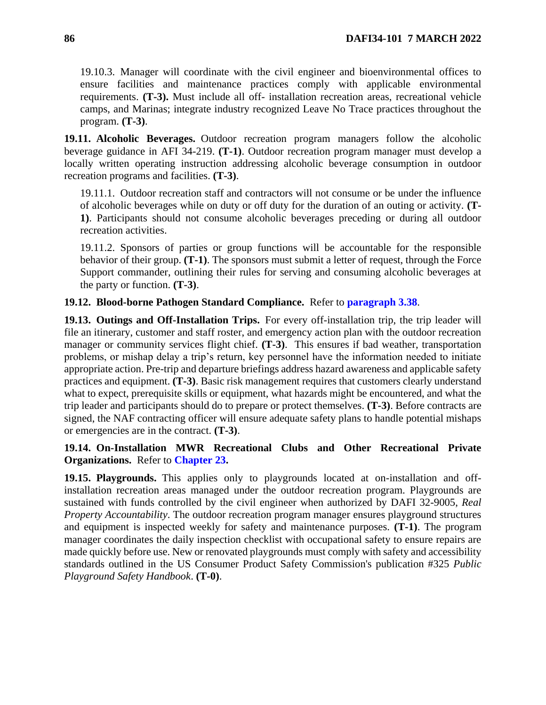19.10.3. Manager will coordinate with the civil engineer and bioenvironmental offices to ensure facilities and maintenance practices comply with applicable environmental requirements. **(T-3).** Must include all off- installation recreation areas, recreational vehicle camps, and Marinas; integrate industry recognized Leave No Trace practices throughout the program. **(T-3)**.

**19.11. Alcoholic Beverages.** Outdoor recreation program managers follow the alcoholic beverage guidance in AFI 34-219. **(T-1)**. Outdoor recreation program manager must develop a locally written operating instruction addressing alcoholic beverage consumption in outdoor recreation programs and facilities. **(T-3)**.

19.11.1. Outdoor recreation staff and contractors will not consume or be under the influence of alcoholic beverages while on duty or off duty for the duration of an outing or activity. **(T-1)**. Participants should not consume alcoholic beverages preceding or during all outdoor recreation activities.

19.11.2. Sponsors of parties or group functions will be accountable for the responsible behavior of their group. **(T-1)**. The sponsors must submit a letter of request, through the Force Support commander, outlining their rules for serving and consuming alcoholic beverages at the party or function. **(T-3)**.

## **19.12. Blood-borne Pathogen Standard Compliance.** Refer to **[paragraph 3.38](#page-28-0)**.

**19.13. Outings and Off-Installation Trips.** For every off-installation trip, the trip leader will file an itinerary, customer and staff roster, and emergency action plan with the outdoor recreation manager or community services flight chief. **(T-3)**. This ensures if bad weather, transportation problems, or mishap delay a trip's return, key personnel have the information needed to initiate appropriate action. Pre-trip and departure briefings address hazard awareness and applicable safety practices and equipment. **(T-3)**. Basic risk management requires that customers clearly understand what to expect, prerequisite skills or equipment, what hazards might be encountered, and what the trip leader and participants should do to prepare or protect themselves. **(T-3)**. Before contracts are signed, the NAF contracting officer will ensure adequate safety plans to handle potential mishaps or emergencies are in the contract. **(T-3)**.

## **19.14. On-Installation MWR Recreational Clubs and Other Recreational Private Organizations.** Refer to **[Chapter 23.](#page-103-0)**

<span id="page-85-1"></span><span id="page-85-0"></span>**19.15. Playgrounds.** This applies only to playgrounds located at on-installation and offinstallation recreation areas managed under the outdoor recreation program. Playgrounds are sustained with funds controlled by the civil engineer when authorized by DAFI 32-9005, *Real Property Accountability*. The outdoor recreation program manager ensures playground structures and equipment is inspected weekly for safety and maintenance purposes. **(T-1)**. The program manager coordinates the daily inspection checklist with occupational safety to ensure repairs are made quickly before use. New or renovated playgrounds must comply with safety and accessibility standards outlined in the US Consumer Product Safety Commission's publication #325 *Public Playground Safety Handbook*. **(T-0)**.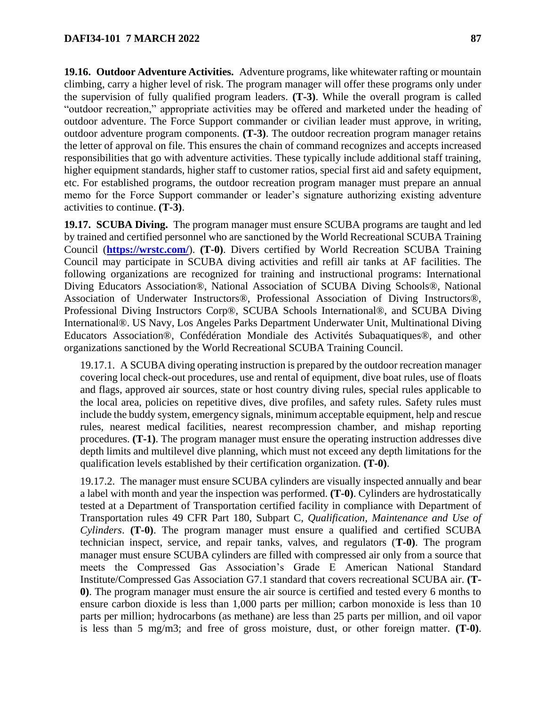**19.16. Outdoor Adventure Activities.** Adventure programs, like whitewater rafting or mountain climbing, carry a higher level of risk. The program manager will offer these programs only under the supervision of fully qualified program leaders. **(T-3)**. While the overall program is called "outdoor recreation," appropriate activities may be offered and marketed under the heading of outdoor adventure. The Force Support commander or civilian leader must approve, in writing, outdoor adventure program components. **(T-3)**. The outdoor recreation program manager retains the letter of approval on file. This ensures the chain of command recognizes and accepts increased responsibilities that go with adventure activities. These typically include additional staff training, higher equipment standards, higher staff to customer ratios, special first aid and safety equipment, etc. For established programs, the outdoor recreation program manager must prepare an annual memo for the Force Support commander or leader's signature authorizing existing adventure activities to continue. **(T-3)**.

**19.17. SCUBA Diving.** The program manager must ensure SCUBA programs are taught and led by trained and certified personnel who are sanctioned by the World Recreational SCUBA Training Council (**<https://wrstc.com/>**). **(T-0)**. Divers certified by World Recreation SCUBA Training Council may participate in SCUBA diving activities and refill air tanks at AF facilities. The following organizations are recognized for training and instructional programs: International Diving Educators Association®, National Association of SCUBA Diving Schools®, National Association of Underwater Instructors®, Professional Association of Diving Instructors®, Professional Diving Instructors Corp®, SCUBA Schools International®, and SCUBA Diving International®. US Navy, Los Angeles Parks Department Underwater Unit, Multinational Diving Educators Association®, Confédération Mondiale des Activités Subaquatiques®, and other organizations sanctioned by the World Recreational SCUBA Training Council.

19.17.1. A SCUBA diving operating instruction is prepared by the outdoor recreation manager covering local check-out procedures, use and rental of equipment, dive boat rules, use of floats and flags, approved air sources, state or host country diving rules, special rules applicable to the local area, policies on repetitive dives, dive profiles, and safety rules. Safety rules must include the buddy system, emergency signals, minimum acceptable equipment, help and rescue rules, nearest medical facilities, nearest recompression chamber, and mishap reporting procedures. **(T-1)**. The program manager must ensure the operating instruction addresses dive depth limits and multilevel dive planning, which must not exceed any depth limitations for the qualification levels established by their certification organization. **(T-0)**.

19.17.2. The manager must ensure SCUBA cylinders are visually inspected annually and bear a label with month and year the inspection was performed. **(T-0)**. Cylinders are hydrostatically tested at a Department of Transportation certified facility in compliance with Department of Transportation rules 49 CFR Part 180, Subpart C, *Qualification, Maintenance and Use of Cylinders*. **(T-0)**. The program manager must ensure a qualified and certified SCUBA technician inspect, service, and repair tanks, valves, and regulators (**T-0)**. The program manager must ensure SCUBA cylinders are filled with compressed air only from a source that meets the Compressed Gas Association's Grade E American National Standard Institute/Compressed Gas Association G7.1 standard that covers recreational SCUBA air. **(T-0)**. The program manager must ensure the air source is certified and tested every 6 months to ensure carbon dioxide is less than 1,000 parts per million; carbon monoxide is less than 10 parts per million; hydrocarbons (as methane) are less than 25 parts per million, and oil vapor is less than 5 mg/m3; and free of gross moisture, dust, or other foreign matter. **(T-0)**.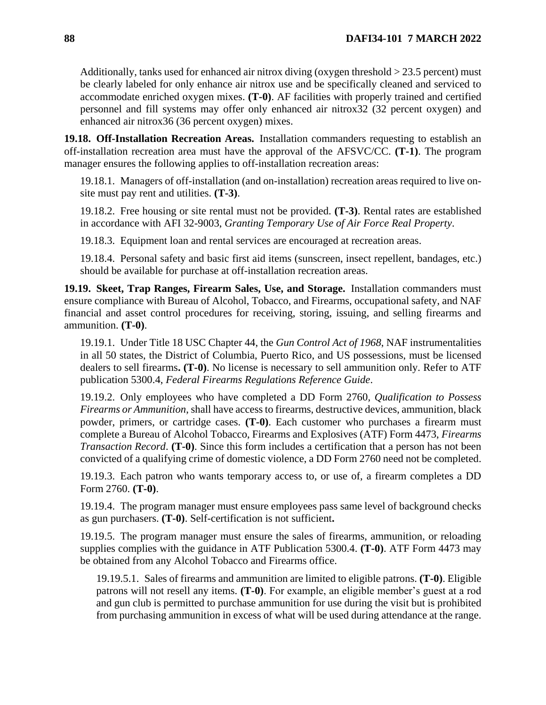Additionally, tanks used for enhanced air nitrox diving (oxygen threshold > 23.5 percent) must be clearly labeled for only enhance air nitrox use and be specifically cleaned and serviced to accommodate enriched oxygen mixes. **(T-0)**. AF facilities with properly trained and certified personnel and fill systems may offer only enhanced air nitrox32 (32 percent oxygen) and enhanced air nitrox36 (36 percent oxygen) mixes.

**19.18. Off-Installation Recreation Areas.** Installation commanders requesting to establish an off-installation recreation area must have the approval of the AFSVC/CC. **(T-1)**. The program manager ensures the following applies to off-installation recreation areas:

19.18.1. Managers of off-installation (and on-installation) recreation areas required to live onsite must pay rent and utilities. **(T-3)**.

19.18.2. Free housing or site rental must not be provided. **(T-3)**. Rental rates are established in accordance with AFI 32-9003, *Granting Temporary Use of Air Force Real Property*.

19.18.3. Equipment loan and rental services are encouraged at recreation areas.

19.18.4. Personal safety and basic first aid items (sunscreen, insect repellent, bandages, etc.) should be available for purchase at off-installation recreation areas.

<span id="page-87-0"></span>**19.19. Skeet, Trap Ranges, Firearm Sales, Use, and Storage.** Installation commanders must ensure compliance with Bureau of Alcohol, Tobacco, and Firearms, occupational safety, and NAF financial and asset control procedures for receiving, storing, issuing, and selling firearms and ammunition. **(T-0)**.

19.19.1. Under Title 18 USC Chapter 44, the *Gun Control Act of 1968*, NAF instrumentalities in all 50 states, the District of Columbia, Puerto Rico, and US possessions, must be licensed dealers to sell firearms**. (T-0)**. No license is necessary to sell ammunition only. Refer to ATF publication 5300.4, *Federal Firearms Regulations Reference Guide*.

19.19.2. Only employees who have completed a DD Form 2760*, Qualification to Possess Firearms or Ammunition*, shall have access to firearms, destructive devices, ammunition, black powder, primers, or cartridge cases. **(T-0)**. Each customer who purchases a firearm must complete a Bureau of Alcohol Tobacco, Firearms and Explosives (ATF) Form 4473, *Firearms Transaction Record*. **(T-0)**. Since this form includes a certification that a person has not been convicted of a qualifying crime of domestic violence, a DD Form 2760 need not be completed.

19.19.3. Each patron who wants temporary access to, or use of, a firearm completes a DD Form 2760. **(T-0)**.

19.19.4. The program manager must ensure employees pass same level of background checks as gun purchasers. **(T-0)**. Self-certification is not sufficient**.**

19.19.5. The program manager must ensure the sales of firearms, ammunition, or reloading supplies complies with the guidance in ATF Publication 5300.4. **(T-0)**. ATF Form 4473 may be obtained from any Alcohol Tobacco and Firearms office.

19.19.5.1. Sales of firearms and ammunition are limited to eligible patrons. **(T-0)**. Eligible patrons will not resell any items. **(T-0)**. For example, an eligible member's guest at a rod and gun club is permitted to purchase ammunition for use during the visit but is prohibited from purchasing ammunition in excess of what will be used during attendance at the range.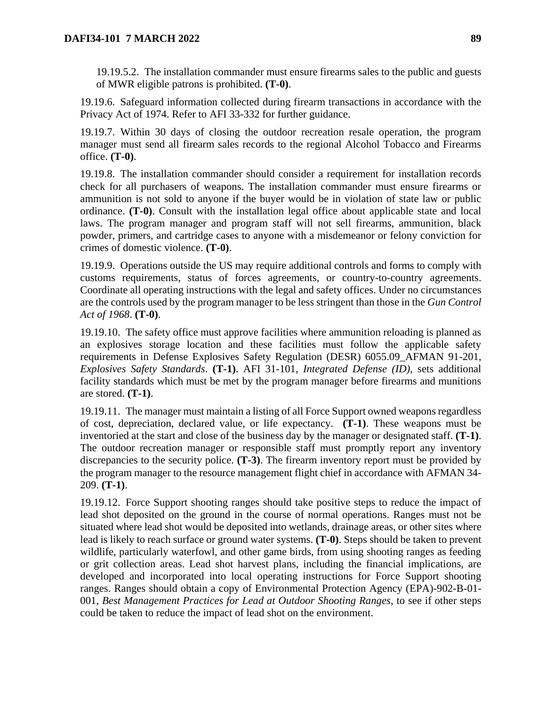19.19.5.2. The installation commander must ensure firearms sales to the public and guests of MWR eligible patrons is prohibited. **(T-0)**.

19.19.6. Safeguard information collected during firearm transactions in accordance with the Privacy Act of 1974. Refer to AFI 33-332 for further guidance.

19.19.7. Within 30 days of closing the outdoor recreation resale operation, the program manager must send all firearm sales records to the regional Alcohol Tobacco and Firearms office. **(T-0)**.

19.19.8. The installation commander should consider a requirement for installation records check for all purchasers of weapons. The installation commander must ensure firearms or ammunition is not sold to anyone if the buyer would be in violation of state law or public ordinance. **(T-0)**. Consult with the installation legal office about applicable state and local laws. The program manager and program staff will not sell firearms, ammunition, black powder, primers, and cartridge cases to anyone with a misdemeanor or felony conviction for crimes of domestic violence. **(T-0)**.

19.19.9. Operations outside the US may require additional controls and forms to comply with customs requirements, status of forces agreements, or country-to-country agreements. Coordinate all operating instructions with the legal and safety offices. Under no circumstances are the controls used by the program manager to be less stringent than those in the *Gun Control Act of 1968*. **(T-0)**.

19.19.10. The safety office must approve facilities where ammunition reloading is planned as an explosives storage location and these facilities must follow the applicable safety requirements in Defense Explosives Safety Regulation (DESR) 6055.09\_AFMAN 91-201, *Explosives Safety Standards*. **(T-1)**. AFI 31-101, *Integrated Defense (ID)*, sets additional facility standards which must be met by the program manager before firearms and munitions are stored. **(T-1)**.

19.19.11. The manager must maintain a listing of all Force Support owned weapons regardless of cost, depreciation, declared value, or life expectancy. **(T-1)**. These weapons must be inventoried at the start and close of the business day by the manager or designated staff. **(T-1)**. The outdoor recreation manager or responsible staff must promptly report any inventory discrepancies to the security police. **(T-3)**. The firearm inventory report must be provided by the program manager to the resource management flight chief in accordance with AFMAN 34- 209. **(T-1)**.

19.19.12. Force Support shooting ranges should take positive steps to reduce the impact of lead shot deposited on the ground in the course of normal operations. Ranges must not be situated where lead shot would be deposited into wetlands, drainage areas, or other sites where lead is likely to reach surface or ground water systems. **(T-0)**. Steps should be taken to prevent wildlife, particularly waterfowl, and other game birds, from using shooting ranges as feeding or grit collection areas. Lead shot harvest plans, including the financial implications, are developed and incorporated into local operating instructions for Force Support shooting ranges. Ranges should obtain a copy of Environmental Protection Agency (EPA)-902-B-01- 001, *Best Management Practices for Lead at Outdoor Shooting Ranges*, to see if other steps could be taken to reduce the impact of lead shot on the environment.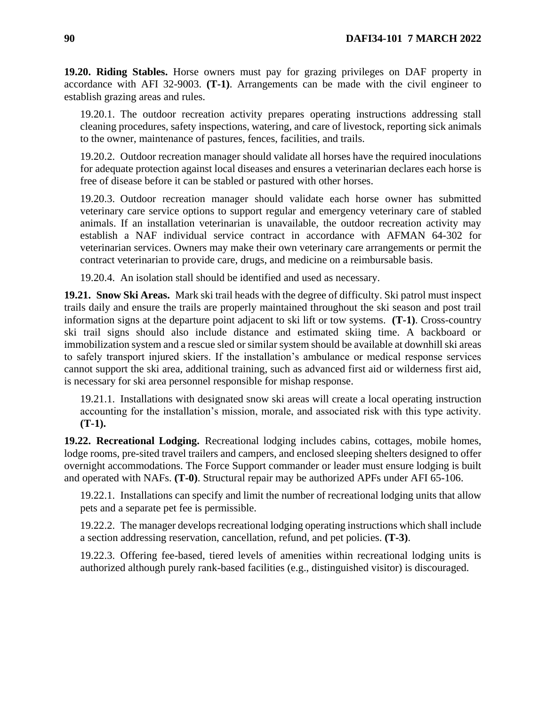**19.20. Riding Stables.** Horse owners must pay for grazing privileges on DAF property in accordance with AFI 32-9003. **(T-1)**. Arrangements can be made with the civil engineer to establish grazing areas and rules.

19.20.1. The outdoor recreation activity prepares operating instructions addressing stall cleaning procedures, safety inspections, watering, and care of livestock, reporting sick animals to the owner, maintenance of pastures, fences, facilities, and trails.

19.20.2. Outdoor recreation manager should validate all horses have the required inoculations for adequate protection against local diseases and ensures a veterinarian declares each horse is free of disease before it can be stabled or pastured with other horses.

19.20.3. Outdoor recreation manager should validate each horse owner has submitted veterinary care service options to support regular and emergency veterinary care of stabled animals. If an installation veterinarian is unavailable, the outdoor recreation activity may establish a NAF individual service contract in accordance with AFMAN 64-302 for veterinarian services. Owners may make their own veterinary care arrangements or permit the contract veterinarian to provide care, drugs, and medicine on a reimbursable basis.

19.20.4. An isolation stall should be identified and used as necessary.

**19.21. Snow Ski Areas.** Mark ski trail heads with the degree of difficulty. Ski patrol must inspect trails daily and ensure the trails are properly maintained throughout the ski season and post trail information signs at the departure point adjacent to ski lift or tow systems. **(T-1)**. Cross-country ski trail signs should also include distance and estimated skiing time. A backboard or immobilization system and a rescue sled or similar system should be available at downhill ski areas to safely transport injured skiers. If the installation's ambulance or medical response services cannot support the ski area, additional training, such as advanced first aid or wilderness first aid, is necessary for ski area personnel responsible for mishap response.

19.21.1. Installations with designated snow ski areas will create a local operating instruction accounting for the installation's mission, morale, and associated risk with this type activity. **(T-1).**

**19.22. Recreational Lodging.** Recreational lodging includes cabins, cottages, mobile homes, lodge rooms, pre-sited travel trailers and campers, and enclosed sleeping shelters designed to offer overnight accommodations. The Force Support commander or leader must ensure lodging is built and operated with NAFs. **(T-0)**. Structural repair may be authorized APFs under AFI 65-106.

19.22.1. Installations can specify and limit the number of recreational lodging units that allow pets and a separate pet fee is permissible.

19.22.2. The manager develops recreational lodging operating instructions which shall include a section addressing reservation, cancellation, refund, and pet policies. **(T-3)**.

19.22.3. Offering fee-based, tiered levels of amenities within recreational lodging units is authorized although purely rank-based facilities (e.g., distinguished visitor) is discouraged.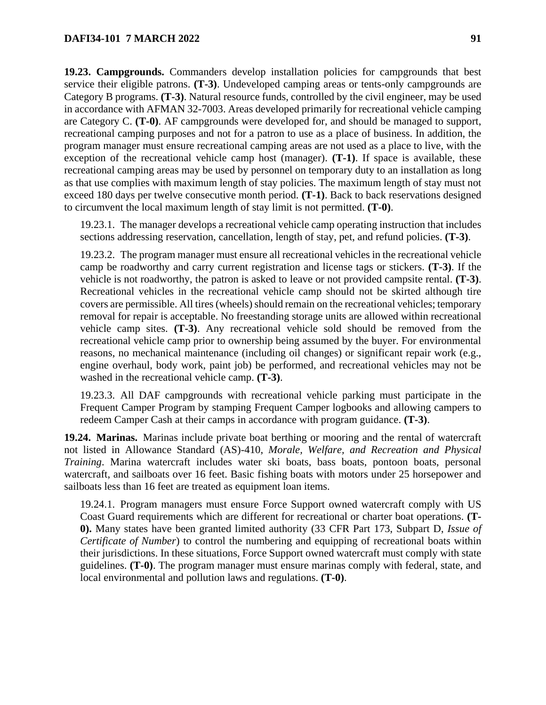**19.23. Campgrounds.** Commanders develop installation policies for campgrounds that best service their eligible patrons. **(T-3)**. Undeveloped camping areas or tents-only campgrounds are Category B programs. **(T-3)**. Natural resource funds, controlled by the civil engineer, may be used in accordance with AFMAN 32-7003. Areas developed primarily for recreational vehicle camping are Category C. **(T-0)**. AF campgrounds were developed for, and should be managed to support, recreational camping purposes and not for a patron to use as a place of business. In addition, the program manager must ensure recreational camping areas are not used as a place to live, with the exception of the recreational vehicle camp host (manager). **(T-1)**. If space is available, these recreational camping areas may be used by personnel on temporary duty to an installation as long as that use complies with maximum length of stay policies. The maximum length of stay must not exceed 180 days per twelve consecutive month period. **(T-1)**. Back to back reservations designed to circumvent the local maximum length of stay limit is not permitted. **(T-0)**.

19.23.1. The manager develops a recreational vehicle camp operating instruction that includes sections addressing reservation, cancellation, length of stay, pet, and refund policies. **(T-3)**.

19.23.2. The program manager must ensure all recreational vehicles in the recreational vehicle camp be roadworthy and carry current registration and license tags or stickers. **(T-3)**. If the vehicle is not roadworthy, the patron is asked to leave or not provided campsite rental. **(T-3)**. Recreational vehicles in the recreational vehicle camp should not be skirted although tire covers are permissible. All tires (wheels) should remain on the recreational vehicles; temporary removal for repair is acceptable. No freestanding storage units are allowed within recreational vehicle camp sites. **(T-3)**. Any recreational vehicle sold should be removed from the recreational vehicle camp prior to ownership being assumed by the buyer. For environmental reasons, no mechanical maintenance (including oil changes) or significant repair work (e.g., engine overhaul, body work, paint job) be performed, and recreational vehicles may not be washed in the recreational vehicle camp. **(T-3)**.

19.23.3. All DAF campgrounds with recreational vehicle parking must participate in the Frequent Camper Program by stamping Frequent Camper logbooks and allowing campers to redeem Camper Cash at their camps in accordance with program guidance. **(T-3)**.

**19.24. Marinas.** Marinas include private boat berthing or mooring and the rental of watercraft not listed in Allowance Standard (AS)-410, *Morale, Welfare, and Recreation and Physical Training*. Marina watercraft includes water ski boats, bass boats, pontoon boats, personal watercraft, and sailboats over 16 feet. Basic fishing boats with motors under 25 horsepower and sailboats less than 16 feet are treated as equipment loan items.

19.24.1. Program managers must ensure Force Support owned watercraft comply with US Coast Guard requirements which are different for recreational or charter boat operations. **(T-0).** Many states have been granted limited authority (33 CFR Part 173, Subpart D, *Issue of Certificate of Number*) to control the numbering and equipping of recreational boats within their jurisdictions. In these situations, Force Support owned watercraft must comply with state guidelines. **(T-0)**. The program manager must ensure marinas comply with federal, state, and local environmental and pollution laws and regulations. **(T-0)**.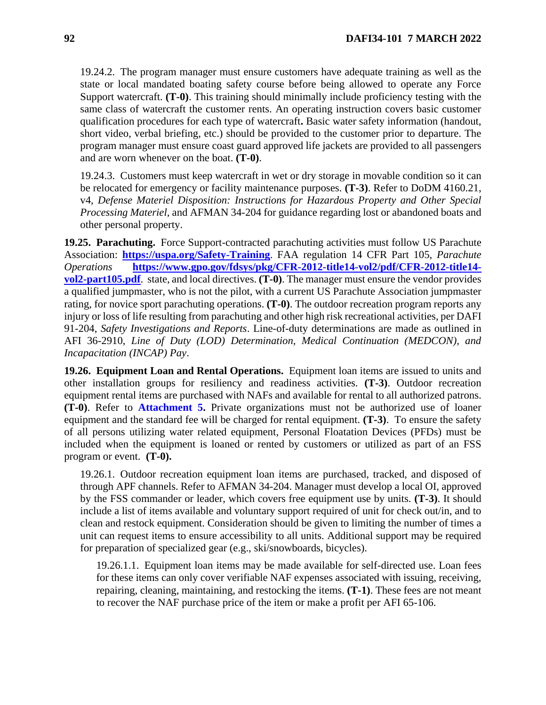19.24.2. The program manager must ensure customers have adequate training as well as the state or local mandated boating safety course before being allowed to operate any Force Support watercraft. **(T-0)**. This training should minimally include proficiency testing with the same class of watercraft the customer rents. An operating instruction covers basic customer qualification procedures for each type of watercraft**.** Basic water safety information (handout, short video, verbal briefing, etc.) should be provided to the customer prior to departure. The program manager must ensure coast guard approved life jackets are provided to all passengers and are worn whenever on the boat. **(T-0)**.

19.24.3. Customers must keep watercraft in wet or dry storage in movable condition so it can be relocated for emergency or facility maintenance purposes. **(T-3)**. Refer to DoDM 4160.21, v4, *Defense Materiel Disposition: Instructions for Hazardous Property and Other Special Processing Materiel,* and AFMAN 34-204 for guidance regarding lost or abandoned boats and other personal property.

**19.25. Parachuting.** Force Support-contracted parachuting activities must follow US Parachute Association: **<https://uspa.org/Safety-Training>**. FAA regulation 14 CFR Part 105, *Parachute Operations* **[https://www.gpo.gov/fdsys/pkg/CFR-2012-title14-vol2/pdf/CFR-2012-title14](https://www.gpo.gov/fdsys/pkg/CFR-2012-title14-vol2/pdf/CFR-2012-title14-vol2-part105.pdf) [vol2-part105.pdf](https://www.gpo.gov/fdsys/pkg/CFR-2012-title14-vol2/pdf/CFR-2012-title14-vol2-part105.pdf)**. state, and local directives. **(T-0)**. The manager must ensure the vendor provides a qualified jumpmaster, who is not the pilot, with a current US Parachute Association jumpmaster rating, for novice sport parachuting operations. **(T-0)**. The outdoor recreation program reports any injury or loss of life resulting from parachuting and other high risk recreational activities, per DAFI 91-204, *Safety Investigations and Reports*. Line-of-duty determinations are made as outlined in AFI 36-2910, *Line of Duty (LOD) Determination, Medical Continuation (MEDCON), and Incapacitation (INCAP) Pay*.

**19.26. Equipment Loan and Rental Operations.** Equipment loan items are issued to units and other installation groups for resiliency and readiness activities. **(T-3)**. Outdoor recreation equipment rental items are purchased with NAFs and available for rental to all authorized patrons. **(T-0)**. Refer to **[Attachment 5.](#page-129-0)** Private organizations must not be authorized use of loaner equipment and the standard fee will be charged for rental equipment. **(T-3)**. To ensure the safety of all persons utilizing water related equipment, Personal Floatation Devices (PFDs) must be included when the equipment is loaned or rented by customers or utilized as part of an FSS program or event. **(T-0).**

19.26.1. Outdoor recreation equipment loan items are purchased, tracked, and disposed of through APF channels. Refer to AFMAN 34-204. Manager must develop a local OI, approved by the FSS commander or leader, which covers free equipment use by units. **(T-3)**. It should include a list of items available and voluntary support required of unit for check out/in, and to clean and restock equipment. Consideration should be given to limiting the number of times a unit can request items to ensure accessibility to all units. Additional support may be required for preparation of specialized gear (e.g., ski/snowboards, bicycles).

19.26.1.1. Equipment loan items may be made available for self-directed use. Loan fees for these items can only cover verifiable NAF expenses associated with issuing, receiving, repairing, cleaning, maintaining, and restocking the items. **(T-1)**. These fees are not meant to recover the NAF purchase price of the item or make a profit per AFI 65-106.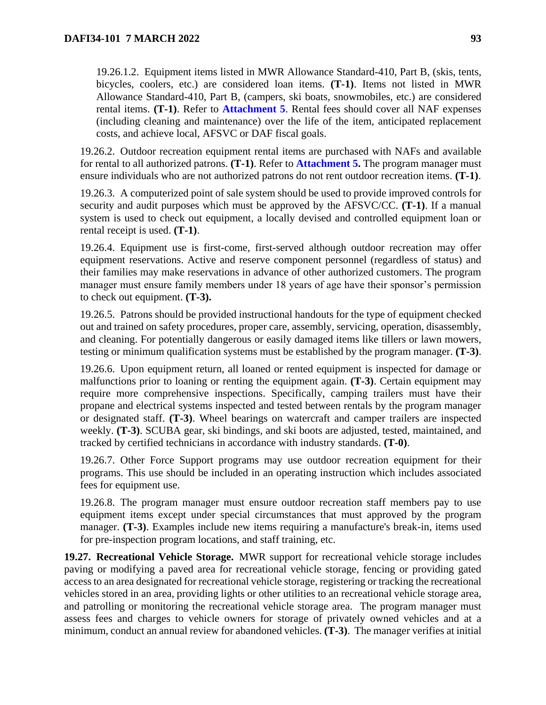19.26.1.2. Equipment items listed in MWR Allowance Standard-410, Part B, (skis, tents, bicycles, coolers, etc.) are considered loan items. **(T-1)**. Items not listed in MWR Allowance Standard-410, Part B, (campers, ski boats, snowmobiles, etc.) are considered rental items. **(T-1)**. Refer to **[Attachment 5](#page-129-0)**. Rental fees should cover all NAF expenses (including cleaning and maintenance) over the life of the item, anticipated replacement costs, and achieve local, AFSVC or DAF fiscal goals.

19.26.2. Outdoor recreation equipment rental items are purchased with NAFs and available for rental to all authorized patrons. **(T-1)**. Refer to **[Attachment 5.](#page-129-0)** The program manager must ensure individuals who are not authorized patrons do not rent outdoor recreation items. **(T-1)**.

19.26.3. A computerized point of sale system should be used to provide improved controls for security and audit purposes which must be approved by the AFSVC/CC. **(T-1)**. If a manual system is used to check out equipment, a locally devised and controlled equipment loan or rental receipt is used. **(T-1)**.

19.26.4. Equipment use is first-come, first-served although outdoor recreation may offer equipment reservations. Active and reserve component personnel (regardless of status) and their families may make reservations in advance of other authorized customers. The program manager must ensure family members under 18 years of age have their sponsor's permission to check out equipment. **(T-3).**

19.26.5. Patrons should be provided instructional handouts for the type of equipment checked out and trained on safety procedures, proper care, assembly, servicing, operation, disassembly, and cleaning. For potentially dangerous or easily damaged items like tillers or lawn mowers, testing or minimum qualification systems must be established by the program manager. **(T-3)**.

19.26.6. Upon equipment return, all loaned or rented equipment is inspected for damage or malfunctions prior to loaning or renting the equipment again. **(T-3)**. Certain equipment may require more comprehensive inspections. Specifically, camping trailers must have their propane and electrical systems inspected and tested between rentals by the program manager or designated staff. **(T-3)**. Wheel bearings on watercraft and camper trailers are inspected weekly. **(T-3)**. SCUBA gear, ski bindings, and ski boots are adjusted, tested, maintained, and tracked by certified technicians in accordance with industry standards. **(T-0)**.

19.26.7. Other Force Support programs may use outdoor recreation equipment for their programs. This use should be included in an operating instruction which includes associated fees for equipment use.

19.26.8. The program manager must ensure outdoor recreation staff members pay to use equipment items except under special circumstances that must approved by the program manager. **(T-3)**. Examples include new items requiring a manufacture's break-in, items used for pre-inspection program locations, and staff training, etc.

**19.27. Recreational Vehicle Storage.** MWR support for recreational vehicle storage includes paving or modifying a paved area for recreational vehicle storage, fencing or providing gated access to an area designated for recreational vehicle storage, registering or tracking the recreational vehicles stored in an area, providing lights or other utilities to an recreational vehicle storage area, and patrolling or monitoring the recreational vehicle storage area. The program manager must assess fees and charges to vehicle owners for storage of privately owned vehicles and at a minimum, conduct an annual review for abandoned vehicles. **(T-3)**. The manager verifies at initial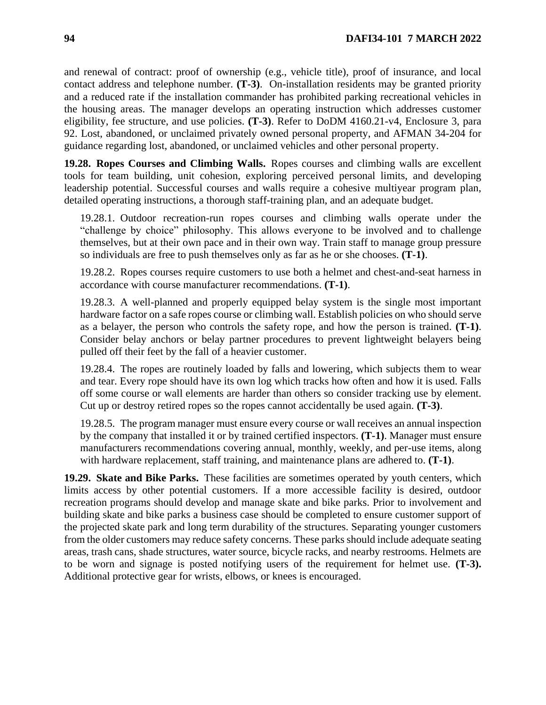and renewal of contract: proof of ownership (e.g., vehicle title), proof of insurance, and local contact address and telephone number. **(T-3)**. On-installation residents may be granted priority and a reduced rate if the installation commander has prohibited parking recreational vehicles in the housing areas. The manager develops an operating instruction which addresses customer eligibility, fee structure, and use policies. **(T-3)**. Refer to DoDM 4160.21-v4, Enclosure 3, para 92. Lost, abandoned, or unclaimed privately owned personal property, and AFMAN 34-204 for guidance regarding lost, abandoned, or unclaimed vehicles and other personal property.

**19.28. Ropes Courses and Climbing Walls.** Ropes courses and climbing walls are excellent tools for team building, unit cohesion, exploring perceived personal limits, and developing leadership potential. Successful courses and walls require a cohesive multiyear program plan, detailed operating instructions, a thorough staff-training plan, and an adequate budget.

19.28.1. Outdoor recreation-run ropes courses and climbing walls operate under the "challenge by choice" philosophy. This allows everyone to be involved and to challenge themselves, but at their own pace and in their own way. Train staff to manage group pressure so individuals are free to push themselves only as far as he or she chooses. **(T-1)**.

19.28.2. Ropes courses require customers to use both a helmet and chest-and-seat harness in accordance with course manufacturer recommendations. **(T-1)**.

19.28.3. A well-planned and properly equipped belay system is the single most important hardware factor on a safe ropes course or climbing wall. Establish policies on who should serve as a belayer, the person who controls the safety rope, and how the person is trained. **(T-1)**. Consider belay anchors or belay partner procedures to prevent lightweight belayers being pulled off their feet by the fall of a heavier customer.

19.28.4. The ropes are routinely loaded by falls and lowering, which subjects them to wear and tear. Every rope should have its own log which tracks how often and how it is used. Falls off some course or wall elements are harder than others so consider tracking use by element. Cut up or destroy retired ropes so the ropes cannot accidentally be used again. **(T-3)**.

19.28.5. The program manager must ensure every course or wall receives an annual inspection by the company that installed it or by trained certified inspectors. **(T-1)**. Manager must ensure manufacturers recommendations covering annual, monthly, weekly, and per-use items, along with hardware replacement, staff training, and maintenance plans are adhered to. **(T-1)**.

**19.29. Skate and Bike Parks.** These facilities are sometimes operated by youth centers, which limits access by other potential customers. If a more accessible facility is desired, outdoor recreation programs should develop and manage skate and bike parks. Prior to involvement and building skate and bike parks a business case should be completed to ensure customer support of the projected skate park and long term durability of the structures. Separating younger customers from the older customers may reduce safety concerns. These parks should include adequate seating areas, trash cans, shade structures, water source, bicycle racks, and nearby restrooms. Helmets are to be worn and signage is posted notifying users of the requirement for helmet use. **(T-3).**  Additional protective gear for wrists, elbows, or knees is encouraged.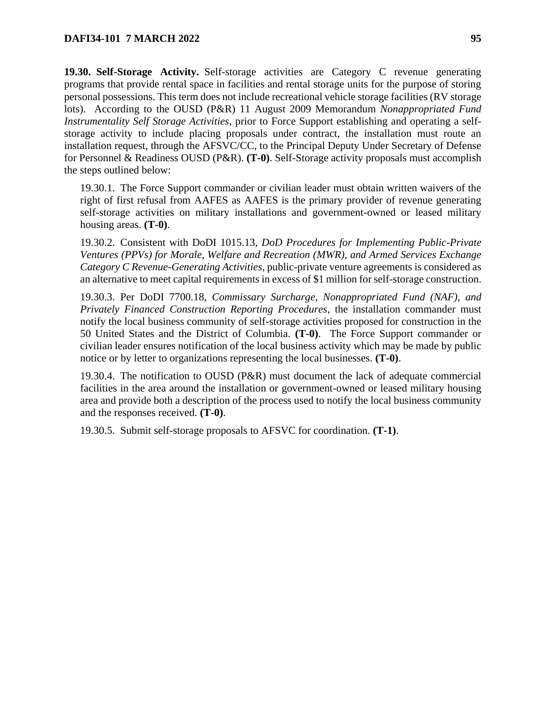**19.30. Self-Storage Activity.** Self-storage activities are Category C revenue generating programs that provide rental space in facilities and rental storage units for the purpose of storing personal possessions. This term does not include recreational vehicle storage facilities (RV storage lots). According to the OUSD (P&R) 11 August 2009 Memorandum *Nonappropriated Fund Instrumentality Self Storage Activities*, prior to Force Support establishing and operating a selfstorage activity to include placing proposals under contract, the installation must route an installation request, through the AFSVC/CC, to the Principal Deputy Under Secretary of Defense for Personnel & Readiness OUSD (P&R). **(T-0)**. Self-Storage activity proposals must accomplish the steps outlined below:

19.30.1. The Force Support commander or civilian leader must obtain written waivers of the right of first refusal from AAFES as AAFES is the primary provider of revenue generating self-storage activities on military installations and government-owned or leased military housing areas. **(T-0)**.

19.30.2. Consistent with DoDI 1015.13, *DoD Procedures for Implementing Public-Private Ventures (PPVs) for Morale, Welfare and Recreation (MWR), and Armed Services Exchange Category C Revenue-Generating Activities*, public-private venture agreements is considered as an alternative to meet capital requirements in excess of \$1 million for self-storage construction.

19.30.3. Per DoDI 7700.18, *Commissary Surcharge, Nonappropriated Fund (NAF), and Privately Financed Construction Reporting Procedures*, the installation commander must notify the local business community of self-storage activities proposed for construction in the 50 United States and the District of Columbia. **(T-0)**. The Force Support commander or civilian leader ensures notification of the local business activity which may be made by public notice or by letter to organizations representing the local businesses. **(T-0)**.

19.30.4. The notification to OUSD (P&R) must document the lack of adequate commercial facilities in the area around the installation or government-owned or leased military housing area and provide both a description of the process used to notify the local business community and the responses received. **(T-0)**.

19.30.5. Submit self-storage proposals to AFSVC for coordination. **(T-1)**.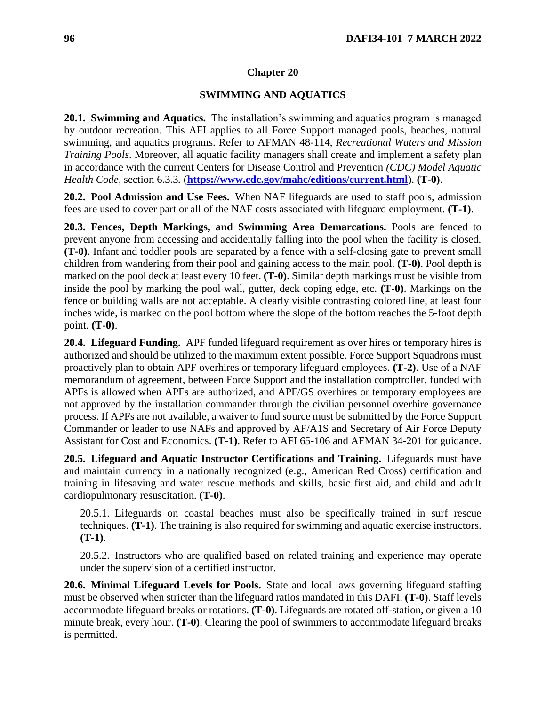### **Chapter 20**

#### **SWIMMING AND AQUATICS**

<span id="page-95-0"></span>**20.1. Swimming and Aquatics.** The installation's swimming and aquatics program is managed by outdoor recreation. This AFI applies to all Force Support managed pools, beaches, natural swimming, and aquatics programs. Refer to AFMAN 48-114, *Recreational Waters and Mission Training Pools*. Moreover, all aquatic facility managers shall create and implement a safety plan in accordance with the current Centers for Disease Control and Prevention *(CDC) Model Aquatic Health Code,* section 6.3.3*.* (**<https://www.cdc.gov/mahc/editions/current.html>**). **(T-0)**.

**20.2. Pool Admission and Use Fees.** When NAF lifeguards are used to staff pools, admission fees are used to cover part or all of the NAF costs associated with lifeguard employment. **(T-1)**.

**20.3. Fences, Depth Markings, and Swimming Area Demarcations.** Pools are fenced to prevent anyone from accessing and accidentally falling into the pool when the facility is closed. **(T-0)**. Infant and toddler pools are separated by a fence with a self-closing gate to prevent small children from wandering from their pool and gaining access to the main pool. **(T-0)**. Pool depth is marked on the pool deck at least every 10 feet. **(T-0)**. Similar depth markings must be visible from inside the pool by marking the pool wall, gutter, deck coping edge, etc. **(T-0)**. Markings on the fence or building walls are not acceptable. A clearly visible contrasting colored line, at least four inches wide, is marked on the pool bottom where the slope of the bottom reaches the 5-foot depth point. **(T-0)**.

**20.4. Lifeguard Funding.** APF funded lifeguard requirement as over hires or temporary hires is authorized and should be utilized to the maximum extent possible. Force Support Squadrons must proactively plan to obtain APF overhires or temporary lifeguard employees. **(T-2)**. Use of a NAF memorandum of agreement, between Force Support and the installation comptroller, funded with APFs is allowed when APFs are authorized, and APF/GS overhires or temporary employees are not approved by the installation commander through the civilian personnel overhire governance process. If APFs are not available, a waiver to fund source must be submitted by the Force Support Commander or leader to use NAFs and approved by AF/A1S and Secretary of Air Force Deputy Assistant for Cost and Economics. **(T-1)**. Refer to AFI 65-106 and AFMAN 34-201 for guidance.

**20.5. Lifeguard and Aquatic Instructor Certifications and Training.** Lifeguards must have and maintain currency in a nationally recognized (e.g., American Red Cross) certification and training in lifesaving and water rescue methods and skills, basic first aid, and child and adult cardiopulmonary resuscitation. **(T-0)**.

20.5.1. Lifeguards on coastal beaches must also be specifically trained in surf rescue techniques. **(T-1)**. The training is also required for swimming and aquatic exercise instructors. **(T-1)**.

20.5.2. Instructors who are qualified based on related training and experience may operate under the supervision of a certified instructor.

**20.6. Minimal Lifeguard Levels for Pools.** State and local laws governing lifeguard staffing must be observed when stricter than the lifeguard ratios mandated in this DAFI. **(T-0)**. Staff levels accommodate lifeguard breaks or rotations. **(T-0)**. Lifeguards are rotated off-station, or given a 10 minute break, every hour. **(T-0)**. Clearing the pool of swimmers to accommodate lifeguard breaks is permitted.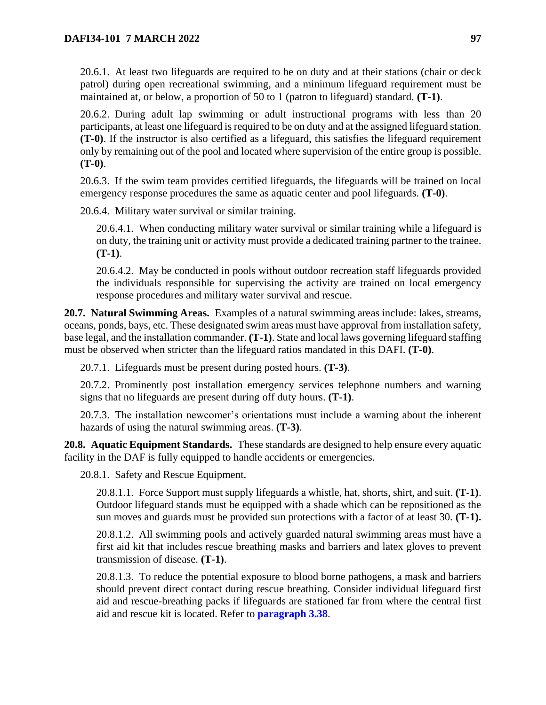20.6.1. At least two lifeguards are required to be on duty and at their stations (chair or deck patrol) during open recreational swimming, and a minimum lifeguard requirement must be maintained at, or below, a proportion of 50 to 1 (patron to lifeguard) standard. **(T-1)**.

20.6.2. During adult lap swimming or adult instructional programs with less than 20 participants, at least one lifeguard is required to be on duty and at the assigned lifeguard station. **(T-0)**. If the instructor is also certified as a lifeguard, this satisfies the lifeguard requirement only by remaining out of the pool and located where supervision of the entire group is possible. **(T-0)**.

20.6.3. If the swim team provides certified lifeguards, the lifeguards will be trained on local emergency response procedures the same as aquatic center and pool lifeguards. **(T-0)**.

20.6.4. Military water survival or similar training.

20.6.4.1. When conducting military water survival or similar training while a lifeguard is on duty, the training unit or activity must provide a dedicated training partner to the trainee. **(T-1)**.

20.6.4.2. May be conducted in pools without outdoor recreation staff lifeguards provided the individuals responsible for supervising the activity are trained on local emergency response procedures and military water survival and rescue.

**20.7. Natural Swimming Areas.** Examples of a natural swimming areas include: lakes, streams, oceans, ponds, bays, etc. These designated swim areas must have approval from installation safety, base legal, and the installation commander. **(T-1)**. State and local laws governing lifeguard staffing must be observed when stricter than the lifeguard ratios mandated in this DAFI. **(T-0)**.

20.7.1. Lifeguards must be present during posted hours. **(T-3)**.

20.7.2. Prominently post installation emergency services telephone numbers and warning signs that no lifeguards are present during off duty hours. **(T-1)**.

20.7.3. The installation newcomer's orientations must include a warning about the inherent hazards of using the natural swimming areas. **(T-3)**.

**20.8. Aquatic Equipment Standards.** These standards are designed to help ensure every aquatic facility in the DAF is fully equipped to handle accidents or emergencies.

20.8.1. Safety and Rescue Equipment.

20.8.1.1. Force Support must supply lifeguards a whistle, hat, shorts, shirt, and suit. **(T-1)**. Outdoor lifeguard stands must be equipped with a shade which can be repositioned as the sun moves and guards must be provided sun protections with a factor of at least 30. **(T-1).** 

20.8.1.2. All swimming pools and actively guarded natural swimming areas must have a first aid kit that includes rescue breathing masks and barriers and latex gloves to prevent transmission of disease. **(T-1)**.

20.8.1.3. To reduce the potential exposure to blood borne pathogens, a mask and barriers should prevent direct contact during rescue breathing. Consider individual lifeguard first aid and rescue-breathing packs if lifeguards are stationed far from where the central first aid and rescue kit is located. Refer to **[paragraph 3.38](#page-28-0)**.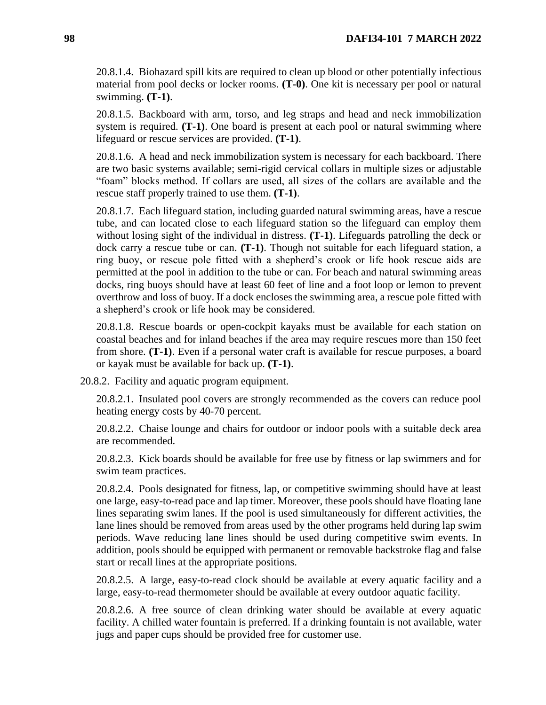20.8.1.4. Biohazard spill kits are required to clean up blood or other potentially infectious material from pool decks or locker rooms. **(T-0)**. One kit is necessary per pool or natural swimming. **(T-1)**.

20.8.1.5. Backboard with arm, torso, and leg straps and head and neck immobilization system is required. **(T-1)**. One board is present at each pool or natural swimming where lifeguard or rescue services are provided. **(T-1)**.

20.8.1.6. A head and neck immobilization system is necessary for each backboard. There are two basic systems available; semi-rigid cervical collars in multiple sizes or adjustable "foam" blocks method. If collars are used, all sizes of the collars are available and the rescue staff properly trained to use them. **(T-1)**.

20.8.1.7. Each lifeguard station, including guarded natural swimming areas, have a rescue tube, and can located close to each lifeguard station so the lifeguard can employ them without losing sight of the individual in distress. **(T-1)**. Lifeguards patrolling the deck or dock carry a rescue tube or can. **(T-1)**. Though not suitable for each lifeguard station, a ring buoy, or rescue pole fitted with a shepherd's crook or life hook rescue aids are permitted at the pool in addition to the tube or can. For beach and natural swimming areas docks, ring buoys should have at least 60 feet of line and a foot loop or lemon to prevent overthrow and loss of buoy. If a dock encloses the swimming area, a rescue pole fitted with a shepherd's crook or life hook may be considered.

20.8.1.8. Rescue boards or open-cockpit kayaks must be available for each station on coastal beaches and for inland beaches if the area may require rescues more than 150 feet from shore. **(T-1)**. Even if a personal water craft is available for rescue purposes, a board or kayak must be available for back up. **(T-1)**.

20.8.2. Facility and aquatic program equipment.

20.8.2.1. Insulated pool covers are strongly recommended as the covers can reduce pool heating energy costs by 40-70 percent.

20.8.2.2. Chaise lounge and chairs for outdoor or indoor pools with a suitable deck area are recommended.

20.8.2.3. Kick boards should be available for free use by fitness or lap swimmers and for swim team practices.

20.8.2.4. Pools designated for fitness, lap, or competitive swimming should have at least one large, easy-to-read pace and lap timer. Moreover, these pools should have floating lane lines separating swim lanes. If the pool is used simultaneously for different activities, the lane lines should be removed from areas used by the other programs held during lap swim periods. Wave reducing lane lines should be used during competitive swim events. In addition, pools should be equipped with permanent or removable backstroke flag and false start or recall lines at the appropriate positions.

20.8.2.5. A large, easy-to-read clock should be available at every aquatic facility and a large, easy-to-read thermometer should be available at every outdoor aquatic facility.

20.8.2.6. A free source of clean drinking water should be available at every aquatic facility. A chilled water fountain is preferred. If a drinking fountain is not available, water jugs and paper cups should be provided free for customer use.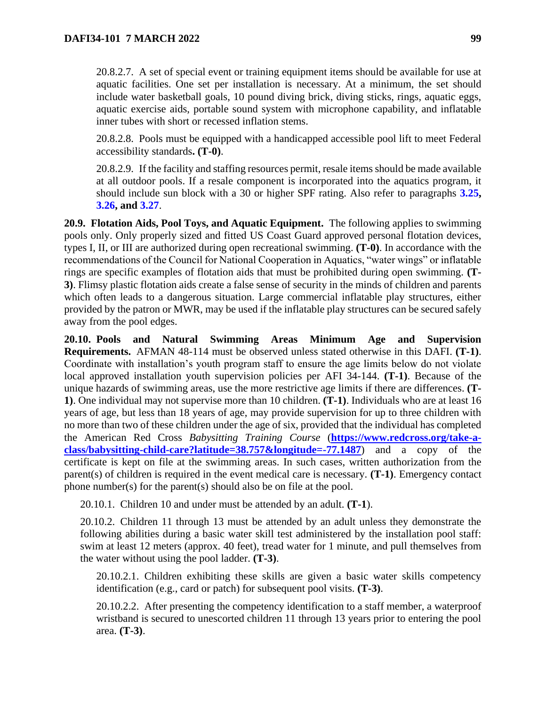20.8.2.7. A set of special event or training equipment items should be available for use at aquatic facilities. One set per installation is necessary. At a minimum, the set should include water basketball goals, 10 pound diving brick, diving sticks, rings, aquatic eggs, aquatic exercise aids, portable sound system with microphone capability, and inflatable inner tubes with short or recessed inflation stems.

20.8.2.8. Pools must be equipped with a handicapped accessible pool lift to meet Federal accessibility standards**. (T-0)**.

20.8.2.9. If the facility and staffing resources permit, resale items should be made available at all outdoor pools. If a resale component is incorporated into the aquatics program, it should include sun block with a 30 or higher SPF rating. Also refer to paragraphs **[3.25,](#page-21-0) [3.26,](#page-22-0) and [3.27](#page-24-0)**.

**20.9. Flotation Aids, Pool Toys, and Aquatic Equipment.** The following applies to swimming pools only. Only properly sized and fitted US Coast Guard approved personal flotation devices, types I, II, or III are authorized during open recreational swimming. **(T-0)**. In accordance with the recommendations of the Council for National Cooperation in Aquatics, "water wings" or inflatable rings are specific examples of flotation aids that must be prohibited during open swimming. **(T-3)**. Flimsy plastic flotation aids create a false sense of security in the minds of children and parents which often leads to a dangerous situation. Large commercial inflatable play structures, either provided by the patron or MWR, may be used if the inflatable play structures can be secured safely away from the pool edges.

**20.10. Pools and Natural Swimming Areas Minimum Age and Supervision Requirements.** AFMAN 48-114 must be observed unless stated otherwise in this DAFI. **(T-1)**. Coordinate with installation's youth program staff to ensure the age limits below do not violate local approved installation youth supervision policies per AFI 34-144. **(T-1)**. Because of the unique hazards of swimming areas, use the more restrictive age limits if there are differences. **(T-1)**. One individual may not supervise more than 10 children. **(T-1)**. Individuals who are at least 16 years of age, but less than 18 years of age, may provide supervision for up to three children with no more than two of these children under the age of six, provided that the individual has completed the American Red Cross *Babysitting Training Course* (**[https://www.redcross.org/take-a](https://www.redcross.org/take-a-class/babysitting-child-care?latitude=38.757&longitude=-77.1487)[class/babysitting-child-care?latitude=38.757&longitude=-77.1487](https://www.redcross.org/take-a-class/babysitting-child-care?latitude=38.757&longitude=-77.1487)**) and a copy of the certificate is kept on file at the swimming areas. In such cases, written authorization from the parent(s) of children is required in the event medical care is necessary. **(T-1)**. Emergency contact phone number(s) for the parent(s) should also be on file at the pool.

20.10.1. Children 10 and under must be attended by an adult. **(T-1**).

20.10.2. Children 11 through 13 must be attended by an adult unless they demonstrate the following abilities during a basic water skill test administered by the installation pool staff: swim at least 12 meters (approx. 40 feet), tread water for 1 minute, and pull themselves from the water without using the pool ladder. **(T-3)**.

20.10.2.1. Children exhibiting these skills are given a basic water skills competency identification (e.g., card or patch) for subsequent pool visits. **(T-3)**.

20.10.2.2. After presenting the competency identification to a staff member, a waterproof wristband is secured to unescorted children 11 through 13 years prior to entering the pool area. **(T-3)**.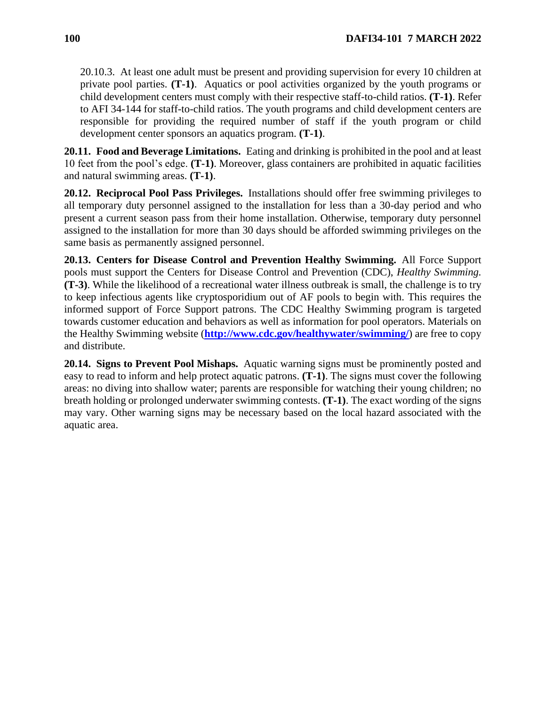20.10.3. At least one adult must be present and providing supervision for every 10 children at private pool parties. **(T-1)**. Aquatics or pool activities organized by the youth programs or child development centers must comply with their respective staff-to-child ratios. **(T-1)**. Refer to AFI 34-144 for staff-to-child ratios. The youth programs and child development centers are responsible for providing the required number of staff if the youth program or child development center sponsors an aquatics program. **(T-1)**.

**20.11. Food and Beverage Limitations.** Eating and drinking is prohibited in the pool and at least 10 feet from the pool's edge. **(T-1)**. Moreover, glass containers are prohibited in aquatic facilities and natural swimming areas. **(T-1)**.

**20.12. Reciprocal Pool Pass Privileges.** Installations should offer free swimming privileges to all temporary duty personnel assigned to the installation for less than a 30-day period and who present a current season pass from their home installation. Otherwise, temporary duty personnel assigned to the installation for more than 30 days should be afforded swimming privileges on the same basis as permanently assigned personnel.

**20.13. Centers for Disease Control and Prevention Healthy Swimming.** All Force Support pools must support the Centers for Disease Control and Prevention (CDC), *Healthy Swimming.*  **(T-3)**. While the likelihood of a recreational water illness outbreak is small, the challenge is to try to keep infectious agents like cryptosporidium out of AF pools to begin with. This requires the informed support of Force Support patrons. The CDC Healthy Swimming program is targeted towards customer education and behaviors as well as information for pool operators. Materials on the Healthy Swimming website (**<http://www.cdc.gov/healthywater/swimming/>**) are free to copy and distribute.

**20.14. Signs to Prevent Pool Mishaps.** Aquatic warning signs must be prominently posted and easy to read to inform and help protect aquatic patrons. **(T-1)**. The signs must cover the following areas: no diving into shallow water; parents are responsible for watching their young children; no breath holding or prolonged underwater swimming contests. **(T-1)**. The exact wording of the signs may vary. Other warning signs may be necessary based on the local hazard associated with the aquatic area.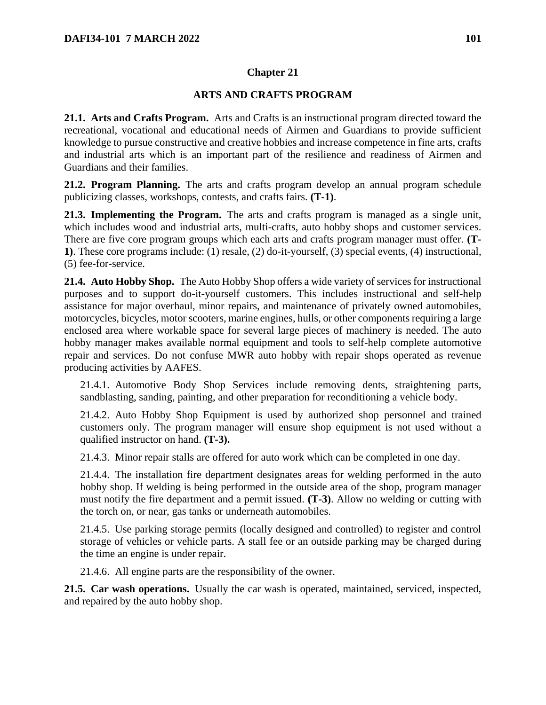## **Chapter 21**

## **ARTS AND CRAFTS PROGRAM**

**21.1. Arts and Crafts Program.** Arts and Crafts is an instructional program directed toward the recreational, vocational and educational needs of Airmen and Guardians to provide sufficient knowledge to pursue constructive and creative hobbies and increase competence in fine arts, crafts and industrial arts which is an important part of the resilience and readiness of Airmen and Guardians and their families.

**21.2. Program Planning.** The arts and crafts program develop an annual program schedule publicizing classes, workshops, contests, and crafts fairs. **(T-1)**.

**21.3. Implementing the Program.** The arts and crafts program is managed as a single unit, which includes wood and industrial arts, multi-crafts, auto hobby shops and customer services. There are five core program groups which each arts and crafts program manager must offer. **(T-1)**. These core programs include: (1) resale, (2) do-it-yourself, (3) special events, (4) instructional, (5) fee-for-service.

**21.4. Auto Hobby Shop.** The Auto Hobby Shop offers a wide variety of services for instructional purposes and to support do-it-yourself customers. This includes instructional and self-help assistance for major overhaul, minor repairs, and maintenance of privately owned automobiles, motorcycles, bicycles, motor scooters, marine engines, hulls, or other components requiring a large enclosed area where workable space for several large pieces of machinery is needed. The auto hobby manager makes available normal equipment and tools to self-help complete automotive repair and services. Do not confuse MWR auto hobby with repair shops operated as revenue producing activities by AAFES.

21.4.1. Automotive Body Shop Services include removing dents, straightening parts, sandblasting, sanding, painting, and other preparation for reconditioning a vehicle body.

21.4.2. Auto Hobby Shop Equipment is used by authorized shop personnel and trained customers only. The program manager will ensure shop equipment is not used without a qualified instructor on hand. **(T-3).**

21.4.3. Minor repair stalls are offered for auto work which can be completed in one day.

21.4.4. The installation fire department designates areas for welding performed in the auto hobby shop. If welding is being performed in the outside area of the shop, program manager must notify the fire department and a permit issued. **(T-3)**. Allow no welding or cutting with the torch on, or near, gas tanks or underneath automobiles.

21.4.5. Use parking storage permits (locally designed and controlled) to register and control storage of vehicles or vehicle parts. A stall fee or an outside parking may be charged during the time an engine is under repair.

21.4.6. All engine parts are the responsibility of the owner.

**21.5. Car wash operations.** Usually the car wash is operated, maintained, serviced, inspected, and repaired by the auto hobby shop.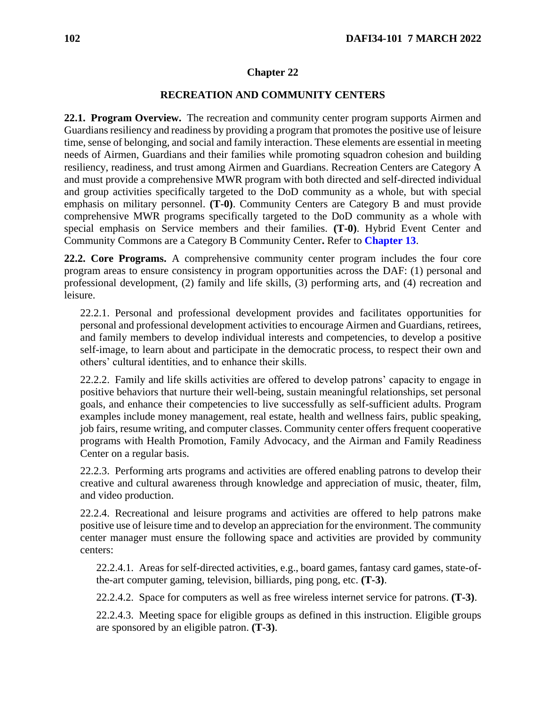### **Chapter 22**

### **RECREATION AND COMMUNITY CENTERS**

**22.1. Program Overview.** The recreation and community center program supports Airmen and Guardians resiliency and readiness by providing a program that promotes the positive use of leisure time, sense of belonging, and social and family interaction. These elements are essential in meeting needs of Airmen, Guardians and their families while promoting squadron cohesion and building resiliency, readiness, and trust among Airmen and Guardians. Recreation Centers are Category A and must provide a comprehensive MWR program with both directed and self-directed individual and group activities specifically targeted to the DoD community as a whole, but with special emphasis on military personnel. **(T-0)**. Community Centers are Category B and must provide comprehensive MWR programs specifically targeted to the DoD community as a whole with special emphasis on Service members and their families. **(T-0)**. Hybrid Event Center and Community Commons are a Category B Community Center**.** Refer to **[Chapter 13](#page-57-0)**.

**22.2. Core Programs.** A comprehensive community center program includes the four core program areas to ensure consistency in program opportunities across the DAF: (1) personal and professional development, (2) family and life skills, (3) performing arts, and (4) recreation and leisure.

22.2.1. Personal and professional development provides and facilitates opportunities for personal and professional development activities to encourage Airmen and Guardians, retirees, and family members to develop individual interests and competencies, to develop a positive self-image, to learn about and participate in the democratic process, to respect their own and others' cultural identities, and to enhance their skills.

22.2.2. Family and life skills activities are offered to develop patrons' capacity to engage in positive behaviors that nurture their well-being, sustain meaningful relationships, set personal goals, and enhance their competencies to live successfully as self-sufficient adults. Program examples include money management, real estate, health and wellness fairs, public speaking, job fairs, resume writing, and computer classes. Community center offers frequent cooperative programs with Health Promotion, Family Advocacy, and the Airman and Family Readiness Center on a regular basis.

22.2.3. Performing arts programs and activities are offered enabling patrons to develop their creative and cultural awareness through knowledge and appreciation of music, theater, film, and video production.

22.2.4. Recreational and leisure programs and activities are offered to help patrons make positive use of leisure time and to develop an appreciation for the environment. The community center manager must ensure the following space and activities are provided by community centers:

22.2.4.1. Areas for self-directed activities, e.g., board games, fantasy card games, state-ofthe-art computer gaming, television, billiards, ping pong, etc. **(T-3)**.

22.2.4.2. Space for computers as well as free wireless internet service for patrons. **(T-3)**.

22.2.4.3. Meeting space for eligible groups as defined in this instruction. Eligible groups are sponsored by an eligible patron. **(T-3)**.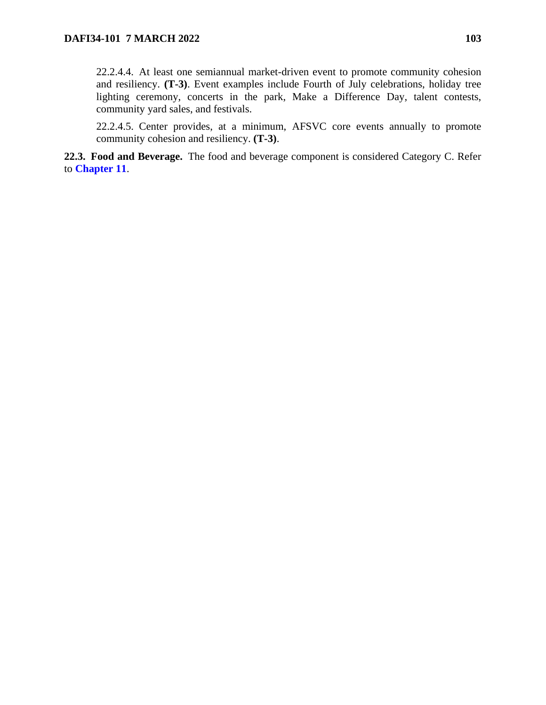22.2.4.4. At least one semiannual market-driven event to promote community cohesion and resiliency. **(T-3)**. Event examples include Fourth of July celebrations, holiday tree lighting ceremony, concerts in the park, Make a Difference Day, talent contests, community yard sales, and festivals.

22.2.4.5. Center provides, at a minimum, AFSVC core events annually to promote community cohesion and resiliency. **(T-3)**.

**22.3. Food and Beverage.** The food and beverage component is considered Category C. Refer to **[Chapter 11](#page-48-0)**.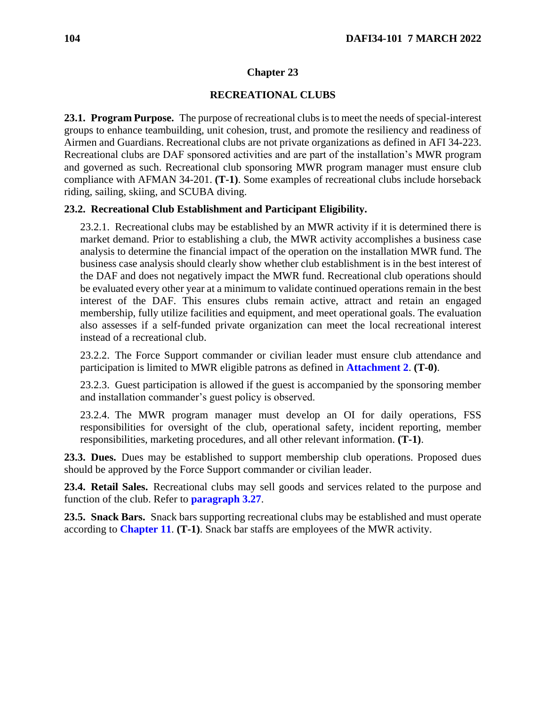## **Chapter 23**

### **RECREATIONAL CLUBS**

<span id="page-103-0"></span>**23.1. Program Purpose.** The purpose of recreational clubs is to meet the needs of special-interest groups to enhance teambuilding, unit cohesion, trust, and promote the resiliency and readiness of Airmen and Guardians. Recreational clubs are not private organizations as defined in AFI 34-223. Recreational clubs are DAF sponsored activities and are part of the installation's MWR program and governed as such. Recreational club sponsoring MWR program manager must ensure club compliance with AFMAN 34-201. **(T-1)**. Some examples of recreational clubs include horseback riding, sailing, skiing, and SCUBA diving.

### **23.2. Recreational Club Establishment and Participant Eligibility.**

23.2.1. Recreational clubs may be established by an MWR activity if it is determined there is market demand. Prior to establishing a club, the MWR activity accomplishes a business case analysis to determine the financial impact of the operation on the installation MWR fund. The business case analysis should clearly show whether club establishment is in the best interest of the DAF and does not negatively impact the MWR fund. Recreational club operations should be evaluated every other year at a minimum to validate continued operations remain in the best interest of the DAF. This ensures clubs remain active, attract and retain an engaged membership, fully utilize facilities and equipment, and meet operational goals. The evaluation also assesses if a self-funded private organization can meet the local recreational interest instead of a recreational club.

23.2.2. The Force Support commander or civilian leader must ensure club attendance and participation is limited to MWR eligible patrons as defined in **[Attachment 2](#page-115-0)**. **(T-0)**.

23.2.3. Guest participation is allowed if the guest is accompanied by the sponsoring member and installation commander's guest policy is observed.

23.2.4. The MWR program manager must develop an OI for daily operations, FSS responsibilities for oversight of the club, operational safety, incident reporting, member responsibilities, marketing procedures, and all other relevant information. **(T-1)**.

**23.3. Dues.** Dues may be established to support membership club operations. Proposed dues should be approved by the Force Support commander or civilian leader.

**23.4. Retail Sales.** Recreational clubs may sell goods and services related to the purpose and function of the club. Refer to **[paragraph 3.27](#page-24-0)**.

**23.5. Snack Bars.** Snack bars supporting recreational clubs may be established and must operate according to **[Chapter 11](#page-48-0)**. **(T-1)**. Snack bar staffs are employees of the MWR activity.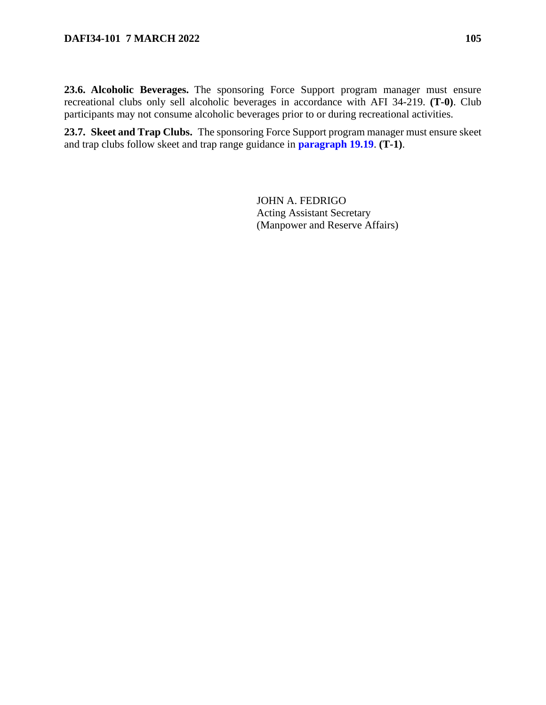**23.7. Skeet and Trap Clubs.** The sponsoring Force Support program manager must ensure skeet and trap clubs follow skeet and trap range guidance in **[paragraph 19.19](#page-87-0)**. **(T-1)**.

> JOHN A. FEDRIGO Acting Assistant Secretary (Manpower and Reserve Affairs)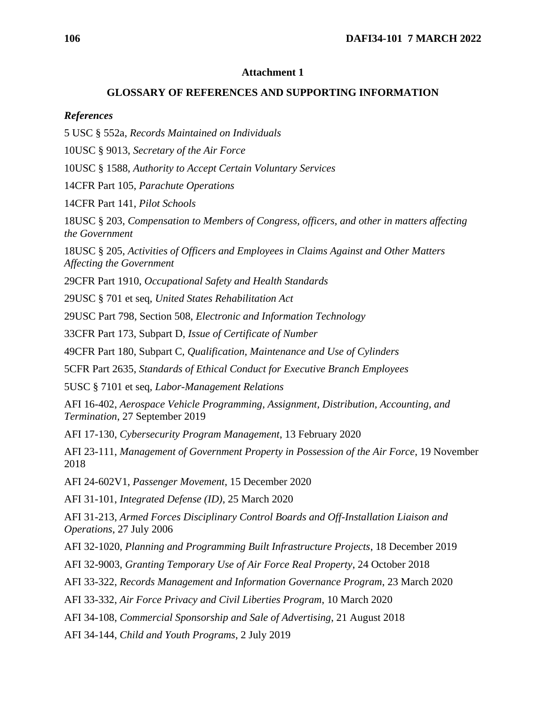### **Attachment 1**

### **GLOSSARY OF REFERENCES AND SUPPORTING INFORMATION**

### *References*

5 USC § 552a, *Records Maintained on Individuals*

10USC § 9013, *Secretary of the Air Force*

10USC § 1588, *Authority to Accept Certain Voluntary Services*

14CFR Part 105, *Parachute Operations*

14CFR Part 141, *Pilot Schools*

18USC § 203, *Compensation to Members of Congress, officers, and other in matters affecting the Government*

18USC § 205, *Activities of Officers and Employees in Claims Against and Other Matters Affecting the Government*

29CFR Part 1910, *Occupational Safety and Health Standards*

29USC § 701 et seq, *United States Rehabilitation Act*

29USC Part 798, Section 508, *Electronic and Information Technology*

33CFR Part 173, Subpart D, *Issue of Certificate of Number*

49CFR Part 180, Subpart C, *Qualification, Maintenance and Use of Cylinders*

5CFR Part 2635, *Standards of Ethical Conduct for Executive Branch Employees* 

5USC § 7101 et seq, *Labor-Management Relations*

AFI 16-402, *Aerospace Vehicle Programming, Assignment, Distribution, Accounting, and Termination*, 27 September 2019

AFI 17-130, *Cybersecurity Program Management*, 13 February 2020

AFI 23-111, *Management of Government Property in Possession of the Air Force*, 19 November 2018

AFI 24-602V1, *Passenger Movement*, 15 December 2020

AFI 31-101, *Integrated Defense (ID)*, 25 March 2020

AFI 31-213, *Armed Forces Disciplinary Control Boards and Off-Installation Liaison and Operations*, 27 July 2006

AFI 32-1020, *Planning and Programming Built Infrastructure Projects*, 18 December 2019

AFI 32-9003, *Granting Temporary Use of Air Force Real Property*, 24 October 2018

AFI 33-322, *Records Management and Information Governance Program*, 23 March 2020

AFI 33-332, *Air Force Privacy and Civil Liberties Program*, 10 March 2020

AFI 34-108, *Commercial Sponsorship and Sale of Advertising*, 21 August 2018

AFI 34-144, *Child and Youth Programs*, 2 July 2019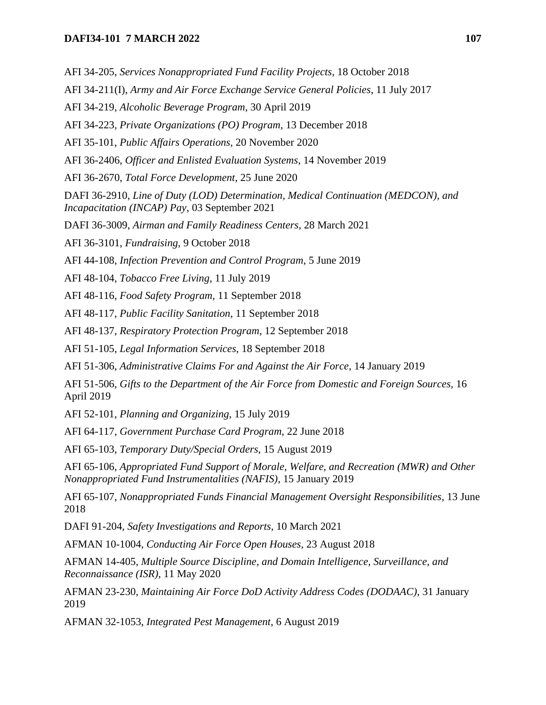## **DAFI34-101 7 MARCH 2022 107**

AFI 34-205, *Services Nonappropriated Fund Facility Projects*, 18 October 2018

AFI 34-211(I), *Army and Air Force Exchange Service General Policies*, 11 July 2017

AFI 34-219, *Alcoholic Beverage Program*, 30 April 2019

AFI 34-223, *Private Organizations (PO) Program*, 13 December 2018

AFI 35-101, *Public Affairs Operations*, 20 November 2020

AFI 36-2406, *Officer and Enlisted Evaluation Systems*, 14 November 2019

AFI 36-2670, *Total Force Development*, 25 June 2020

DAFI 36-2910, *Line of Duty (LOD) Determination, Medical Continuation (MEDCON), and Incapacitation (INCAP) Pay*, 03 September 2021

DAFI 36-3009, *Airman and Family Readiness Centers*, 28 March 2021

AFI 36-3101, *Fundraising*, 9 October 2018

AFI 44-108, *Infection Prevention and Control Program*, 5 June 2019

AFI 48-104, *Tobacco Free Living*, 11 July 2019

AFI 48-116, *Food Safety Program*, 11 September 2018

AFI 48-117, *Public Facility Sanitation*, 11 September 2018

AFI 48-137, *Respiratory Protection Program*, 12 September 2018

AFI 51-105, *Legal Information Services*, 18 September 2018

AFI 51-306, *Administrative Claims For and Against the Air Force*, 14 January 2019

AFI 51-506, *Gifts to the Department of the Air Force from Domestic and Foreign Sources,* 16 April 2019

AFI 52-101, *Planning and Organizing*, 15 July 2019

AFI 64-117, *Government Purchase Card Program*, 22 June 2018

AFI 65-103, *Temporary Duty/Special Orders*, 15 August 2019

AFI 65-106, *Appropriated Fund Support of Morale*, *Welfare, and Recreation (MWR) and Other Nonappropriated Fund Instrumentalities (NAFIS)*, 15 January 2019

AFI 65-107, *Nonappropriated Funds Financial Management Oversight Responsibilities*, 13 June 2018

DAFI 91-204, *Safety Investigations and Reports*, 10 March 2021

AFMAN 10-1004, *Conducting Air Force Open Houses*, 23 August 2018

AFMAN 14-405, *Multiple Source Discipline, and Domain Intelligence, Surveillance, and Reconnaissance (ISR)*, 11 May 2020

AFMAN 23-230, *Maintaining Air Force DoD Activity Address Codes (DODAAC)*, 31 January 2019

AFMAN 32-1053, *Integrated Pest Management*, 6 August 2019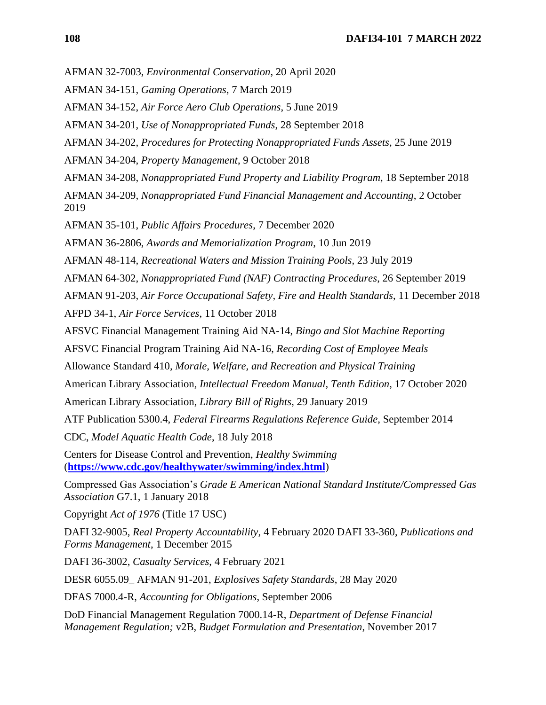- AFMAN 32-7003, *Environmental Conservation*, 20 April 2020
- AFMAN 34-151, *Gaming Operations*, 7 March 2019
- AFMAN 34-152, *Air Force Aero Club Operations*, 5 June 2019
- AFMAN 34-201, *Use of Nonappropriated Funds*, 28 September 2018
- AFMAN 34-202, *Procedures for Protecting Nonappropriated Funds Assets*, 25 June 2019
- AFMAN 34-204, *Property Management*, 9 October 2018
- AFMAN 34-208, *Nonappropriated Fund Property and Liability Program*, 18 September 2018

AFMAN 34-209, *Nonappropriated Fund Financial Management and Accounting*, 2 October 2019

AFMAN 35-101, *Public Affairs Procedures*, 7 December 2020

AFMAN 36-2806, *Awards and Memorialization Program*, 10 Jun 2019

AFMAN 48-114, *Recreational Waters and Mission Training Pools*, 23 July 2019

- AFMAN 64-302, *Nonappropriated Fund (NAF) Contracting Procedures*, 26 September 2019
- AFMAN 91-203, *Air Force Occupational Safety, Fire and Health Standards*, 11 December 2018
- AFPD 34-1, *Air Force Services*, 11 October 2018
- AFSVC Financial Management Training Aid NA-14, *Bingo and Slot Machine Reporting*
- AFSVC Financial Program Training Aid NA-16, *Recording Cost of Employee Meals*
- Allowance Standard 410*, Morale, Welfare, and Recreation and Physical Training*
- American Library Association*, Intellectual Freedom Manual, Tenth Edition*, 17 October 2020
- American Library Association, *Library Bill of Rights*, 29 January 2019
- ATF Publication 5300.4, *Federal Firearms Regulations Reference Guide*, September 2014

CDC, *Model Aquatic Health Code*, 18 July 2018

Centers for Disease Control and Prevention, *Healthy Swimming*  (**<https://www.cdc.gov/healthywater/swimming/index.html>**)

Compressed Gas Association's *Grade E American National Standard Institute/Compressed Gas Association* G7.1, 1 January 2018

Copyright *Act of 1976* (Title 17 USC)

DAFI 32-9005, *Real Property Accountability*, 4 February 2020 DAFI 33-360, *Publications and Forms Management*, 1 December 2015

DAFI 36-3002, *Casualty Services*, 4 February 2021

DESR 6055.09\_ AFMAN 91-201, *Explosives Safety Standards*, 28 May 2020

DFAS 7000.4-R, *Accounting for Obligations*, September 2006

DoD Financial Management Regulation 7000.14-R, *Department of Defense Financial Management Regulation;* v2B, *Budget Formulation and Presentation*, November 2017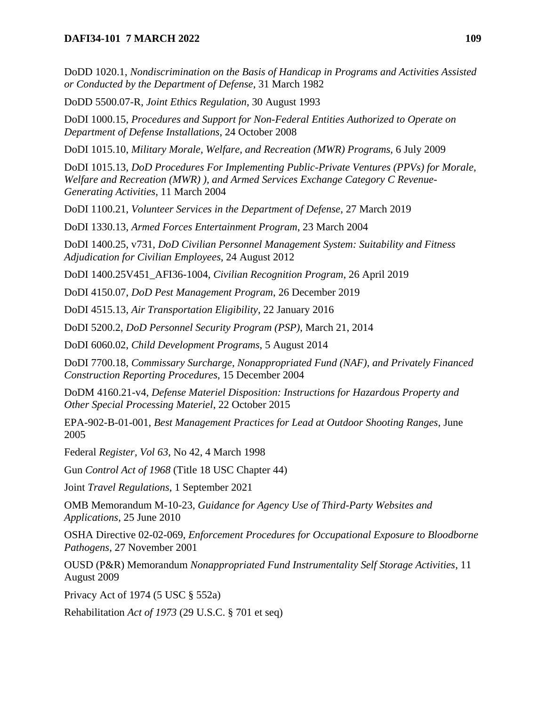DoDD 1020.1, *Nondiscrimination on the Basis of Handicap in Programs and Activities Assisted or Conducted by the Department of Defense*, 31 March 1982

DoDD 5500.07-R, *Joint Ethics Regulation*, 30 August 1993

DoDI 1000.15, *Procedures and Support for Non-Federal Entities Authorized to Operate on Department of Defense Installations*, 24 October 2008

DoDI 1015.10, *Military Morale, Welfare, and Recreation (MWR) Programs*, 6 July 2009

DoDI 1015.13, *DoD Procedures For Implementing Public-Private Ventures (PPVs) for Morale, Welfare and Recreation (MWR) ), and Armed Services Exchange Category C Revenue-Generating Activities*, 11 March 2004

DoDI 1100.21, *Volunteer Services in the Department of Defense*, 27 March 2019

DoDI 1330.13, *Armed Forces Entertainment Program*, 23 March 2004

DoDI 1400.25, v731, *DoD Civilian Personnel Management System: Suitability and Fitness Adjudication for Civilian Employees*, 24 August 2012

DoDI 1400.25V451\_AFI36-1004, *Civilian Recognition Program*, 26 April 2019

DoDI 4150.07, *DoD Pest Management Program*, 26 December 2019

DoDI 4515.13, *Air Transportation Eligibility*, 22 January 2016

DoDI 5200.2, *DoD Personnel Security Program (PSP)*, March 21, 2014

DoDI 6060.02, *Child Development Programs*, 5 August 2014

DoDI 7700.18, *Commissary Surcharge, Nonappropriated Fund (NAF), and Privately Financed Construction Reporting Procedures*, 15 December 2004

DoDM 4160.21-v4, *Defense Materiel Disposition: Instructions for Hazardous Property and Other Special Processing Materiel*, 22 October 2015

EPA-902-B-01-001, *Best Management Practices for Lead at Outdoor Shooting Ranges*, June 2005

Federal *Register, Vol 63*, No 42, 4 March 1998

Gun *Control Act of 1968* (Title 18 USC Chapter 44)

Joint *Travel Regulations*, 1 September 2021

OMB Memorandum M-10-23, *Guidance for Agency Use of Third-Party Websites and Applications*, 25 June 2010

OSHA Directive 02-02-069, *Enforcement Procedures for Occupational Exposure to Bloodborne Pathogens*, 27 November 2001

OUSD (P&R) Memorandum *Nonappropriated Fund Instrumentality Self Storage Activities*, 11 August 2009

Privacy Act of 1974 (5 USC § 552a)

Rehabilitation *Act of 1973* (29 U.S.C. § 701 et seq)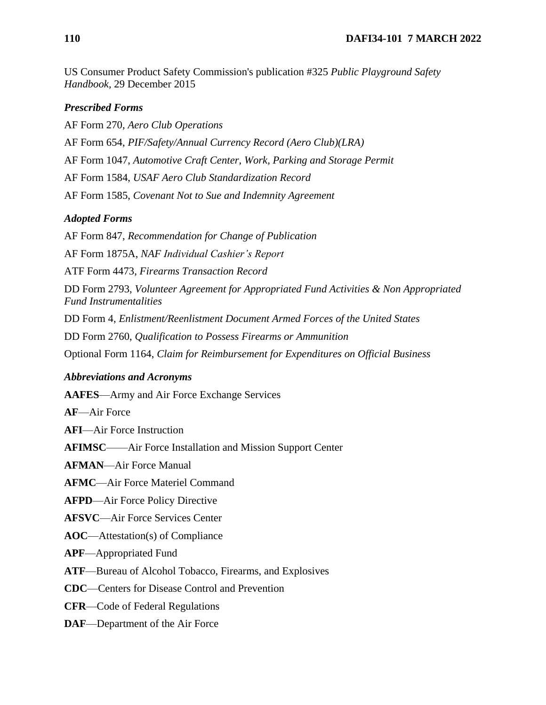US Consumer Product Safety Commission's publication #325 *Public Playground Safety Handbook,* 29 December 2015

### *Prescribed Forms*

AF Form 270, *Aero Club Operations* AF Form 654, *PIF/Safety/Annual Currency Record (Aero Club)(LRA)* AF Form 1047, *Automotive Craft Center, Work, Parking and Storage Permit* AF Form 1584, *USAF Aero Club Standardization Record* AF Form 1585, *Covenant Not to Sue and Indemnity Agreement*

#### *Adopted Forms*

AF Form 847, *Recommendation for Change of Publication*

AF Form 1875A, *NAF Individual Cashier's Report*

ATF Form 4473, *Firearms Transaction Record*

DD Form 2793, *Volunteer Agreement for Appropriated Fund Activities & Non Appropriated Fund Instrumentalities*

DD Form 4, *Enlistment/Reenlistment Document Armed Forces of the United States*

DD Form 2760, *Qualification to Possess Firearms or Ammunition*

Optional Form 1164, *Claim for Reimbursement for Expenditures on Official Business*

#### *Abbreviations and Acronyms*

**AAFES**—Army and Air Force Exchange Services

**AF**—Air Force

**AFI**—Air Force Instruction

**AFIMSC**——Air Force Installation and Mission Support Center

**AFMAN**—Air Force Manual

**AFMC**—Air Force Materiel Command

**AFPD**—Air Force Policy Directive

**AFSVC**—Air Force Services Center

**AOC**—Attestation(s) of Compliance

**APF**—Appropriated Fund

**ATF**—Bureau of Alcohol Tobacco, Firearms, and Explosives

**CDC**—Centers for Disease Control and Prevention

**CFR**—Code of Federal Regulations

**DAF**—Department of the Air Force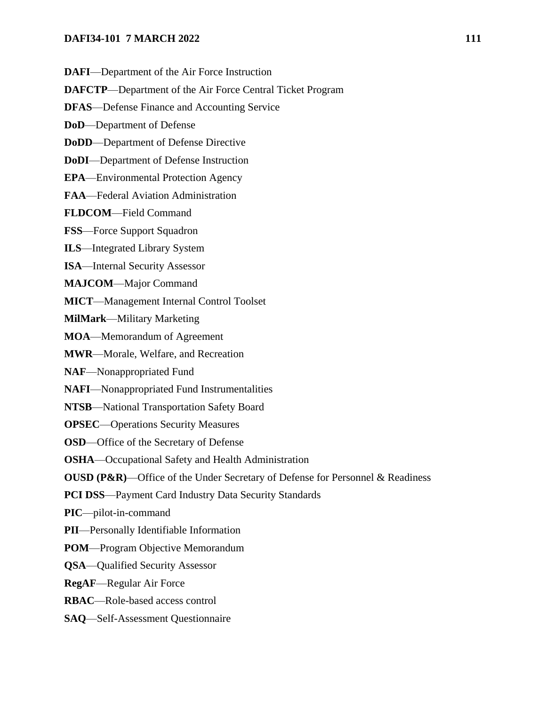- **DAFI**—Department of the Air Force Instruction
- **DAFCTP**—Department of the Air Force Central Ticket Program
- **DFAS**—Defense Finance and Accounting Service
- **DoD**—Department of Defense
- **DoDD**—Department of Defense Directive
- **DoDI**—Department of Defense Instruction
- **EPA**—Environmental Protection Agency
- **FAA**—Federal Aviation Administration
- **FLDCOM**—Field Command
- **FSS**—Force Support Squadron
- **ILS**—Integrated Library System
- **ISA**—Internal Security Assessor
- **MAJCOM**—Major Command
- **MICT**—Management Internal Control Toolset
- **MilMark**—Military Marketing
- **MOA**—Memorandum of Agreement
- **MWR**—Morale, Welfare, and Recreation
- **NAF**—Nonappropriated Fund
- **NAFI**—Nonappropriated Fund Instrumentalities
- **NTSB**—National Transportation Safety Board
- **OPSEC**—Operations Security Measures
- **OSD**—Office of the Secretary of Defense
- **OSHA**—Occupational Safety and Health Administration
- **OUSD (P&R)**—Office of the Under Secretary of Defense for Personnel & Readiness
- **PCI DSS**—Payment Card Industry Data Security Standards
- **PIC**—pilot-in-command
- **PII**—Personally Identifiable Information
- **POM**—Program Objective Memorandum
- **QSA**—Qualified Security Assessor
- **RegAF**—Regular Air Force
- **RBAC**—Role-based access control
- **SAQ**—Self-Assessment Questionnaire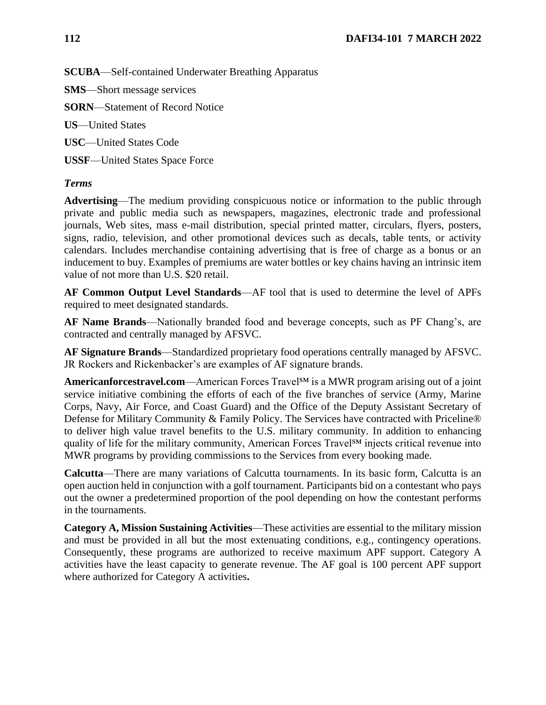**SCUBA**—Self-contained Underwater Breathing Apparatus

**SMS**—Short message services

**SORN**—Statement of Record Notice

**US**—United States

**USC**—United States Code

**USSF**—United States Space Force

## *Terms*

**Advertising**—The medium providing conspicuous notice or information to the public through private and public media such as newspapers, magazines, electronic trade and professional journals, Web sites, mass e-mail distribution, special printed matter, circulars, flyers, posters, signs, radio, television, and other promotional devices such as decals, table tents, or activity calendars. Includes merchandise containing advertising that is free of charge as a bonus or an inducement to buy. Examples of premiums are water bottles or key chains having an intrinsic item value of not more than U.S. \$20 retail.

**AF Common Output Level Standards**—AF tool that is used to determine the level of APFs required to meet designated standards.

**AF Name Brands**—Nationally branded food and beverage concepts, such as PF Chang's, are contracted and centrally managed by AFSVC.

**AF Signature Brands**—Standardized proprietary food operations centrally managed by AFSVC. JR Rockers and Rickenbacker's are examples of AF signature brands.

**Americanforcestravel.com**—American Forces Travel<sup>SM</sup> is a MWR program arising out of a joint service initiative combining the efforts of each of the five branches of service (Army, Marine Corps, Navy, Air Force, and Coast Guard) and the Office of the Deputy Assistant Secretary of Defense for Military Community & Family Policy. The Services have contracted with Priceline® to deliver high value travel benefits to the U.S. military community. In addition to enhancing quality of life for the military community, American Forces Travel $^{SM}$  injects critical revenue into MWR programs by providing commissions to the Services from every booking made.

**Calcutta**—There are many variations of Calcutta tournaments. In its basic form, Calcutta is an open auction held in conjunction with a golf tournament. Participants bid on a contestant who pays out the owner a predetermined proportion of the pool depending on how the contestant performs in the tournaments.

**Category A, Mission Sustaining Activities**—These activities are essential to the military mission and must be provided in all but the most extenuating conditions, e.g., contingency operations. Consequently, these programs are authorized to receive maximum APF support. Category A activities have the least capacity to generate revenue. The AF goal is 100 percent APF support where authorized for Category A activities**.**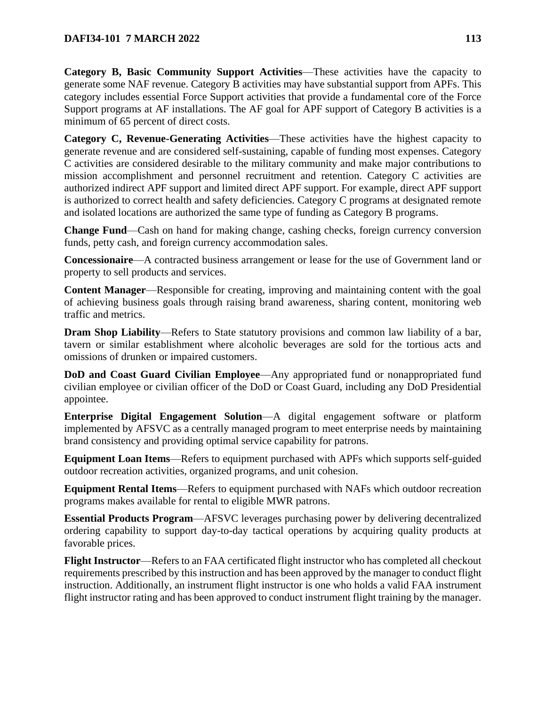**Category B, Basic Community Support Activities**—These activities have the capacity to generate some NAF revenue. Category B activities may have substantial support from APFs. This category includes essential Force Support activities that provide a fundamental core of the Force Support programs at AF installations. The AF goal for APF support of Category B activities is a minimum of 65 percent of direct costs.

**Category C, Revenue-Generating Activities**—These activities have the highest capacity to generate revenue and are considered self-sustaining, capable of funding most expenses. Category C activities are considered desirable to the military community and make major contributions to mission accomplishment and personnel recruitment and retention. Category C activities are authorized indirect APF support and limited direct APF support. For example, direct APF support is authorized to correct health and safety deficiencies. Category C programs at designated remote and isolated locations are authorized the same type of funding as Category B programs.

**Change Fund**—Cash on hand for making change, cashing checks, foreign currency conversion funds, petty cash, and foreign currency accommodation sales.

**Concessionaire**—A contracted business arrangement or lease for the use of Government land or property to sell products and services.

**Content Manager**—Responsible for creating, improving and maintaining content with the goal of achieving business goals through raising brand awareness, sharing content, monitoring web traffic and metrics.

**Dram Shop Liability**—Refers to State statutory provisions and common law liability of a bar, tavern or similar establishment where alcoholic beverages are sold for the tortious acts and omissions of drunken or impaired customers.

**DoD and Coast Guard Civilian Employee**—Any appropriated fund or nonappropriated fund civilian employee or civilian officer of the DoD or Coast Guard, including any DoD Presidential appointee.

**Enterprise Digital Engagement Solution**—A digital engagement software or platform implemented by AFSVC as a centrally managed program to meet enterprise needs by maintaining brand consistency and providing optimal service capability for patrons.

**Equipment Loan Items**—Refers to equipment purchased with APFs which supports self-guided outdoor recreation activities, organized programs, and unit cohesion.

**Equipment Rental Items**—Refers to equipment purchased with NAFs which outdoor recreation programs makes available for rental to eligible MWR patrons.

**Essential Products Program**—AFSVC leverages purchasing power by delivering decentralized ordering capability to support day-to-day tactical operations by acquiring quality products at favorable prices.

**Flight Instructor**—Refers to an FAA certificated flight instructor who has completed all checkout requirements prescribed by this instruction and has been approved by the manager to conduct flight instruction. Additionally, an instrument flight instructor is one who holds a valid FAA instrument flight instructor rating and has been approved to conduct instrument flight training by the manager.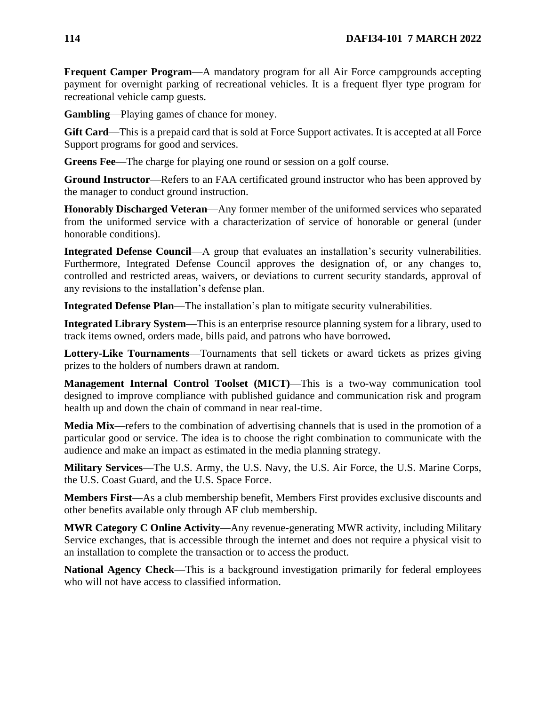**Frequent Camper Program—A** mandatory program for all Air Force campgrounds accepting payment for overnight parking of recreational vehicles. It is a frequent flyer type program for recreational vehicle camp guests.

**Gambling**—Playing games of chance for money.

**Gift Card**—This is a prepaid card that is sold at Force Support activates. It is accepted at all Force Support programs for good and services.

**Greens Fee**—The charge for playing one round or session on a golf course.

**Ground Instructor**—Refers to an FAA certificated ground instructor who has been approved by the manager to conduct ground instruction.

**Honorably Discharged Veteran**—Any former member of the uniformed services who separated from the uniformed service with a characterization of service of honorable or general (under honorable conditions).

**Integrated Defense Council**—A group that evaluates an installation's security vulnerabilities. Furthermore, Integrated Defense Council approves the designation of, or any changes to, controlled and restricted areas, waivers, or deviations to current security standards, approval of any revisions to the installation's defense plan.

**Integrated Defense Plan**—The installation's plan to mitigate security vulnerabilities.

**Integrated Library System**—This is an enterprise resource planning system for a library, used to track items owned, orders made, bills paid, and patrons who have borrowed**.**

**Lottery-Like Tournaments**—Tournaments that sell tickets or award tickets as prizes giving prizes to the holders of numbers drawn at random.

**Management Internal Control Toolset (MICT)**—This is a two-way communication tool designed to improve compliance with published guidance and communication risk and program health up and down the chain of command in near real-time.

**Media Mix**—refers to the combination of advertising channels that is used in the promotion of a particular good or service. The idea is to choose the right combination to communicate with the audience and make an impact as estimated in the media planning strategy.

**Military Services**—The U.S. Army, the U.S. Navy, the U.S. Air Force, the U.S. Marine Corps, the U.S. Coast Guard, and the U.S. Space Force.

**Members First**—As a club membership benefit, Members First provides exclusive discounts and other benefits available only through AF club membership.

**MWR Category C Online Activity**—Any revenue-generating MWR activity, including Military Service exchanges, that is accessible through the internet and does not require a physical visit to an installation to complete the transaction or to access the product.

**National Agency Check**—This is a background investigation primarily for federal employees who will not have access to classified information.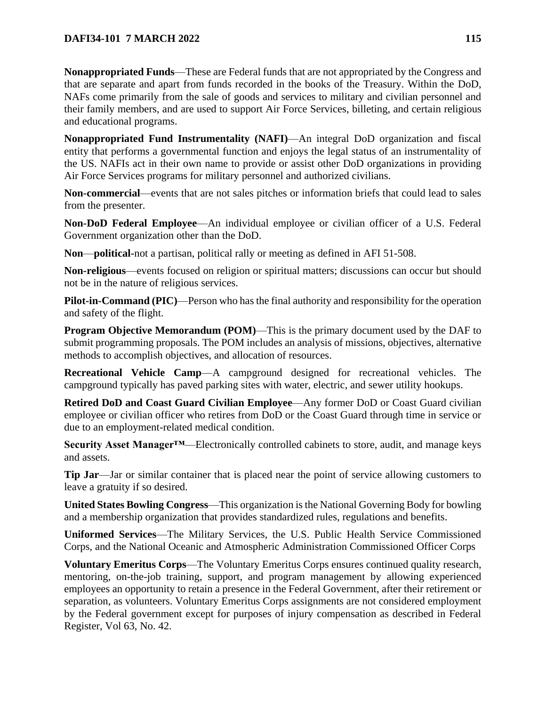**Nonappropriated Funds**—These are Federal funds that are not appropriated by the Congress and that are separate and apart from funds recorded in the books of the Treasury. Within the DoD, NAFs come primarily from the sale of goods and services to military and civilian personnel and their family members, and are used to support Air Force Services, billeting, and certain religious and educational programs.

**Nonappropriated Fund Instrumentality (NAFI)**—An integral DoD organization and fiscal entity that performs a governmental function and enjoys the legal status of an instrumentality of the US. NAFIs act in their own name to provide or assist other DoD organizations in providing Air Force Services programs for military personnel and authorized civilians.

**Non-commercial**—events that are not sales pitches or information briefs that could lead to sales from the presenter.

**Non-DoD Federal Employee**—An individual employee or civilian officer of a U.S. Federal Government organization other than the DoD.

**Non**—**political-**not a partisan, political rally or meeting as defined in AFI 51-508.

**Non-religious**—events focused on religion or spiritual matters; discussions can occur but should not be in the nature of religious services.

**Pilot-in-Command (PIC)**—Person who has the final authority and responsibility for the operation and safety of the flight.

**Program Objective Memorandum (POM)—This is the primary document used by the DAF to** submit programming proposals. The POM includes an analysis of missions, objectives, alternative methods to accomplish objectives, and allocation of resources.

**Recreational Vehicle Camp**—A campground designed for recreational vehicles. The campground typically has paved parking sites with water, electric, and sewer utility hookups.

**Retired DoD and Coast Guard Civilian Employee**—Any former DoD or Coast Guard civilian employee or civilian officer who retires from DoD or the Coast Guard through time in service or due to an employment-related medical condition.

**Security Asset Manager™**—Electronically controlled cabinets to store, audit, and manage keys and assets.

**Tip Jar**—Jar or similar container that is placed near the point of service allowing customers to leave a gratuity if so desired.

**United States Bowling Congress**—This organization is the National Governing Body for bowling and a membership organization that provides standardized rules, regulations and benefits.

**Uniformed Services**—The Military Services, the U.S. Public Health Service Commissioned Corps, and the National Oceanic and Atmospheric Administration Commissioned Officer Corps

**Voluntary Emeritus Corps**—The Voluntary Emeritus Corps ensures continued quality research, mentoring, on-the-job training, support, and program management by allowing experienced employees an opportunity to retain a presence in the Federal Government, after their retirement or separation, as volunteers. Voluntary Emeritus Corps assignments are not considered employment by the Federal government except for purposes of injury compensation as described in Federal Register, Vol 63, No. 42.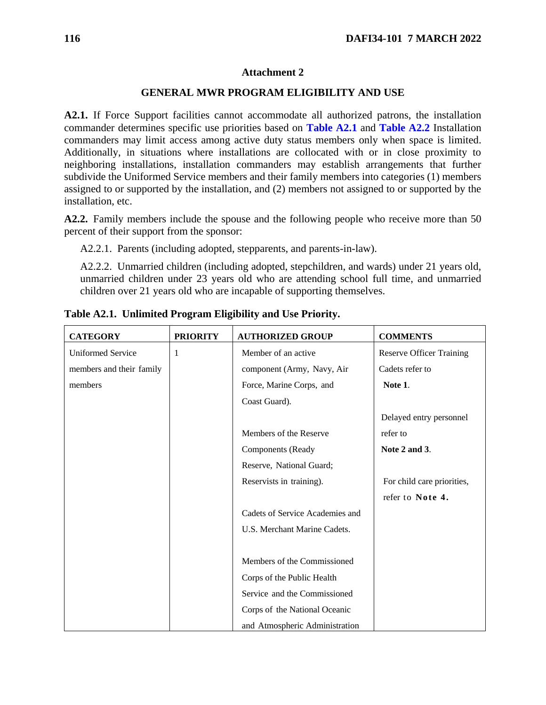### **GENERAL MWR PROGRAM ELIGIBILITY AND USE**

**A2.1.** If Force Support facilities cannot accommodate all authorized patrons, the installation commander determines specific use priorities based on **[Table A2.1](#page-115-0)** and **[Table A2.2](#page-119-0)** Installation commanders may limit access among active duty status members only when space is limited. Additionally, in situations where installations are collocated with or in close proximity to neighboring installations, installation commanders may establish arrangements that further subdivide the Uniformed Service members and their family members into categories (1) members assigned to or supported by the installation, and (2) members not assigned to or supported by the installation, etc.

**A2.2.** Family members include the spouse and the following people who receive more than 50 percent of their support from the sponsor:

A2.2.1. Parents (including adopted, stepparents, and parents-in-law).

A2.2.2. Unmarried children (including adopted, stepchildren, and wards) under 21 years old, unmarried children under 23 years old who are attending school full time, and unmarried children over 21 years old who are incapable of supporting themselves.

| <b>CATEGORY</b>          | <b>PRIORITY</b> | <b>AUTHORIZED GROUP</b>         | <b>COMMENTS</b>                 |
|--------------------------|-----------------|---------------------------------|---------------------------------|
| <b>Uniformed Service</b> | 1               | Member of an active             | <b>Reserve Officer Training</b> |
| members and their family |                 | component (Army, Navy, Air      | Cadets refer to                 |
| members                  |                 | Force, Marine Corps, and        | Note 1.                         |
|                          |                 | Coast Guard).                   |                                 |
|                          |                 |                                 | Delayed entry personnel         |
|                          |                 | Members of the Reserve          | refer to                        |
|                          |                 | <b>Components</b> (Ready        | Note 2 and 3.                   |
|                          |                 | Reserve, National Guard;        |                                 |
|                          |                 | Reservists in training).        | For child care priorities,      |
|                          |                 |                                 | refer to Note 4.                |
|                          |                 | Cadets of Service Academies and |                                 |
|                          |                 | U.S. Merchant Marine Cadets.    |                                 |
|                          |                 |                                 |                                 |
|                          |                 | Members of the Commissioned     |                                 |
|                          |                 | Corps of the Public Health      |                                 |
|                          |                 | Service and the Commissioned    |                                 |
|                          |                 | Corps of the National Oceanic   |                                 |
|                          |                 | and Atmospheric Administration  |                                 |

<span id="page-115-0"></span>**Table A2.1. Unlimited Program Eligibility and Use Priority.**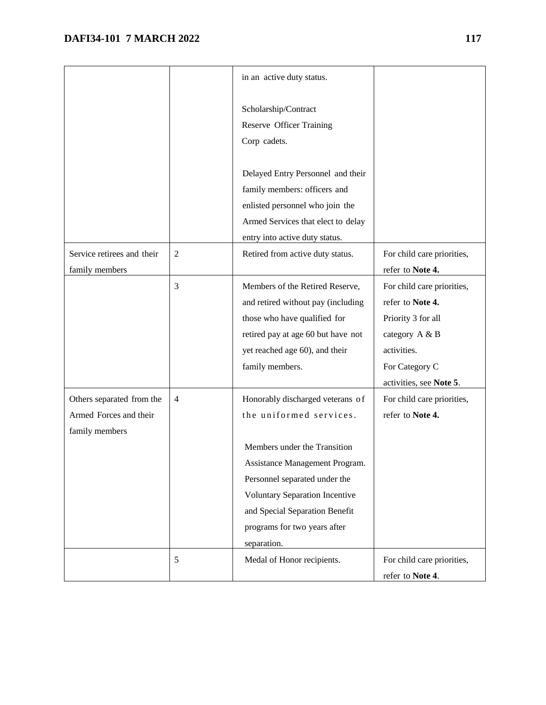|                            |                | in an active duty status.          |                            |
|----------------------------|----------------|------------------------------------|----------------------------|
|                            |                |                                    |                            |
|                            |                | Scholarship/Contract               |                            |
|                            |                | <b>Reserve Officer Training</b>    |                            |
|                            |                | Corp cadets.                       |                            |
|                            |                |                                    |                            |
|                            |                | Delayed Entry Personnel and their  |                            |
|                            |                | family members: officers and       |                            |
|                            |                | enlisted personnel who join the    |                            |
|                            |                | Armed Services that elect to delay |                            |
|                            |                | entry into active duty status.     |                            |
| Service retirees and their | $\mathfrak{2}$ | Retired from active duty status.   | For child care priorities, |
| family members             |                |                                    | refer to Note 4.           |
|                            | 3              | Members of the Retired Reserve,    | For child care priorities, |
|                            |                | and retired without pay (including | refer to Note 4.           |
|                            |                | those who have qualified for       | Priority 3 for all         |
|                            |                | retired pay at age 60 but have not | category A & B             |
|                            |                | yet reached age 60), and their     | activities.                |
|                            |                | family members.                    | For Category C             |
|                            |                |                                    | activities, see Note 5.    |
| Others separated from the  | $\overline{4}$ | Honorably discharged veterans of   | For child care priorities, |
| Armed Forces and their     |                | the uniformed services.            | refer to Note 4.           |
| family members             |                |                                    |                            |
|                            |                | Members under the Transition       |                            |
|                            |                | Assistance Management Program.     |                            |
|                            |                | Personnel separated under the      |                            |
|                            |                | Voluntary Separation Incentive     |                            |
|                            |                | and Special Separation Benefit     |                            |
|                            |                | programs for two years after       |                            |
|                            |                | separation.                        |                            |
|                            | 5              | Medal of Honor recipients.         | For child care priorities, |
|                            |                |                                    | refer to Note 4.           |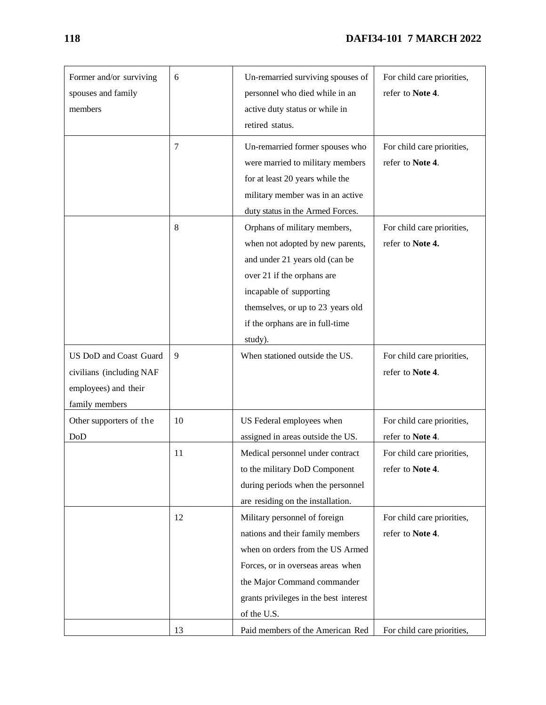# **118 DAFI34-101 7 MARCH 2022**

| Former and/or surviving<br>spouses and family<br>members                                     | 6  | Un-remarried surviving spouses of<br>personnel who died while in an<br>active duty status or while in<br>retired status.                                                                                                                       | For child care priorities,<br>refer to Note 4. |
|----------------------------------------------------------------------------------------------|----|------------------------------------------------------------------------------------------------------------------------------------------------------------------------------------------------------------------------------------------------|------------------------------------------------|
|                                                                                              | 7  | Un-remarried former spouses who<br>were married to military members<br>for at least 20 years while the<br>military member was in an active<br>duty status in the Armed Forces.                                                                 | For child care priorities,<br>refer to Note 4. |
|                                                                                              | 8  | Orphans of military members,<br>when not adopted by new parents,<br>and under 21 years old (can be<br>over 21 if the orphans are<br>incapable of supporting<br>themselves, or up to 23 years old<br>if the orphans are in full-time<br>study). | For child care priorities,<br>refer to Note 4. |
| US DoD and Coast Guard<br>civilians (including NAF<br>employees) and their<br>family members | 9  | When stationed outside the US.                                                                                                                                                                                                                 | For child care priorities,<br>refer to Note 4. |
| Other supporters of the<br>DoD                                                               | 10 | US Federal employees when<br>assigned in areas outside the US.                                                                                                                                                                                 | For child care priorities,<br>refer to Note 4. |
|                                                                                              | 11 | Medical personnel under contract<br>to the military DoD Component<br>during periods when the personnel<br>are residing on the installation.                                                                                                    | For child care priorities,<br>refer to Note 4. |
|                                                                                              | 12 | Military personnel of foreign<br>nations and their family members<br>when on orders from the US Armed<br>Forces, or in overseas areas when<br>the Major Command commander<br>grants privileges in the best interest<br>of the U.S.             | For child care priorities,<br>refer to Note 4. |
|                                                                                              | 13 | Paid members of the American Red                                                                                                                                                                                                               | For child care priorities,                     |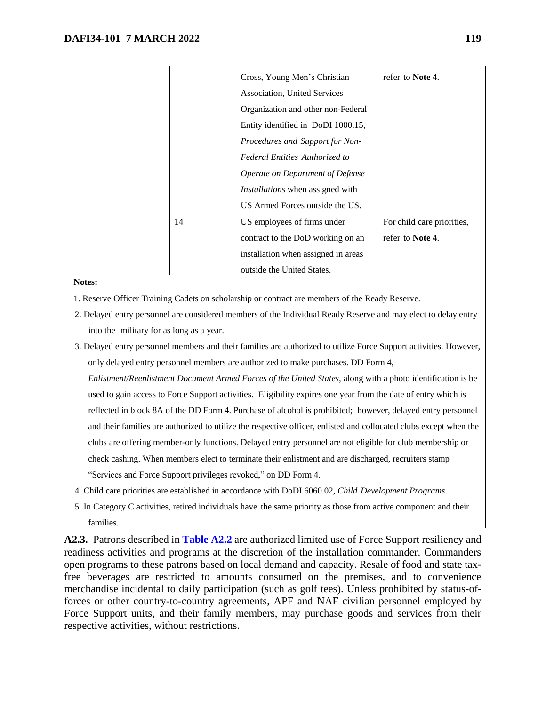|    | Cross, Young Men's Christian            | refer to Note 4.           |
|----|-----------------------------------------|----------------------------|
|    | Association, United Services            |                            |
|    | Organization and other non-Federal      |                            |
|    | Entity identified in DoDI 1000.15,      |                            |
|    | Procedures and Support for Non-         |                            |
|    | <b>Federal Entities Authorized to</b>   |                            |
|    | Operate on Department of Defense        |                            |
|    | <i>Installations</i> when assigned with |                            |
|    | US Armed Forces outside the US.         |                            |
| 14 | US employees of firms under             | For child care priorities, |
|    | contract to the DoD working on an       | refer to <b>Note 4</b> .   |
|    | installation when assigned in areas     |                            |
|    | outside the United States.              |                            |

#### **Notes:**

- 1. Reserve Officer Training Cadets on scholarship or contract are members of the Ready Reserve.
- 2. Delayed entry personnel are considered members of the Individual Ready Reserve and may elect to delay entry into the military for as long as a year.
- 3. Delayed entry personnel members and their families are authorized to utilize Force Support activities. However, only delayed entry personnel members are authorized to make purchases. DD Form 4,

*Enlistment/Reenlistment Document Armed Forces of the United States,* along with a photo identification is be used to gain access to Force Support activities. Eligibility expires one year from the date of entry which is reflected in block 8A of the DD Form 4. Purchase of alcohol is prohibited; however, delayed entry personnel and their families are authorized to utilize the respective officer, enlisted and collocated clubs except when the clubs are offering member-only functions. Delayed entry personnel are not eligible for club membership or check cashing. When members elect to terminate their enlistment and are discharged, recruiters stamp "Services and Force Support privileges revoked," on DD Form 4.

- 4. Child care priorities are established in accordance with DoDI 6060.02, *Child Development Programs*.
- 5. In Category C activities, retired individuals have the same priority as those from active component and their families.

**A2.3.** Patrons described in **[Table A2.2](#page-119-0)** are authorized limited use of Force Support resiliency and readiness activities and programs at the discretion of the installation commander. Commanders open programs to these patrons based on local demand and capacity. Resale of food and state taxfree beverages are restricted to amounts consumed on the premises, and to convenience merchandise incidental to daily participation (such as golf tees). Unless prohibited by status-offorces or other country-to-country agreements, APF and NAF civilian personnel employed by Force Support units, and their family members, may purchase goods and services from their respective activities, without restrictions.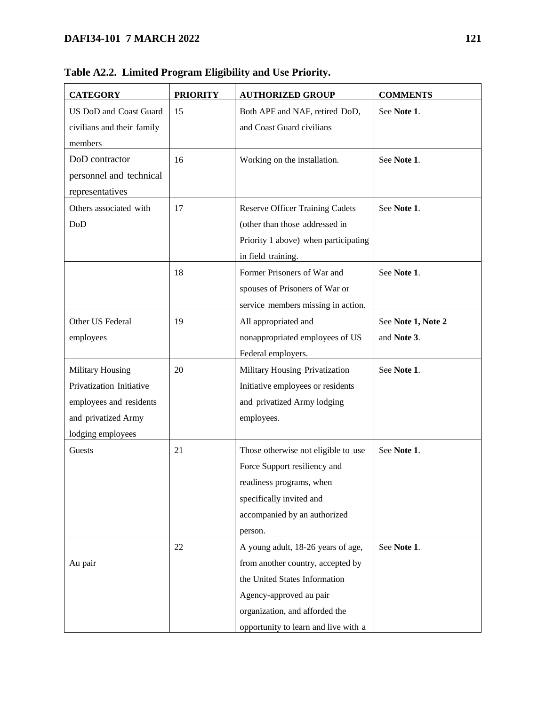| <b>CATEGORY</b>            | <b>PRIORITY</b> | <b>AUTHORIZED GROUP</b>                | <b>COMMENTS</b>    |
|----------------------------|-----------------|----------------------------------------|--------------------|
| US DoD and Coast Guard     | 15              | Both APF and NAF, retired DoD,         | See Note 1.        |
| civilians and their family |                 | and Coast Guard civilians              |                    |
| members                    |                 |                                        |                    |
| DoD contractor             | 16              | Working on the installation.           | See Note 1.        |
| personnel and technical    |                 |                                        |                    |
| representatives            |                 |                                        |                    |
| Others associated with     | 17              | <b>Reserve Officer Training Cadets</b> | See Note 1.        |
| DoD                        |                 | (other than those addressed in         |                    |
|                            |                 | Priority 1 above) when participating   |                    |
|                            |                 | in field training.                     |                    |
|                            | 18              | Former Prisoners of War and            | See Note 1.        |
|                            |                 | spouses of Prisoners of War or         |                    |
|                            |                 | service members missing in action.     |                    |
| Other US Federal           | 19              | All appropriated and                   | See Note 1, Note 2 |
| employees                  |                 | nonappropriated employees of US        | and Note 3.        |
|                            |                 | Federal employers.                     |                    |
| <b>Military Housing</b>    | 20              | Military Housing Privatization         | See Note 1.        |
| Privatization Initiative   |                 | Initiative employees or residents      |                    |
| employees and residents    |                 | and privatized Army lodging            |                    |
| and privatized Army        |                 | employees.                             |                    |
| lodging employees          |                 |                                        |                    |
| Guests                     | 21              | Those otherwise not eligible to use    | See Note 1.        |
|                            |                 | Force Support resiliency and           |                    |
|                            |                 | readiness programs, when               |                    |
|                            |                 | specifically invited and               |                    |
|                            |                 | accompanied by an authorized           |                    |
|                            |                 | person.                                |                    |
|                            | 22              | A young adult, 18-26 years of age,     | See Note 1.        |
| Au pair                    |                 | from another country, accepted by      |                    |
|                            |                 | the United States Information          |                    |
|                            |                 | Agency-approved au pair                |                    |
|                            |                 | organization, and afforded the         |                    |
|                            |                 | opportunity to learn and live with a   |                    |

**Table A2.2. Limited Program Eligibility and Use Priority.**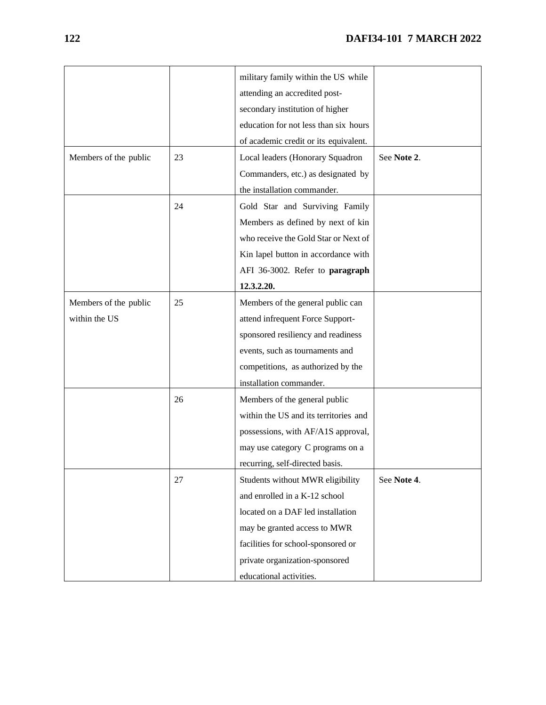|                       |    | military family within the US while   |             |
|-----------------------|----|---------------------------------------|-------------|
|                       |    | attending an accredited post-         |             |
|                       |    | secondary institution of higher       |             |
|                       |    | education for not less than six hours |             |
|                       |    | of academic credit or its equivalent. |             |
| Members of the public | 23 | Local leaders (Honorary Squadron      | See Note 2. |
|                       |    | Commanders, etc.) as designated by    |             |
|                       |    | the installation commander.           |             |
|                       | 24 | Gold Star and Surviving Family        |             |
|                       |    | Members as defined by next of kin     |             |
|                       |    | who receive the Gold Star or Next of  |             |
|                       |    | Kin lapel button in accordance with   |             |
|                       |    | AFI 36-3002. Refer to paragraph       |             |
|                       |    | 12.3.2.20.                            |             |
| Members of the public | 25 | Members of the general public can     |             |
| within the US         |    | attend infrequent Force Support-      |             |
|                       |    | sponsored resiliency and readiness    |             |
|                       |    | events, such as tournaments and       |             |
|                       |    | competitions, as authorized by the    |             |
|                       |    | installation commander.               |             |
|                       | 26 | Members of the general public         |             |
|                       |    | within the US and its territories and |             |
|                       |    | possessions, with AF/A1S approval,    |             |
|                       |    | may use category C programs on a      |             |
|                       |    | recurring, self-directed basis.       |             |
|                       | 27 | Students without MWR eligibility      | See Note 4. |
|                       |    | and enrolled in a K-12 school         |             |
|                       |    | located on a DAF led installation     |             |
|                       |    | may be granted access to MWR          |             |
|                       |    | facilities for school-sponsored or    |             |
|                       |    | private organization-sponsored        |             |
|                       |    | educational activities.               |             |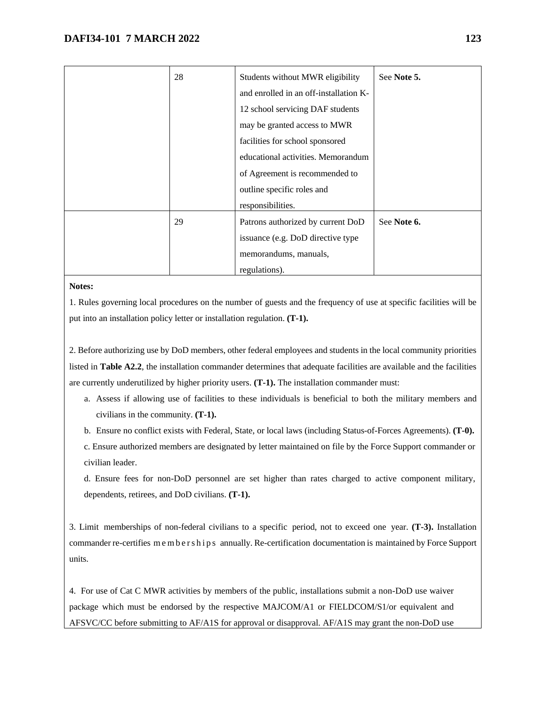| 28 | Students without MWR eligibility       | See Note 5. |
|----|----------------------------------------|-------------|
|    | and enrolled in an off-installation K- |             |
|    | 12 school servicing DAF students       |             |
|    | may be granted access to MWR           |             |
|    | facilities for school sponsored        |             |
|    | educational activities. Memorandum     |             |
|    | of Agreement is recommended to         |             |
|    | outline specific roles and             |             |
|    | responsibilities.                      |             |
| 29 | Patrons authorized by current DoD      | See Note 6. |
|    | issuance (e.g. DoD directive type)     |             |
|    | memorandums, manuals,                  |             |
|    | regulations).                          |             |

#### **Notes:**

1. Rules governing local procedures on the number of guests and the frequency of use at specific facilities will be put into an installation policy letter or installation regulation. **(T-1).** 

2. Before authorizing use by DoD members, other federal employees and students in the local community priorities listed in **Table A2.2**, the installation commander determines that adequate facilities are available and the facilities are currently underutilized by higher priority users. **(T-1).** The installation commander must:

- a. Assess if allowing use of facilities to these individuals is beneficial to both the military members and civilians in the community. **(T-1).**
- b. Ensure no conflict exists with Federal, State, or local laws (including Status-of-Forces Agreements). **(T-0).**

c. Ensure authorized members are designated by letter maintained on file by the Force Support commander or civilian leader.

d. Ensure fees for non-DoD personnel are set higher than rates charged to active component military, dependents, retirees, and DoD civilians. **(T-1).**

3. Limit memberships of non-federal civilians to a specific period, not to exceed one year. **(T-3).** Installation commander re-certifies m e m b e r s h i p s annually. Re-certification documentation is maintained by Force Support units.

4. For use of Cat C MWR activities by members of the public, installations submit a non-DoD use waiver package which must be endorsed by the respective MAJCOM/A1 or FIELDCOM/S1/or equivalent and AFSVC/CC before submitting to AF/A1S for approval or disapproval. AF/A1S may grant the non-DoD use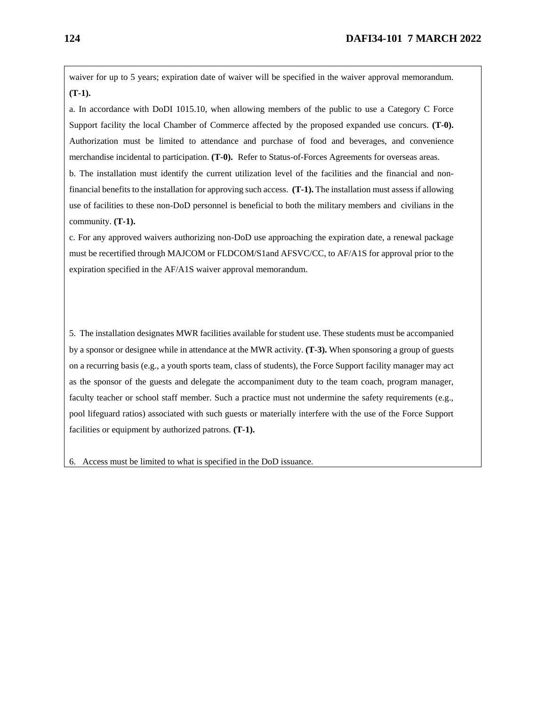waiver for up to 5 years; expiration date of waiver will be specified in the waiver approval memorandum. **(T-1).**

a. In accordance with DoDI 1015.10, when allowing members of the public to use a Category C Force Support facility the local Chamber of Commerce affected by the proposed expanded use concurs. **(T-0).**  Authorization must be limited to attendance and purchase of food and beverages, and convenience merchandise incidental to participation. **(T-0).** Refer to Status-of-Forces Agreements for overseas areas.

b. The installation must identify the current utilization level of the facilities and the financial and nonfinancial benefits to the installation for approving such access. **(T-1).** The installation must assess if allowing use of facilities to these non-DoD personnel is beneficial to both the military members and civilians in the community. **(T-1).** 

c. For any approved waivers authorizing non-DoD use approaching the expiration date, a renewal package must be recertified through MAJCOM or FLDCOM/S1and AFSVC/CC, to AF/A1S for approval prior to the expiration specified in the AF/A1S waiver approval memorandum.

5. The installation designates MWR facilities available for student use. These students must be accompanied by a sponsor or designee while in attendance at the MWR activity. **(T-3).** When sponsoring a group of guests on a recurring basis (e.g., a youth sports team, class of students), the Force Support facility manager may act as the sponsor of the guests and delegate the accompaniment duty to the team coach, program manager, faculty teacher or school staff member. Such a practice must not undermine the safety requirements (e.g., pool lifeguard ratios) associated with such guests or materially interfere with the use of the Force Support facilities or equipment by authorized patrons. **(T-1).** 

6. Access must be limited to what is specified in the DoD issuance.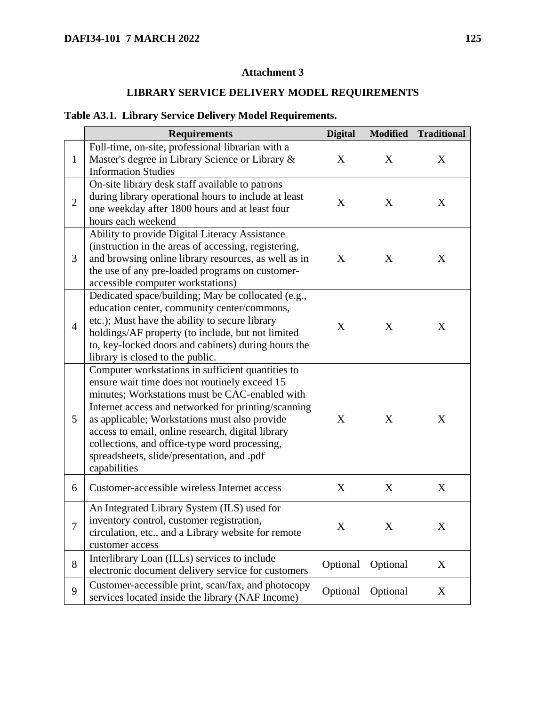# **LIBRARY SERVICE DELIVERY MODEL REQUIREMENTS**

# **Table A3.1. Library Service Delivery Model Requirements.**

|                  | <b>Requirements</b>                                                                                                                                                                                                                                                                                                                                                                                                              | <b>Digital</b> | <b>Modified</b> | <b>Traditional</b> |
|------------------|----------------------------------------------------------------------------------------------------------------------------------------------------------------------------------------------------------------------------------------------------------------------------------------------------------------------------------------------------------------------------------------------------------------------------------|----------------|-----------------|--------------------|
| $\mathbf{1}$     | Full-time, on-site, professional librarian with a<br>Master's degree in Library Science or Library &<br><b>Information Studies</b>                                                                                                                                                                                                                                                                                               | X              | X               | X                  |
| $\overline{2}$   | On-site library desk staff available to patrons<br>during library operational hours to include at least<br>one weekday after 1800 hours and at least four<br>hours each weekend                                                                                                                                                                                                                                                  | X              | X               | X                  |
| 3                | Ability to provide Digital Literacy Assistance<br>(instruction in the areas of accessing, registering,<br>and browsing online library resources, as well as in<br>the use of any pre-loaded programs on customer-<br>accessible computer workstations)                                                                                                                                                                           | X              | X               | X                  |
| $\overline{4}$   | Dedicated space/building; May be collocated (e.g.,<br>education center, community center/commons,<br>etc.); Must have the ability to secure library<br>holdings/AF property (to include, but not limited<br>to, key-locked doors and cabinets) during hours the<br>library is closed to the public.                                                                                                                              | X              | X               | X                  |
| 5                | Computer workstations in sufficient quantities to<br>ensure wait time does not routinely exceed 15<br>minutes; Workstations must be CAC-enabled with<br>Internet access and networked for printing/scanning<br>as applicable; Workstations must also provide<br>access to email, online research, digital library<br>collections, and office-type word processing,<br>spreadsheets, slide/presentation, and .pdf<br>capabilities | X              | X               | X                  |
| 6                | Customer-accessible wireless Internet access                                                                                                                                                                                                                                                                                                                                                                                     | X              | X               | X                  |
| $\boldsymbol{7}$ | An Integrated Library System (ILS) used for<br>inventory control, customer registration,<br>circulation, etc., and a Library website for remote<br>customer access                                                                                                                                                                                                                                                               | X              | X               | X                  |
| 8                | Interlibrary Loan (ILLs) services to include<br>electronic document delivery service for customers                                                                                                                                                                                                                                                                                                                               | Optional       | Optional        | X                  |
| 9                | Customer-accessible print, scan/fax, and photocopy<br>services located inside the library (NAF Income)                                                                                                                                                                                                                                                                                                                           | Optional       | Optional        | X                  |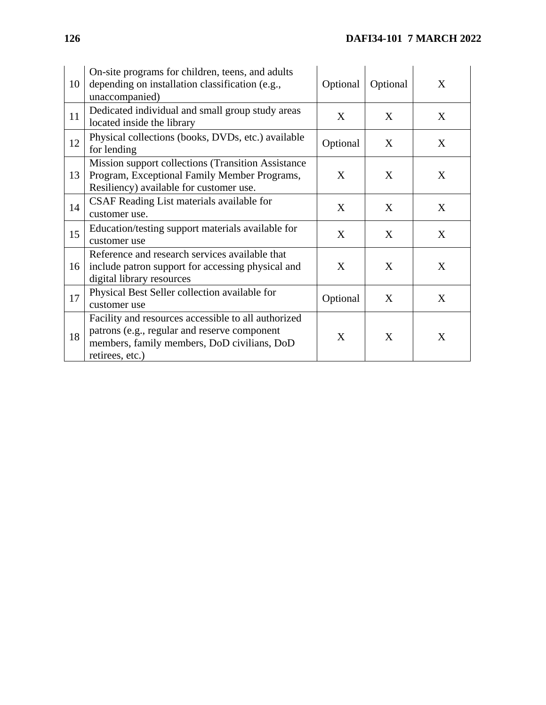| 10 | On-site programs for children, teens, and adults<br>depending on installation classification (e.g.,<br>unaccompanied)                                                 | Optional | Optional | X |
|----|-----------------------------------------------------------------------------------------------------------------------------------------------------------------------|----------|----------|---|
| 11 | Dedicated individual and small group study areas<br>located inside the library                                                                                        | X        | X        | X |
| 12 | Physical collections (books, DVDs, etc.) available<br>for lending                                                                                                     | Optional | X        | X |
| 13 | <b>Mission support collections (Transition Assistance)</b><br>Program, Exceptional Family Member Programs,<br>Resiliency) available for customer use.                 | X        | X        | X |
| 14 | CSAF Reading List materials available for<br>customer use.                                                                                                            | X        | X        | X |
| 15 | Education/testing support materials available for<br>customer use                                                                                                     | X        | X        | X |
| 16 | Reference and research services available that<br>include patron support for accessing physical and<br>digital library resources                                      | X        | X        | X |
| 17 | Physical Best Seller collection available for<br>customer use                                                                                                         | Optional | X        | X |
| 18 | Facility and resources accessible to all authorized<br>patrons (e.g., regular and reserve component<br>members, family members, DoD civilians, DoD<br>retirees, etc.) | X        | X        | X |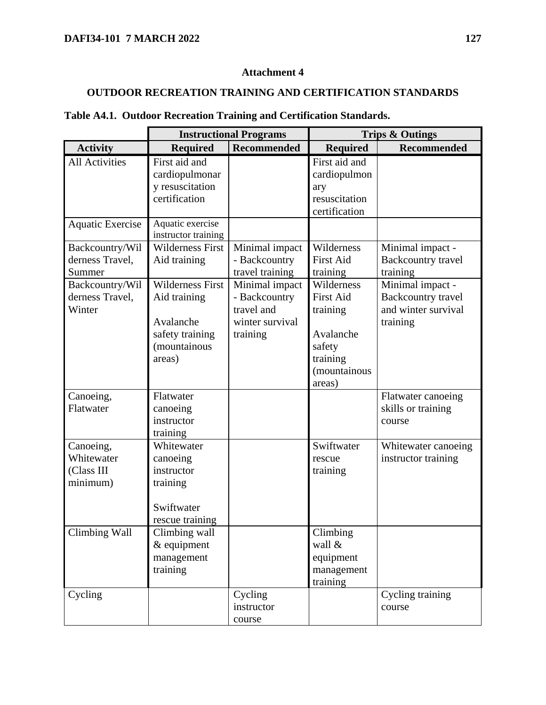# **OUTDOOR RECREATION TRAINING AND CERTIFICATION STANDARDS**

|  | Table A4.1. Outdoor Recreation Training and Certification Standards. |  |  |  |
|--|----------------------------------------------------------------------|--|--|--|
|--|----------------------------------------------------------------------|--|--|--|

|                         | <b>Instructional Programs</b> |                 | <b>Trips &amp; Outings</b> |                     |  |
|-------------------------|-------------------------------|-----------------|----------------------------|---------------------|--|
| <b>Activity</b>         | <b>Required</b>               | Recommended     | <b>Required</b>            | <b>Recommended</b>  |  |
| <b>All Activities</b>   | First aid and                 |                 | First aid and              |                     |  |
|                         | cardiopulmonar                |                 | cardiopulmon               |                     |  |
|                         | y resuscitation               |                 | ary                        |                     |  |
|                         | certification                 |                 | resuscitation              |                     |  |
|                         |                               |                 | certification              |                     |  |
| <b>Aquatic Exercise</b> | Aquatic exercise              |                 |                            |                     |  |
|                         | instructor training           |                 |                            |                     |  |
| Backcountry/Wil         | <b>Wilderness First</b>       | Minimal impact  | Wilderness                 | Minimal impact -    |  |
| derness Travel,         | Aid training                  | - Backcountry   | <b>First Aid</b>           | Backcountry travel  |  |
| Summer                  |                               | travel training | training                   | training            |  |
| Backcountry/Wil         | <b>Wilderness First</b>       | Minimal impact  | Wilderness                 | Minimal impact -    |  |
| derness Travel,         | Aid training                  | - Backcountry   | <b>First Aid</b>           | Backcountry travel  |  |
| Winter                  |                               | travel and      | training                   | and winter survival |  |
|                         | Avalanche                     | winter survival |                            | training            |  |
|                         | safety training               | training        | Avalanche                  |                     |  |
|                         | (mountainous                  |                 | safety                     |                     |  |
|                         | areas)                        |                 | training                   |                     |  |
|                         |                               |                 | (mountainous               |                     |  |
|                         |                               |                 | areas)                     |                     |  |
| Canoeing,               | Flatwater                     |                 |                            | Flatwater canoeing  |  |
| Flatwater               | canoeing                      |                 |                            | skills or training  |  |
|                         | instructor                    |                 |                            | course              |  |
|                         | training                      |                 |                            |                     |  |
| Canoeing,               | Whitewater                    |                 | Swiftwater                 | Whitewater canoeing |  |
| Whitewater              | canoeing                      |                 | rescue                     | instructor training |  |
| (Class III              | instructor                    |                 | training                   |                     |  |
| minimum)                | training                      |                 |                            |                     |  |
|                         |                               |                 |                            |                     |  |
|                         | Swiftwater                    |                 |                            |                     |  |
|                         | rescue training               |                 |                            |                     |  |
| <b>Climbing Wall</b>    | Climbing wall                 |                 | Climbing                   |                     |  |
|                         | & equipment                   |                 | wall &                     |                     |  |
|                         | management                    |                 | equipment                  |                     |  |
|                         | training                      |                 | management                 |                     |  |
|                         |                               |                 | training                   |                     |  |
| Cycling                 |                               | Cycling         |                            | Cycling training    |  |
|                         |                               | instructor      |                            | course              |  |
|                         |                               | course          |                            |                     |  |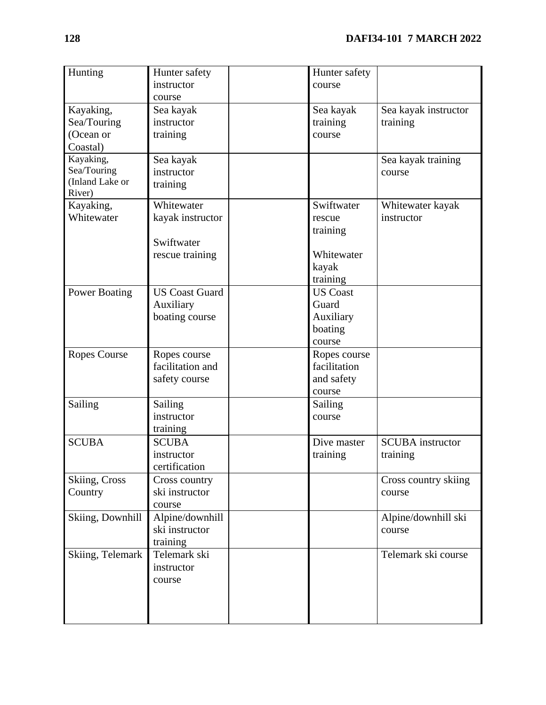| Hunting              | Hunter safety<br>instructor | Hunter safety<br>course |                         |
|----------------------|-----------------------------|-------------------------|-------------------------|
|                      | course                      |                         |                         |
| Kayaking,            | Sea kayak                   | Sea kayak               | Sea kayak instructor    |
| Sea/Touring          | instructor                  | training                | training                |
| (Ocean or            | training                    | course                  |                         |
| Coastal)             |                             |                         |                         |
| Kayaking,            | Sea kayak                   |                         | Sea kayak training      |
| Sea/Touring          | instructor                  |                         | course                  |
| (Inland Lake or      | training                    |                         |                         |
| River)               |                             |                         |                         |
| Kayaking,            | Whitewater                  | Swiftwater              | Whitewater kayak        |
| Whitewater           | kayak instructor            | rescue                  | instructor              |
|                      |                             | training                |                         |
|                      | Swiftwater                  |                         |                         |
|                      | rescue training             | Whitewater              |                         |
|                      |                             | kayak                   |                         |
|                      |                             | training                |                         |
| <b>Power Boating</b> | <b>US Coast Guard</b>       | <b>US Coast</b>         |                         |
|                      | Auxiliary                   | Guard                   |                         |
|                      | boating course              | Auxiliary               |                         |
|                      |                             | boating                 |                         |
|                      |                             | course                  |                         |
| <b>Ropes Course</b>  | Ropes course                | Ropes course            |                         |
|                      | facilitation and            | facilitation            |                         |
|                      | safety course               | and safety              |                         |
|                      |                             | course                  |                         |
| Sailing              | Sailing                     | Sailing                 |                         |
|                      | instructor                  | course                  |                         |
|                      | training                    |                         |                         |
| <b>SCUBA</b>         | <b>SCUBA</b>                | Dive master             | <b>SCUBA</b> instructor |
|                      | instructor                  | training                | training                |
|                      | certification               |                         |                         |
| Skiing, Cross        | Cross country               |                         | Cross country skiing    |
| Country              | ski instructor              |                         | course                  |
|                      | course                      |                         |                         |
| Skiing, Downhill     | Alpine/downhill             |                         | Alpine/downhill ski     |
|                      | ski instructor              |                         | course                  |
|                      | training                    |                         |                         |
| Skiing, Telemark     | Telemark ski                |                         | Telemark ski course     |
|                      | instructor                  |                         |                         |
|                      | course                      |                         |                         |
|                      |                             |                         |                         |
|                      |                             |                         |                         |
|                      |                             |                         |                         |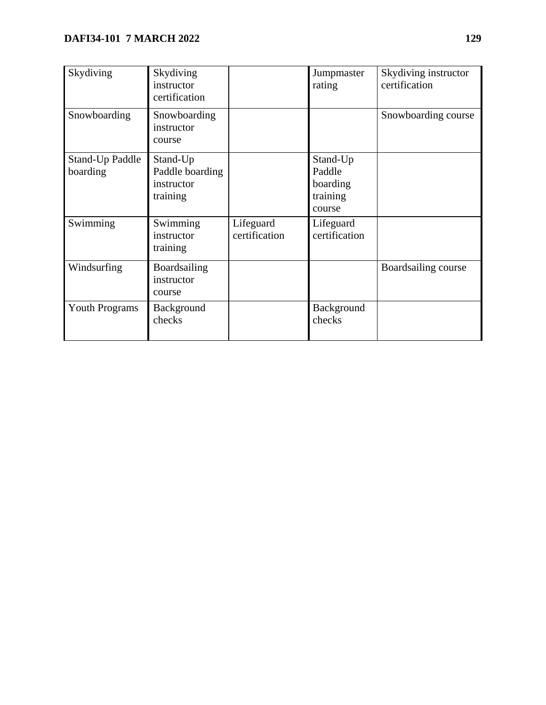| Skydiving                          | Skydiving<br>instructor<br>certification              |                            | Jumpmaster<br>rating                                 | Skydiving instructor<br>certification |
|------------------------------------|-------------------------------------------------------|----------------------------|------------------------------------------------------|---------------------------------------|
| Snowboarding                       | Snowboarding<br>instructor<br>course                  |                            |                                                      | Snowboarding course                   |
| <b>Stand-Up Paddle</b><br>boarding | Stand-Up<br>Paddle boarding<br>instructor<br>training |                            | Stand-Up<br>Paddle<br>boarding<br>training<br>course |                                       |
| Swimming                           | Swimming<br>instructor<br>training                    | Lifeguard<br>certification | Lifeguard<br>certification                           |                                       |
| Windsurfing                        | Boardsailing<br>instructor<br>course                  |                            |                                                      | Boardsailing course                   |
| <b>Youth Programs</b>              | Background<br>checks                                  |                            | Background<br>checks                                 |                                       |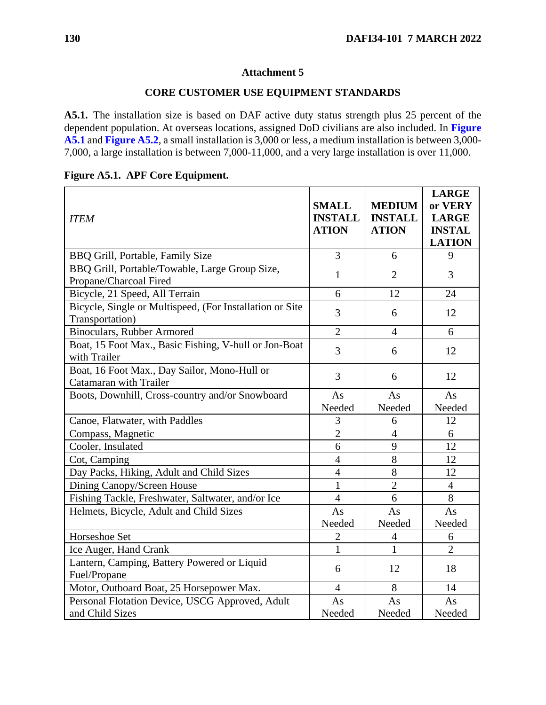#### **CORE CUSTOMER USE EQUIPMENT STANDARDS**

**A5.1.** The installation size is based on DAF active duty status strength plus 25 percent of the dependent population. At overseas locations, assigned DoD civilians are also included. In **[Figure](#page-129-0)  [A5.1](#page-129-0)** and **[Figure A5.2](#page-130-0)**, a small installation is 3,000 or less, a medium installation is between 3,000- 7,000, a large installation is between 7,000-11,000, and a very large installation is over 11,000.

| <b>ITEM</b>                                                                 | <b>SMALL</b><br><b>INSTALL</b><br><b>ATION</b> | <b>MEDIUM</b><br><b>INSTALL</b><br><b>ATION</b> | <b>LARGE</b><br>or VERY<br><b>LARGE</b><br><b>INSTAL</b><br><b>LATION</b> |
|-----------------------------------------------------------------------------|------------------------------------------------|-------------------------------------------------|---------------------------------------------------------------------------|
| BBQ Grill, Portable, Family Size                                            | 3                                              | 6                                               | 9                                                                         |
| BBQ Grill, Portable/Towable, Large Group Size,<br>Propane/Charcoal Fired    | $\mathbf{1}$                                   | $\overline{2}$                                  | 3                                                                         |
| Bicycle, 21 Speed, All Terrain                                              | 6                                              | 12                                              | 24                                                                        |
| Bicycle, Single or Multispeed, (For Installation or Site<br>Transportation) | 3                                              | 6                                               | 12                                                                        |
| <b>Binoculars, Rubber Armored</b>                                           | $\overline{2}$                                 | $\overline{4}$                                  | 6                                                                         |
| Boat, 15 Foot Max., Basic Fishing, V-hull or Jon-Boat<br>with Trailer       | 3                                              | 6                                               | 12                                                                        |
| Boat, 16 Foot Max., Day Sailor, Mono-Hull or<br>Catamaran with Trailer      | 3                                              | 6                                               | 12                                                                        |
| Boots, Downhill, Cross-country and/or Snowboard                             | As                                             | As                                              | As                                                                        |
|                                                                             | Needed                                         | Needed                                          | Needed                                                                    |
| Canoe, Flatwater, with Paddles                                              | 3                                              | 6                                               | 12                                                                        |
| Compass, Magnetic                                                           | $\overline{2}$                                 | $\overline{4}$                                  | 6                                                                         |
| Cooler, Insulated                                                           | 6                                              | 9                                               | 12                                                                        |
| Cot, Camping                                                                | $\overline{4}$                                 | 8                                               | 12                                                                        |
| Day Packs, Hiking, Adult and Child Sizes                                    | $\overline{4}$                                 | 8                                               | 12                                                                        |
| Dining Canopy/Screen House                                                  | $\mathbf{1}$                                   | $\overline{2}$                                  | $\overline{4}$                                                            |
| Fishing Tackle, Freshwater, Saltwater, and/or Ice                           | $\overline{4}$                                 | 6                                               | 8                                                                         |
| Helmets, Bicycle, Adult and Child Sizes                                     | As                                             | As                                              | As                                                                        |
|                                                                             | Needed                                         | Needed                                          | Needed                                                                    |
| Horseshoe Set                                                               | $\overline{2}$                                 | 4                                               | 6                                                                         |
| Ice Auger, Hand Crank                                                       | 1                                              | 1                                               | $\overline{2}$                                                            |
| Lantern, Camping, Battery Powered or Liquid<br>Fuel/Propane                 | 6                                              | 12                                              | 18                                                                        |
| Motor, Outboard Boat, 25 Horsepower Max.                                    | $\overline{4}$                                 | 8                                               | 14                                                                        |
| Personal Flotation Device, USCG Approved, Adult                             | As                                             | As                                              | As                                                                        |
| and Child Sizes                                                             | Needed                                         | Needed                                          | Needed                                                                    |

# <span id="page-129-0"></span>**Figure A5.1. APF Core Equipment.**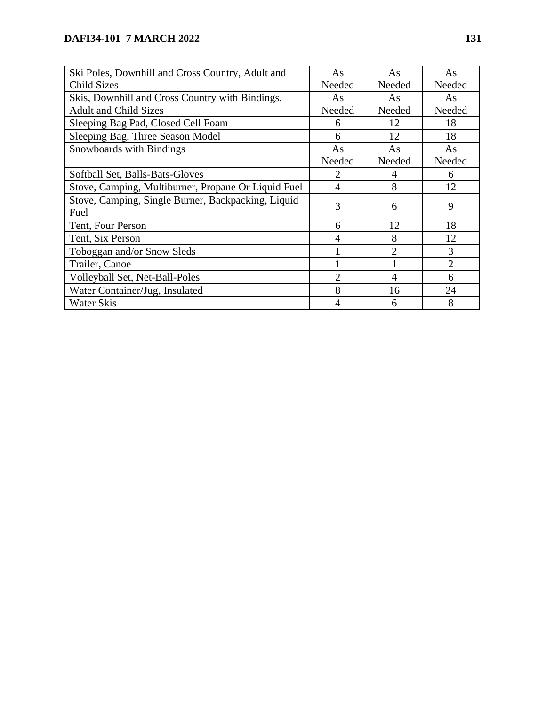<span id="page-130-0"></span>

| Ski Poles, Downhill and Cross Country, Adult and    | As             | As     | As             |
|-----------------------------------------------------|----------------|--------|----------------|
| <b>Child Sizes</b>                                  | Needed         | Needed | Needed         |
| Skis, Downhill and Cross Country with Bindings,     | As             | As     | As             |
| <b>Adult and Child Sizes</b>                        | Needed         | Needed | Needed         |
| Sleeping Bag Pad, Closed Cell Foam                  | 6              | 12     | 18             |
| Sleeping Bag, Three Season Model                    | 6              | 12     | 18             |
| <b>Snowboards with Bindings</b>                     | As             | As     | As             |
|                                                     | Needed         | Needed | Needed         |
| Softball Set, Balls-Bats-Gloves                     | 2              | 4      | 6              |
| Stove, Camping, Multiburner, Propane Or Liquid Fuel | 4              | 8      | 12             |
| Stove, Camping, Single Burner, Backpacking, Liquid  | 3              | 6      | 9              |
| Fuel                                                |                |        |                |
| Tent, Four Person                                   | 6              | 12     | 18             |
| Tent, Six Person                                    | 4              | 8      | 12             |
| Toboggan and/or Snow Sleds                          |                | 2      | 3              |
| Trailer, Canoe                                      |                |        | $\overline{2}$ |
| Volleyball Set, Net-Ball-Poles                      | $\mathfrak{D}$ | 4      | 6              |
| Water Container/Jug, Insulated                      | 8              | 16     | 24             |
| <b>Water Skis</b>                                   | 4              | 6      | 8              |